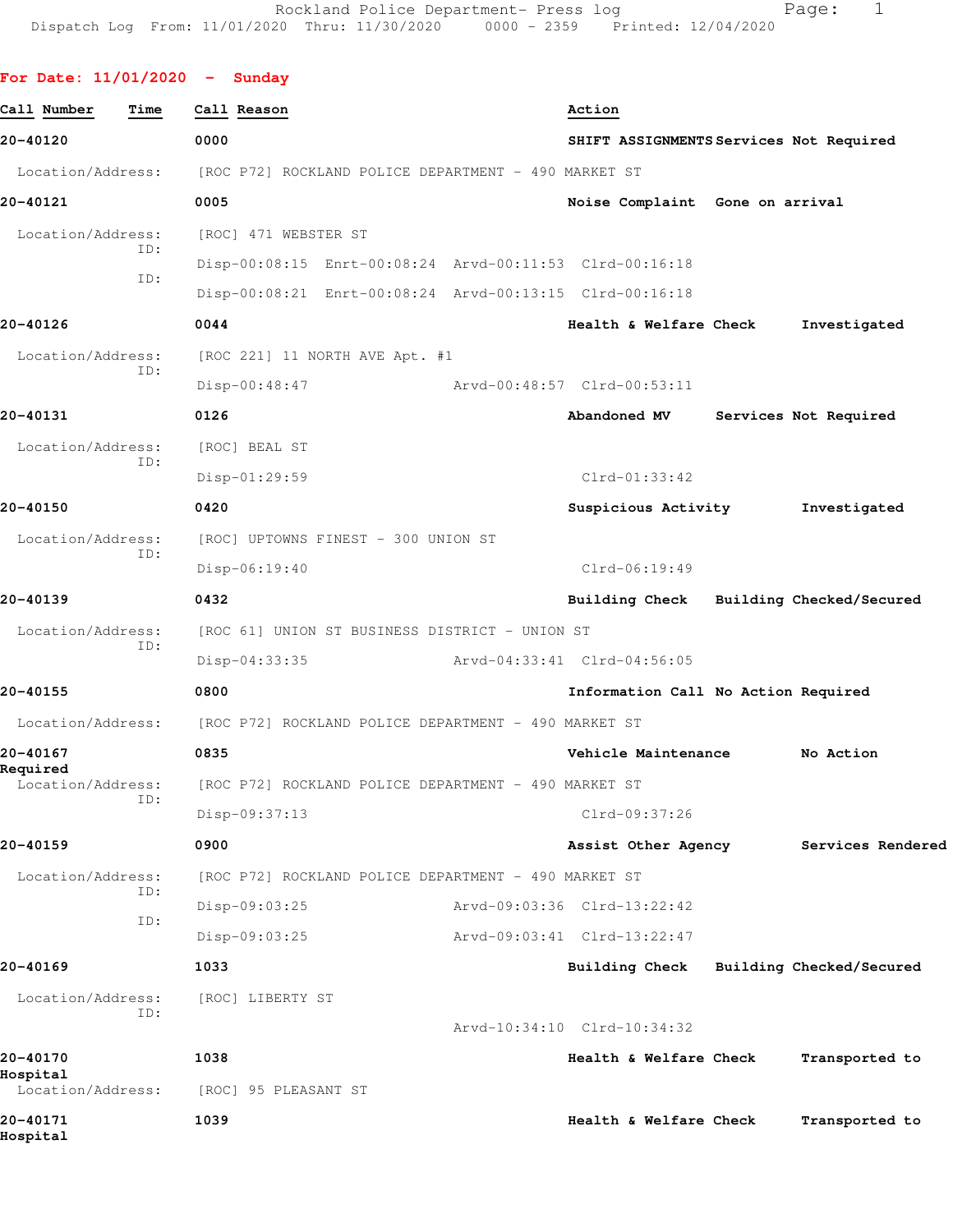|  | For Date: 11/01/2020 |  |  |  | Sunday |
|--|----------------------|--|--|--|--------|
|--|----------------------|--|--|--|--------|

| Call Number<br>Time           | Call Reason                                             | Action                                  |                          |
|-------------------------------|---------------------------------------------------------|-----------------------------------------|--------------------------|
| 20-40120                      | 0000                                                    | SHIFT ASSIGNMENTS Services Not Required |                          |
| Location/Address:             | [ROC P72] ROCKLAND POLICE DEPARTMENT - 490 MARKET ST    |                                         |                          |
| 20-40121                      | 0005                                                    | Noise Complaint Gone on arrival         |                          |
| Location/Address:             | [ROC] 471 WEBSTER ST                                    |                                         |                          |
| ID:                           | Disp-00:08:15 Enrt-00:08:24 Arvd-00:11:53 Clrd-00:16:18 |                                         |                          |
| ID:                           | Disp-00:08:21 Enrt-00:08:24 Arvd-00:13:15 Clrd-00:16:18 |                                         |                          |
| 20-40126                      | 0044                                                    | Health & Welfare Check                  | Investigated             |
| Location/Address:             | [ROC 221] 11 NORTH AVE Apt. #1                          |                                         |                          |
| TD:                           | $Disp-00:48:47$                                         | Arvd-00:48:57 Clrd-00:53:11             |                          |
| 20-40131                      | 0126                                                    | Abandoned MV                            | Services Not Required    |
| Location/Address:             | [ROC] BEAL ST                                           |                                         |                          |
| ID:                           | Disp-01:29:59                                           | $Clrd-01:33:42$                         |                          |
| 20-40150                      | 0420                                                    | Suspicious Activity                     | Investigated             |
| Location/Address:             | [ROC] UPTOWNS FINEST - 300 UNION ST                     |                                         |                          |
| ID:                           | $Disp-06:19:40$                                         | $Clrd-06:19:49$                         |                          |
| 20-40139                      | 0432                                                    | Building Check Building Checked/Secured |                          |
| Location/Address:             | [ROC 61] UNION ST BUSINESS DISTRICT - UNION ST          |                                         |                          |
| ID:                           | $Disp-04:33:35$                                         | Arvd-04:33:41 Clrd-04:56:05             |                          |
| 20-40155                      | 0800                                                    | Information Call No Action Required     |                          |
| Location/Address:             | [ROC P72] ROCKLAND POLICE DEPARTMENT - 490 MARKET ST    |                                         |                          |
| 20-40167                      | 0835                                                    | Vehicle Maintenance                     | No Action                |
| Required<br>Location/Address: | [ROC P72] ROCKLAND POLICE DEPARTMENT - 490 MARKET ST    |                                         |                          |
| ID:                           | Disp-09:37:13                                           | Clrd-09:37:26                           |                          |
| 20-40159                      | 0900                                                    | Assist Other Agency                     | Services Rendered        |
| Location/Address:             | [ROC P72] ROCKLAND POLICE DEPARTMENT - 490 MARKET ST    |                                         |                          |
| ID:                           | Disp-09:03:25                                           | Arvd-09:03:36 Clrd-13:22:42             |                          |
| ID:                           | Disp-09:03:25                                           | Arvd-09:03:41 Clrd-13:22:47             |                          |
| 20-40169                      | 1033                                                    | Building Check                          | Building Checked/Secured |
| Location/Address:             | [ROC] LIBERTY ST                                        |                                         |                          |
| ID:                           |                                                         | Arvd-10:34:10 Clrd-10:34:32             |                          |
| 20-40170                      | 1038                                                    | Health & Welfare Check                  | Transported to           |
| Hospital<br>Location/Address: | [ROC] 95 PLEASANT ST                                    |                                         |                          |
| 20-40171<br>Hospital          | 1039                                                    | Health & Welfare Check                  | Transported to           |
|                               |                                                         |                                         |                          |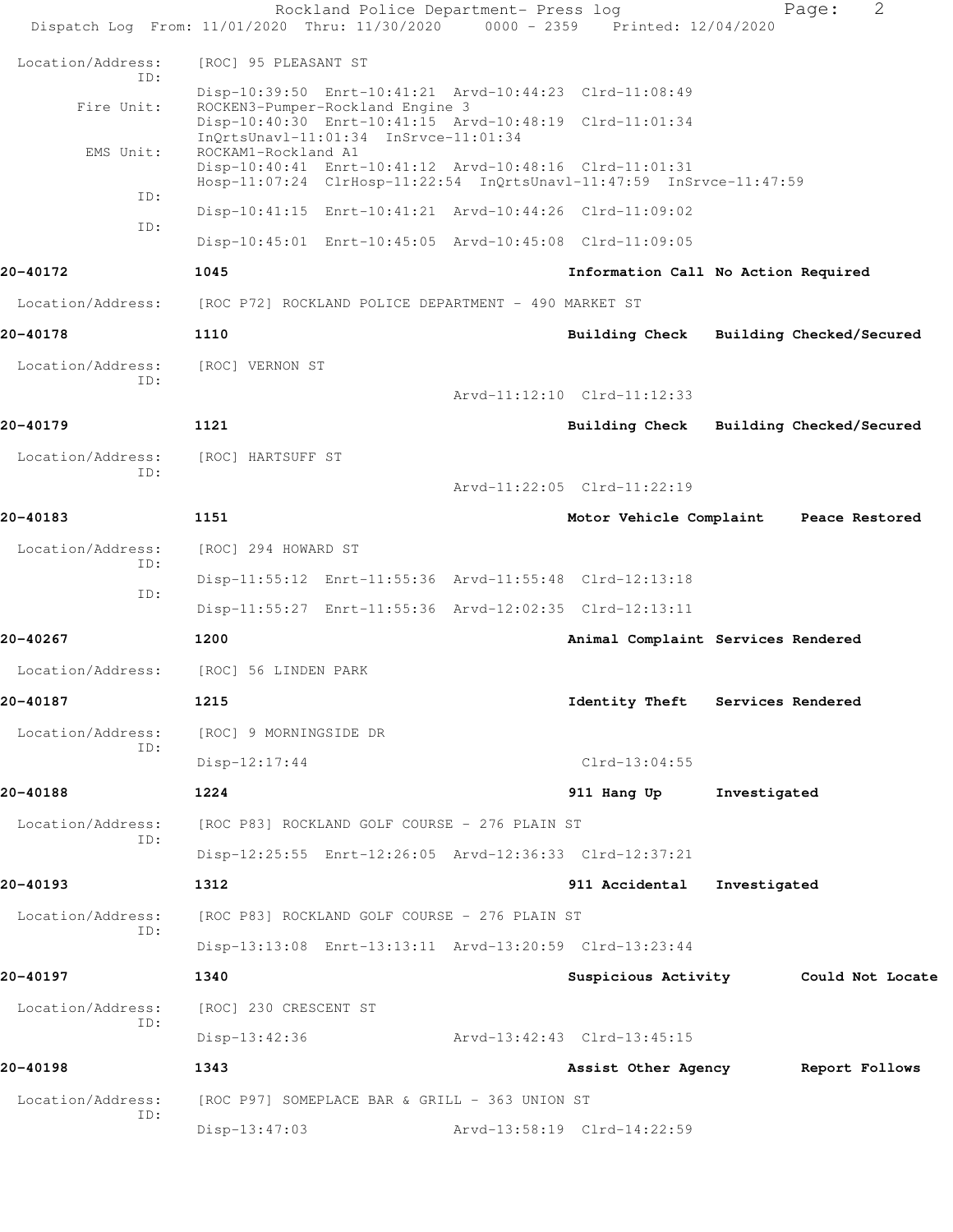|                          | Dispatch Log From: 11/01/2020 Thru: 11/30/2020 0000 - 2359 Printed: 12/04/2020                                                                         | Rockland Police Department- Press log |                                         |              | 2<br>Page:     |  |
|--------------------------|--------------------------------------------------------------------------------------------------------------------------------------------------------|---------------------------------------|-----------------------------------------|--------------|----------------|--|
| Location/Address:        | [ROC] 95 PLEASANT ST                                                                                                                                   |                                       |                                         |              |                |  |
| ID:                      | Disp-10:39:50 Enrt-10:41:21 Arvd-10:44:23 Clrd-11:08:49                                                                                                |                                       |                                         |              |                |  |
| Fire Unit:               | ROCKEN3-Pumper-Rockland Engine 3<br>Disp-10:40:30 Enrt-10:41:15 Arvd-10:48:19 Clrd-11:01:34<br>InQrtsUnavl-11:01:34 InSrvce-11:01:34                   |                                       |                                         |              |                |  |
| EMS Unit:                | ROCKAM1-Rockland A1<br>Disp-10:40:41 Enrt-10:41:12 Arvd-10:48:16 Clrd-11:01:31<br>Hosp-11:07:24 ClrHosp-11:22:54 InQrtsUnavl-11:47:59 InSrvce-11:47:59 |                                       |                                         |              |                |  |
| ID:                      | Disp-10:41:15 Enrt-10:41:21 Arvd-10:44:26 Clrd-11:09:02                                                                                                |                                       |                                         |              |                |  |
| ID:                      | Disp-10:45:01 Enrt-10:45:05 Arvd-10:45:08 Clrd-11:09:05                                                                                                |                                       |                                         |              |                |  |
| 20-40172                 | 1045                                                                                                                                                   |                                       | Information Call No Action Required     |              |                |  |
| Location/Address:        | [ROC P72] ROCKLAND POLICE DEPARTMENT - 490 MARKET ST                                                                                                   |                                       |                                         |              |                |  |
| 20-40178                 | 1110                                                                                                                                                   |                                       | Building Check Building Checked/Secured |              |                |  |
| Location/Address:        | [ROC] VERNON ST                                                                                                                                        |                                       |                                         |              |                |  |
| TD:                      |                                                                                                                                                        |                                       | Arvd-11:12:10 Clrd-11:12:33             |              |                |  |
| 20-40179                 | 1121                                                                                                                                                   |                                       | Building Check Building Checked/Secured |              |                |  |
| Location/Address:        | [ROC] HARTSUFF ST                                                                                                                                      |                                       |                                         |              |                |  |
| ID:                      |                                                                                                                                                        |                                       | Arvd-11:22:05 Clrd-11:22:19             |              |                |  |
| 20-40183                 | 1151                                                                                                                                                   |                                       | Motor Vehicle Complaint                 |              | Peace Restored |  |
| Location/Address:<br>ID: | [ROC] 294 HOWARD ST                                                                                                                                    |                                       |                                         |              |                |  |
| ID:                      | Disp-11:55:12 Enrt-11:55:36 Arvd-11:55:48 Clrd-12:13:18                                                                                                |                                       |                                         |              |                |  |
|                          | Disp-11:55:27 Enrt-11:55:36 Arvd-12:02:35 Clrd-12:13:11                                                                                                |                                       |                                         |              |                |  |
| 20-40267                 | 1200                                                                                                                                                   |                                       | Animal Complaint Services Rendered      |              |                |  |
|                          | Location/Address: [ROC] 56 LINDEN PARK                                                                                                                 |                                       |                                         |              |                |  |
| 20-40187                 | 1215                                                                                                                                                   |                                       | Identity Theft Services Rendered        |              |                |  |
| Location/Address:<br>ID: | [ROC] 9 MORNINGSIDE DR                                                                                                                                 |                                       |                                         |              |                |  |
|                          | $Disp-12:17:44$                                                                                                                                        |                                       | $Clrd-13:04:55$                         |              |                |  |
| 20-40188                 | 1224                                                                                                                                                   |                                       | 911 Hang Up                             | Investigated |                |  |
| Location/Address:<br>ID: | [ROC P83] ROCKLAND GOLF COURSE - 276 PLAIN ST                                                                                                          |                                       |                                         |              |                |  |
|                          | Disp-12:25:55 Enrt-12:26:05 Arvd-12:36:33 Clrd-12:37:21                                                                                                |                                       |                                         |              |                |  |
| 20-40193                 | 1312                                                                                                                                                   |                                       | 911 Accidental                          | Investigated |                |  |
| Location/Address:<br>ID: | [ROC P83] ROCKLAND GOLF COURSE - 276 PLAIN ST                                                                                                          |                                       |                                         |              |                |  |
|                          | Disp-13:13:08 Enrt-13:13:11 Arvd-13:20:59 Clrd-13:23:44                                                                                                |                                       |                                         |              |                |  |
| 20-40197                 | 1340                                                                                                                                                   |                                       | Suspicious Activity Could Not Locate    |              |                |  |
| Location/Address:<br>ID: | [ROC] 230 CRESCENT ST                                                                                                                                  |                                       |                                         |              |                |  |
|                          | $Disp-13:42:36$                                                                                                                                        |                                       | Arvd-13:42:43 Clrd-13:45:15             |              |                |  |
| 20-40198                 | 1343                                                                                                                                                   |                                       | Assist Other Agency                     |              | Report Follows |  |
| Location/Address:<br>ID: | [ROC P97] SOMEPLACE BAR & GRILL - 363 UNION ST                                                                                                         |                                       |                                         |              |                |  |
|                          | $Disp-13:47:03$                                                                                                                                        |                                       | Arvd-13:58:19 Clrd-14:22:59             |              |                |  |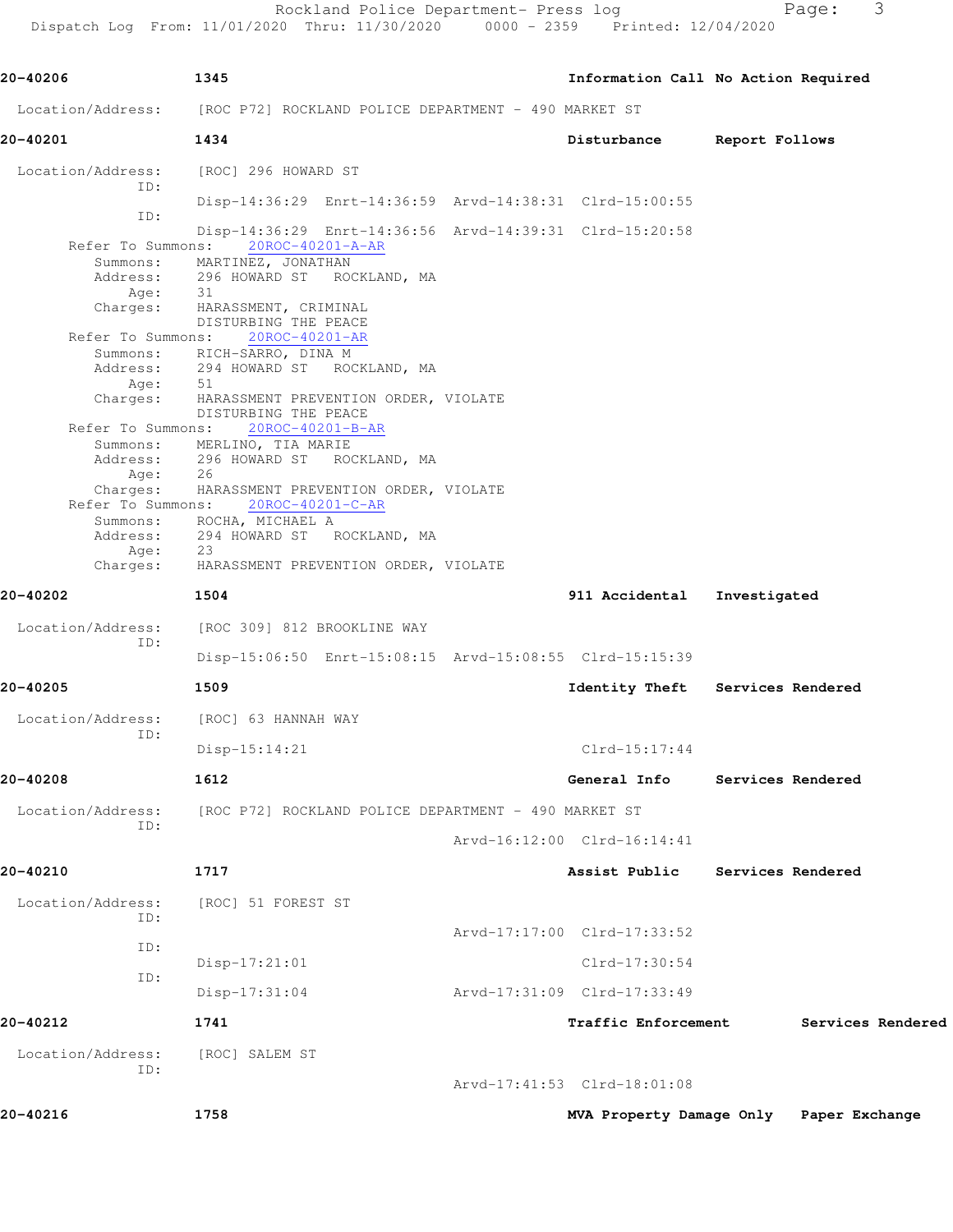Rockland Police Department- Press log Fage: 3

Dispatch Log From: 11/01/2020 Thru: 11/30/2020 0000 - 2359 Printed: 12/04/2020

**20-40206 1345 Information Call No Action Required** Location/Address: [ROC P72] ROCKLAND POLICE DEPARTMENT - 490 MARKET ST **20-40201 1434 Disturbance Report Follows** Location/Address: [ROC] 296 HOWARD ST ID: Disp-14:36:29 Enrt-14:36:59 Arvd-14:38:31 Clrd-15:00:55 ID: Disp-14:36:29 Enrt-14:36:56 Arvd-14:39:31 Clrd-15:20:58 Refer To Summons: 20ROC-40201-A-AR Summons: MARTINEZ, JONATHAN Address: 296 HOWARD ST ROCKLAND, MA<br>Age: 31 Age: Charges: HARASSMENT, CRIMINAL DISTURBING THE PEACE Refer To Summons: 20ROC-40201-AR Summons: RICH-SARRO, DINA M Address: 294 HOWARD ST ROCKLAND, MA Age: Charges: HARASSMENT PREVENTION ORDER, VIOLATE DISTURBING THE PEACE Refer To Summons: 20ROC-40201-B-AR Summons: MERLINO, TIA MARIE Address: 296 HOWARD ST ROCKLAND, MA Age: 26 Charges: HARASSMENT PREVENTION ORDER, VIOLATE Refer To Summons:  $20ROC-40201-C-AR$  Summons: ROCHA, MICHAEL A Address: 294 HOWARD ST ROCKLAND, MA Age: 23<br>Charges: HA HARASSMENT PREVENTION ORDER, VIOLATE **20-40202 1504 911 Accidental Investigated** Location/Address: [ROC 309] 812 BROOKLINE WAY ID: Disp-15:06:50 Enrt-15:08:15 Arvd-15:08:55 Clrd-15:15:39 **20-40205 1509 Identity Theft Services Rendered** Location/Address: [ROC] 63 HANNAH WAY ID: Disp-15:14:21 Clrd-15:17:44 **20-40208 1612 General Info Services Rendered** Location/Address: [ROC P72] ROCKLAND POLICE DEPARTMENT - 490 MARKET ST ID: Arvd-16:12:00 Clrd-16:14:41 **20-40210 1717 Assist Public Services Rendered** Location/Address: [ROC] 51 FOREST ST ID: Arvd-17:17:00 Clrd-17:33:52 ID: Disp-17:21:01 Clrd-17:30:54 ID: Disp-17:31:04 Arvd-17:31:09 Clrd-17:33:49 **20-40212 1741 Traffic Enforcement Services Rendered** Location/Address: [ROC] SALEM ST ID: Arvd-17:41:53 Clrd-18:01:08 **20-40216 1758 MVA Property Damage Only Paper Exchange**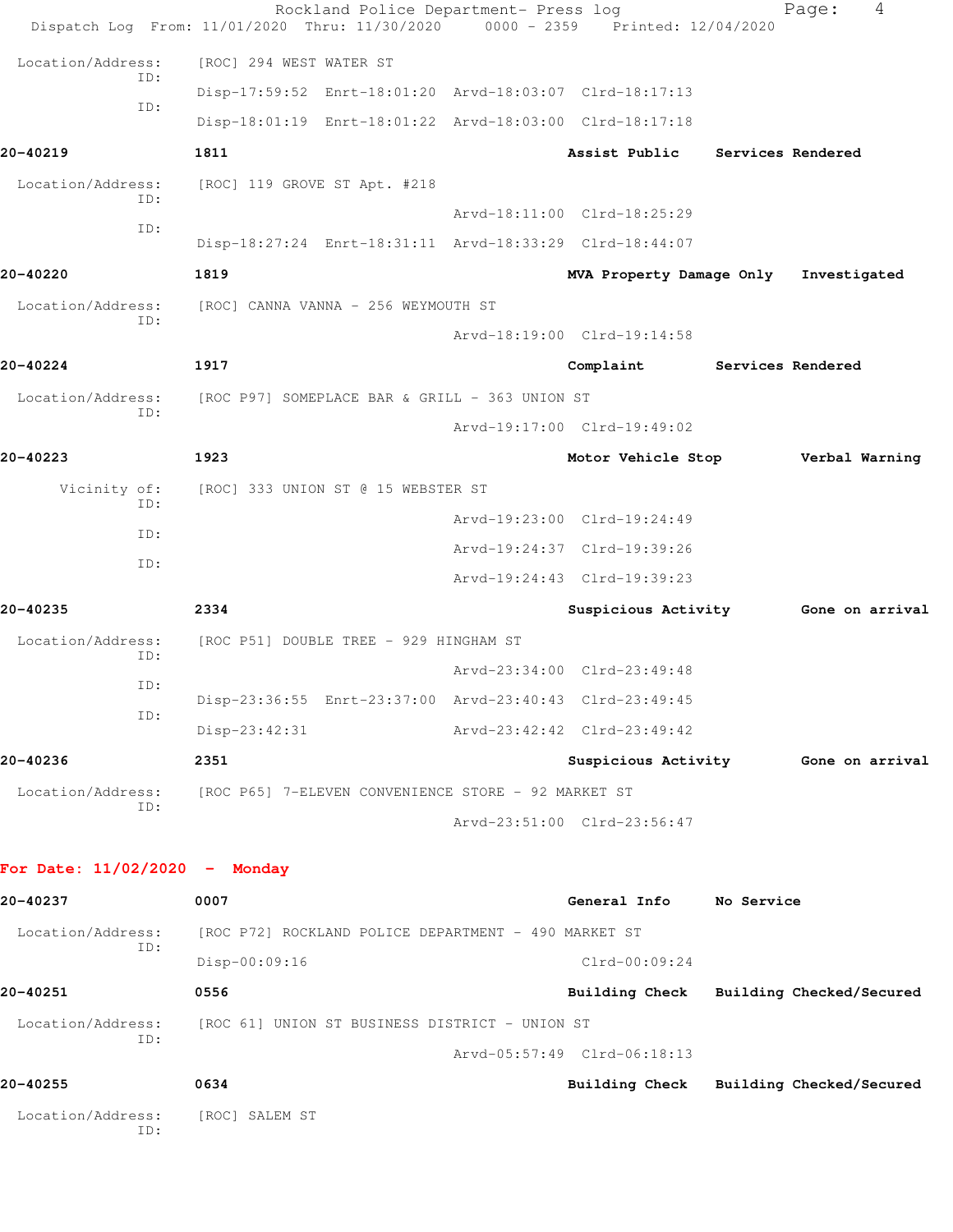|                                 | Rockland Police Department- Press log<br>Dispatch Log From: 11/01/2020 Thru: 11/30/2020 0000 - 2359 Printed: 12/04/2020 |                             |                   | 4<br>Page:               |  |
|---------------------------------|-------------------------------------------------------------------------------------------------------------------------|-----------------------------|-------------------|--------------------------|--|
| Location/Address:               | [ROC] 294 WEST WATER ST                                                                                                 |                             |                   |                          |  |
| ID:                             | Disp-17:59:52 Enrt-18:01:20 Arvd-18:03:07 Clrd-18:17:13                                                                 |                             |                   |                          |  |
| ID:                             | Disp-18:01:19 Enrt-18:01:22 Arvd-18:03:00 Clrd-18:17:18                                                                 |                             |                   |                          |  |
| 20-40219                        | 1811                                                                                                                    | Assist Public               |                   | Services Rendered        |  |
| Location/Address:               | [ROC] 119 GROVE ST Apt. #218                                                                                            |                             |                   |                          |  |
| ID:<br>ID:                      |                                                                                                                         | Arvd-18:11:00 Clrd-18:25:29 |                   |                          |  |
|                                 | Disp-18:27:24 Enrt-18:31:11 Arvd-18:33:29 Clrd-18:44:07                                                                 |                             |                   |                          |  |
| 20-40220                        | 1819                                                                                                                    | MVA Property Damage Only    |                   | Investigated             |  |
| Location/Address:<br>ID:        | [ROC] CANNA VANNA - 256 WEYMOUTH ST                                                                                     |                             |                   |                          |  |
|                                 |                                                                                                                         | Arvd-18:19:00 Clrd-19:14:58 |                   |                          |  |
| 20-40224                        | 1917                                                                                                                    | Complaint                   | Services Rendered |                          |  |
| Location/Address:<br>ID:        | [ROC P97] SOMEPLACE BAR & GRILL - 363 UNION ST                                                                          |                             |                   |                          |  |
|                                 |                                                                                                                         | Arvd-19:17:00 Clrd-19:49:02 |                   |                          |  |
| 20-40223                        | 1923                                                                                                                    | Motor Vehicle Stop          |                   | Verbal Warning           |  |
| Vicinity of:<br>TD:             | [ROC] 333 UNION ST @ 15 WEBSTER ST                                                                                      |                             |                   |                          |  |
| ID:                             |                                                                                                                         | Arvd-19:23:00 Clrd-19:24:49 |                   |                          |  |
| ID:                             |                                                                                                                         | Arvd-19:24:37 Clrd-19:39:26 |                   |                          |  |
|                                 |                                                                                                                         | Arvd-19:24:43 Clrd-19:39:23 |                   |                          |  |
| 20-40235                        | 2334                                                                                                                    | Suspicious Activity         |                   | Gone on arrival          |  |
| Location/Address:<br>ID:        | [ROC P51] DOUBLE TREE - 929 HINGHAM ST                                                                                  |                             |                   |                          |  |
| ID:                             |                                                                                                                         | Arvd-23:34:00 Clrd-23:49:48 |                   |                          |  |
| ID:                             | Disp-23:36:55 Enrt-23:37:00 Arvd-23:40:43 Clrd-23:49:45                                                                 |                             |                   |                          |  |
|                                 | Disp-23:42:31                                                                                                           | Arvd-23:42:42 Clrd-23:49:42 |                   |                          |  |
| 20-40236                        | 2351                                                                                                                    | Suspicious Activity         |                   | Gone on arrival          |  |
| Location/Address:<br>ID:        | [ROC P65] 7-ELEVEN CONVENIENCE STORE - 92 MARKET ST                                                                     |                             |                   |                          |  |
|                                 |                                                                                                                         | Arvd-23:51:00 Clrd-23:56:47 |                   |                          |  |
| For Date: $11/02/2020 -$ Monday |                                                                                                                         |                             |                   |                          |  |
| 20-40237                        | 0007                                                                                                                    | General Info                | No Service        |                          |  |
| Location/Address:               | [ROC P72] ROCKLAND POLICE DEPARTMENT - 490 MARKET ST                                                                    |                             |                   |                          |  |
| ID:                             | Disp-00:09:16                                                                                                           | $Clrd-00:09:24$             |                   |                          |  |
| 20-40251                        | 0556                                                                                                                    | Building Check              |                   | Building Checked/Secured |  |
| Location/Address:               | [ROC 61] UNION ST BUSINESS DISTRICT - UNION ST                                                                          |                             |                   |                          |  |
| ID:                             |                                                                                                                         | Arvd-05:57:49 Clrd-06:18:13 |                   |                          |  |
| 20-40255                        | 0634                                                                                                                    | <b>Building Check</b>       |                   | Building Checked/Secured |  |
| Location/Address:<br>ID:        | [ROC] SALEM ST                                                                                                          |                             |                   |                          |  |
|                                 |                                                                                                                         |                             |                   |                          |  |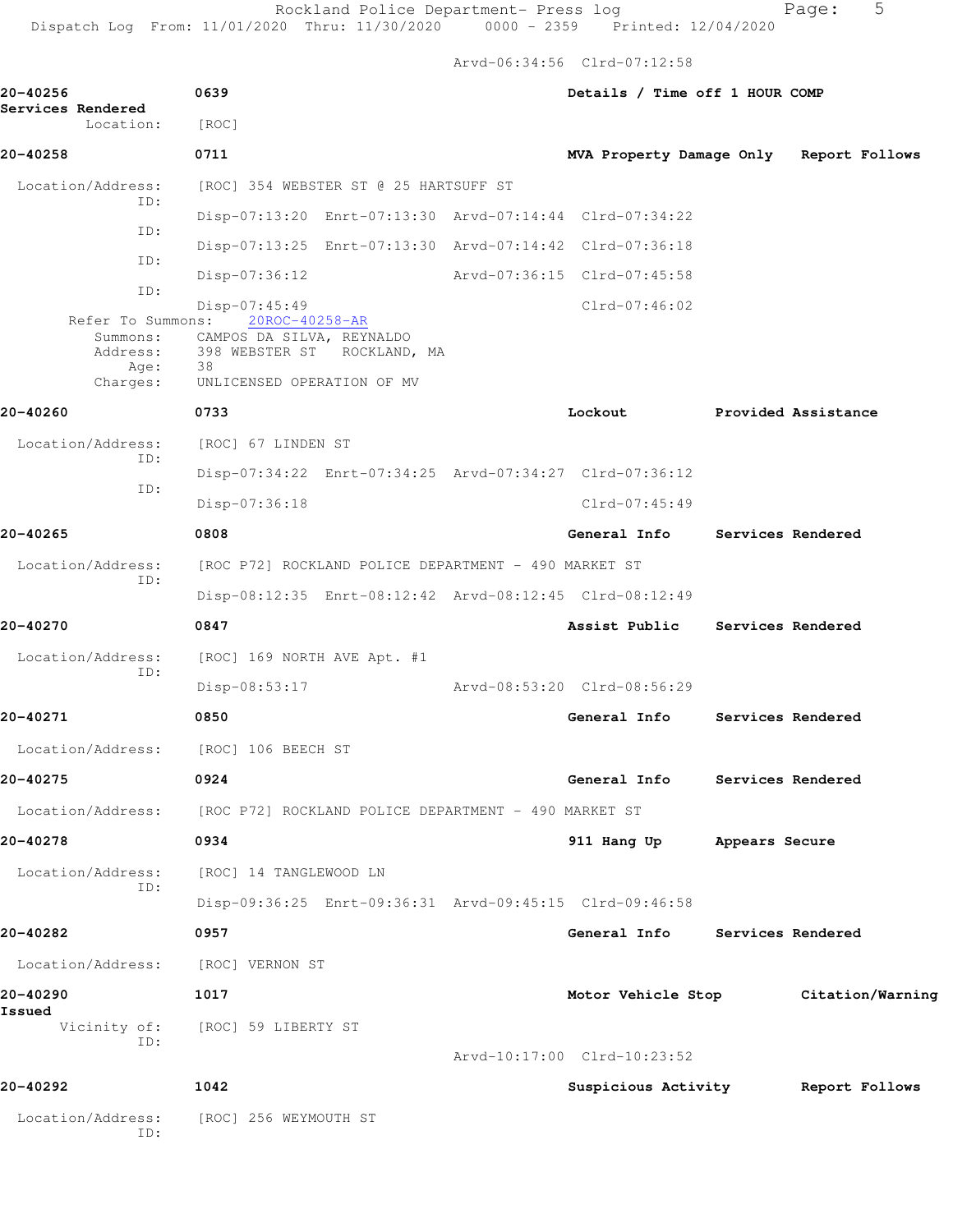Arvd-06:34:56 Clrd-07:12:58

| 20-40256                       | 0639                                                                                                                                                       | Details / Time off 1 HOUR COMP          |                   |                     |
|--------------------------------|------------------------------------------------------------------------------------------------------------------------------------------------------------|-----------------------------------------|-------------------|---------------------|
| Services Rendered<br>Location: | [ROC]                                                                                                                                                      |                                         |                   |                     |
| 20-40258                       | 0711                                                                                                                                                       | MVA Property Damage Only Report Follows |                   |                     |
| Location/Address:<br>ID:       | [ROC] 354 WEBSTER ST @ 25 HARTSUFF ST                                                                                                                      |                                         |                   |                     |
| ID:                            | Disp-07:13:20 Enrt-07:13:30 Arvd-07:14:44 Clrd-07:34:22                                                                                                    |                                         |                   |                     |
| ID:                            | Disp-07:13:25 Enrt-07:13:30 Arvd-07:14:42 Clrd-07:36:18                                                                                                    |                                         |                   |                     |
| ID:                            | $Disp-07:36:12$                                                                                                                                            | Arvd-07:36:15 Clrd-07:45:58             |                   |                     |
| Address:<br>Age:<br>Charges:   | Disp-07:45:49<br>Refer To Summons: 20ROC-40258-AR<br>Summons: CAMPOS DA SILVA, REYNALDO<br>398 WEBSTER ST ROCKLAND, MA<br>38<br>UNLICENSED OPERATION OF MV | $Clrd-07:46:02$                         |                   |                     |
| 20-40260                       | 0733                                                                                                                                                       | Lockout                                 |                   | Provided Assistance |
| Location/Address:              | [ROC] 67 LINDEN ST                                                                                                                                         |                                         |                   |                     |
| ID:                            | Disp-07:34:22 Enrt-07:34:25 Arvd-07:34:27 Clrd-07:36:12                                                                                                    |                                         |                   |                     |
| ID:                            | Disp-07:36:18                                                                                                                                              | $Clrd-07:45:49$                         |                   |                     |
| 20-40265                       | 0808                                                                                                                                                       | General Info                            |                   | Services Rendered   |
| Location/Address:              | [ROC P72] ROCKLAND POLICE DEPARTMENT - 490 MARKET ST                                                                                                       |                                         |                   |                     |
| ID:                            | Disp-08:12:35 Enrt-08:12:42 Arvd-08:12:45 Clrd-08:12:49                                                                                                    |                                         |                   |                     |
| 20-40270                       | 0847                                                                                                                                                       | Assist Public                           | Services Rendered |                     |
| Location/Address:<br>ID:       | [ROC] 169 NORTH AVE Apt. #1                                                                                                                                |                                         |                   |                     |
|                                | $Disp-08:53:17$                                                                                                                                            | Arvd-08:53:20 Clrd-08:56:29             |                   |                     |
| 20-40271                       | 0850                                                                                                                                                       | General Info                            |                   | Services Rendered   |
| Location/Address:              | [ROC] 106 BEECH ST                                                                                                                                         |                                         |                   |                     |
| 20-40275                       | 0924                                                                                                                                                       | General Info                            |                   | Services Rendered   |
| Location/Address:              | [ROC P72] ROCKLAND POLICE DEPARTMENT - 490 MARKET ST                                                                                                       |                                         |                   |                     |
| 20-40278                       | 0934                                                                                                                                                       | 911 Hang Up Appears Secure              |                   |                     |
| Location/Address:              | [ROC] 14 TANGLEWOOD LN                                                                                                                                     |                                         |                   |                     |
| ID:                            | Disp-09:36:25 Enrt-09:36:31 Arvd-09:45:15 Clrd-09:46:58                                                                                                    |                                         |                   |                     |
| 20-40282                       | 0957                                                                                                                                                       | General Info                            | Services Rendered |                     |
| Location/Address:              | [ROC] VERNON ST                                                                                                                                            |                                         |                   |                     |
| 20-40290                       | 1017                                                                                                                                                       | Motor Vehicle Stop                      |                   | Citation/Warning    |
| Issued<br>Vicinity of:<br>ID:  | [ROC] 59 LIBERTY ST                                                                                                                                        | Arvd-10:17:00 Clrd-10:23:52             |                   |                     |
| 20-40292                       | 1042                                                                                                                                                       | Suspicious Activity                     |                   | Report Follows      |
| Location/Address:<br>ID:       | [ROC] 256 WEYMOUTH ST                                                                                                                                      |                                         |                   |                     |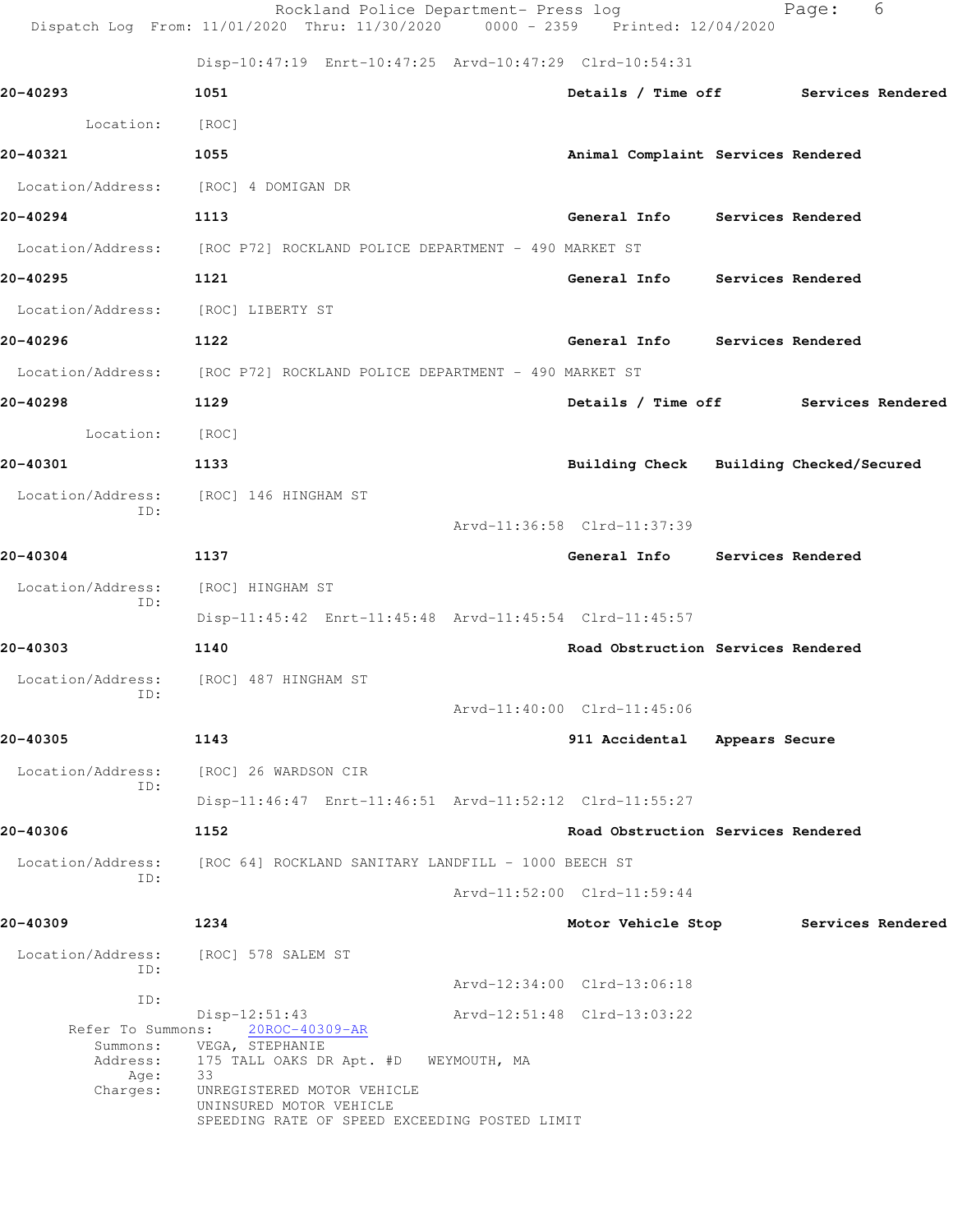|                                        | Rockland Police Department- Press log<br>Dispatch Log From: 11/01/2020 Thru: 11/30/2020 0000 - 2359 Printed: 12/04/2020 |                                         | Page: | 6 |
|----------------------------------------|-------------------------------------------------------------------------------------------------------------------------|-----------------------------------------|-------|---|
|                                        | Disp-10:47:19 Enrt-10:47:25 Arvd-10:47:29 Clrd-10:54:31                                                                 |                                         |       |   |
| 20-40293                               | 1051                                                                                                                    | Details / Time off Services Rendered    |       |   |
| Location:                              | [ROC]                                                                                                                   |                                         |       |   |
| 20-40321                               | 1055                                                                                                                    | Animal Complaint Services Rendered      |       |   |
| Location/Address: [ROC] 4 DOMIGAN DR   |                                                                                                                         |                                         |       |   |
| 20-40294                               | 1113                                                                                                                    | General Info Services Rendered          |       |   |
|                                        | Location/Address: [ROC P72] ROCKLAND POLICE DEPARTMENT - 490 MARKET ST                                                  |                                         |       |   |
| 20-40295                               | 1121                                                                                                                    | General Info Services Rendered          |       |   |
| Location/Address: [ROC] LIBERTY ST     |                                                                                                                         |                                         |       |   |
| 20-40296                               | 1122                                                                                                                    | General Info Services Rendered          |       |   |
|                                        | Location/Address: [ROC P72] ROCKLAND POLICE DEPARTMENT - 490 MARKET ST                                                  |                                         |       |   |
| 20-40298                               | 1129                                                                                                                    | Details / Time off Services Rendered    |       |   |
| Location:                              | [ROC]                                                                                                                   |                                         |       |   |
| 20-40301                               | 1133                                                                                                                    | Building Check Building Checked/Secured |       |   |
| Location/Address:                      | [ROC] 146 HINGHAM ST                                                                                                    |                                         |       |   |
| ID:                                    |                                                                                                                         | Arvd-11:36:58 Clrd-11:37:39             |       |   |
| 20-40304                               | 1137                                                                                                                    | General Info Services Rendered          |       |   |
| Location/Address:                      | [ROC] HINGHAM ST                                                                                                        |                                         |       |   |
| ID:                                    | Disp-11:45:42 Enrt-11:45:48 Arvd-11:45:54 Clrd-11:45:57                                                                 |                                         |       |   |
| 20-40303                               | 1140                                                                                                                    | Road Obstruction Services Rendered      |       |   |
| Location/Address: [ROC] 487 HINGHAM ST |                                                                                                                         |                                         |       |   |
| ID:                                    |                                                                                                                         | Arvd-11:40:00 Clrd-11:45:06             |       |   |
| 20-40305                               | 1143                                                                                                                    | 911 Accidental Appears Secure           |       |   |
| Location/Address:<br>ID:               | [ROC] 26 WARDSON CIR                                                                                                    |                                         |       |   |
|                                        | Disp-11:46:47 Enrt-11:46:51 Arvd-11:52:12 Clrd-11:55:27                                                                 |                                         |       |   |
| 20-40306                               | 1152                                                                                                                    | Road Obstruction Services Rendered      |       |   |
| Location/Address:<br>ID:               | [ROC 64] ROCKLAND SANITARY LANDFILL - 1000 BEECH ST                                                                     |                                         |       |   |
|                                        |                                                                                                                         | Arvd-11:52:00 Clrd-11:59:44             |       |   |
| 20-40309                               | 1234                                                                                                                    | Motor Vehicle Stop Services Rendered    |       |   |
| Location/Address:<br>ID:               | [ROC] 578 SALEM ST                                                                                                      |                                         |       |   |
| ID:                                    |                                                                                                                         | Arvd-12:34:00 Clrd-13:06:18             |       |   |
| Refer To Summons:                      | $Disp-12:51:43$<br>20ROC-40309-AR                                                                                       | Arvd-12:51:48 Clrd-13:03:22             |       |   |
| Summons:<br>Address:                   | VEGA, STEPHANIE<br>175 TALL OAKS DR Apt. #D WEYMOUTH, MA                                                                |                                         |       |   |
| Age:<br>Charges:                       | 33<br>UNREGISTERED MOTOR VEHICLE                                                                                        |                                         |       |   |
|                                        | UNINSURED MOTOR VEHICLE<br>SPEEDING RATE OF SPEED EXCEEDING POSTED LIMIT                                                |                                         |       |   |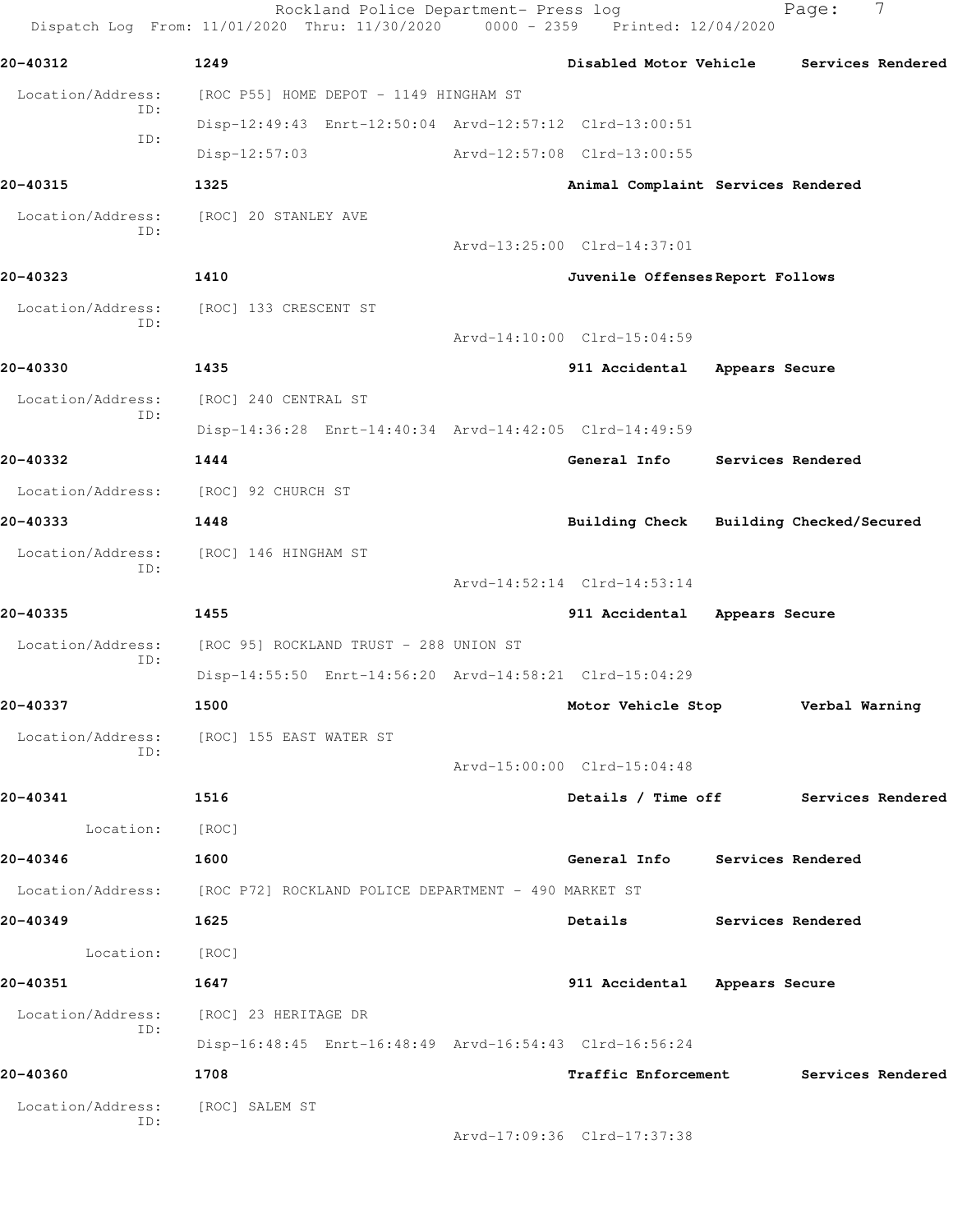Rockland Police Department- Press log Page: 7 Dispatch Log From: 11/01/2020 Thru: 11/30/2020 0000 - 2359 Printed: 12/04/2020 **20-40312 1249 Disabled Motor Vehicle Services Rendered** Location/Address: [ROC P55] HOME DEPOT - 1149 HINGHAM ST ID: Disp-12:49:43 Enrt-12:50:04 Arvd-12:57:12 Clrd-13:00:51 ID: Disp-12:57:03 Arvd-12:57:08 Clrd-13:00:55 **20-40315 1325 Animal Complaint Services Rendered** Location/Address: [ROC] 20 STANLEY AVE ID: Arvd-13:25:00 Clrd-14:37:01 **20-40323 1410 Juvenile Offenses Report Follows** Location/Address: [ROC] 133 CRESCENT ST ID: Arvd-14:10:00 Clrd-15:04:59 **20-40330 1435 911 Accidental Appears Secure** Location/Address: [ROC] 240 CENTRAL ST ID: Disp-14:36:28 Enrt-14:40:34 Arvd-14:42:05 Clrd-14:49:59 **20-40332 1444 General Info Services Rendered** Location/Address: [ROC] 92 CHURCH ST **20-40333 1448 Building Check Building Checked/Secured** Location/Address: [ROC] 146 HINGHAM ST ID: Arvd-14:52:14 Clrd-14:53:14 **20-40335 1455 911 Accidental Appears Secure** Location/Address: [ROC 95] ROCKLAND TRUST - 288 UNION ST ID: Disp-14:55:50 Enrt-14:56:20 Arvd-14:58:21 Clrd-15:04:29 **20-40337 1500 Motor Vehicle Stop Verbal Warning** Location/Address: [ROC] 155 EAST WATER ST ID: Arvd-15:00:00 Clrd-15:04:48 **20-40341 1516 Details / Time off Services Rendered** Location: [ROC] **20-40346 1600 General Info Services Rendered** Location/Address: [ROC P72] ROCKLAND POLICE DEPARTMENT - 490 MARKET ST **20-40349 1625 Details Services Rendered** Location: [ROC] **20-40351 1647 911 Accidental Appears Secure** Location/Address: [ROC] 23 HERITAGE DR ID: Disp-16:48:45 Enrt-16:48:49 Arvd-16:54:43 Clrd-16:56:24 **20-40360 1708 Traffic Enforcement Services Rendered** Location/Address: [ROC] SALEM ST ID: Arvd-17:09:36 Clrd-17:37:38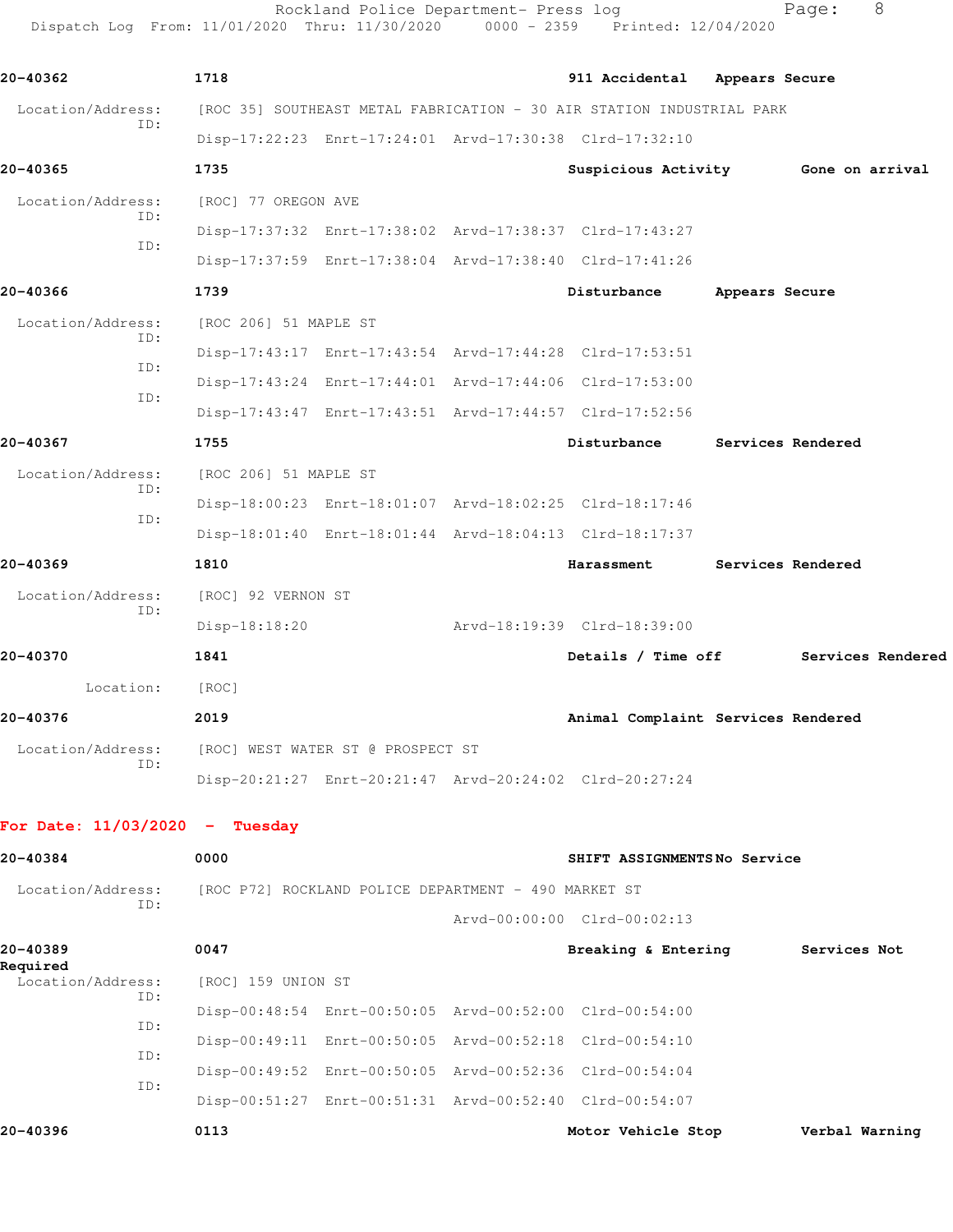Rockland Police Department- Press log Fage: 8 Dispatch Log From: 11/01/2020 Thru: 11/30/2020 0000 - 2359 Printed: 12/04/2020

**20-40362 1718 911 Accidental Appears Secure** Location/Address: [ROC 35] SOUTHEAST METAL FABRICATION - 30 AIR STATION INDUSTRIAL PARK ID: Disp-17:22:23 Enrt-17:24:01 Arvd-17:30:38 Clrd-17:32:10 **20-40365 1735 Suspicious Activity Gone on arrival** Location/Address: [ROC] 77 OREGON AVE ID: Disp-17:37:32 Enrt-17:38:02 Arvd-17:38:37 Clrd-17:43:27 ID: Disp-17:37:59 Enrt-17:38:04 Arvd-17:38:40 Clrd-17:41:26 **20-40366 1739 Disturbance Appears Secure** Location/Address: [ROC 206] 51 MAPLE ST ID: Disp-17:43:17 Enrt-17:43:54 Arvd-17:44:28 Clrd-17:53:51 ID: Disp-17:43:24 Enrt-17:44:01 Arvd-17:44:06 Clrd-17:53:00 ID: Disp-17:43:47 Enrt-17:43:51 Arvd-17:44:57 Clrd-17:52:56 **20-40367 1755 Disturbance Services Rendered** Location/Address: [ROC 206] 51 MAPLE ST ID: Disp-18:00:23 Enrt-18:01:07 Arvd-18:02:25 Clrd-18:17:46 ID: Disp-18:01:40 Enrt-18:01:44 Arvd-18:04:13 Clrd-18:17:37 **20-40369 1810 Harassment Services Rendered** Location/Address: [ROC] 92 VERNON ST ID: Disp-18:18:20 Arvd-18:19:39 Clrd-18:39:00 **20-40370 1841 Details / Time off Services Rendered** Location: [ROC] **20-40376 2019 Animal Complaint Services Rendered** Location/Address: [ROC] WEST WATER ST @ PROSPECT ST ID: Disp-20:21:27 Enrt-20:21:47 Arvd-20:24:02 Clrd-20:27:24 **For Date: 11/03/2020 - Tuesday 20-40384 0000 SHIFT ASSIGNMENTS No Service** Location/Address: [ROC P72] ROCKLAND POLICE DEPARTMENT - 490 MARKET ST ID: Arvd-00:00:00 Clrd-00:02:13 **20-40389 0047 Breaking & Entering Services Not Required**  Location/Address: [ROC] 159 UNION ST ID: Disp-00:48:54 Enrt-00:50:05 Arvd-00:52:00 Clrd-00:54:00 ID: Disp-00:49:11 Enrt-00:50:05 Arvd-00:52:18 Clrd-00:54:10 ID: Disp-00:49:52 Enrt-00:50:05 Arvd-00:52:36 Clrd-00:54:04 ID: Disp-00:51:27 Enrt-00:51:31 Arvd-00:52:40 Clrd-00:54:07

**20-40396 0113 Motor Vehicle Stop Verbal Warning**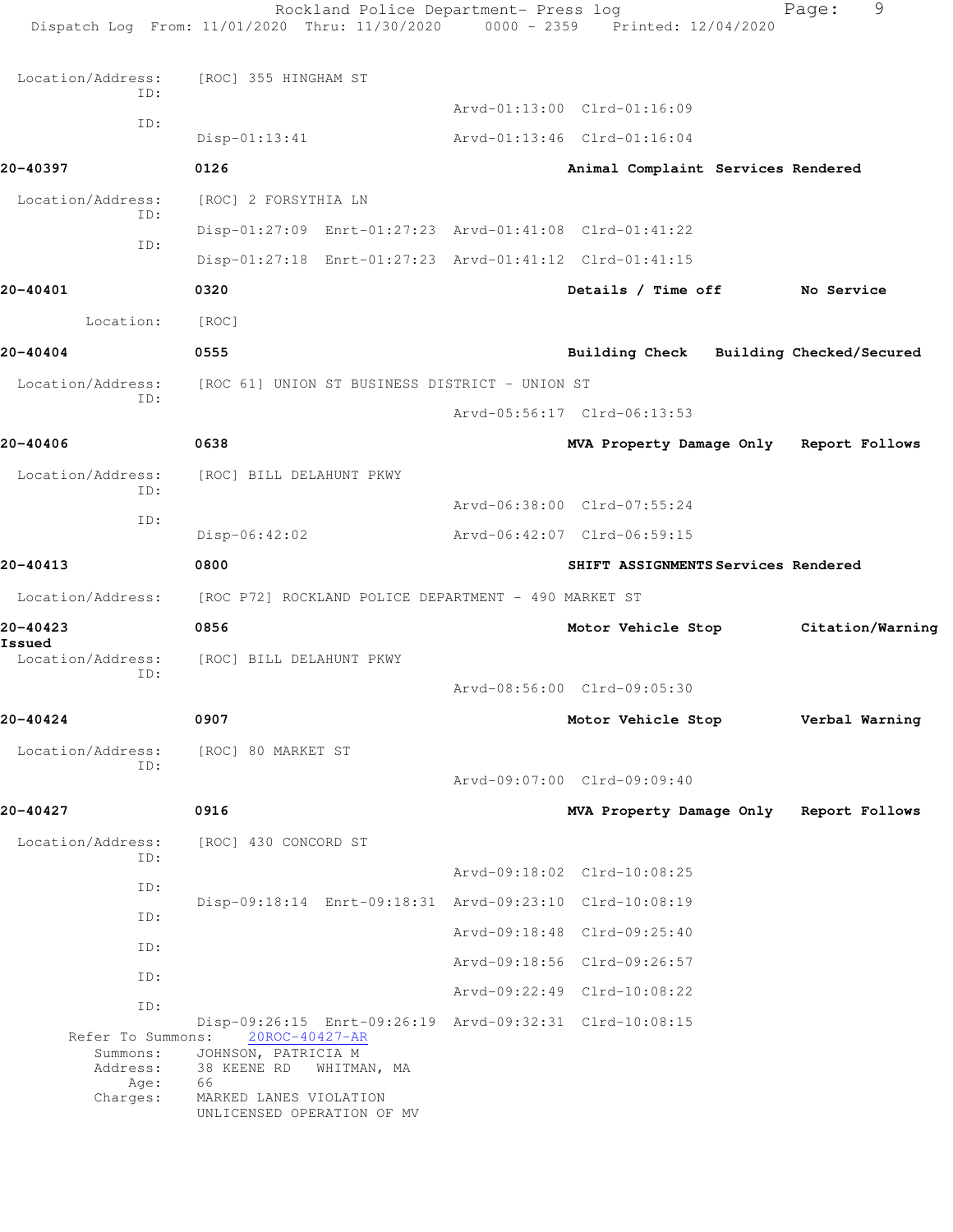|                                                   | Rockland Police Department- Press log<br>Dispatch Log From: 11/01/2020 Thru: 11/30/2020 0000 - 2359 Printed: 12/04/2020              |                                         | 9<br>Page:       |
|---------------------------------------------------|--------------------------------------------------------------------------------------------------------------------------------------|-----------------------------------------|------------------|
| Location/Address:                                 | [ROC] 355 HINGHAM ST                                                                                                                 |                                         |                  |
| ID:                                               |                                                                                                                                      | Arvd-01:13:00 Clrd-01:16:09             |                  |
| ID:                                               | $Disp-01:13:41$                                                                                                                      | Arvd-01:13:46 Clrd-01:16:04             |                  |
| 20-40397                                          | 0126                                                                                                                                 | Animal Complaint Services Rendered      |                  |
| Location/Address:                                 | [ROC] 2 FORSYTHIA LN                                                                                                                 |                                         |                  |
| ID:                                               | Disp-01:27:09 Enrt-01:27:23 Arvd-01:41:08 Clrd-01:41:22                                                                              |                                         |                  |
| TD:                                               | Disp-01:27:18 Enrt-01:27:23 Arvd-01:41:12 Clrd-01:41:15                                                                              |                                         |                  |
| 20-40401                                          | 0320                                                                                                                                 | Details / Time off                      | No Service       |
| Location:                                         | [ROC]                                                                                                                                |                                         |                  |
| 20-40404                                          | 0555                                                                                                                                 | Building Check Building Checked/Secured |                  |
| Location/Address:                                 | [ROC 61] UNION ST BUSINESS DISTRICT - UNION ST                                                                                       |                                         |                  |
| TD:                                               |                                                                                                                                      | Arvd-05:56:17 Clrd-06:13:53             |                  |
| 20-40406                                          | 0638                                                                                                                                 | MVA Property Damage Only                | Report Follows   |
| Location/Address:                                 | [ROC] BILL DELAHUNT PKWY                                                                                                             |                                         |                  |
| ID:                                               |                                                                                                                                      | Arvd-06:38:00 Clrd-07:55:24             |                  |
| ID:                                               | Disp-06:42:02                                                                                                                        | Arvd-06:42:07 Clrd-06:59:15             |                  |
| 20-40413                                          | 0800                                                                                                                                 | SHIFT ASSIGNMENTS Services Rendered     |                  |
| Location/Address:                                 | [ROC P72] ROCKLAND POLICE DEPARTMENT - 490 MARKET ST                                                                                 |                                         |                  |
| 20-40423                                          | 0856                                                                                                                                 | Motor Vehicle Stop                      | Citation/Warning |
| Issued<br>Location/Address:<br>ID:                | [ROC] BILL DELAHUNT PKWY                                                                                                             | Arvd-08:56:00 Clrd-09:05:30             |                  |
| 20-40424                                          | 0907                                                                                                                                 | Motor Vehicle Stop Verbal Warning       |                  |
| Location/Address:<br>ID:                          | [ROC] 80 MARKET ST                                                                                                                   |                                         |                  |
|                                                   |                                                                                                                                      | Arvd-09:07:00 Clrd-09:09:40             |                  |
| 20-40427                                          | 0916                                                                                                                                 | MVA Property Damage Only Report Follows |                  |
| Location/Address:<br>ID:                          | [ROC] 430 CONCORD ST                                                                                                                 |                                         |                  |
| ID:                                               |                                                                                                                                      | Arvd-09:18:02 Clrd-10:08:25             |                  |
| ID:                                               | Disp-09:18:14 Enrt-09:18:31 Arvd-09:23:10 Clrd-10:08:19                                                                              |                                         |                  |
| ID:                                               |                                                                                                                                      | Arvd-09:18:48 Clrd-09:25:40             |                  |
| ID:                                               |                                                                                                                                      | Arvd-09:18:56 Clrd-09:26:57             |                  |
| ID:                                               |                                                                                                                                      | Arvd-09:22:49 Clrd-10:08:22             |                  |
| Refer To Summons:<br>Summons:<br>Address:<br>Age: | Disp-09:26:15 Enrt-09:26:19 Arvd-09:32:31 Clrd-10:08:15<br>20ROC-40427-AR<br>JOHNSON, PATRICIA M<br>38 KEENE RD<br>WHITMAN, MA<br>66 |                                         |                  |
| Charges:                                          | MARKED LANES VIOLATION<br>UNLICENSED OPERATION OF MV                                                                                 |                                         |                  |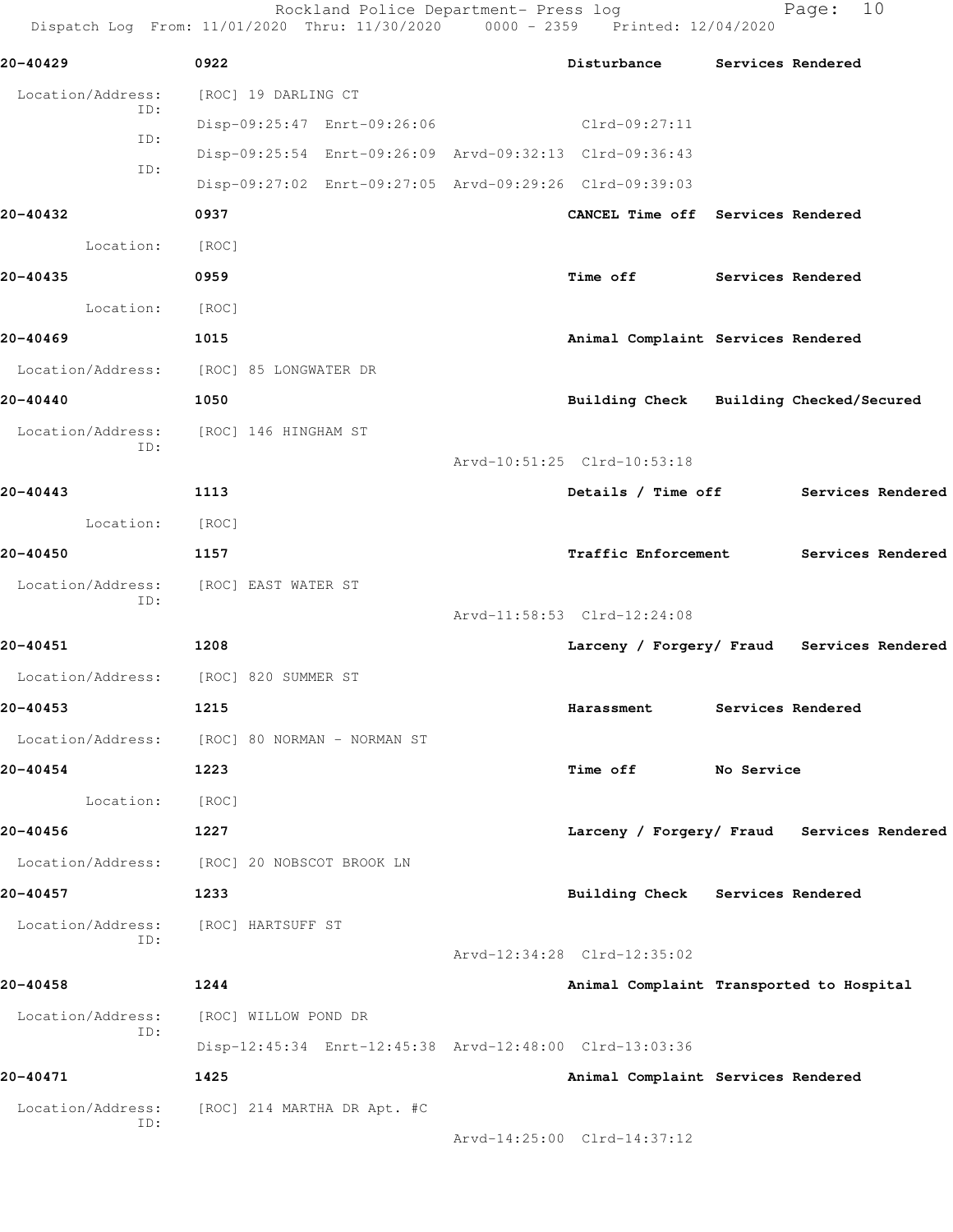Rockland Police Department- Press log Fage: 10 Dispatch Lo

|                          | Dispatch Log From: 11/01/2020 Thru: 11/30/2020 | 0000 - 2359 | Printed: 12/04/2020 |
|--------------------------|------------------------------------------------|-------------|---------------------|
| 20-40429                 | 0922                                           | Disturbance | Services Rendered   |
| Location/Address:<br>ID: | [ROC] 19 DARLING CT                            |             |                     |

 Disp-09:25:47 Enrt-09:26:06 Clrd-09:27:11 ID: Disp-09:25:54 Enrt-09:26:09 Arvd-09:32:13 Clrd-09:36:43 ID: Disp-09:27:02 Enrt-09:27:05 Arvd-09:29:26 Clrd-09:39:03 **20-40432 0937 CANCEL Time off Services Rendered** Location: [ROC] **20-40435 0959 Time off Services Rendered** Location: [ROC] **20-40469 1015 Animal Complaint Services Rendered** Location/Address: [ROC] 85 LONGWATER DR **20-40440 1050 Building Check Building Checked/Secured** Location/Address: [ROC] 146 HINGHAM ST ID: Arvd-10:51:25 Clrd-10:53:18 **20-40443 1113 Details / Time off Services Rendered** Location: [ROC] **20-40450 1157 Traffic Enforcement Services Rendered** Location/Address: [ROC] EAST WATER ST ID: Arvd-11:58:53 Clrd-12:24:08 **20-40451 1208 Larceny / Forgery/ Fraud Services Rendered** Location/Address: [ROC] 820 SUMMER ST **20-40453 1215 Harassment Services Rendered** Location/Address: [ROC] 80 NORMAN - NORMAN ST **20-40454 1223 Time off No Service** Location: [ROC]

**20-40456 1227 Larceny / Forgery/ Fraud Services Rendered** Location/Address: [ROC] 20 NOBSCOT BROOK LN

**20-40457 1233 Building Check Services Rendered** Location/Address: [ROC] HARTSUFF ST ID: Arvd-12:34:28 Clrd-12:35:02

**20-40458 1244 Animal Complaint Transported to Hospital** Location/Address: [ROC] WILLOW POND DR ID: Disp-12:45:34 Enrt-12:45:38 Arvd-12:48:00 Clrd-13:03:36

**20-40471 1425 Animal Complaint Services Rendered** Location/Address: [ROC] 214 MARTHA DR Apt. #C ID:

Arvd-14:25:00 Clrd-14:37:12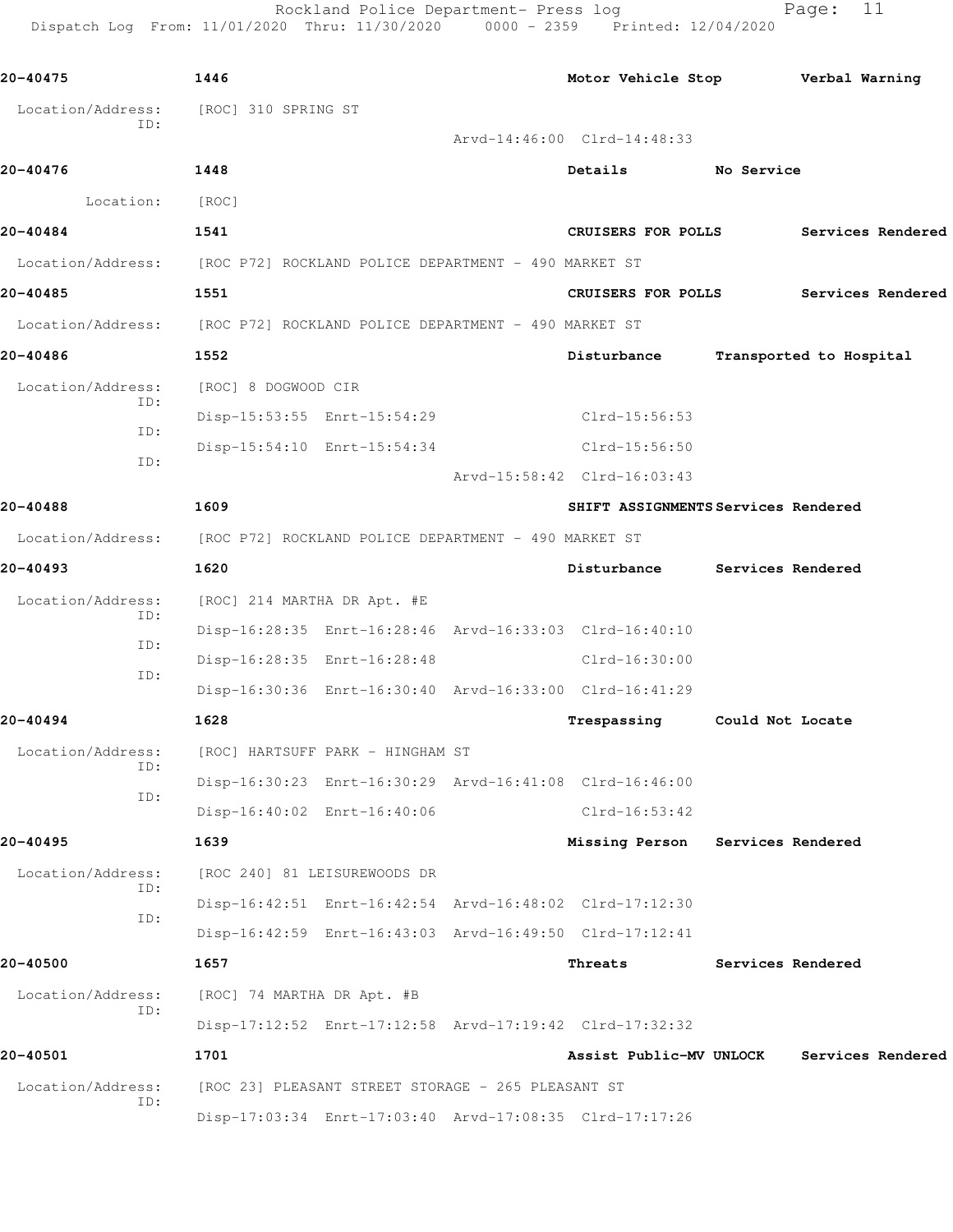Rockland Police Department- Press log Fage: 11 Dispatch Log From: 11/01/2020 Thru: 11/30/2020 0000 - 2359 Printed: 12/04/2020

**20-40475 1446 Motor Vehicle Stop Verbal Warning** Location/Address: [ROC] 310 SPRING ST ID: Arvd-14:46:00 Clrd-14:48:33 **20-40476 1448 Details No Service** Location: [ROC] **20-40484 1541 CRUISERS FOR POLLS Services Rendered** Location/Address: [ROC P72] ROCKLAND POLICE DEPARTMENT - 490 MARKET ST **20-40485 1551 CRUISERS FOR POLLS Services Rendered** Location/Address: [ROC P72] ROCKLAND POLICE DEPARTMENT - 490 MARKET ST **20-40486 1552 Disturbance Transported to Hospital** Location/Address: [ROC] 8 DOGWOOD CIR ID: Disp-15:53:55 Enrt-15:54:29 Clrd-15:56:53 ID: Disp-15:54:10 Enrt-15:54:34 Clrd-15:56:50 ID: Arvd-15:58:42 Clrd-16:03:43 **20-40488 1609 SHIFT ASSIGNMENTS Services Rendered** Location/Address: [ROC P72] ROCKLAND POLICE DEPARTMENT - 490 MARKET ST **20-40493 1620 Disturbance Services Rendered** Location/Address: [ROC] 214 MARTHA DR Apt. #E ID: Disp-16:28:35 Enrt-16:28:46 Arvd-16:33:03 Clrd-16:40:10 ID: Disp-16:28:35 Enrt-16:28:48 Clrd-16:30:00 ID: Disp-16:30:36 Enrt-16:30:40 Arvd-16:33:00 Clrd-16:41:29 **20-40494 1628 Trespassing Could Not Locate** Location/Address: [ROC] HARTSUFF PARK - HINGHAM ST ID: Disp-16:30:23 Enrt-16:30:29 Arvd-16:41:08 Clrd-16:46:00 ID: Disp-16:40:02 Enrt-16:40:06 Clrd-16:53:42 **20-40495 1639 Missing Person Services Rendered** Location/Address: [ROC 240] 81 LEISUREWOODS DR ID: Disp-16:42:51 Enrt-16:42:54 Arvd-16:48:02 Clrd-17:12:30 ID: Disp-16:42:59 Enrt-16:43:03 Arvd-16:49:50 Clrd-17:12:41 **20-40500 1657 Threats Services Rendered** Location/Address: [ROC] 74 MARTHA DR Apt. #B ID: Disp-17:12:52 Enrt-17:12:58 Arvd-17:19:42 Clrd-17:32:32 **20-40501 1701 Assist Public-MV UNLOCK Services Rendered** Location/Address: [ROC 23] PLEASANT STREET STORAGE - 265 PLEASANT ST ID: Disp-17:03:34 Enrt-17:03:40 Arvd-17:08:35 Clrd-17:17:26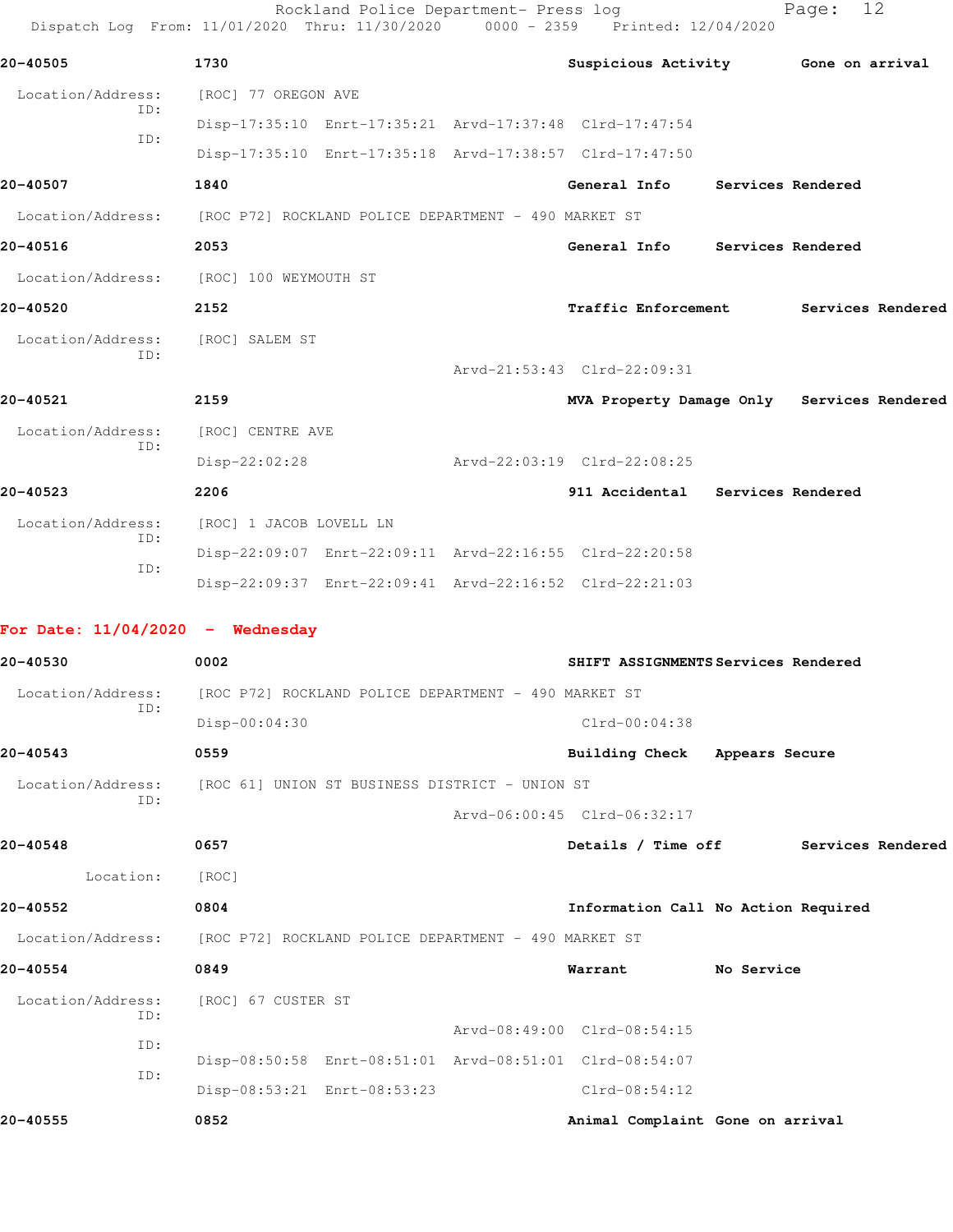| Dispatch Log From: 11/01/2020 Thru: 11/30/2020                         |                                                | Rockland Police Department- Press log | $0000 - 2359$ | Printed: 12/04/2020                                     |            | Page:             | 12                |
|------------------------------------------------------------------------|------------------------------------------------|---------------------------------------|---------------|---------------------------------------------------------|------------|-------------------|-------------------|
| 20-40505                                                               | 1730                                           |                                       |               | Suspicious Activity 6one on arrival                     |            |                   |                   |
| Location/Address:                                                      | [ROC] 77 OREGON AVE                            |                                       |               |                                                         |            |                   |                   |
| ID:                                                                    |                                                |                                       |               | Disp-17:35:10 Enrt-17:35:21 Arvd-17:37:48 Clrd-17:47:54 |            |                   |                   |
| ID:                                                                    |                                                |                                       |               | Disp-17:35:10 Enrt-17:35:18 Arvd-17:38:57 Clrd-17:47:50 |            |                   |                   |
| 20-40507                                                               | 1840                                           |                                       |               | General Info                                            |            | Services Rendered |                   |
| Location/Address: [ROC P72] ROCKLAND POLICE DEPARTMENT - 490 MARKET ST |                                                |                                       |               |                                                         |            |                   |                   |
| 20-40516                                                               | 2053                                           |                                       |               | General Info Services Rendered                          |            |                   |                   |
| Location/Address: [ROC] 100 WEYMOUTH ST                                |                                                |                                       |               |                                                         |            |                   |                   |
| 20-40520                                                               | 2152                                           |                                       |               | <b>Traffic Enforcement</b>                              |            |                   | Services Rendered |
| Location/Address:                                                      | [ROC] SALEM ST                                 |                                       |               |                                                         |            |                   |                   |
| ID:                                                                    |                                                |                                       |               | Arvd-21:53:43 Clrd-22:09:31                             |            |                   |                   |
| 20-40521                                                               | 2159                                           |                                       |               | MVA Property Damage Only Services Rendered              |            |                   |                   |
| Location/Address:                                                      | [ROC] CENTRE AVE                               |                                       |               |                                                         |            |                   |                   |
| ID:                                                                    | Disp-22:02:28                                  |                                       |               | Arvd-22:03:19 Clrd-22:08:25                             |            |                   |                   |
| 20-40523                                                               | 2206                                           |                                       |               | 911 Accidental Services Rendered                        |            |                   |                   |
| Location/Address:                                                      | [ROC] 1 JACOB LOVELL LN                        |                                       |               |                                                         |            |                   |                   |
| ID:                                                                    |                                                |                                       |               | Disp-22:09:07 Enrt-22:09:11 Arvd-22:16:55 Clrd-22:20:58 |            |                   |                   |
| ID:                                                                    |                                                |                                       |               | Disp-22:09:37 Enrt-22:09:41 Arvd-22:16:52 Clrd-22:21:03 |            |                   |                   |
| For Date: $11/04/2020 -$ Wednesday                                     |                                                |                                       |               |                                                         |            |                   |                   |
| 20-40530                                                               | 0002                                           |                                       |               | SHIFT ASSIGNMENTS Services Rendered                     |            |                   |                   |
| Location/Address: [ROC P72] ROCKLAND POLICE DEPARTMENT - 490 MARKET ST |                                                |                                       |               |                                                         |            |                   |                   |
| ID:                                                                    | Disp-00:04:30                                  |                                       |               | Clrd-00:04:38                                           |            |                   |                   |
| 20-40543                                                               | 0559                                           |                                       |               | Building Check Appears Secure                           |            |                   |                   |
| Location/Address:                                                      | [ROC 61] UNION ST BUSINESS DISTRICT - UNION ST |                                       |               |                                                         |            |                   |                   |
| ID:                                                                    |                                                |                                       |               | Arvd-06:00:45 Clrd-06:32:17                             |            |                   |                   |
| 20-40548                                                               | 0657                                           |                                       |               | Details / Time off                                      |            |                   | Services Rendered |
| Location:                                                              | [ROC]                                          |                                       |               |                                                         |            |                   |                   |
| 20-40552                                                               | 0804                                           |                                       |               | Information Call No Action Required                     |            |                   |                   |
| Location/Address: [ROC P72] ROCKLAND POLICE DEPARTMENT - 490 MARKET ST |                                                |                                       |               |                                                         |            |                   |                   |
| 20-40554                                                               | 0849                                           |                                       |               | Warrant                                                 | No Service |                   |                   |
| Location/Address:                                                      | [ROC] 67 CUSTER ST                             |                                       |               |                                                         |            |                   |                   |
| ID:                                                                    |                                                |                                       |               | Arvd-08:49:00 Clrd-08:54:15                             |            |                   |                   |
| ID:                                                                    |                                                |                                       |               | Disp-08:50:58 Enrt-08:51:01 Arvd-08:51:01 Clrd-08:54:07 |            |                   |                   |
| ID:                                                                    |                                                | Disp-08:53:21 Enrt-08:53:23           |               | $Clrd-08:54:12$                                         |            |                   |                   |
| 20-40555                                                               | 0852                                           |                                       |               | Animal Complaint Gone on arrival                        |            |                   |                   |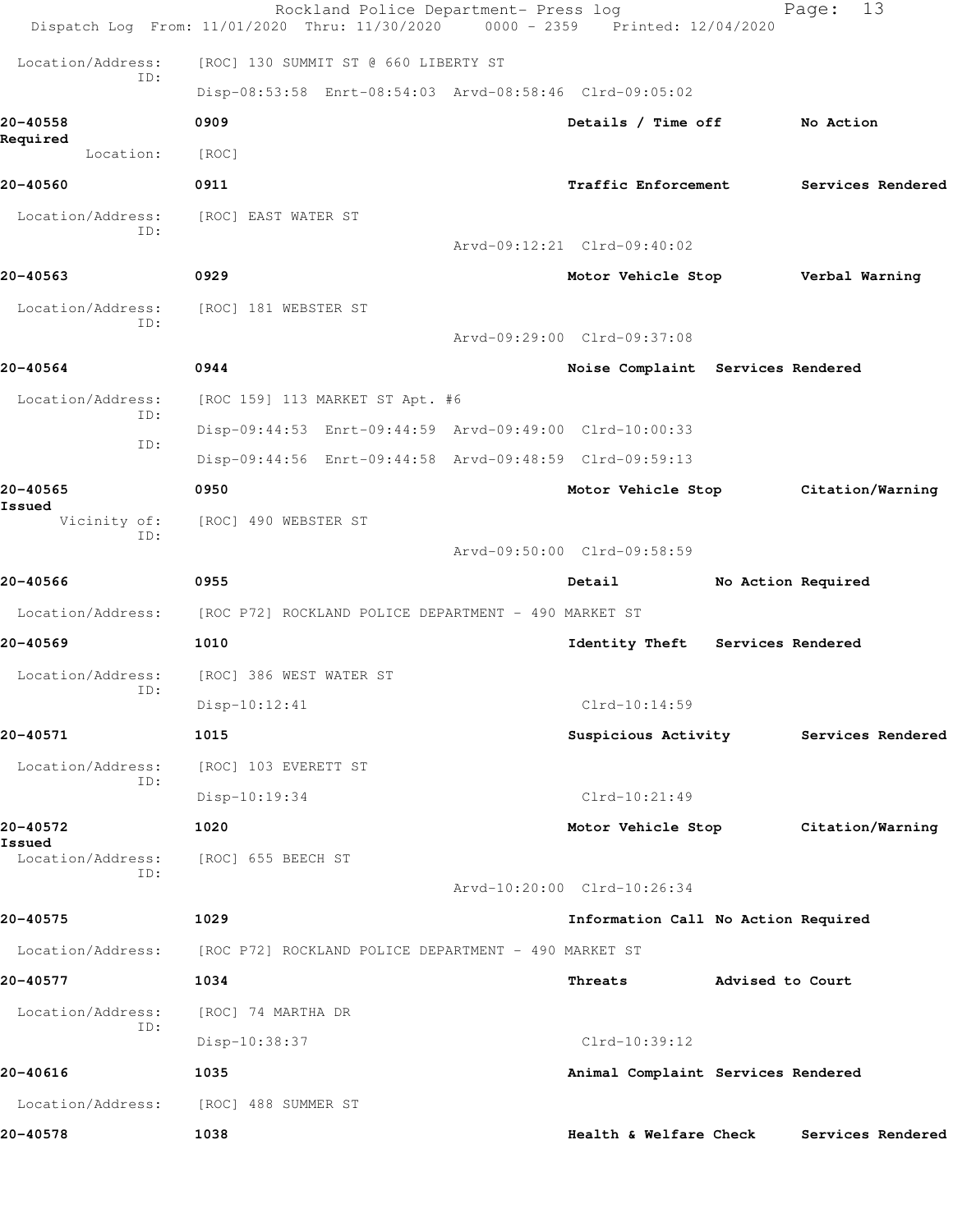|                               | Rockland Police Department- Press log<br>Dispatch Log From: 11/01/2020 Thru: 11/30/2020 | 0000 - 2359 Printed: 12/04/2020     |                  | 13<br>Page:        |
|-------------------------------|-----------------------------------------------------------------------------------------|-------------------------------------|------------------|--------------------|
| Location/Address:             | [ROC] 130 SUMMIT ST @ 660 LIBERTY ST                                                    |                                     |                  |                    |
| ID:                           | Disp-08:53:58 Enrt-08:54:03 Arvd-08:58:46 Clrd-09:05:02                                 |                                     |                  |                    |
| 20-40558                      | 0909                                                                                    | Details / Time off                  |                  | No Action          |
| Required<br>Location:         | [ROC]                                                                                   |                                     |                  |                    |
| 20-40560                      | 0911                                                                                    | <b>Traffic Enforcement</b>          |                  | Services Rendered  |
| Location/Address:             | [ROC] EAST WATER ST                                                                     |                                     |                  |                    |
| ID:                           |                                                                                         | Arvd-09:12:21 Clrd-09:40:02         |                  |                    |
| 20-40563                      | 0929                                                                                    | Motor Vehicle Stop                  |                  | Verbal Warning     |
| Location/Address:             | [ROC] 181 WEBSTER ST                                                                    |                                     |                  |                    |
| ID:                           |                                                                                         | Arvd-09:29:00 Clrd-09:37:08         |                  |                    |
| 20-40564                      | 0944                                                                                    | Noise Complaint Services Rendered   |                  |                    |
| Location/Address:             | [ROC 159] 113 MARKET ST Apt. #6                                                         |                                     |                  |                    |
| ID:                           | Disp-09:44:53 Enrt-09:44:59 Arvd-09:49:00 Clrd-10:00:33                                 |                                     |                  |                    |
| ID:                           | Disp-09:44:56 Enrt-09:44:58 Arvd-09:48:59 Clrd-09:59:13                                 |                                     |                  |                    |
| 20-40565                      | 0950                                                                                    | Motor Vehicle Stop                  |                  | Citation/Warning   |
| Issued<br>Vicinity of:<br>ID: | [ROC] 490 WEBSTER ST                                                                    |                                     |                  |                    |
|                               |                                                                                         | Arvd-09:50:00 Clrd-09:58:59         |                  |                    |
| 20-40566                      | 0955                                                                                    | Detail                              |                  | No Action Required |
|                               | Location/Address: [ROC P72] ROCKLAND POLICE DEPARTMENT - 490 MARKET ST                  |                                     |                  |                    |
| 20-40569                      | 1010                                                                                    | Identity Theft Services Rendered    |                  |                    |
| Location/Address:<br>ID:      | [ROC] 386 WEST WATER ST                                                                 |                                     |                  |                    |
|                               | Disp-10:12:41                                                                           | Clrd-10:14:59                       |                  |                    |
| 20-40571                      | 1015                                                                                    | Suspicious Activity                 |                  | Services Rendered  |
| Location/Address:<br>ID:      | [ROC] 103 EVERETT ST                                                                    |                                     |                  |                    |
|                               | Disp-10:19:34                                                                           | $Clrd-10:21:49$                     |                  |                    |
| 20-40572<br>Issued            | 1020                                                                                    | Motor Vehicle Stop                  |                  | Citation/Warning   |
| Location/Address:<br>ID:      | [ROC] 655 BEECH ST                                                                      |                                     |                  |                    |
|                               |                                                                                         | Arvd-10:20:00 Clrd-10:26:34         |                  |                    |
| 20-40575                      | 1029                                                                                    | Information Call No Action Required |                  |                    |
| Location/Address:             | [ROC P72] ROCKLAND POLICE DEPARTMENT - 490 MARKET ST                                    |                                     |                  |                    |
| 20-40577                      | 1034                                                                                    | Threats                             | Advised to Court |                    |
| Location/Address:<br>ID:      | [ROC] 74 MARTHA DR                                                                      |                                     |                  |                    |
|                               | Disp-10:38:37                                                                           | $Clrd-10:39:12$                     |                  |                    |
| 20-40616                      | 1035                                                                                    | Animal Complaint Services Rendered  |                  |                    |
| Location/Address:             | [ROC] 488 SUMMER ST                                                                     |                                     |                  |                    |
| 20-40578                      | 1038                                                                                    | Health & Welfare Check              |                  | Services Rendered  |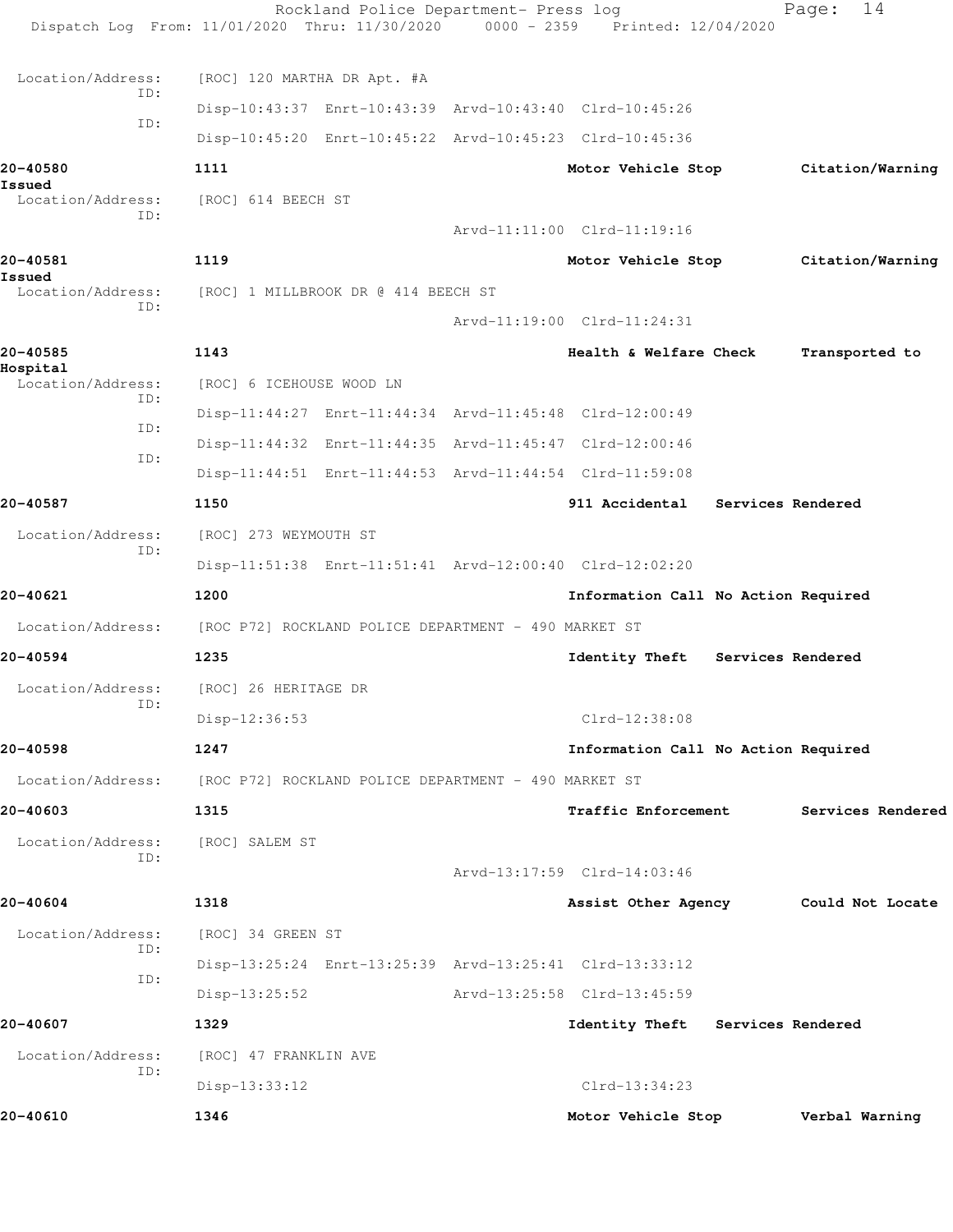|                               | Rockland Police Department- Press log<br>Dispatch Log From: 11/01/2020 Thru: 11/30/2020 0000 - 2359 Printed: 12/04/2020 |                                     |                   | 14<br>Page:       |
|-------------------------------|-------------------------------------------------------------------------------------------------------------------------|-------------------------------------|-------------------|-------------------|
| Location/Address:             | [ROC] 120 MARTHA DR Apt. #A                                                                                             |                                     |                   |                   |
| ID:                           | Disp-10:43:37 Enrt-10:43:39 Arvd-10:43:40 Clrd-10:45:26                                                                 |                                     |                   |                   |
| ID:                           | Disp-10:45:20 Enrt-10:45:22 Arvd-10:45:23 Clrd-10:45:36                                                                 |                                     |                   |                   |
| 20-40580                      | 1111                                                                                                                    | Motor Vehicle Stop                  |                   | Citation/Warning  |
| Issued<br>Location/Address:   | [ROC] 614 BEECH ST                                                                                                      |                                     |                   |                   |
| ID:                           |                                                                                                                         | Arvd-11:11:00 Clrd-11:19:16         |                   |                   |
| 20-40581                      | 1119                                                                                                                    | Motor Vehicle Stop                  |                   | Citation/Warning  |
| Issued<br>Location/Address:   | [ROC] 1 MILLBROOK DR @ 414 BEECH ST                                                                                     |                                     |                   |                   |
| ID:                           |                                                                                                                         | Arvd-11:19:00 Clrd-11:24:31         |                   |                   |
| 20-40585                      | 1143                                                                                                                    | Health & Welfare Check              |                   | Transported to    |
| Hospital<br>Location/Address: | [ROC] 6 ICEHOUSE WOOD LN                                                                                                |                                     |                   |                   |
| ID:                           | Disp-11:44:27 Enrt-11:44:34 Arvd-11:45:48 Clrd-12:00:49                                                                 |                                     |                   |                   |
| TD:                           | Disp-11:44:32 Enrt-11:44:35 Arvd-11:45:47 Clrd-12:00:46                                                                 |                                     |                   |                   |
| ID:                           | Disp-11:44:51 Enrt-11:44:53 Arvd-11:44:54 Clrd-11:59:08                                                                 |                                     |                   |                   |
| 20-40587                      | 1150                                                                                                                    | 911 Accidental Services Rendered    |                   |                   |
|                               |                                                                                                                         |                                     |                   |                   |
| Location/Address:<br>ID:      | [ROC] 273 WEYMOUTH ST                                                                                                   |                                     |                   |                   |
|                               | Disp-11:51:38 Enrt-11:51:41 Arvd-12:00:40 Clrd-12:02:20                                                                 |                                     |                   |                   |
| 20-40621                      | 1200                                                                                                                    | Information Call No Action Required |                   |                   |
| Location/Address:             | [ROC P72] ROCKLAND POLICE DEPARTMENT - 490 MARKET ST                                                                    |                                     |                   |                   |
| 20-40594                      | 1235                                                                                                                    | Identity Theft                      | Services Rendered |                   |
| Location/Address:<br>ID:      | [ROC] 26 HERITAGE DR                                                                                                    |                                     |                   |                   |
|                               | Disp-12:36:53                                                                                                           | Clrd-12:38:08                       |                   |                   |
| 20-40598                      | 1247                                                                                                                    | Information Call No Action Required |                   |                   |
| Location/Address:             | [ROC P72] ROCKLAND POLICE DEPARTMENT - 490 MARKET ST                                                                    |                                     |                   |                   |
| 20-40603                      | 1315                                                                                                                    | Traffic Enforcement                 |                   | Services Rendered |
| Location/Address:<br>ID:      | [ROC] SALEM ST                                                                                                          |                                     |                   |                   |
|                               |                                                                                                                         | Arvd-13:17:59 Clrd-14:03:46         |                   |                   |
| 20-40604                      | 1318                                                                                                                    | Assist Other Agency                 |                   | Could Not Locate  |
| Location/Address:<br>ID:      | [ROC] 34 GREEN ST                                                                                                       |                                     |                   |                   |
| ID:                           | Disp-13:25:24 Enrt-13:25:39 Arvd-13:25:41 Clrd-13:33:12                                                                 |                                     |                   |                   |
|                               | $Disp-13:25:52$                                                                                                         | Arvd-13:25:58 Clrd-13:45:59         |                   |                   |
| 20-40607                      | 1329                                                                                                                    | Identity Theft Services Rendered    |                   |                   |
| Location/Address:             | [ROC] 47 FRANKLIN AVE                                                                                                   |                                     |                   |                   |
| ID:                           | $Disp-13:33:12$                                                                                                         | Clrd-13:34:23                       |                   |                   |
| 20-40610                      | 1346                                                                                                                    | Motor Vehicle Stop                  |                   | Verbal Warning    |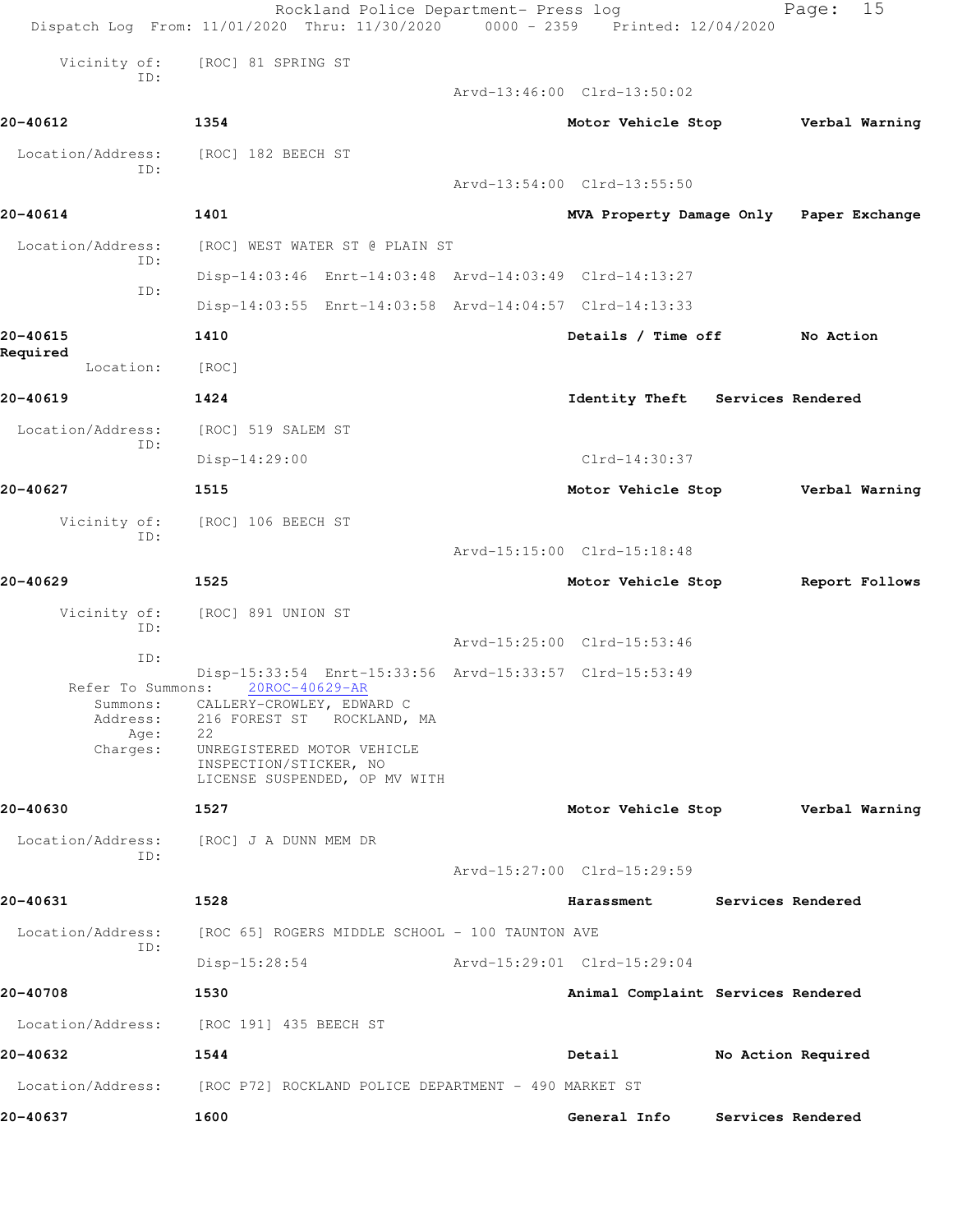|                          | Rockland Police Department- Press log<br>Dispatch Log From: 11/01/2020 Thru: 11/30/2020 0000 - 2359 Printed: 12/04/2020 |                             | 15<br>Page:                             |
|--------------------------|-------------------------------------------------------------------------------------------------------------------------|-----------------------------|-----------------------------------------|
| Vicinity of:             | [ROC] 81 SPRING ST                                                                                                      |                             |                                         |
| ID:                      |                                                                                                                         | Arvd-13:46:00 Clrd-13:50:02 |                                         |
| 20-40612                 | 1354                                                                                                                    | Motor Vehicle Stop          | Verbal Warning                          |
| Location/Address:<br>ID: | [ROC] 182 BEECH ST                                                                                                      |                             |                                         |
|                          |                                                                                                                         | Arvd-13:54:00 Clrd-13:55:50 |                                         |
| 20-40614                 | 1401                                                                                                                    |                             | MVA Property Damage Only Paper Exchange |
| Location/Address:<br>ID: | [ROC] WEST WATER ST @ PLAIN ST                                                                                          |                             |                                         |
| ID:                      | Disp-14:03:46 Enrt-14:03:48 Arvd-14:03:49 Clrd-14:13:27                                                                 |                             |                                         |
|                          | Disp-14:03:55 Enrt-14:03:58 Arvd-14:04:57 Clrd-14:13:33                                                                 |                             |                                         |
| 20-40615<br>Required     | 1410                                                                                                                    | Details / Time off          | No Action                               |
| Location:                | [ROC]                                                                                                                   |                             |                                         |
| 20-40619                 | 1424                                                                                                                    | Identity Theft              | Services Rendered                       |
| Location/Address:<br>ID: | [ROC] 519 SALEM ST                                                                                                      |                             |                                         |
|                          | $Disp-14:29:00$                                                                                                         | $Clrd-14:30:37$             |                                         |
| 20-40627                 | 1515                                                                                                                    | Motor Vehicle Stop          | Verbal Warning                          |
| Vicinity of:<br>ID:      | [ROC] 106 BEECH ST                                                                                                      |                             |                                         |
|                          |                                                                                                                         | Arvd-15:15:00 Clrd-15:18:48 |                                         |
| 20-40629                 | 1525                                                                                                                    | Motor Vehicle Stop          | Report Follows                          |
| Vicinity of:<br>ID:      | [ROC] 891 UNION ST                                                                                                      |                             |                                         |
| ID:                      |                                                                                                                         | Arvd-15:25:00 Clrd-15:53:46 |                                         |
| Refer To Summons:        | Disp-15:33:54 Enrt-15:33:56 Arvd-15:33:57 Clrd-15:53:49<br>20ROC-40629-AR                                               |                             |                                         |
| Summons:<br>Address:     | CALLERY-CROWLEY, EDWARD C<br>216 FOREST ST ROCKLAND, MA                                                                 |                             |                                         |
| Age:<br>Charges:         | 22<br>UNREGISTERED MOTOR VEHICLE                                                                                        |                             |                                         |
|                          | INSPECTION/STICKER, NO<br>LICENSE SUSPENDED, OP MV WITH                                                                 |                             |                                         |
| 20-40630                 | 1527                                                                                                                    | Motor Vehicle Stop          | Verbal Warning                          |
| Location/Address:<br>TD: | [ROC] J A DUNN MEM DR                                                                                                   |                             |                                         |
|                          |                                                                                                                         | Arvd-15:27:00 Clrd-15:29:59 |                                         |
| 20-40631                 | 1528                                                                                                                    | Harassment                  | Services Rendered                       |
| Location/Address:        | [ROC 65] ROGERS MIDDLE SCHOOL - 100 TAUNTON AVE                                                                         |                             |                                         |
|                          |                                                                                                                         |                             |                                         |
| ID:                      | $Disp-15:28:54$                                                                                                         | Arvd-15:29:01 Clrd-15:29:04 |                                         |
| 20-40708                 | 1530                                                                                                                    |                             | Animal Complaint Services Rendered      |
| Location/Address:        | [ROC 191] 435 BEECH ST                                                                                                  |                             |                                         |
| 20-40632                 | 1544                                                                                                                    | Detail                      | No Action Required                      |
| Location/Address:        | [ROC P72] ROCKLAND POLICE DEPARTMENT - 490 MARKET ST                                                                    |                             |                                         |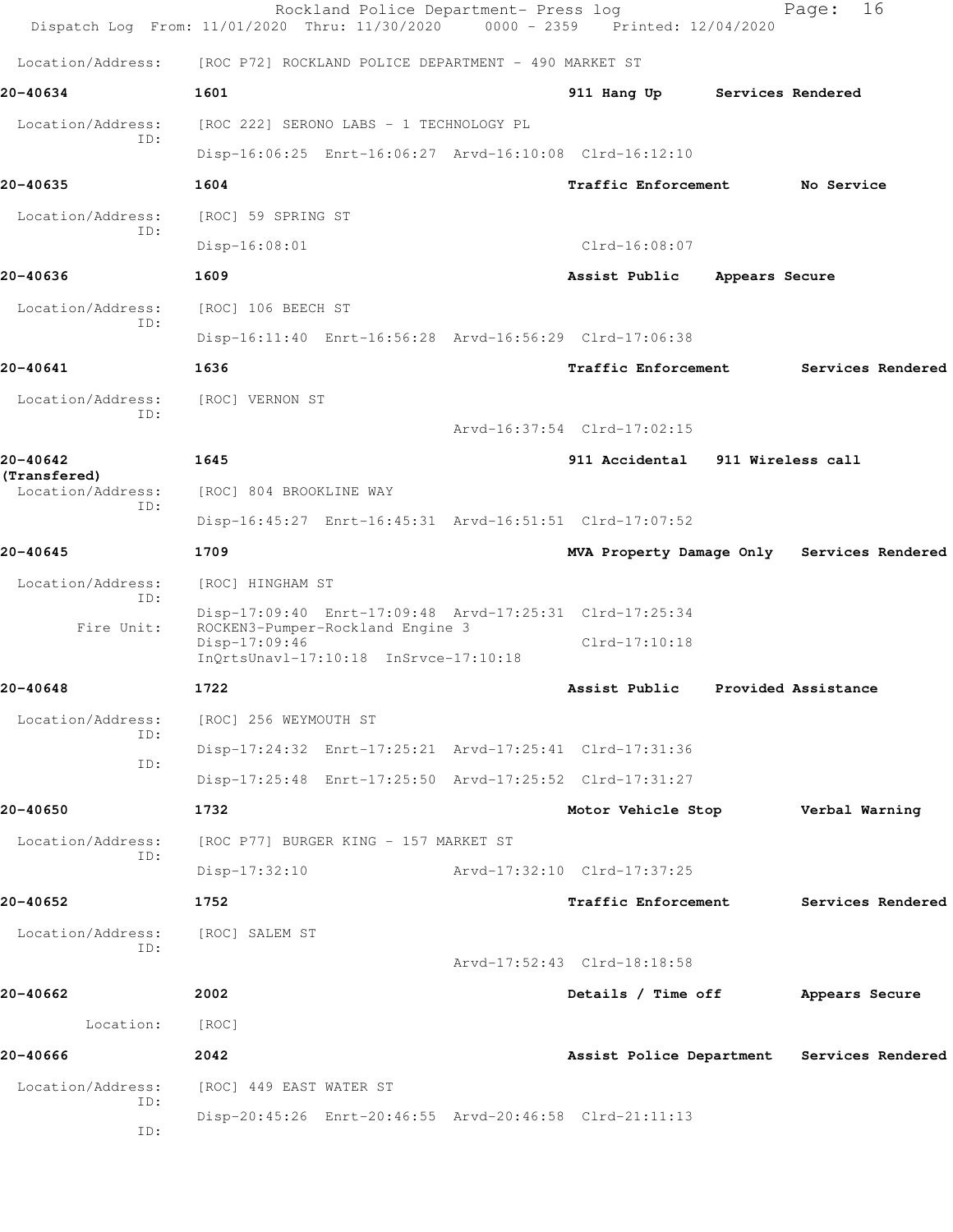|                                   | Rockland Police Department- Press log<br>Dispatch Log From: 11/01/2020 Thru: 11/30/2020          | $0000 - 2359$ | Printed: 12/04/2020              |                   | 16<br>Page:                                |
|-----------------------------------|--------------------------------------------------------------------------------------------------|---------------|----------------------------------|-------------------|--------------------------------------------|
| Location/Address:                 | [ROC P72] ROCKLAND POLICE DEPARTMENT - 490 MARKET ST                                             |               |                                  |                   |                                            |
| 20-40634                          | 1601                                                                                             |               | 911 Hang Up                      | Services Rendered |                                            |
| Location/Address:                 | [ROC 222] SERONO LABS - 1 TECHNOLOGY PL                                                          |               |                                  |                   |                                            |
| ID:                               | Disp-16:06:25 Enrt-16:06:27 Arvd-16:10:08 Clrd-16:12:10                                          |               |                                  |                   |                                            |
| 20-40635                          | 1604                                                                                             |               | Traffic Enforcement              |                   | No Service                                 |
| Location/Address:                 | [ROC] 59 SPRING ST                                                                               |               |                                  |                   |                                            |
| ID:                               | Disp-16:08:01                                                                                    |               | $Clrd-16:08:07$                  |                   |                                            |
| 20-40636                          | 1609                                                                                             |               | Assist Public                    | Appears Secure    |                                            |
| Location/Address:                 | [ROC] 106 BEECH ST                                                                               |               |                                  |                   |                                            |
| ID:                               | Disp-16:11:40 Enrt-16:56:28 Arvd-16:56:29 Clrd-17:06:38                                          |               |                                  |                   |                                            |
| 20-40641                          | 1636                                                                                             |               | <b>Traffic Enforcement</b>       |                   | Services Rendered                          |
| Location/Address:<br>ID:          | [ROC] VERNON ST                                                                                  |               |                                  |                   |                                            |
|                                   |                                                                                                  |               | Arvd-16:37:54 Clrd-17:02:15      |                   |                                            |
| 20-40642                          | 1645                                                                                             |               | 911 Accidental 911 Wireless call |                   |                                            |
| (Transfered)<br>Location/Address: | [ROC] 804 BROOKLINE WAY                                                                          |               |                                  |                   |                                            |
| ID:                               | Disp-16:45:27 Enrt-16:45:31 Arvd-16:51:51 Clrd-17:07:52                                          |               |                                  |                   |                                            |
| 20-40645                          | 1709                                                                                             |               |                                  |                   | MVA Property Damage Only Services Rendered |
| Location/Address:                 | [ROC] HINGHAM ST                                                                                 |               |                                  |                   |                                            |
| ID:                               | Disp-17:09:40 Enrt-17:09:48 Arvd-17:25:31 Clrd-17:25:34                                          |               |                                  |                   |                                            |
| Fire Unit:                        | ROCKEN3-Pumper-Rockland Engine 3<br>$Disp-17:09:46$<br>$InQrtsUnav1-17:10:18$ $InSrvce-17:10:18$ |               | $Clrd-17:10:18$                  |                   |                                            |
| 20-40648                          | 1722                                                                                             |               | Assist Public                    |                   | Provided Assistance                        |
| Location/Address:                 | [ROC] 256 WEYMOUTH ST                                                                            |               |                                  |                   |                                            |
| ID:                               | Disp-17:24:32 Enrt-17:25:21 Arvd-17:25:41 Clrd-17:31:36                                          |               |                                  |                   |                                            |
| ID:                               | Disp-17:25:48 Enrt-17:25:50 Arvd-17:25:52 Clrd-17:31:27                                          |               |                                  |                   |                                            |
| 20-40650                          | 1732                                                                                             |               | Motor Vehicle Stop               |                   | Verbal Warning                             |
| Location/Address:                 | [ROC P77] BURGER KING - 157 MARKET ST                                                            |               |                                  |                   |                                            |
| ID:                               | $Disp-17:32:10$                                                                                  |               | Arvd-17:32:10 Clrd-17:37:25      |                   |                                            |
| 20-40652                          | 1752                                                                                             |               | <b>Traffic Enforcement</b>       |                   | Services Rendered                          |
| Location/Address:                 | [ROC] SALEM ST                                                                                   |               |                                  |                   |                                            |
| ID:                               |                                                                                                  |               | Arvd-17:52:43 Clrd-18:18:58      |                   |                                            |
| 20-40662                          | 2002                                                                                             |               | Details / Time off               |                   | Appears Secure                             |
| Location:                         | [ROC]                                                                                            |               |                                  |                   |                                            |
| 20-40666                          | 2042                                                                                             |               |                                  |                   | Assist Police Department Services Rendered |
| Location/Address:                 | [ROC] 449 EAST WATER ST                                                                          |               |                                  |                   |                                            |
| ID:                               | Disp-20:45:26 Enrt-20:46:55 Arvd-20:46:58 Clrd-21:11:13                                          |               |                                  |                   |                                            |
| ID:                               |                                                                                                  |               |                                  |                   |                                            |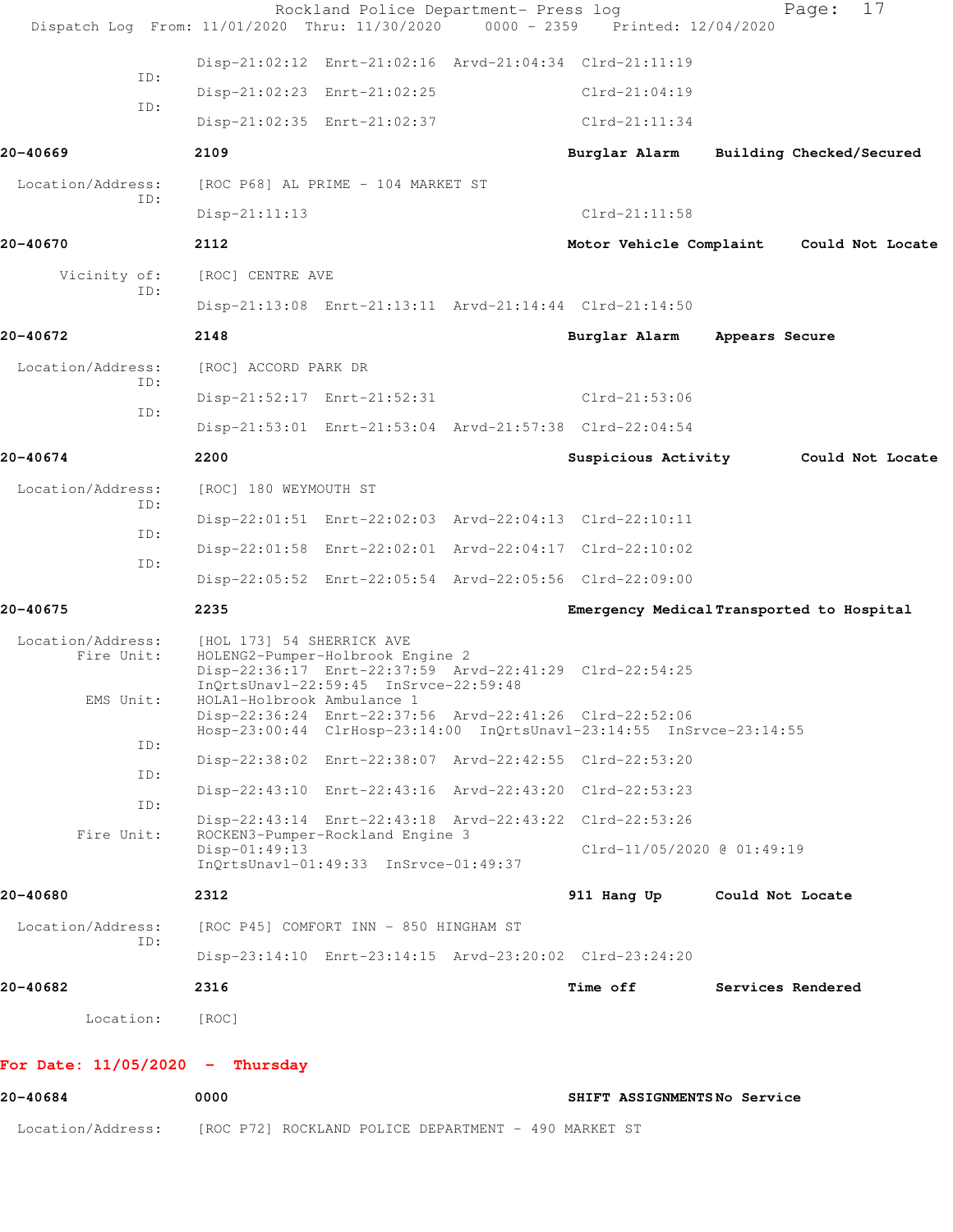| 20-40684                          | 0000                                                                           |                                                         | SHIFT ASSIGNMENTSNo Service                                                                                                     |                                           |                  |
|-----------------------------------|--------------------------------------------------------------------------------|---------------------------------------------------------|---------------------------------------------------------------------------------------------------------------------------------|-------------------------------------------|------------------|
| For Date: $11/05/2020 -$ Thursday |                                                                                |                                                         |                                                                                                                                 |                                           |                  |
| Location:                         | [ROC]                                                                          |                                                         |                                                                                                                                 |                                           |                  |
| 20-40682                          | 2316                                                                           |                                                         | Time off                                                                                                                        | Services Rendered                         |                  |
| ID:                               |                                                                                |                                                         | Disp-23:14:10 Enrt-23:14:15 Arvd-23:20:02 Clrd-23:24:20                                                                         |                                           |                  |
| Location/Address:                 |                                                                                | [ROC P45] COMFORT INN - 850 HINGHAM ST                  |                                                                                                                                 |                                           |                  |
| 20-40680                          | 2312                                                                           | InQrtsUnavl-01:49:33 InSrvce-01:49:37                   | 911 Hang Up                                                                                                                     | Could Not Locate                          |                  |
| ID:<br>Fire Unit:                 | Disp-01:49:13                                                                  | ROCKEN3-Pumper-Rockland Engine 3                        | Disp-22:43:14 Enrt-22:43:18 Arvd-22:43:22 Clrd-22:53:26<br>Clrd-11/05/2020 @ 01:49:19                                           |                                           |                  |
| ID:                               |                                                                                |                                                         | Disp-22:43:10 Enrt-22:43:16 Arvd-22:43:20 Clrd-22:53:23                                                                         |                                           |                  |
| ID:                               |                                                                                |                                                         | Disp-22:38:02 Enrt-22:38:07 Arvd-22:42:55 Clrd-22:53:20                                                                         |                                           |                  |
| EMS Unit:                         | HOLA1-Holbrook Ambulance 1                                                     | InQrtsUnavl-22:59:45 InSrvce-22:59:48                   | Disp-22:36:24 Enrt-22:37:56 Arvd-22:41:26 Clrd-22:52:06<br>Hosp-23:00:44 ClrHosp-23:14:00 InQrtsUnavl-23:14:55 InSrvce-23:14:55 |                                           |                  |
| Location/Address:<br>Fire Unit:   | [HOL 173] 54 SHERRICK AVE                                                      | HOLENG2-Pumper-Holbrook Engine 2                        | Disp-22:36:17 Enrt-22:37:59 Arvd-22:41:29 Clrd-22:54:25                                                                         |                                           |                  |
| 20-40675                          | 2235                                                                           |                                                         |                                                                                                                                 | Emergency Medical Transported to Hospital |                  |
| ID:                               |                                                                                |                                                         | Disp-22:05:52 Enrt-22:05:54 Arvd-22:05:56 Clrd-22:09:00                                                                         |                                           |                  |
| ID:                               |                                                                                |                                                         | Disp-22:01:58 Enrt-22:02:01 Arvd-22:04:17 Clrd-22:10:02                                                                         |                                           |                  |
| ID:                               |                                                                                |                                                         | Disp-22:01:51 Enrt-22:02:03 Arvd-22:04:13 Clrd-22:10:11                                                                         |                                           |                  |
| Location/Address:                 | [ROC] 180 WEYMOUTH ST                                                          |                                                         |                                                                                                                                 |                                           |                  |
| 20-40674                          | 2200                                                                           |                                                         | Disp-21:53:01 Enrt-21:53:04 Arvd-21:57:38 Clrd-22:04:54<br>Suspicious Activity                                                  |                                           | Could Not Locate |
| ID:                               |                                                                                | Disp-21:52:17 Enrt-21:52:31                             | Clrd-21:53:06                                                                                                                   |                                           |                  |
| Location/Address:<br>TD:          | [ROC] ACCORD PARK DR                                                           |                                                         |                                                                                                                                 |                                           |                  |
| 20-40672                          | 2148                                                                           |                                                         | Burglar Alarm                                                                                                                   | Appears Secure                            |                  |
|                                   |                                                                                |                                                         | Disp-21:13:08 Enrt-21:13:11 Arvd-21:14:44 Clrd-21:14:50                                                                         |                                           |                  |
| Vicinity of:<br>ID:               | [ROC] CENTRE AVE                                                               |                                                         |                                                                                                                                 |                                           |                  |
| 20-40670                          | 2112                                                                           |                                                         |                                                                                                                                 | Motor Vehicle Complaint Could Not Locate  |                  |
| ID:                               | Disp-21:11:13                                                                  |                                                         | $Clrd-21:11:58$                                                                                                                 |                                           |                  |
| Location/Address:                 |                                                                                | [ROC P68] AL PRIME - 104 MARKET ST                      |                                                                                                                                 |                                           |                  |
| 20-40669                          | 2109                                                                           |                                                         | Burglar Alarm                                                                                                                   | Building Checked/Secured                  |                  |
| ID:                               |                                                                                | Disp-21:02:35 Enrt-21:02:37                             | $Clrd-21:11:34$                                                                                                                 |                                           |                  |
| ID:                               |                                                                                | Disp-21:02:23 Enrt-21:02:25                             | $Clrd-21:04:19$                                                                                                                 |                                           |                  |
|                                   |                                                                                | Disp-21:02:12 Enrt-21:02:16 Arvd-21:04:34 Clrd-21:11:19 |                                                                                                                                 |                                           |                  |
|                                   | Dispatch Log From: 11/01/2020 Thru: 11/30/2020 0000 - 2359 Printed: 12/04/2020 | Rockland Police Department- Press log                   |                                                                                                                                 | Page:                                     | 17               |

Location/Address: [ROC P72] ROCKLAND POLICE DEPARTMENT - 490 MARKET ST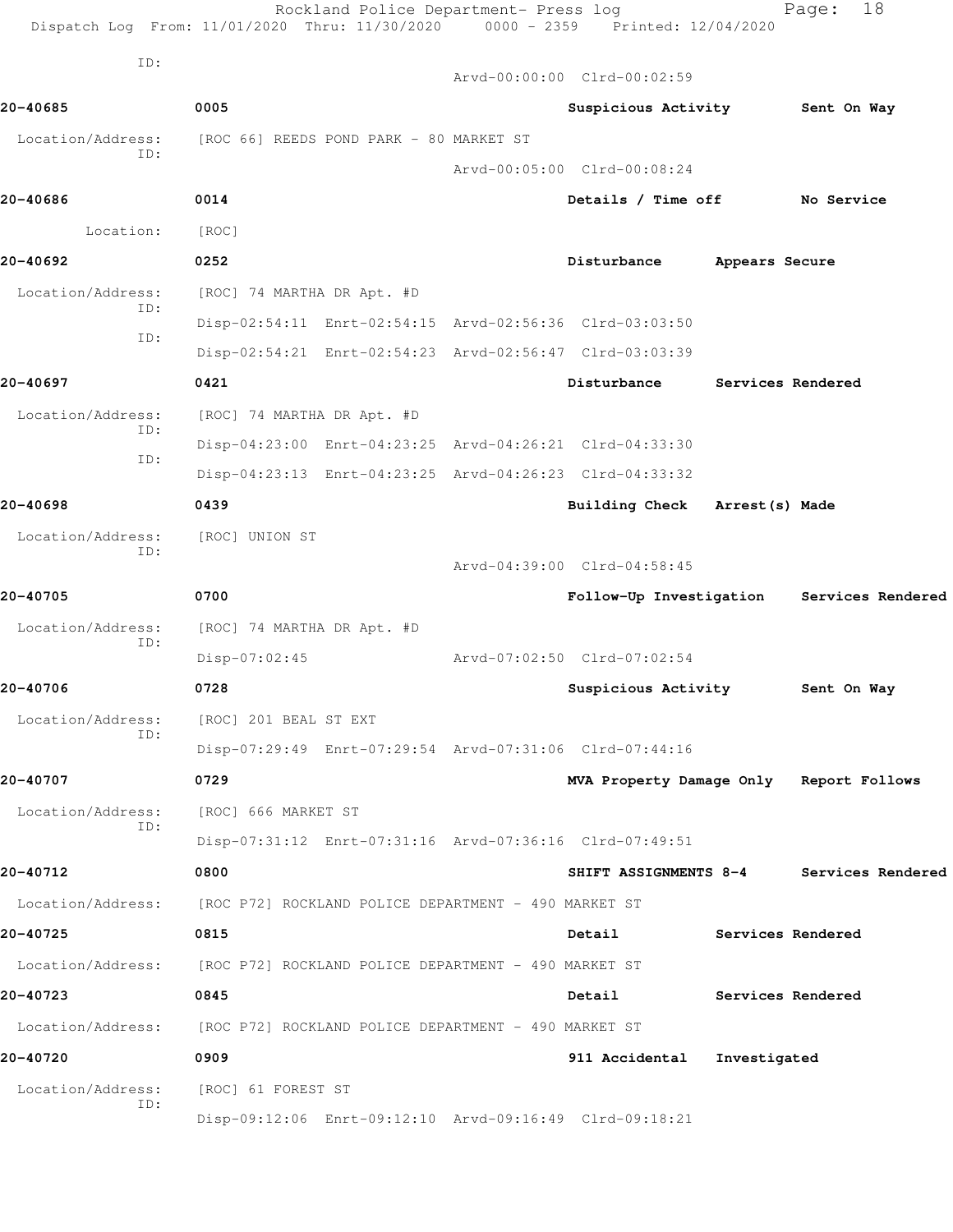| ID:               |                                                         | Arvd-00:00:00 Clrd-00:02:59             |                |                   |
|-------------------|---------------------------------------------------------|-----------------------------------------|----------------|-------------------|
| 20-40685          | 0005                                                    | Suspicious Activity                     |                | Sent On Way       |
| Location/Address: | [ROC 66] REEDS POND PARK - 80 MARKET ST                 |                                         |                |                   |
| ID:               |                                                         | Arvd-00:05:00 Clrd-00:08:24             |                |                   |
| 20-40686          | 0014                                                    | Details / Time off                      |                | No Service        |
| Location:         | [ROC]                                                   |                                         |                |                   |
| 20-40692          | 0252                                                    | Disturbance                             | Appears Secure |                   |
| Location/Address: | [ROC] 74 MARTHA DR Apt. #D                              |                                         |                |                   |
| ID:               | Disp-02:54:11 Enrt-02:54:15 Arvd-02:56:36 Clrd-03:03:50 |                                         |                |                   |
| ID:               | Disp-02:54:21 Enrt-02:54:23 Arvd-02:56:47 Clrd-03:03:39 |                                         |                |                   |
| 20-40697          | 0421                                                    | Disturbance                             |                | Services Rendered |
| Location/Address: | [ROC] 74 MARTHA DR Apt. #D                              |                                         |                |                   |
| ID:               | Disp-04:23:00 Enrt-04:23:25 Arvd-04:26:21 Clrd-04:33:30 |                                         |                |                   |
| ID:               | Disp-04:23:13 Enrt-04:23:25 Arvd-04:26:23 Clrd-04:33:32 |                                         |                |                   |
| 20-40698          | 0439                                                    | Building Check Arrest (s) Made          |                |                   |
| Location/Address: | [ROC] UNION ST                                          |                                         |                |                   |
| ID:               |                                                         | Arvd-04:39:00 Clrd-04:58:45             |                |                   |
| 20-40705          | 0700                                                    | Follow-Up Investigation                 |                | Services Rendered |
| Location/Address: | [ROC] 74 MARTHA DR Apt. #D                              |                                         |                |                   |
| ID:               | $Disp-07:02:45$                                         | Arvd-07:02:50 Clrd-07:02:54             |                |                   |
| 20-40706          | 0728                                                    | Suspicious Activity                     |                | Sent On Way       |
| Location/Address: | [ROC] 201 BEAL ST EXT                                   |                                         |                |                   |
| ID:               | Disp-07:29:49 Enrt-07:29:54 Arvd-07:31:06 Clrd-07:44:16 |                                         |                |                   |
| 20-40707          | 0729                                                    | MVA Property Damage Only Report Follows |                |                   |
| Location/Address: | [ROC] 666 MARKET ST                                     |                                         |                |                   |
| ID:               | Disp-07:31:12 Enrt-07:31:16 Arvd-07:36:16 Clrd-07:49:51 |                                         |                |                   |
| 20-40712          | 0800                                                    | SHIFT ASSIGNMENTS 8-4                   |                | Services Rendered |
| Location/Address: | [ROC P72] ROCKLAND POLICE DEPARTMENT - 490 MARKET ST    |                                         |                |                   |
| 20-40725          | 0815                                                    | Detail                                  |                | Services Rendered |
| Location/Address: | [ROC P72] ROCKLAND POLICE DEPARTMENT - 490 MARKET ST    |                                         |                |                   |
| 20-40723          | 0845                                                    | Detail                                  |                | Services Rendered |
| Location/Address: | [ROC P72] ROCKLAND POLICE DEPARTMENT - 490 MARKET ST    |                                         |                |                   |
| 20-40720          | 0909                                                    | 911 Accidental                          | Investigated   |                   |
| Location/Address: | [ROC] 61 FOREST ST                                      |                                         |                |                   |
| ID:               | Disp-09:12:06 Enrt-09:12:10 Arvd-09:16:49 Clrd-09:18:21 |                                         |                |                   |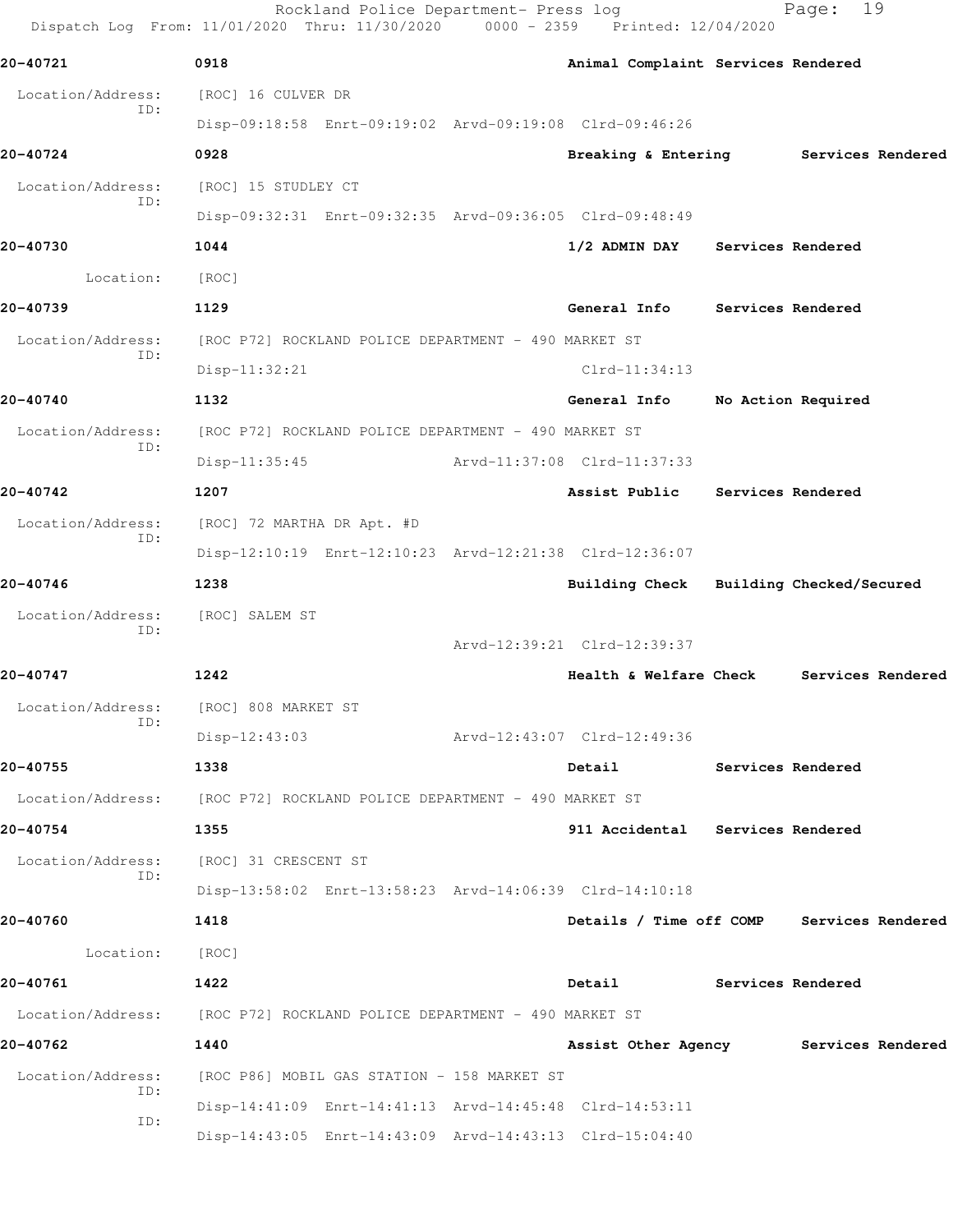|                          | Rockland Police Department- Press log<br>Dispatch Log From: 11/01/2020 Thru: 11/30/2020 | 0000 - 2359 Printed: 12/04/2020           | 19<br>Page:              |  |
|--------------------------|-----------------------------------------------------------------------------------------|-------------------------------------------|--------------------------|--|
| 20-40721                 | 0918                                                                                    | Animal Complaint Services Rendered        |                          |  |
| Location/Address:        | [ROC] 16 CULVER DR                                                                      |                                           |                          |  |
| ID:                      | Disp-09:18:58 Enrt-09:19:02 Arvd-09:19:08 Clrd-09:46:26                                 |                                           |                          |  |
| 20-40724                 | 0928                                                                                    | Breaking & Entering Services Rendered     |                          |  |
| Location/Address:        | [ROC] 15 STUDLEY CT                                                                     |                                           |                          |  |
| ID:                      | Disp-09:32:31 Enrt-09:32:35 Arvd-09:36:05 Clrd-09:48:49                                 |                                           |                          |  |
| 20-40730                 | 1044                                                                                    | 1/2 ADMIN DAY                             | Services Rendered        |  |
| Location:                | [ROC]                                                                                   |                                           |                          |  |
| 20-40739                 | 1129                                                                                    | General Info                              | Services Rendered        |  |
| Location/Address:        | [ROC P72] ROCKLAND POLICE DEPARTMENT - 490 MARKET ST                                    |                                           |                          |  |
| ID:                      | $Disp-11:32:21$                                                                         | $Clrd-11:34:13$                           |                          |  |
| 20-40740                 | 1132                                                                                    | General Info                              | No Action Required       |  |
| Location/Address:        | [ROC P72] ROCKLAND POLICE DEPARTMENT - 490 MARKET ST                                    |                                           |                          |  |
| ID:                      | $Disp-11:35:45$                                                                         | Arvd-11:37:08 Clrd-11:37:33               |                          |  |
| 20-40742                 | 1207                                                                                    | Assist Public Services Rendered           |                          |  |
| Location/Address:        | [ROC] 72 MARTHA DR Apt. #D                                                              |                                           |                          |  |
| ID:                      | Disp-12:10:19 Enrt-12:10:23 Arvd-12:21:38 Clrd-12:36:07                                 |                                           |                          |  |
| 20-40746                 | 1238                                                                                    | <b>Building Check</b>                     | Building Checked/Secured |  |
| Location/Address:        | [ROC] SALEM ST                                                                          |                                           |                          |  |
| ID:                      |                                                                                         | Arvd-12:39:21 Clrd-12:39:37               |                          |  |
| 20-40747                 | 1242                                                                                    | Health & Welfare Check                    | Services Rendered        |  |
| Location/Address:<br>ID: | [ROC] 808 MARKET ST                                                                     |                                           |                          |  |
|                          | $Disp-12:43:03$                                                                         | Arvd-12:43:07 Clrd-12:49:36               |                          |  |
| 20-40755                 | 1338                                                                                    | Detail Services Rendered                  |                          |  |
|                          | Location/Address: [ROC P72] ROCKLAND POLICE DEPARTMENT - 490 MARKET ST                  |                                           |                          |  |
| 20-40754                 | 1355                                                                                    | 911 Accidental Services Rendered          |                          |  |
| Location/Address:<br>ID: | [ROC] 31 CRESCENT ST                                                                    |                                           |                          |  |
|                          | Disp-13:58:02 Enrt-13:58:23 Arvd-14:06:39 Clrd-14:10:18                                 |                                           |                          |  |
| 20-40760                 | 1418                                                                                    | Details / Time off COMP Services Rendered |                          |  |
| Location:                | [ROC]                                                                                   |                                           |                          |  |
| 20-40761                 | 1422                                                                                    | Detail Services Rendered                  |                          |  |
|                          | Location/Address: [ROC P72] ROCKLAND POLICE DEPARTMENT - 490 MARKET ST                  |                                           |                          |  |
| 20-40762                 | 1440                                                                                    | Assist Other Agency Services Rendered     |                          |  |
| Location/Address:<br>ID: | [ROC P86] MOBIL GAS STATION - 158 MARKET ST                                             |                                           |                          |  |
| ID:                      | Disp-14:41:09 Enrt-14:41:13 Arvd-14:45:48 Clrd-14:53:11                                 |                                           |                          |  |
|                          | Disp-14:43:05 Enrt-14:43:09 Arvd-14:43:13 Clrd-15:04:40                                 |                                           |                          |  |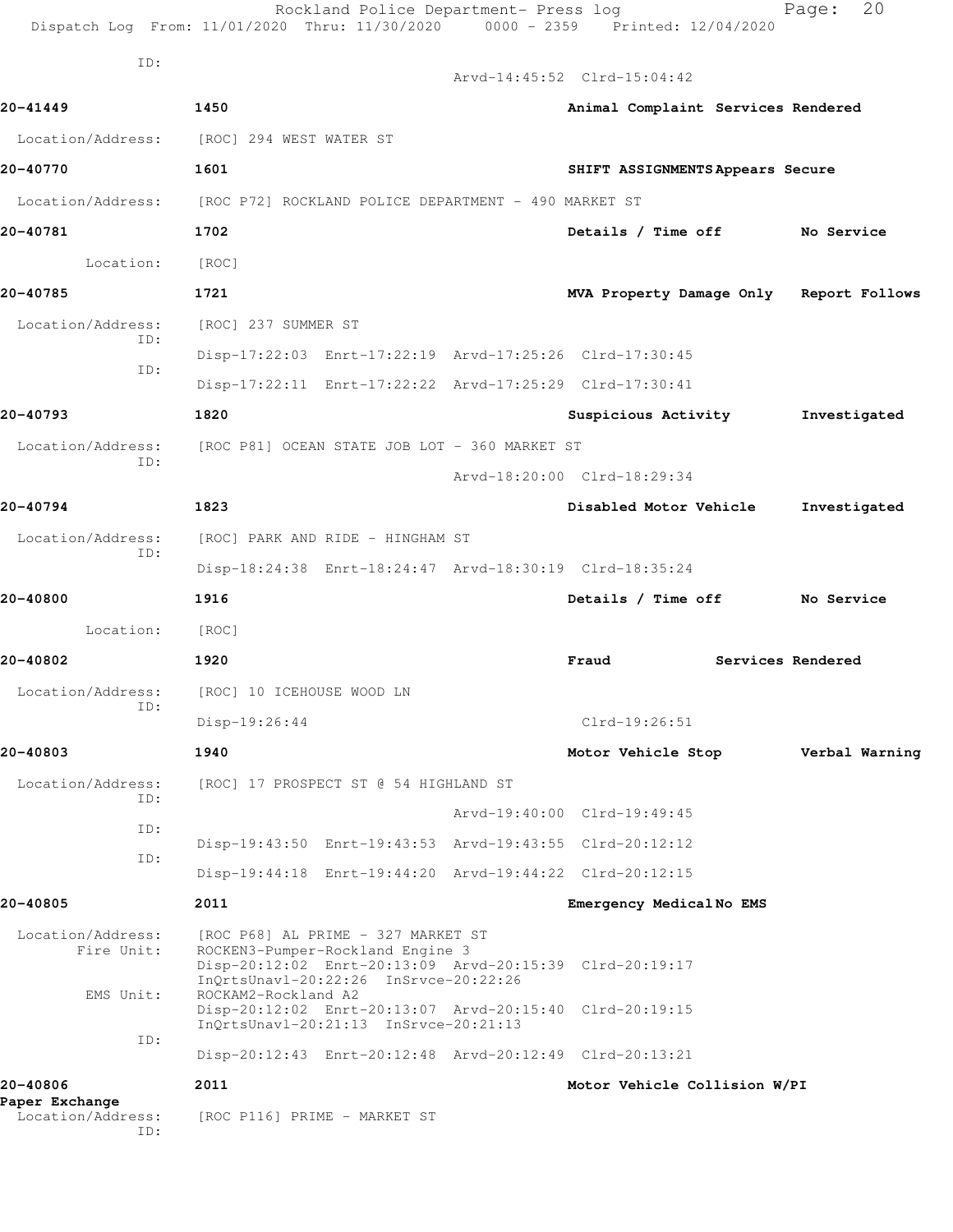|                                 |                                                                                                                         | Rockland Police Department- Press log | Dispatch Log From: 11/01/2020 Thru: 11/30/2020 0000 - 2359 Printed: 12/04/2020 |                   | 20<br>Page:    |
|---------------------------------|-------------------------------------------------------------------------------------------------------------------------|---------------------------------------|--------------------------------------------------------------------------------|-------------------|----------------|
| ID:                             |                                                                                                                         |                                       | Arvd-14:45:52 Clrd-15:04:42                                                    |                   |                |
| 20-41449                        | 1450                                                                                                                    |                                       | Animal Complaint Services Rendered                                             |                   |                |
| Location/Address:               | [ROC] 294 WEST WATER ST                                                                                                 |                                       |                                                                                |                   |                |
| 20-40770                        | 1601                                                                                                                    |                                       | SHIFT ASSIGNMENTS Appears Secure                                               |                   |                |
| Location/Address:               | [ROC P72] ROCKLAND POLICE DEPARTMENT - 490 MARKET ST                                                                    |                                       |                                                                                |                   |                |
| 20-40781                        | 1702                                                                                                                    |                                       | Details / Time off                                                             |                   | No Service     |
| Location:                       | [ROC]                                                                                                                   |                                       |                                                                                |                   |                |
| 20-40785                        | 1721                                                                                                                    |                                       | MVA Property Damage Only Report Follows                                        |                   |                |
| Location/Address:               | [ROC] 237 SUMMER ST                                                                                                     |                                       |                                                                                |                   |                |
| ID:                             | Disp-17:22:03 Enrt-17:22:19 Arvd-17:25:26 Clrd-17:30:45                                                                 |                                       |                                                                                |                   |                |
| ID:                             | Disp-17:22:11 Enrt-17:22:22 Arvd-17:25:29 Clrd-17:30:41                                                                 |                                       |                                                                                |                   |                |
| 20-40793                        | 1820                                                                                                                    |                                       | Suspicious Activity                                                            |                   | Investigated   |
| Location/Address:               | [ROC P81] OCEAN STATE JOB LOT - 360 MARKET ST                                                                           |                                       |                                                                                |                   |                |
| ID:                             |                                                                                                                         |                                       | Arvd-18:20:00 Clrd-18:29:34                                                    |                   |                |
| 20-40794                        | 1823                                                                                                                    |                                       | Disabled Motor Vehicle                                                         |                   | Investigated   |
| Location/Address:<br>ID:        | [ROC] PARK AND RIDE - HINGHAM ST                                                                                        |                                       |                                                                                |                   |                |
|                                 | Disp-18:24:38 Enrt-18:24:47 Arvd-18:30:19 Clrd-18:35:24                                                                 |                                       |                                                                                |                   |                |
| 20-40800                        | 1916                                                                                                                    |                                       | Details / Time off                                                             |                   | No Service     |
| Location:                       | [ROC]                                                                                                                   |                                       |                                                                                |                   |                |
| 20-40802                        | 1920                                                                                                                    |                                       | Fraud                                                                          | Services Rendered |                |
| Location/Address:               | [ROC] 10 ICEHOUSE WOOD LN                                                                                               |                                       |                                                                                |                   |                |
| ID:                             | Disp-19:26:44                                                                                                           |                                       | $Clrd-19:26:51$                                                                |                   |                |
| 20-40803                        | 1940                                                                                                                    |                                       | Motor Vehicle Stop                                                             |                   | Verbal Warning |
| Location/Address:               | [ROC] 17 PROSPECT ST @ 54 HIGHLAND ST                                                                                   |                                       |                                                                                |                   |                |
| ID:                             |                                                                                                                         |                                       | Arvd-19:40:00 Clrd-19:49:45                                                    |                   |                |
| ID:                             | Disp-19:43:50 Enrt-19:43:53 Arvd-19:43:55 Clrd-20:12:12                                                                 |                                       |                                                                                |                   |                |
| ID:                             | Disp-19:44:18 Enrt-19:44:20 Arvd-19:44:22 Clrd-20:12:15                                                                 |                                       |                                                                                |                   |                |
| 20-40805                        | 2011                                                                                                                    |                                       | Emergency Medical No EMS                                                       |                   |                |
| Location/Address:<br>Fire Unit: | [ROC P68] AL PRIME - 327 MARKET ST<br>ROCKEN3-Pumper-Rockland Engine 3<br>InQrtsUnavl-20:22:26 InSrvce-20:22:26         |                                       | Disp-20:12:02 Enrt-20:13:09 Arvd-20:15:39 Clrd-20:19:17                        |                   |                |
| EMS Unit:                       | ROCKAM2-Rockland A2<br>Disp-20:12:02 Enrt-20:13:07 Arvd-20:15:40 Clrd-20:19:15<br>InQrtsUnavl-20:21:13 InSrvce-20:21:13 |                                       |                                                                                |                   |                |
| ID:                             | Disp-20:12:43 Enrt-20:12:48 Arvd-20:12:49 Clrd-20:13:21                                                                 |                                       |                                                                                |                   |                |
| 20-40806<br>Paper Exchange      | 2011                                                                                                                    |                                       | Motor Vehicle Collision W/PI                                                   |                   |                |
| Location/Address:<br>ID:        | [ROC P116] PRIME - MARKET ST                                                                                            |                                       |                                                                                |                   |                |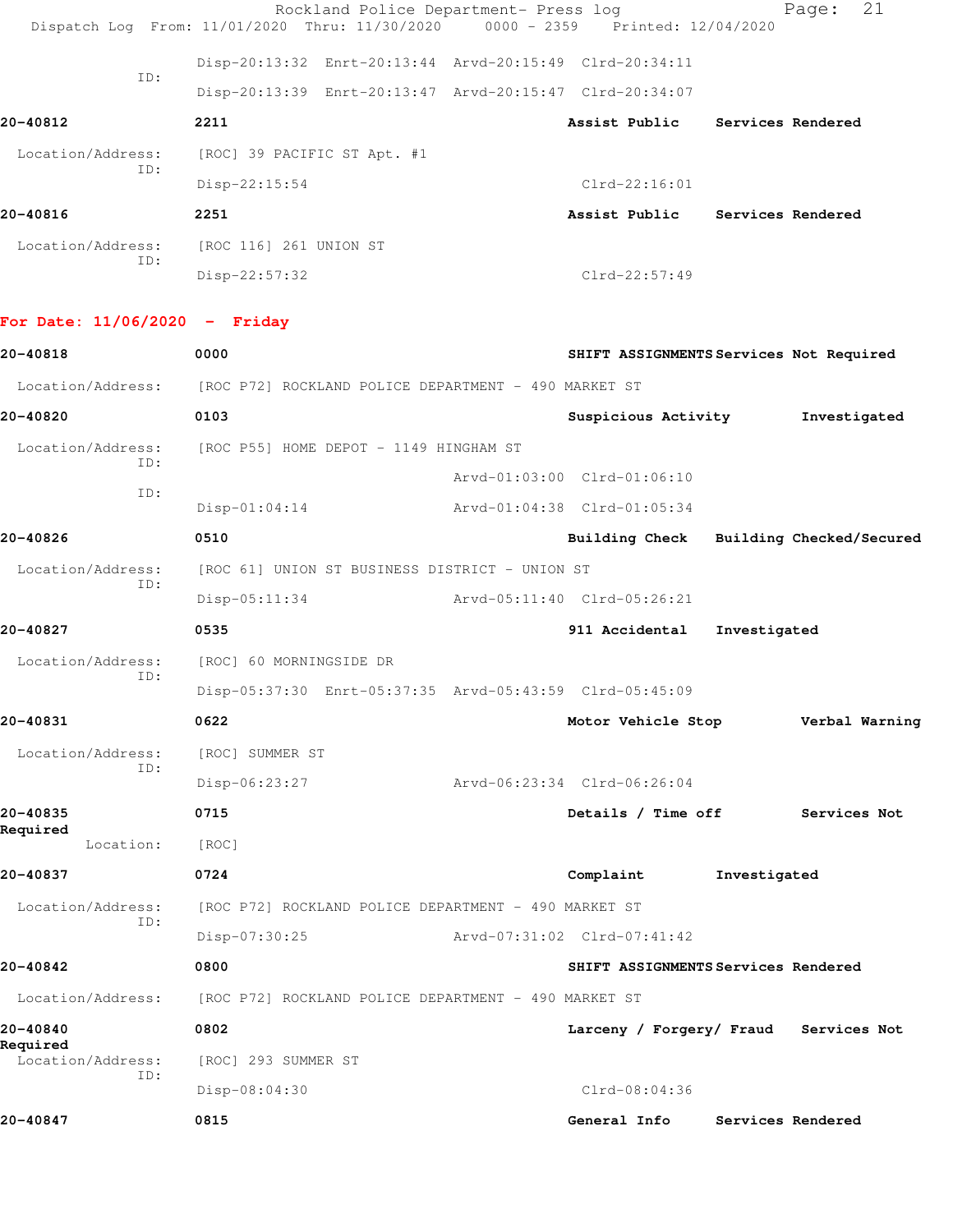|                   | Rockland Police Department- Press log |                             |                                                                                |                 |                   | Page: | 21 |
|-------------------|---------------------------------------|-----------------------------|--------------------------------------------------------------------------------|-----------------|-------------------|-------|----|
|                   |                                       |                             | Dispatch Log From: 11/01/2020 Thru: 11/30/2020 0000 - 2359 Printed: 12/04/2020 |                 |                   |       |    |
|                   |                                       |                             | Disp-20:13:32 Enrt-20:13:44 Arvd-20:15:49 Clrd-20:34:11                        |                 |                   |       |    |
| ID:               |                                       |                             | Disp-20:13:39 Enrt-20:13:47 Arvd-20:15:47 Clrd-20:34:07                        |                 |                   |       |    |
| 20-40812          |                                       | 2211                        |                                                                                | Assist Public   | Services Rendered |       |    |
| Location/Address: |                                       | [ROC] 39 PACIFIC ST Apt. #1 |                                                                                |                 |                   |       |    |
|                   | ID:                                   | $Disp-22:15:54$             |                                                                                | $Clrd-22:16:01$ |                   |       |    |
| 20-40816          |                                       | 2251                        |                                                                                | Assist Public   | Services Rendered |       |    |
| Location/Address: |                                       | [ROC 116] 261 UNION ST      |                                                                                |                 |                   |       |    |
| ID:               |                                       | $Disp-22:57:32$             |                                                                                | $Clrd-22:57:49$ |                   |       |    |

## **For Date: 11/06/2020 - Friday**

| 20-40818                      | 0000                                                    |                             | SHIFT ASSIGNMENTS Services Not Required |
|-------------------------------|---------------------------------------------------------|-----------------------------|-----------------------------------------|
| Location/Address:             | [ROC P72] ROCKLAND POLICE DEPARTMENT - 490 MARKET ST    |                             |                                         |
| 20-40820                      | 0103                                                    | Suspicious Activity         | Investigated                            |
| Location/Address:             | [ROC P55] HOME DEPOT - 1149 HINGHAM ST                  |                             |                                         |
| TD:                           |                                                         | Arvd-01:03:00 Clrd-01:06:10 |                                         |
| ID:                           | $Disp-01:04:14$                                         | Arvd-01:04:38 Clrd-01:05:34 |                                         |
| 20-40826                      | 0510                                                    |                             | Building Check Building Checked/Secured |
| Location/Address:             | [ROC 61] UNION ST BUSINESS DISTRICT - UNION ST          |                             |                                         |
| TD:                           | $Disp-05:11:34$                                         | Arvd-05:11:40 Clrd-05:26:21 |                                         |
| 20-40827                      | 0535                                                    | 911 Accidental              | Investigated                            |
| Location/Address:<br>ID:      | [ROC] 60 MORNINGSIDE DR                                 |                             |                                         |
|                               | Disp-05:37:30 Enrt-05:37:35 Arvd-05:43:59 Clrd-05:45:09 |                             |                                         |
| 20-40831                      | 0622                                                    | Motor Vehicle Stop          | Verbal Warning                          |
| Location/Address:<br>ID:      | [ROC] SUMMER ST                                         |                             |                                         |
|                               | $Disp-06:23:27$                                         | Arvd-06:23:34 Clrd-06:26:04 |                                         |
| 20-40835                      | 0715                                                    |                             | Details / Time off Services Not         |
| Required<br>Location:         | [ROC]                                                   |                             |                                         |
| 20-40837                      | 0724                                                    | Complaint                   | Investigated                            |
| Location/Address:             | [ROC P72] ROCKLAND POLICE DEPARTMENT - 490 MARKET ST    |                             |                                         |
| ID:                           | Disp-07:30:25                                           | Arvd-07:31:02 Clrd-07:41:42 |                                         |
| 20-40842                      | 0800                                                    |                             | SHIFT ASSIGNMENTS Services Rendered     |
| Location/Address:             | [ROC P72] ROCKLAND POLICE DEPARTMENT - 490 MARKET ST    |                             |                                         |
| 20-40840                      | 0802                                                    |                             | Larceny / Forgery/ Fraud Services Not   |
| Required<br>Location/Address: | [ROC] 293 SUMMER ST                                     |                             |                                         |
| ID:                           | Disp-08:04:30                                           | $Clrd-08:04:36$             |                                         |
| 20-40847                      | 0815                                                    | General Info                | Services Rendered                       |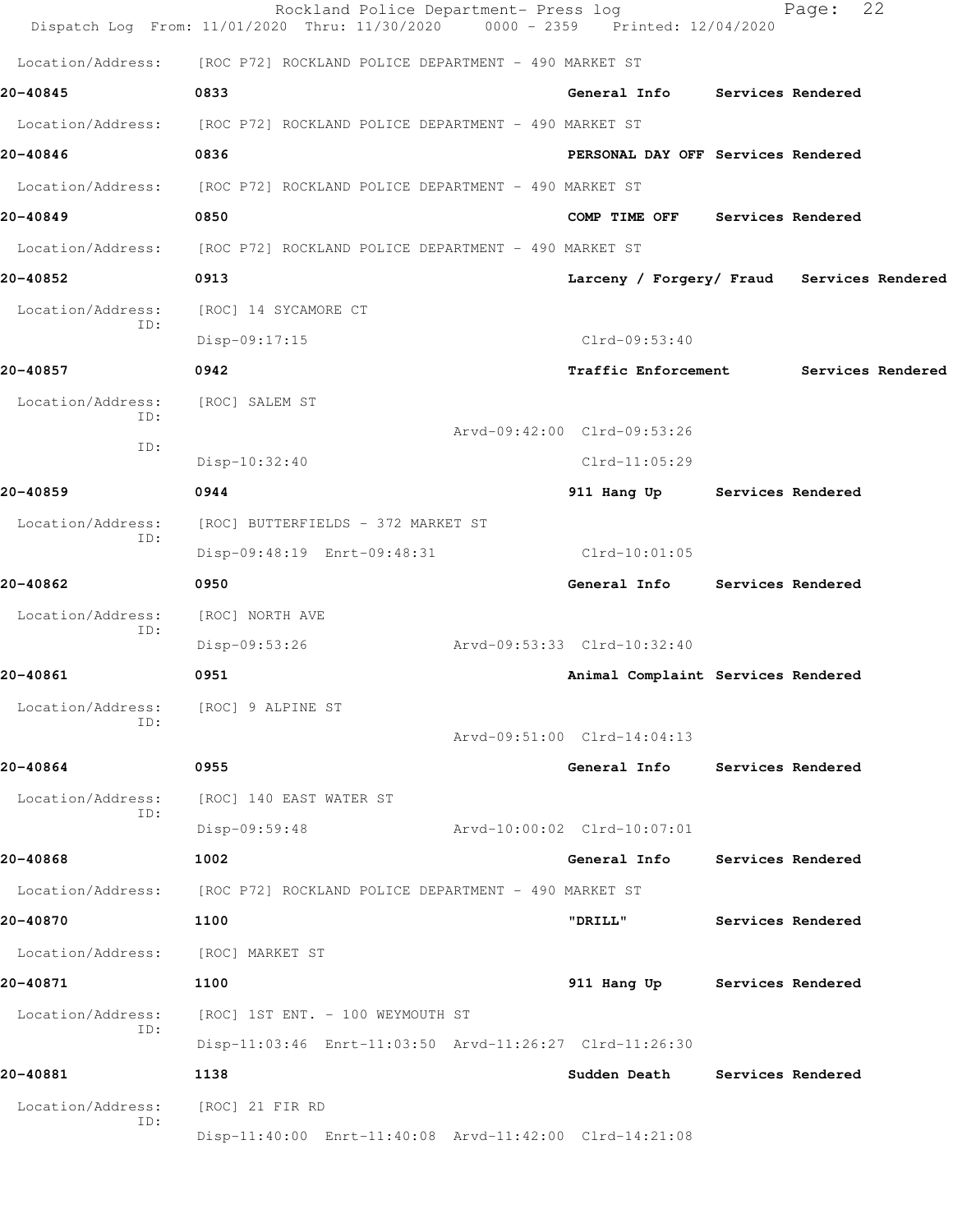|                          | Rockland Police Department- Press log<br>Dispatch Log From: 11/01/2020 Thru: 11/30/2020 0000 - 2359 Printed: 12/04/2020 |  |                                            | Page:                    | 22                |
|--------------------------|-------------------------------------------------------------------------------------------------------------------------|--|--------------------------------------------|--------------------------|-------------------|
| Location/Address:        | [ROC P72] ROCKLAND POLICE DEPARTMENT - 490 MARKET ST                                                                    |  |                                            |                          |                   |
| 20-40845                 | 0833                                                                                                                    |  | General Info                               | Services Rendered        |                   |
| Location/Address:        | [ROC P72] ROCKLAND POLICE DEPARTMENT - 490 MARKET ST                                                                    |  |                                            |                          |                   |
| 20-40846                 | 0836                                                                                                                    |  | PERSONAL DAY OFF Services Rendered         |                          |                   |
|                          | Location/Address: [ROC P72] ROCKLAND POLICE DEPARTMENT - 490 MARKET ST                                                  |  |                                            |                          |                   |
| 20-40849                 | 0850                                                                                                                    |  | COMP TIME OFF                              | Services Rendered        |                   |
| Location/Address:        | [ROC P72] ROCKLAND POLICE DEPARTMENT - 490 MARKET ST                                                                    |  |                                            |                          |                   |
| 20-40852                 | 0913                                                                                                                    |  | Larceny / Forgery/ Fraud Services Rendered |                          |                   |
| Location/Address:        | [ROC] 14 SYCAMORE CT                                                                                                    |  |                                            |                          |                   |
| ID:                      | Disp-09:17:15                                                                                                           |  | $Clrd-09:53:40$                            |                          |                   |
| 20-40857                 | 0942                                                                                                                    |  | Traffic Enforcement                        |                          | Services Rendered |
| Location/Address:        | [ROC] SALEM ST                                                                                                          |  |                                            |                          |                   |
| ID:                      |                                                                                                                         |  | Arvd-09:42:00 Clrd-09:53:26                |                          |                   |
| ID:                      | Disp-10:32:40                                                                                                           |  | $Clrd-11:05:29$                            |                          |                   |
| 20-40859                 | 0944                                                                                                                    |  | 911 Hang Up Services Rendered              |                          |                   |
| Location/Address:<br>ID: | [ROC] BUTTERFIELDS - 372 MARKET ST                                                                                      |  |                                            |                          |                   |
|                          | Disp-09:48:19 Enrt-09:48:31                                                                                             |  | $Clrd-10:01:05$                            |                          |                   |
| 20-40862                 | 0950                                                                                                                    |  | General Info                               | <b>Services Rendered</b> |                   |
| Location/Address:<br>ID: | [ROC] NORTH AVE                                                                                                         |  |                                            |                          |                   |
|                          | Disp-09:53:26                                                                                                           |  | Arvd-09:53:33 Clrd-10:32:40                |                          |                   |
| 20-40861                 | 0951                                                                                                                    |  | Animal Complaint Services Rendered         |                          |                   |
| Location/Address:<br>ID: | [ROC] 9 ALPINE ST                                                                                                       |  |                                            |                          |                   |
|                          |                                                                                                                         |  | Arvd-09:51:00 Clrd-14:04:13                |                          |                   |
| 20-40864                 | 0955                                                                                                                    |  | General Info                               | Services Rendered        |                   |
| Location/Address:<br>ID: | [ROC] 140 EAST WATER ST                                                                                                 |  |                                            |                          |                   |
|                          | Disp-09:59:48                                                                                                           |  | Arvd-10:00:02 Clrd-10:07:01                |                          |                   |
| 20-40868                 | 1002                                                                                                                    |  | General Info                               | Services Rendered        |                   |
| Location/Address:        | [ROC P72] ROCKLAND POLICE DEPARTMENT - 490 MARKET ST                                                                    |  |                                            |                          |                   |
| 20-40870                 | 1100                                                                                                                    |  | "DRILL"                                    | Services Rendered        |                   |
| Location/Address:        | [ROC] MARKET ST                                                                                                         |  |                                            |                          |                   |
| 20-40871                 | 1100                                                                                                                    |  | 911 Hang Up                                | Services Rendered        |                   |
| Location/Address:<br>ID: | [ROC] 1ST ENT. - 100 WEYMOUTH ST                                                                                        |  |                                            |                          |                   |
| 20-40881                 | Disp-11:03:46 Enrt-11:03:50 Arvd-11:26:27 Clrd-11:26:30                                                                 |  | Sudden Death                               | Services Rendered        |                   |
| Location/Address:        | 1138                                                                                                                    |  |                                            |                          |                   |
| ID:                      | [ROC] 21 FIR RD<br>Disp-11:40:00 Enrt-11:40:08 Arvd-11:42:00 Clrd-14:21:08                                              |  |                                            |                          |                   |
|                          |                                                                                                                         |  |                                            |                          |                   |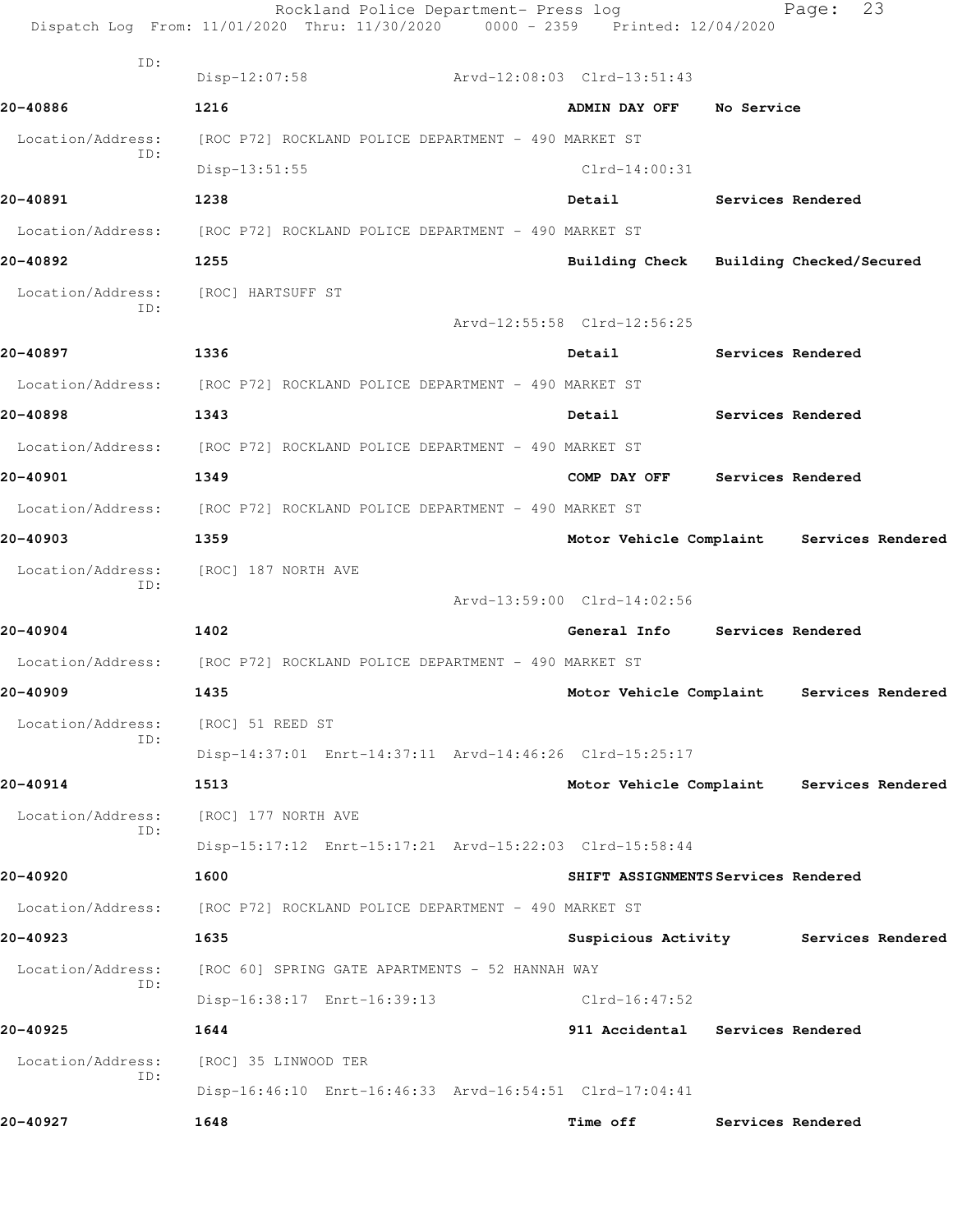Rockland Police Department- Press log Fage: 23 Dispatch Log From: 11/01/2020 Thru: 11/30/2020 0000 - 2359 Printed: 12/04/2020 ID: Disp-12:07:58 Arvd-12:08:03 Clrd-13:51:43 **20-40886 1216 ADMIN DAY OFF No Service** Location/Address: [ROC P72] ROCKLAND POLICE DEPARTMENT - 490 MARKET ST ID: Disp-13:51:55 Clrd-14:00:31 **20-40891 1238 Detail Services Rendered** Location/Address: [ROC P72] ROCKLAND POLICE DEPARTMENT - 490 MARKET ST **20-40892 1255 Building Check Building Checked/Secured** Location/Address: [ROC] HARTSUFF ST ID: Arvd-12:55:58 Clrd-12:56:25 **20-40897 1336 Detail Services Rendered** Location/Address: [ROC P72] ROCKLAND POLICE DEPARTMENT - 490 MARKET ST **20-40898 1343 Detail Services Rendered** Location/Address: [ROC P72] ROCKLAND POLICE DEPARTMENT - 490 MARKET ST **20-40901 1349 COMP DAY OFF Services Rendered** Location/Address: [ROC P72] ROCKLAND POLICE DEPARTMENT - 490 MARKET ST **20-40903 1359 Motor Vehicle Complaint Services Rendered** Location/Address: [ROC] 187 NORTH AVE ID: Arvd-13:59:00 Clrd-14:02:56 **20-40904 1402 General Info Services Rendered** Location/Address: [ROC P72] ROCKLAND POLICE DEPARTMENT - 490 MARKET ST **20-40909 1435 Motor Vehicle Complaint Services Rendered** Location/Address: [ROC] 51 REED ST ID: Disp-14:37:01 Enrt-14:37:11 Arvd-14:46:26 Clrd-15:25:17 **20-40914 1513 Motor Vehicle Complaint Services Rendered** Location/Address: [ROC] 177 NORTH AVE ID: Disp-15:17:12 Enrt-15:17:21 Arvd-15:22:03 Clrd-15:58:44 **20-40920 1600 SHIFT ASSIGNMENTS Services Rendered** Location/Address: [ROC P72] ROCKLAND POLICE DEPARTMENT - 490 MARKET ST **20-40923 1635 Suspicious Activity Services Rendered** Location/Address: [ROC 60] SPRING GATE APARTMENTS - 52 HANNAH WAY ID: Disp-16:38:17 Enrt-16:39:13 Clrd-16:47:52 **20-40925 1644 911 Accidental Services Rendered** Location/Address: [ROC] 35 LINWOOD TER ID: Disp-16:46:10 Enrt-16:46:33 Arvd-16:54:51 Clrd-17:04:41 **20-40927 1648 Time off Services Rendered**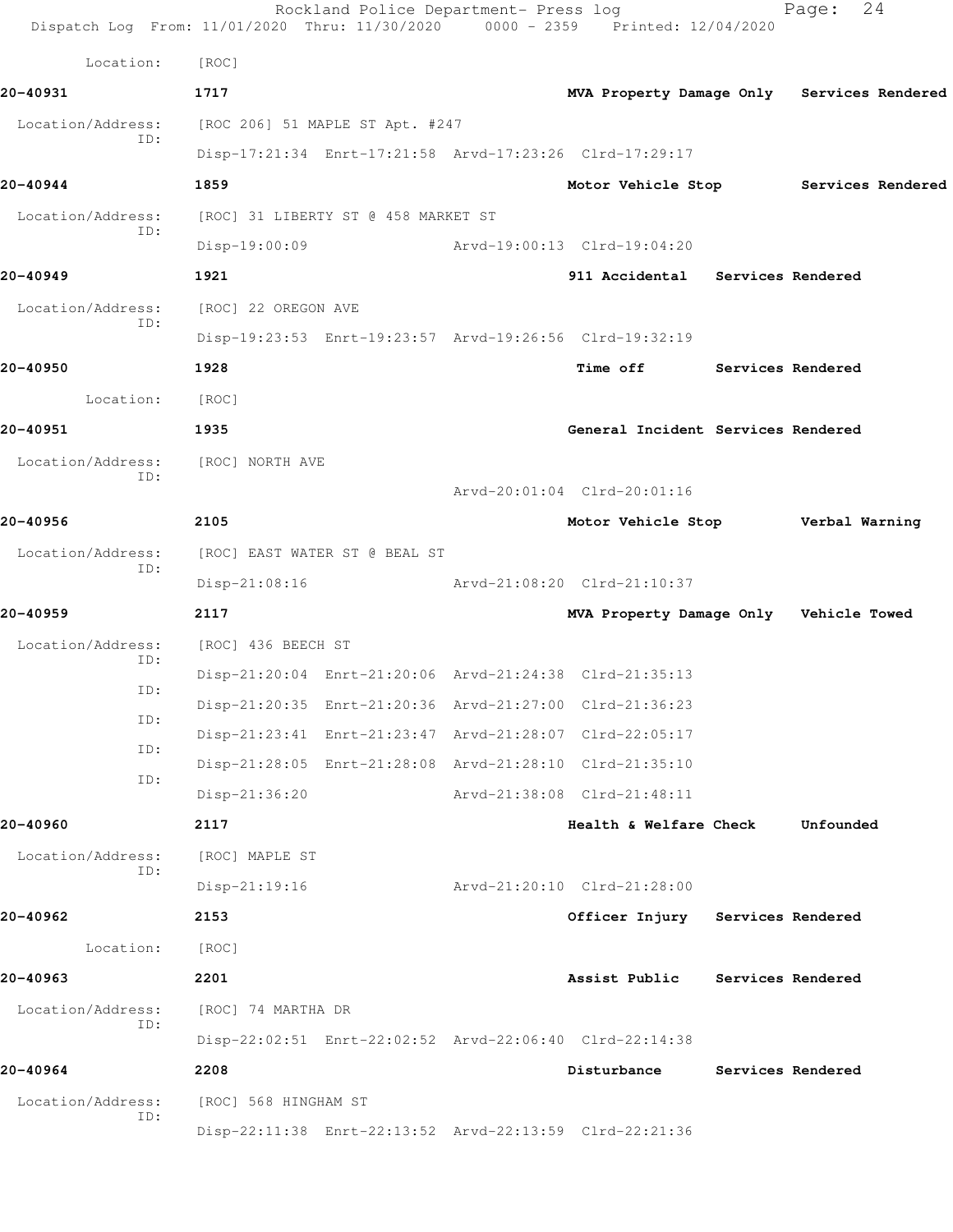|                          | Rockland Police Department- Press log<br>Dispatch Log From: 11/01/2020 Thru: 11/30/2020 0000 - 2359 Printed: 12/04/2020 |                                        | 24<br>Page:                                |
|--------------------------|-------------------------------------------------------------------------------------------------------------------------|----------------------------------------|--------------------------------------------|
| Location:                | [ROC]                                                                                                                   |                                        |                                            |
| 20-40931                 | 1717                                                                                                                    |                                        | MVA Property Damage Only Services Rendered |
| Location/Address:<br>ID: | [ROC 206] 51 MAPLE ST Apt. #247                                                                                         |                                        |                                            |
|                          | Disp-17:21:34 Enrt-17:21:58 Arvd-17:23:26 Clrd-17:29:17                                                                 |                                        |                                            |
| 20-40944                 | 1859                                                                                                                    |                                        | Motor Vehicle Stop Services Rendered       |
| Location/Address:<br>ID: | [ROC] 31 LIBERTY ST @ 458 MARKET ST                                                                                     |                                        |                                            |
|                          | $Disp-19:00:09$                                                                                                         | Arvd-19:00:13 Clrd-19:04:20            |                                            |
| 20-40949                 | 1921                                                                                                                    | 911 Accidental Services Rendered       |                                            |
| Location/Address:        | [ROC] 22 OREGON AVE                                                                                                     |                                        |                                            |
| ID:                      | Disp-19:23:53 Enrt-19:23:57 Arvd-19:26:56 Clrd-19:32:19                                                                 |                                        |                                            |
| 20-40950                 | 1928                                                                                                                    | Time off Services Rendered             |                                            |
| Location:                | [ROC]                                                                                                                   |                                        |                                            |
| 20-40951                 | 1935                                                                                                                    | General Incident Services Rendered     |                                            |
| Location/Address:        | [ROC] NORTH AVE                                                                                                         |                                        |                                            |
| ID:                      |                                                                                                                         | Arvd-20:01:04 Clrd-20:01:16            |                                            |
| 20-40956                 | 2105                                                                                                                    | Motor Vehicle Stop Verbal Warning      |                                            |
| Location/Address:<br>ID: | [ROC] EAST WATER ST @ BEAL ST                                                                                           |                                        |                                            |
|                          | $Disp-21:08:16$                                                                                                         | Arvd-21:08:20 Clrd-21:10:37            |                                            |
| 20-40959                 | 2117                                                                                                                    | MVA Property Damage Only Vehicle Towed |                                            |
| Location/Address:        | [ROC] 436 BEECH ST                                                                                                      |                                        |                                            |
| ID:                      | Disp-21:20:04 Enrt-21:20:06 Arvd-21:24:38 Clrd-21:35:13                                                                 |                                        |                                            |
| ID:                      | Disp-21:20:35 Enrt-21:20:36 Arvd-21:27:00 Clrd-21:36:23                                                                 |                                        |                                            |
| ID:                      | Disp-21:23:41 Enrt-21:23:47 Arvd-21:28:07 Clrd-22:05:17                                                                 |                                        |                                            |
| ID:<br>ID:               | Disp-21:28:05 Enrt-21:28:08 Arvd-21:28:10 Clrd-21:35:10                                                                 |                                        |                                            |
|                          | $Disp-21:36:20$                                                                                                         | Arvd-21:38:08 Clrd-21:48:11            |                                            |
| 20-40960                 | 2117                                                                                                                    | Health & Welfare Check                 | Unfounded                                  |
| Location/Address:        | [ROC] MAPLE ST                                                                                                          |                                        |                                            |
| ID:                      | $Disp-21:19:16$                                                                                                         | Arvd-21:20:10 Clrd-21:28:00            |                                            |
| 20-40962                 | 2153                                                                                                                    | Officer Injury Services Rendered       |                                            |
| Location:                | [ROC]                                                                                                                   |                                        |                                            |
| 20-40963                 | 2201                                                                                                                    | Assist Public                          | Services Rendered                          |
| Location/Address:        | [ROC] 74 MARTHA DR                                                                                                      |                                        |                                            |
| ID:                      | Disp-22:02:51 Enrt-22:02:52 Arvd-22:06:40 Clrd-22:14:38                                                                 |                                        |                                            |
| 20-40964                 | 2208                                                                                                                    | Disturbance                            | Services Rendered                          |
| Location/Address:        | [ROC] 568 HINGHAM ST                                                                                                    |                                        |                                            |
| ID:                      | Disp-22:11:38 Enrt-22:13:52 Arvd-22:13:59 Clrd-22:21:36                                                                 |                                        |                                            |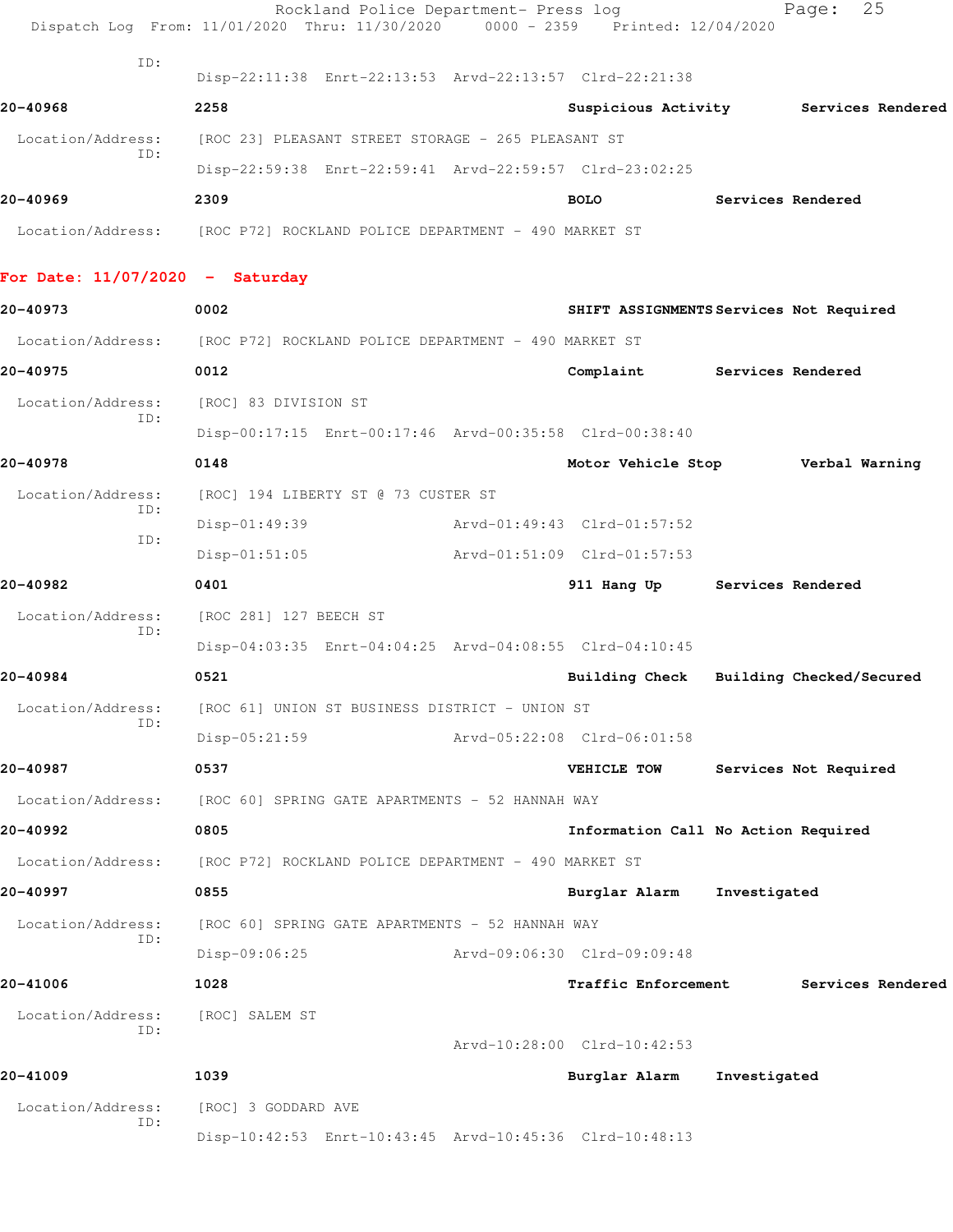|                                   | Rockland Police Department- Press log<br>Dispatch Log From: 11/01/2020 Thru: 11/30/2020 0000 - 2359 Printed: 12/04/2020 |                                         |                   | 25<br>Page:              |
|-----------------------------------|-------------------------------------------------------------------------------------------------------------------------|-----------------------------------------|-------------------|--------------------------|
| ID:                               | Disp-22:11:38 Enrt-22:13:53 Arvd-22:13:57 Clrd-22:21:38                                                                 |                                         |                   |                          |
| 20-40968                          | 2258                                                                                                                    | Suspicious Activity                     |                   | Services Rendered        |
| Location/Address:                 | [ROC 23] PLEASANT STREET STORAGE - 265 PLEASANT ST                                                                      |                                         |                   |                          |
| ID:                               | Disp-22:59:38 Enrt-22:59:41 Arvd-22:59:57 Clrd-23:02:25                                                                 |                                         |                   |                          |
| 20-40969                          | 2309                                                                                                                    | <b>BOLO</b>                             | Services Rendered |                          |
|                                   | Location/Address: [ROC P72] ROCKLAND POLICE DEPARTMENT - 490 MARKET ST                                                  |                                         |                   |                          |
| For Date: $11/07/2020$ - Saturday |                                                                                                                         |                                         |                   |                          |
| 20-40973                          | 0002                                                                                                                    | SHIFT ASSIGNMENTS Services Not Required |                   |                          |
|                                   | Location/Address: [ROC P72] ROCKLAND POLICE DEPARTMENT - 490 MARKET ST                                                  |                                         |                   |                          |
| 20-40975                          | 0012                                                                                                                    | Complaint                               |                   | Services Rendered        |
| Location/Address:                 | [ROC] 83 DIVISION ST                                                                                                    |                                         |                   |                          |
| ID:                               | Disp-00:17:15 Enrt-00:17:46 Arvd-00:35:58 Clrd-00:38:40                                                                 |                                         |                   |                          |
| 20-40978                          | 0148                                                                                                                    | Motor Vehicle Stop                      |                   | Verbal Warning           |
| Location/Address:                 | [ROC] 194 LIBERTY ST @ 73 CUSTER ST                                                                                     |                                         |                   |                          |
| ID:<br>ID:                        | Disp-01:49:39                                                                                                           | Arvd-01:49:43 Clrd-01:57:52             |                   |                          |
|                                   | $Disp-01:51:05$                                                                                                         | Arvd-01:51:09 Clrd-01:57:53             |                   |                          |
| 20-40982                          | 0401                                                                                                                    | 911 Hang Up                             | Services Rendered |                          |
| Location/Address:                 | [ROC 281] 127 BEECH ST                                                                                                  |                                         |                   |                          |
| ID:                               | Disp-04:03:35 Enrt-04:04:25 Arvd-04:08:55 Clrd-04:10:45                                                                 |                                         |                   |                          |
| 20-40984                          | 0521                                                                                                                    | <b>Building Check</b>                   |                   | Building Checked/Secured |
| Location/Address:                 | [ROC 61] UNION ST BUSINESS DISTRICT - UNION ST                                                                          |                                         |                   |                          |
| TD:                               | $Disp-05:21:59$                                                                                                         | Arvd-05:22:08 Clrd-06:01:58             |                   |                          |
| 20-40987                          | 0537                                                                                                                    | VEHICLE TOW                             |                   | Services Not Required    |
|                                   | Location/Address: [ROC 60] SPRING GATE APARTMENTS - 52 HANNAH WAY                                                       |                                         |                   |                          |
| 20-40992                          | 0805                                                                                                                    | Information Call No Action Required     |                   |                          |
| Location/Address:                 | [ROC P72] ROCKLAND POLICE DEPARTMENT - 490 MARKET ST                                                                    |                                         |                   |                          |
| 20-40997                          | 0855                                                                                                                    | Burglar Alarm                           | Investigated      |                          |
| Location/Address:                 | [ROC 60] SPRING GATE APARTMENTS - 52 HANNAH WAY                                                                         |                                         |                   |                          |
| ID:                               | Disp-09:06:25                                                                                                           | Arvd-09:06:30 Clrd-09:09:48             |                   |                          |
| 20-41006                          | 1028                                                                                                                    | Traffic Enforcement                     |                   | Services Rendered        |
| Location/Address:                 | [ROC] SALEM ST                                                                                                          |                                         |                   |                          |
| ID:                               |                                                                                                                         | Arvd-10:28:00 Clrd-10:42:53             |                   |                          |
| 20-41009                          | 1039                                                                                                                    | Burglar Alarm                           | Investigated      |                          |
| Location/Address:                 | [ROC] 3 GODDARD AVE                                                                                                     |                                         |                   |                          |
| ID:                               | Disp-10:42:53 Enrt-10:43:45 Arvd-10:45:36 Clrd-10:48:13                                                                 |                                         |                   |                          |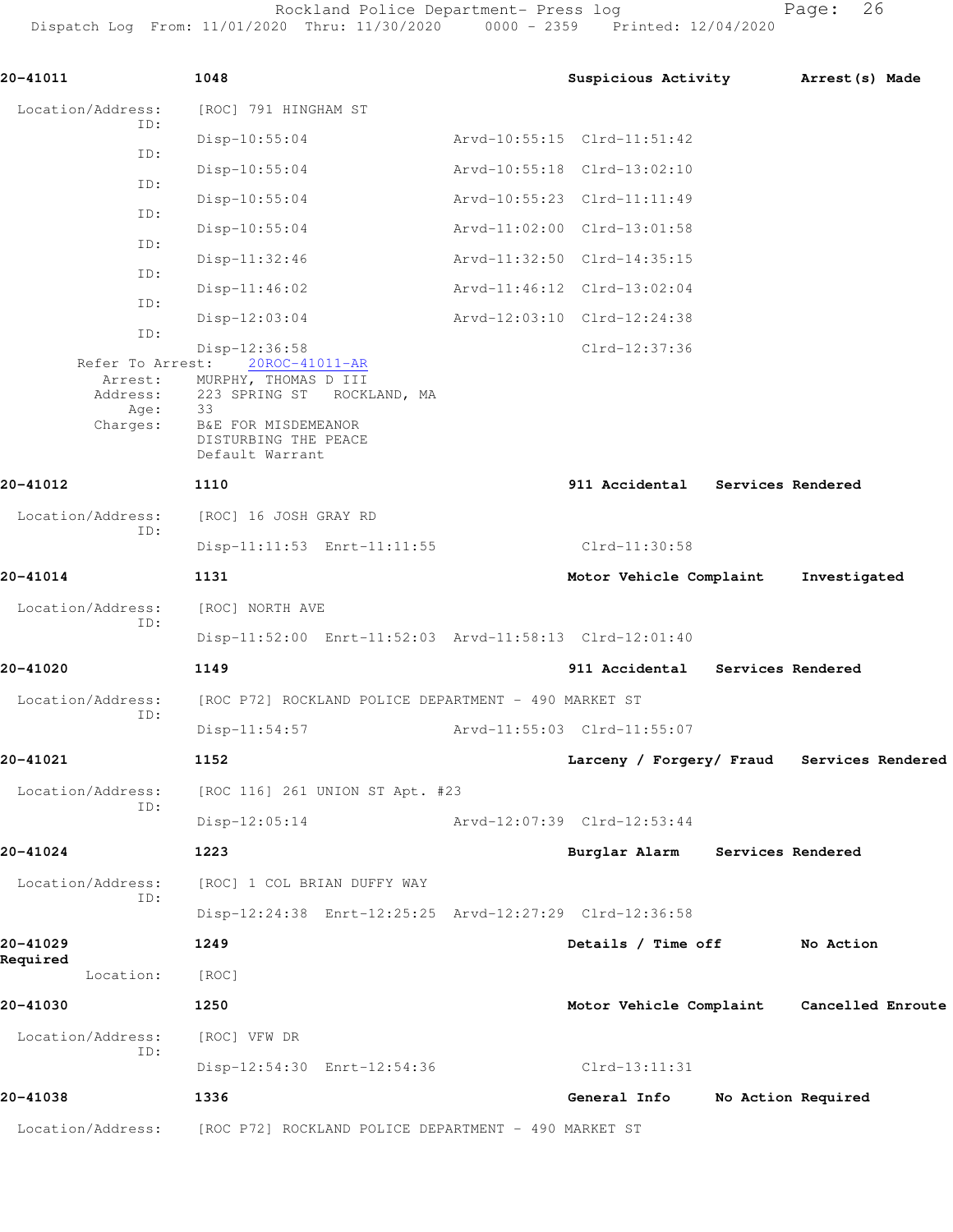Rockland Police Department- Press log entitled and Page: 26

Dispatch Log From: 11/01/2020 Thru: 11/30/2020 0000 - 2359 Printed: 12/04/2020

| 20-41011                                       | 1048                                                                                  | Suspicious Activity              |                   | Arrest (s) Made                            |
|------------------------------------------------|---------------------------------------------------------------------------------------|----------------------------------|-------------------|--------------------------------------------|
| Location/Address:                              | [ROC] 791 HINGHAM ST                                                                  |                                  |                   |                                            |
| ID:                                            | $Disp-10:55:04$                                                                       | Arvd-10:55:15 Clrd-11:51:42      |                   |                                            |
| ID:                                            | $Disp-10:55:04$                                                                       | Arvd-10:55:18 Clrd-13:02:10      |                   |                                            |
| ID:                                            | $Disp-10:55:04$                                                                       | Arvd-10:55:23 Clrd-11:11:49      |                   |                                            |
| ID:                                            | $Disp-10:55:04$                                                                       | Arvd-11:02:00 Clrd-13:01:58      |                   |                                            |
| ID:                                            | $Disp-11:32:46$                                                                       | Arvd-11:32:50 Clrd-14:35:15      |                   |                                            |
| ID:                                            | $Disp-11:46:02$                                                                       | Arvd-11:46:12 Clrd-13:02:04      |                   |                                            |
| ID:                                            | $Disp-12:03:04$                                                                       | Arvd-12:03:10 Clrd-12:24:38      |                   |                                            |
| ID:<br>Refer To Arrest:<br>Arrest:<br>Address: | Disp-12:36:58<br>20ROC-41011-AR<br>MURPHY, THOMAS D III<br>223 SPRING ST ROCKLAND, MA | Clrd-12:37:36                    |                   |                                            |
| Age:<br>Charges:                               | 33<br>B&E FOR MISDEMEANOR<br>DISTURBING THE PEACE<br>Default Warrant                  |                                  |                   |                                            |
| 20-41012                                       | 1110                                                                                  | 911 Accidental Services Rendered |                   |                                            |
| Location/Address:                              | [ROC] 16 JOSH GRAY RD                                                                 |                                  |                   |                                            |
| ID:                                            | Disp-11:11:53 Enrt-11:11:55                                                           | Clrd-11:30:58                    |                   |                                            |
| 20-41014                                       | 1131                                                                                  | Motor Vehicle Complaint          |                   | Investigated                               |
| Location/Address:                              | [ROC] NORTH AVE                                                                       |                                  |                   |                                            |
| ID:                                            | Disp-11:52:00 Enrt-11:52:03 Arvd-11:58:13 Clrd-12:01:40                               |                                  |                   |                                            |
| 20-41020                                       | 1149                                                                                  | 911 Accidental                   | Services Rendered |                                            |
| Location/Address:                              | [ROC P72] ROCKLAND POLICE DEPARTMENT - 490 MARKET ST                                  |                                  |                   |                                            |
| ID:                                            | $Disp-11:54:57$                                                                       | Arvd-11:55:03 Clrd-11:55:07      |                   |                                            |
| 20-41021                                       | 1152                                                                                  |                                  |                   | Larceny / Forgery/ Fraud Services Rendered |
| Location/Address:                              | [ROC 116] 261 UNION ST Apt. #23                                                       |                                  |                   |                                            |
| ID:                                            | $Disp-12:05:14$                                                                       | Arvd-12:07:39 Clrd-12:53:44      |                   |                                            |
| 20-41024                                       | 1223                                                                                  | Burglar Alarm                    | Services Rendered |                                            |
| Location/Address:                              | [ROC] 1 COL BRIAN DUFFY WAY                                                           |                                  |                   |                                            |
| ID:                                            | Disp-12:24:38 Enrt-12:25:25 Arvd-12:27:29 Clrd-12:36:58                               |                                  |                   |                                            |
| 20-41029                                       | 1249                                                                                  | Details / Time off               |                   | No Action                                  |
| Required<br>Location:                          | [ROC]                                                                                 |                                  |                   |                                            |
| 20-41030                                       | 1250                                                                                  | Motor Vehicle Complaint          |                   | Cancelled Enroute                          |
| Location/Address:                              | [ROC] VFW DR                                                                          |                                  |                   |                                            |
| ID:                                            | Disp-12:54:30 Enrt-12:54:36                                                           | Clrd-13:11:31                    |                   |                                            |
| 20-41038                                       | 1336                                                                                  | General Info                     |                   | No Action Required                         |
| Location/Address:                              | [ROC P72] ROCKLAND POLICE DEPARTMENT - 490 MARKET ST                                  |                                  |                   |                                            |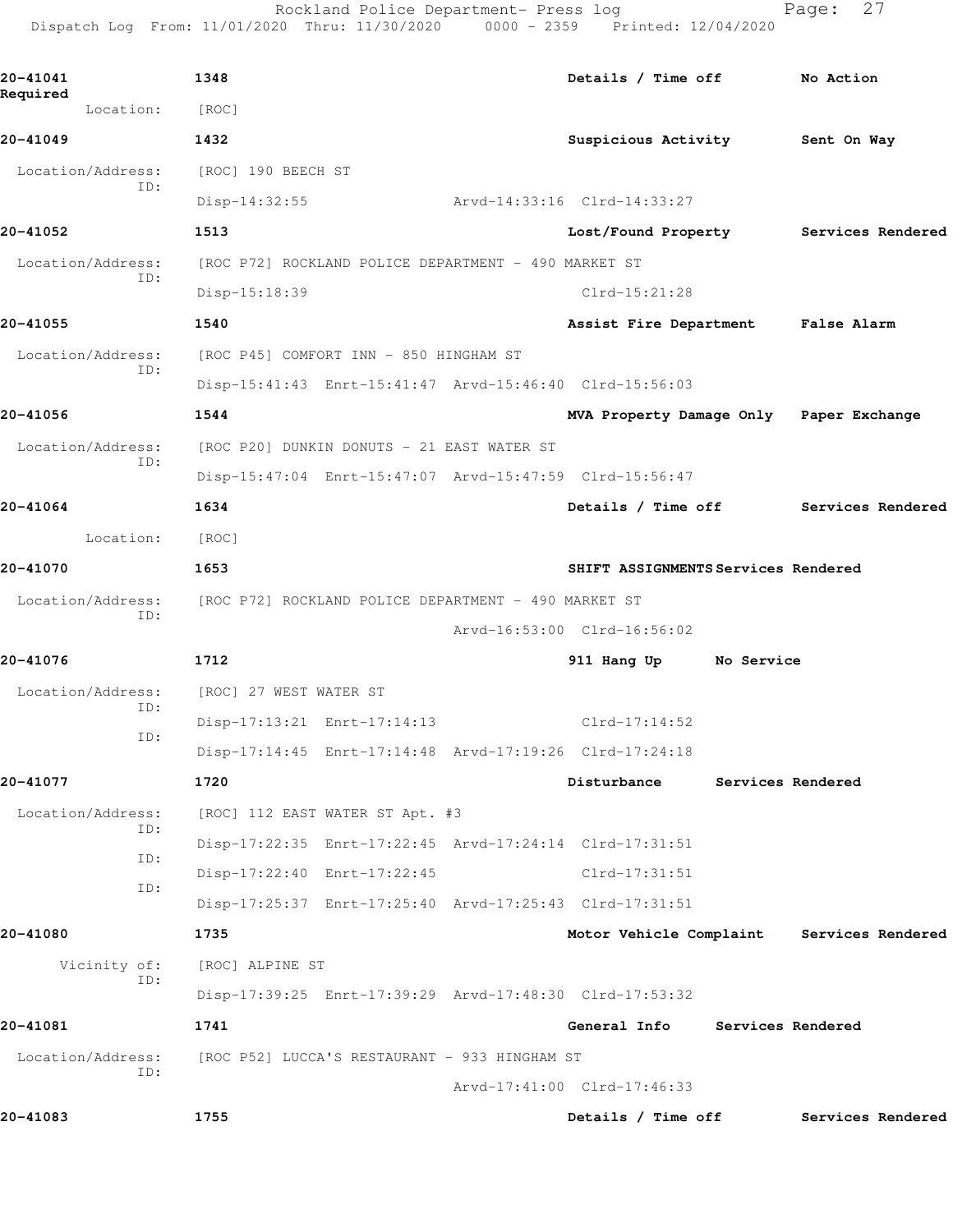Rockland Police Department- Press log Fage: 27 Dispatch Log From: 11/01/2020 Thru: 11/30/2020 0000 - 2359 Printed: 12/04/2020 **20-41041 1348 Details / Time off No Action Required**  Location: [ROC] **20-41049 1432 Suspicious Activity Sent On Way** Location/Address: [ROC] 190 BEECH ST ID: Disp-14:32:55 Arvd-14:33:16 Clrd-14:33:27 **20-41052 1513 Lost/Found Property Services Rendered** Location/Address: [ROC P72] ROCKLAND POLICE DEPARTMENT - 490 MARKET ST ID: Disp-15:18:39 Clrd-15:21:28 **20-41055 1540 Assist Fire Department False Alarm** Location/Address: [ROC P45] COMFORT INN - 850 HINGHAM ST ID: Disp-15:41:43 Enrt-15:41:47 Arvd-15:46:40 Clrd-15:56:03 **20-41056 1544 MVA Property Damage Only Paper Exchange** Location/Address: [ROC P20] DUNKIN DONUTS - 21 EAST WATER ST ID: Disp-15:47:04 Enrt-15:47:07 Arvd-15:47:59 Clrd-15:56:47 **20-41064 1634 Details / Time off Services Rendered** Location: [ROC] **20-41070 1653 SHIFT ASSIGNMENTS Services Rendered** Location/Address: [ROC P72] ROCKLAND POLICE DEPARTMENT - 490 MARKET ST ID: Arvd-16:53:00 Clrd-16:56:02 **20-41076 1712 911 Hang Up No Service** Location/Address: [ROC] 27 WEST WATER ST ID: Disp-17:13:21 Enrt-17:14:13 Clrd-17:14:52 ID: Disp-17:14:45 Enrt-17:14:48 Arvd-17:19:26 Clrd-17:24:18 **20-41077 1720 Disturbance Services Rendered**

 Location/Address: [ROC] 112 EAST WATER ST Apt. #3 ID: Disp-17:22:35 Enrt-17:22:45 Arvd-17:24:14 Clrd-17:31:51 ID: Disp-17:22:40 Enrt-17:22:45 Clrd-17:31:51 ID: Disp-17:25:37 Enrt-17:25:40 Arvd-17:25:43 Clrd-17:31:51

**20-41080 1735 Motor Vehicle Complaint Services Rendered** Vicinity of: [ROC] ALPINE ST ID: Disp-17:39:25 Enrt-17:39:29 Arvd-17:48:30 Clrd-17:53:32 **20-41081 1741 General Info Services Rendered**

 Location/Address: [ROC P52] LUCCA'S RESTAURANT - 933 HINGHAM ST ID:

Arvd-17:41:00 Clrd-17:46:33

**20-41083 1755 Details / Time off Services Rendered**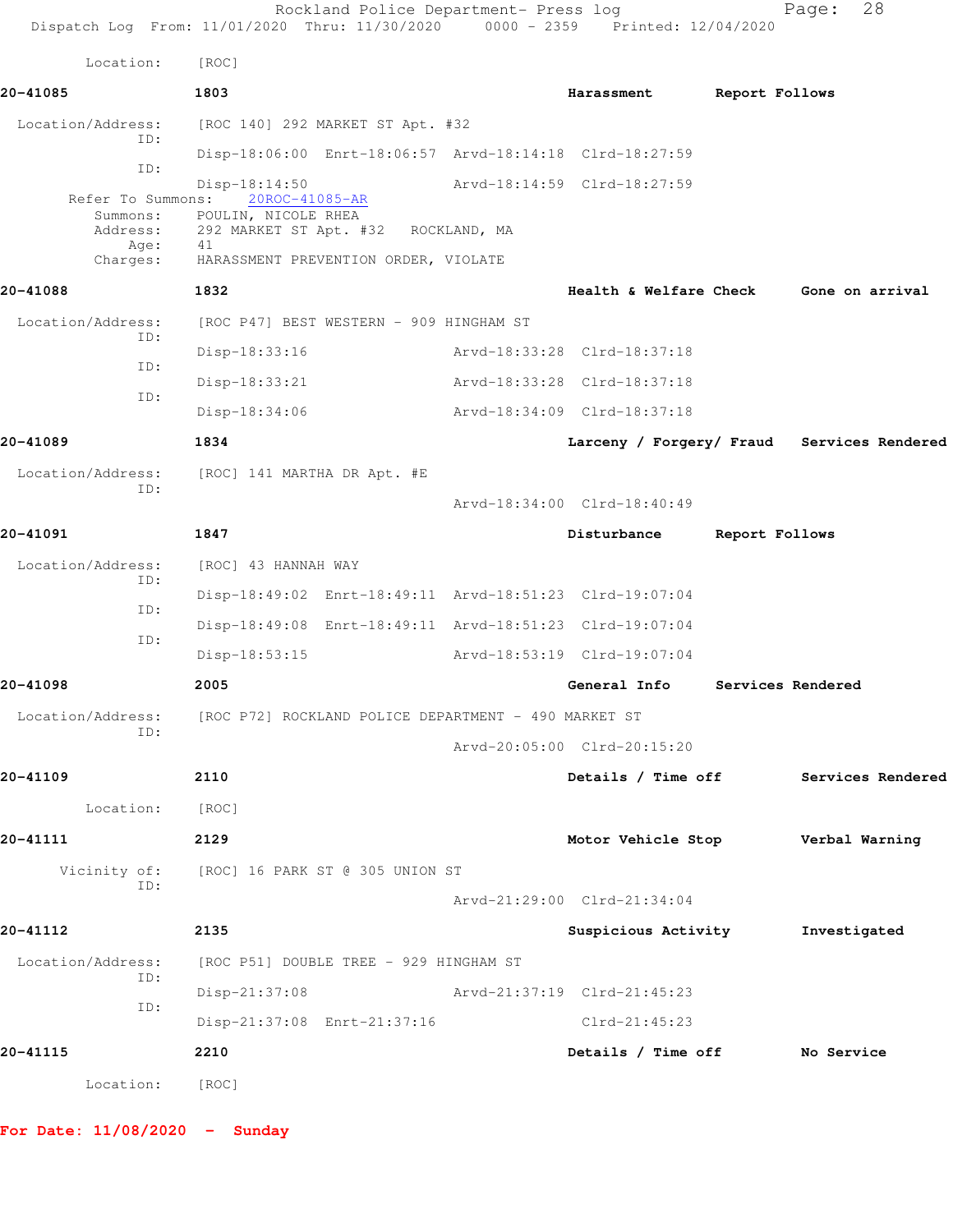Rockland Police Department- Press log Fage: 28 Dispatch Log From: 11/01/2020 Thru: 11/30/2020 0000 - 2359 Printed: 12/04/2020 Location: [ROC] **20-41085 1803 Harassment Report Follows** Location/Address: [ROC 140] 292 MARKET ST Apt. #32 ID: Disp-18:06:00 Enrt-18:06:57 Arvd-18:14:18 Clrd-18:27:59 ID: Disp-18:14:50 <br>
ns: 20ROC-41085-AR <br>
Arvd-18:14:59 Clrd-18:27:59 Refer To Summons: Summons: POULIN, NICOLE RHEA Address: 292 MARKET ST Apt. #32 ROCKLAND, MA Age: 41 Charges: HARASSMENT PREVENTION ORDER, VIOLATE **20-41088 1832 Health & Welfare Check Gone on arrival** Location/Address: [ROC P47] BEST WESTERN - 909 HINGHAM ST ID: Disp-18:33:16 Arvd-18:33:28 Clrd-18:37:18 ID: Disp-18:33:21 Arvd-18:33:28 Clrd-18:37:18 ID: Disp-18:34:06 Arvd-18:34:09 Clrd-18:37:18 **20-41089 1834 Larceny / Forgery/ Fraud Services Rendered** Location/Address: [ROC] 141 MARTHA DR Apt. #E ID: Arvd-18:34:00 Clrd-18:40:49 **20-41091 1847 Disturbance Report Follows** Location/Address: [ROC] 43 HANNAH WAY ID: Disp-18:49:02 Enrt-18:49:11 Arvd-18:51:23 Clrd-19:07:04 ID: Disp-18:49:08 Enrt-18:49:11 Arvd-18:51:23 Clrd-19:07:04 ID: Disp-18:53:15 Arvd-18:53:19 Clrd-19:07:04 **20-41098 2005 General Info Services Rendered** Location/Address: [ROC P72] ROCKLAND POLICE DEPARTMENT - 490 MARKET ST ID: Arvd-20:05:00 Clrd-20:15:20 **20-41109 2110 Details / Time off Services Rendered** Location: [ROC] **20-41111 2129 Motor Vehicle Stop Verbal Warning** Vicinity of: [ROC] 16 PARK ST @ 305 UNION ST ID: Arvd-21:29:00 Clrd-21:34:04 **20-41112 2135 Suspicious Activity Investigated** Location/Address: [ROC P51] DOUBLE TREE - 929 HINGHAM ST ID: Disp-21:37:08 Arvd-21:37:19 Clrd-21:45:23 ID: Disp-21:37:08 Enrt-21:37:16 Clrd-21:45:23 **20-41115 2210 Details / Time off No Service** Location: [ROC]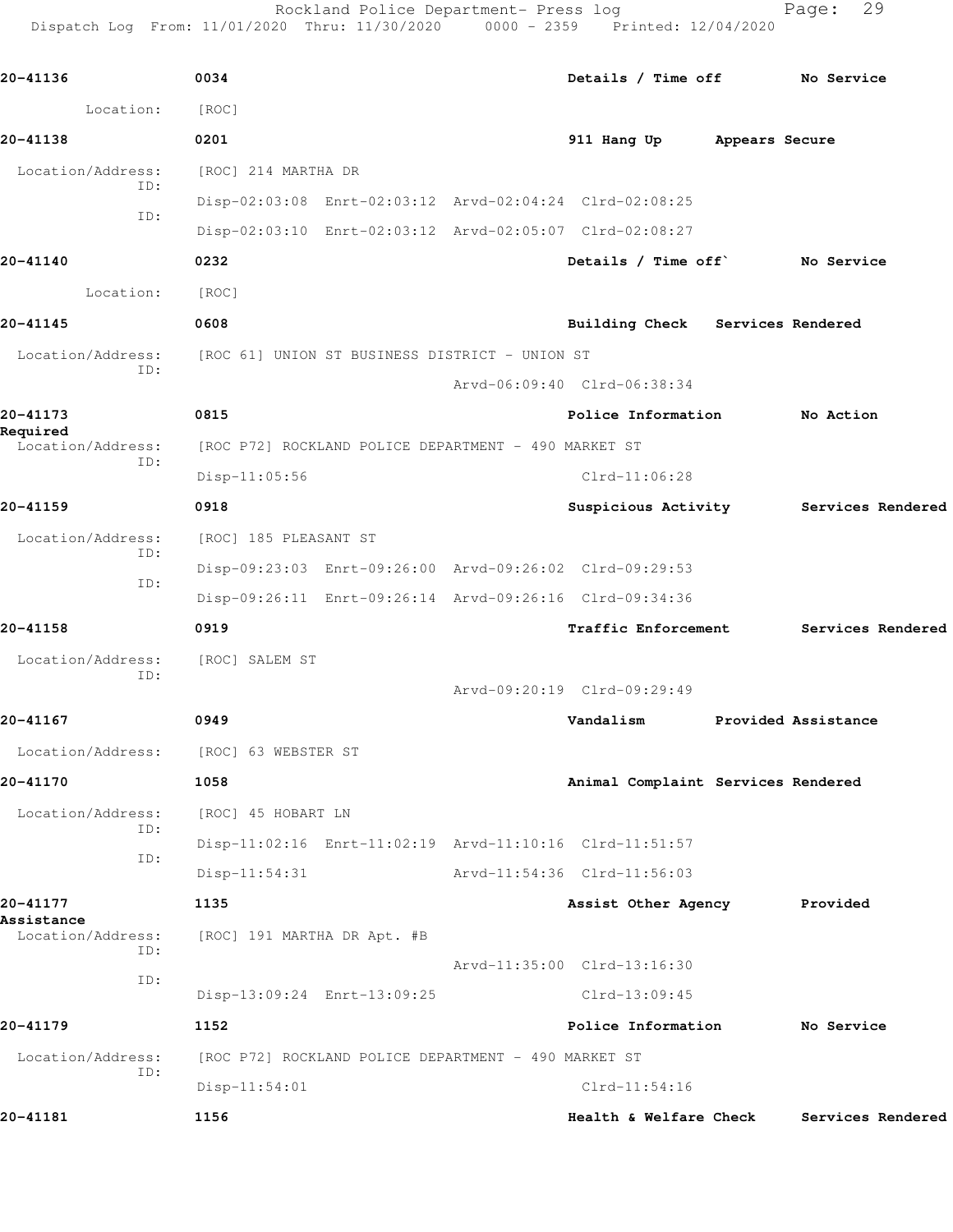Rockland Police Department- Press log Fage: 29

Dispatch Log From: 11/01/2020 Thru: 11/30/2020 0000 - 2359 Printed: 12/04/2020

**20-41136 0034 Details / Time off No Service** Location: [ROC] **20-41138 0201 911 Hang Up Appears Secure** Location/Address: [ROC] 214 MARTHA DR ID: Disp-02:03:08 Enrt-02:03:12 Arvd-02:04:24 Clrd-02:08:25 ID: Disp-02:03:10 Enrt-02:03:12 Arvd-02:05:07 Clrd-02:08:27 **20-41140 0232 Details / Time off` No Service** Location: [ROC] **20-41145 0608 Building Check Services Rendered** Location/Address: [ROC 61] UNION ST BUSINESS DISTRICT - UNION ST ID: Arvd-06:09:40 Clrd-06:38:34 **20-41173 0815 Police Information No Action Required**  [ROC P72] ROCKLAND POLICE DEPARTMENT - 490 MARKET ST ID: Disp-11:05:56 Clrd-11:06:28 **20-41159 0918 Suspicious Activity Services Rendered** Location/Address: [ROC] 185 PLEASANT ST ID: Disp-09:23:03 Enrt-09:26:00 Arvd-09:26:02 Clrd-09:29:53 ID: Disp-09:26:11 Enrt-09:26:14 Arvd-09:26:16 Clrd-09:34:36 **20-41158 0919 Traffic Enforcement Services Rendered** Location/Address: [ROC] SALEM ST ID: Arvd-09:20:19 Clrd-09:29:49 **20-41167 0949 Vandalism Provided Assistance** Location/Address: [ROC] 63 WEBSTER ST **20-41170 1058 Animal Complaint Services Rendered** Location/Address: [ROC] 45 HOBART LN ID: Disp-11:02:16 Enrt-11:02:19 Arvd-11:10:16 Clrd-11:51:57 ID: Disp-11:54:31 Arvd-11:54:36 Clrd-11:56:03 **20-41177 1135 Assist Other Agency Provided Assistance**  Location/Address: [ROC] 191 MARTHA DR Apt. #B ID: Arvd-11:35:00 Clrd-13:16:30 ID: Disp-13:09:24 Enrt-13:09:25 Clrd-13:09:45 **20-41179 1152 Police Information No Service** Location/Address: [ROC P72] ROCKLAND POLICE DEPARTMENT - 490 MARKET ST ID: Disp-11:54:01 Clrd-11:54:16 **20-41181 1156 Health & Welfare Check Services Rendered**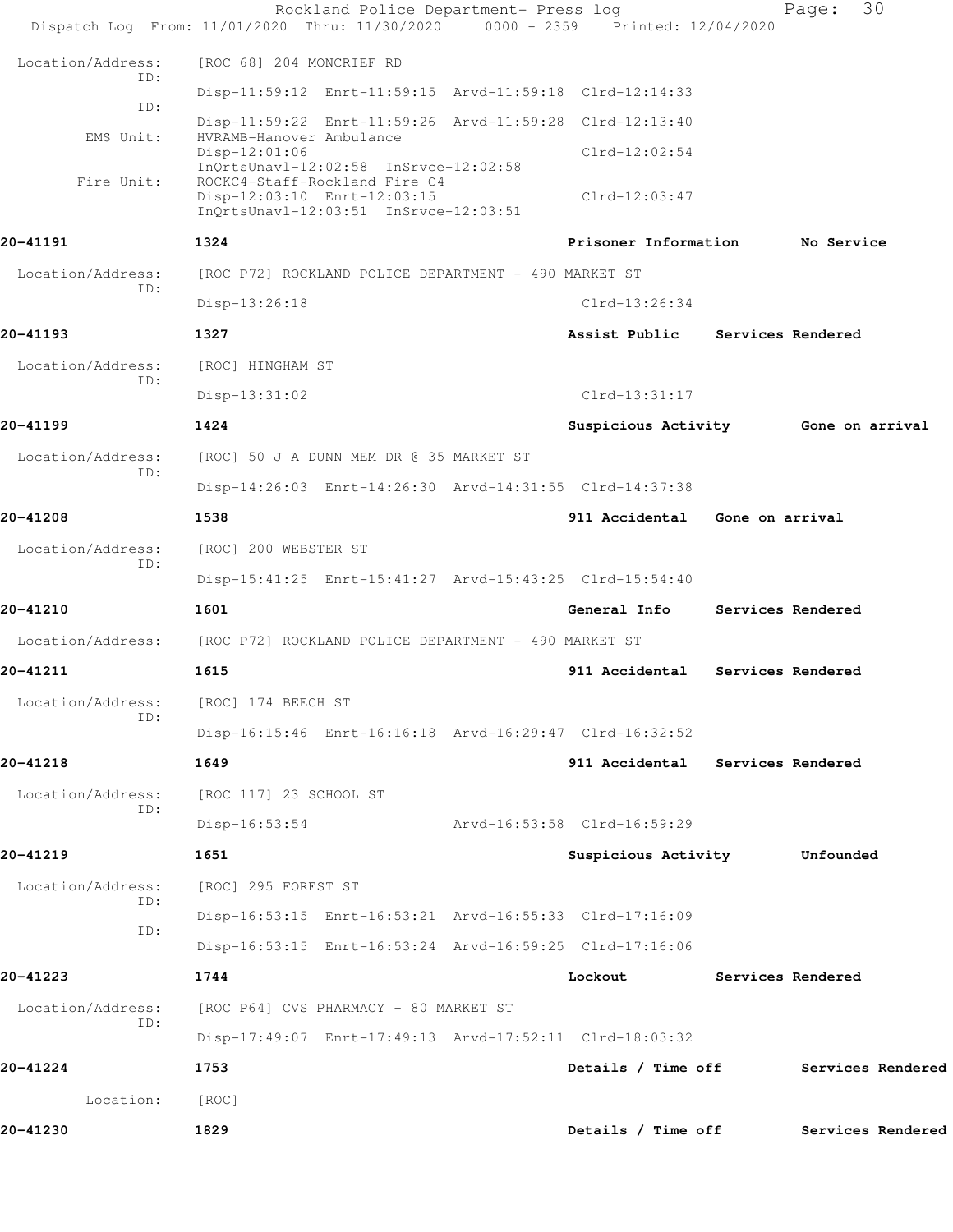|                          |                            | Rockland Police Department- Press log                                                                 |                                     | 30<br>Page:       |  |
|--------------------------|----------------------------|-------------------------------------------------------------------------------------------------------|-------------------------------------|-------------------|--|
|                          |                            | Dispatch Log From: 11/01/2020 Thru: 11/30/2020 0000 - 2359 Printed: 12/04/2020                        |                                     |                   |  |
| Location/Address:        | ID:                        | [ROC 68] 204 MONCRIEF RD                                                                              |                                     |                   |  |
|                          | ID:                        | Disp-11:59:12 Enrt-11:59:15 Arvd-11:59:18 Clrd-12:14:33                                               |                                     |                   |  |
| EMS Unit:                |                            | Disp-11:59:22 Enrt-11:59:26 Arvd-11:59:28 Clrd-12:13:40<br>HVRAMB-Hanover Ambulance                   |                                     |                   |  |
|                          | $Disp-12:01:06$            | InQrtsUnavl-12:02:58 InSrvce-12:02:58                                                                 | $Clrd-12:02:54$                     |                   |  |
| Fire Unit:               |                            | ROCKC4-Staff-Rockland Fire C4<br>Disp-12:03:10 Enrt-12:03:15<br>InQrtsUnavl-12:03:51 InSrvce-12:03:51 | $Clrd-12:03:47$                     |                   |  |
| 20-41191                 | 1324                       |                                                                                                       | Prisoner Information                | No Service        |  |
| Location/Address:        |                            | [ROC P72] ROCKLAND POLICE DEPARTMENT - 490 MARKET ST                                                  |                                     |                   |  |
|                          | ID:<br>Disp-13:26:18       |                                                                                                       | $Clrd-13:26:34$                     |                   |  |
| 20-41193                 | 1327                       |                                                                                                       | Assist Public Services Rendered     |                   |  |
| Location/Address:        | [ROC] HINGHAM ST           |                                                                                                       |                                     |                   |  |
|                          | ID:<br>Disp-13:31:02       |                                                                                                       | $Clrd-13:31:17$                     |                   |  |
| 20-41199                 | 1424                       |                                                                                                       | Suspicious Activity 6one on arrival |                   |  |
| Location/Address:        |                            | [ROC] 50 J A DUNN MEM DR @ 35 MARKET ST                                                               |                                     |                   |  |
|                          | ID:                        | Disp-14:26:03 Enrt-14:26:30 Arvd-14:31:55 Clrd-14:37:38                                               |                                     |                   |  |
| 20-41208                 | 1538                       |                                                                                                       | 911 Accidental Gone on arrival      |                   |  |
| Location/Address:<br>ID: | [ROC] 200 WEBSTER ST       |                                                                                                       |                                     |                   |  |
|                          |                            | Disp-15:41:25 Enrt-15:41:27 Arvd-15:43:25 Clrd-15:54:40                                               |                                     |                   |  |
| 20-41210                 | 1601                       |                                                                                                       | General Info                        | Services Rendered |  |
| Location/Address:        |                            | [ROC P72] ROCKLAND POLICE DEPARTMENT - 490 MARKET ST                                                  |                                     |                   |  |
| 20-41211                 | 1615                       |                                                                                                       | 911 Accidental                      | Services Rendered |  |
| Location/Address:        | [ROC] 174 BEECH ST<br>ID:  |                                                                                                       |                                     |                   |  |
|                          |                            | Disp-16:15:46 Enrt-16:16:18 Arvd-16:29:47 Clrd-16:32:52                                               |                                     |                   |  |
| 20-41218                 | 1649                       |                                                                                                       | 911 Accidental Services Rendered    |                   |  |
| Location/Address:        | ID:                        | [ROC 117] 23 SCHOOL ST                                                                                |                                     |                   |  |
|                          | $Disp-16:53:54$            |                                                                                                       | Arvd-16:53:58 Clrd-16:59:29         |                   |  |
| 20-41219                 | 1651                       |                                                                                                       | Suspicious Activity                 | Unfounded         |  |
| Location/Address:        | [ROC] 295 FOREST ST<br>ID: |                                                                                                       |                                     |                   |  |
|                          | ID:                        | Disp-16:53:15 Enrt-16:53:21 Arvd-16:55:33 Clrd-17:16:09                                               |                                     |                   |  |
|                          |                            | Disp-16:53:15 Enrt-16:53:24 Arvd-16:59:25 Clrd-17:16:06                                               |                                     |                   |  |
| 20-41223                 | 1744                       |                                                                                                       | Lockout                             | Services Rendered |  |
| Location/Address:        | ID:                        | [ROC P64] CVS PHARMACY - 80 MARKET ST                                                                 |                                     |                   |  |
|                          |                            | Disp-17:49:07 Enrt-17:49:13 Arvd-17:52:11 Clrd-18:03:32                                               |                                     |                   |  |
| 20-41224                 | 1753                       |                                                                                                       | Details / Time off                  | Services Rendered |  |
| Location:                | [ROC]                      |                                                                                                       |                                     |                   |  |
| 20-41230                 | 1829                       |                                                                                                       | Details / Time off                  | Services Rendered |  |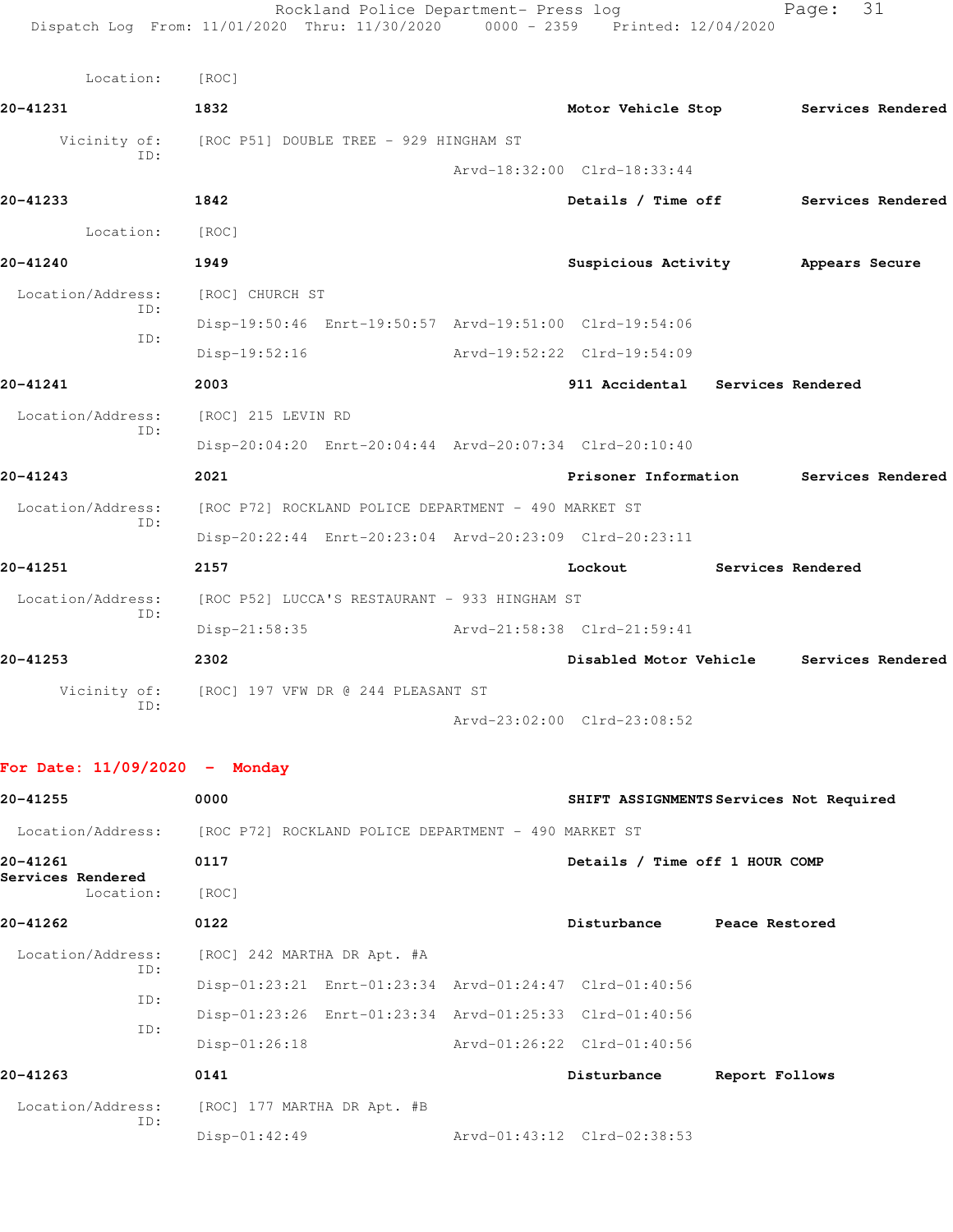| Location:                | [ROC]           |                                                         |                                          |                   |  |
|--------------------------|-----------------|---------------------------------------------------------|------------------------------------------|-------------------|--|
| 20-41231                 | 1832            |                                                         | Motor Vehicle Stop Services Rendered     |                   |  |
| Vicinity of:             |                 | [ROC P51] DOUBLE TREE - 929 HINGHAM ST                  |                                          |                   |  |
| TD:                      |                 |                                                         | Arvd-18:32:00 Clrd-18:33:44              |                   |  |
| 20-41233                 | 1842            |                                                         | Details / Time off Services Rendered     |                   |  |
| Location:                | [ROC]           |                                                         |                                          |                   |  |
| 20-41240                 | 1949            |                                                         | Suspicious Activity Mappears Secure      |                   |  |
| Location/Address:        | [ROC] CHURCH ST |                                                         |                                          |                   |  |
| ID:<br>ID:               |                 | Disp-19:50:46 Enrt-19:50:57 Arvd-19:51:00 Clrd-19:54:06 |                                          |                   |  |
|                          | Disp-19:52:16   |                                                         | Arvd-19:52:22 Clrd-19:54:09              |                   |  |
| 20-41241                 | 2003            |                                                         | 911 Accidental Services Rendered         |                   |  |
| Location/Address:        |                 | [ROC] 215 LEVIN RD                                      |                                          |                   |  |
| TD:                      |                 | Disp-20:04:20 Enrt-20:04:44 Arvd-20:07:34 Clrd-20:10:40 |                                          |                   |  |
| 20-41243                 | 2021            |                                                         | Prisoner Information Services Rendered   |                   |  |
| Location/Address:        |                 | [ROC P72] ROCKLAND POLICE DEPARTMENT - 490 MARKET ST    |                                          |                   |  |
| ID:                      |                 | Disp-20:22:44 Enrt-20:23:04 Arvd-20:23:09 Clrd-20:23:11 |                                          |                   |  |
| 20-41251                 | 2157            |                                                         | Lockout                                  | Services Rendered |  |
| Location/Address:<br>TD: |                 | [ROC P52] LUCCA'S RESTAURANT - 933 HINGHAM ST           |                                          |                   |  |
|                          | $Disp-21:58:35$ |                                                         | Arvd-21:58:38 Clrd-21:59:41              |                   |  |
| 20-41253                 | 2302            |                                                         | Disabled Motor Vehicle Services Rendered |                   |  |
| Vicinity of:<br>ID:      |                 | [ROC] 197 VFW DR @ 244 PLEASANT ST                      |                                          |                   |  |
|                          |                 |                                                         | Arvd-23:02:00 Clrd-23:08:52              |                   |  |

## **For Date: 11/09/2020 - Monday**

| 20-41255                       | 0000                                                    |                                | SHIFT ASSIGNMENTS Services Not Required |
|--------------------------------|---------------------------------------------------------|--------------------------------|-----------------------------------------|
| Location/Address:              | [ROC P72] ROCKLAND POLICE DEPARTMENT - 490 MARKET ST    |                                |                                         |
| 20-41261                       | 0117                                                    | Details / Time off 1 HOUR COMP |                                         |
| Services Rendered<br>Location: | [ROC]                                                   |                                |                                         |
| 20-41262                       | 0122                                                    | Disturbance                    | Peace Restored                          |
| Location/Address:              | [ROC] 242 MARTHA DR Apt. #A                             |                                |                                         |
| ID:                            | Disp-01:23:21 Enrt-01:23:34 Arvd-01:24:47 Clrd-01:40:56 |                                |                                         |
| ID:                            | Disp-01:23:26 Enrt-01:23:34 Arvd-01:25:33 Clrd-01:40:56 |                                |                                         |
| ID:                            | $Disp-01:26:18$                                         | Arvd-01:26:22 Clrd-01:40:56    |                                         |
| 20-41263                       | 0141                                                    | Disturbance                    | Report Follows                          |
| Location/Address:              | [ROC] 177 MARTHA DR Apt. #B                             |                                |                                         |
| ID:                            | $Disp-01:42:49$                                         | Arvd-01:43:12 Clrd-02:38:53    |                                         |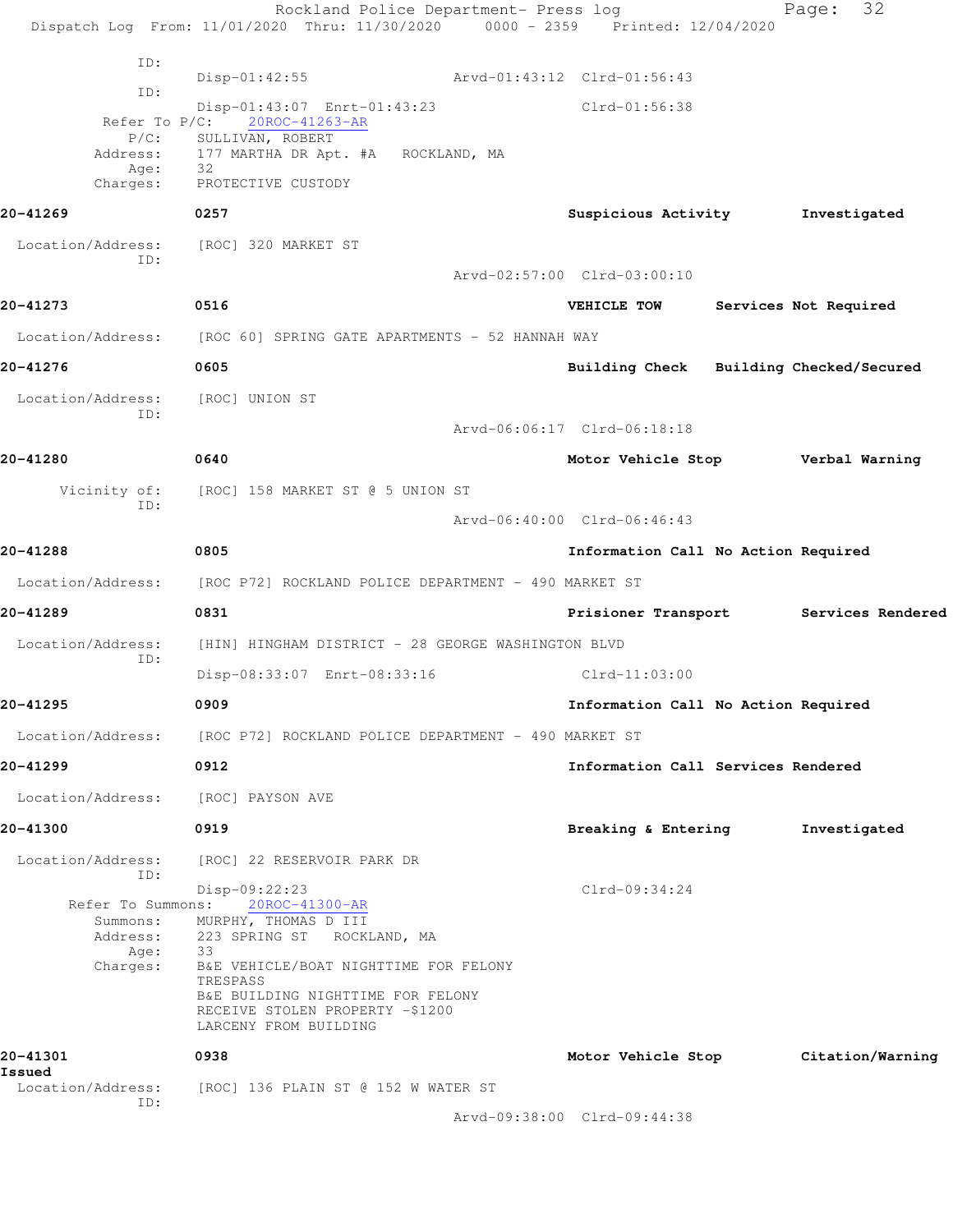Rockland Police Department- Press log Fage: 32 Dispatch Log From: 11/01/2020 Thru: 11/30/2020 0000 - 2359 Printed: 12/04/2020 ID: Disp-01:42:55 Arvd-01:43:12 Clrd-01:56:43 ID: Disp-01:43:07 Enrt-01:43:23 Clrd-01:56:38 Refer To P/C: 20ROC-41263-AR P/C: SULLIVAN, ROBERT<br>Address: 177 MARTHA DR Apt 177 MARTHA DR Apt. #A ROCKLAND, MA Age: 32 Charges: PROTECTIVE CUSTODY **20-41269 0257 Suspicious Activity Investigated** Location/Address: [ROC] 320 MARKET ST ID: Arvd-02:57:00 Clrd-03:00:10 **20-41273 0516 VEHICLE TOW Services Not Required** Location/Address: [ROC 60] SPRING GATE APARTMENTS - 52 HANNAH WAY **20-41276 0605 Building Check Building Checked/Secured** Location/Address: [ROC] UNION ST ID: Arvd-06:06:17 Clrd-06:18:18 **20-41280 0640 Motor Vehicle Stop Verbal Warning** Vicinity of: [ROC] 158 MARKET ST @ 5 UNION ST ID: Arvd-06:40:00 Clrd-06:46:43 **20-41288 0805 Information Call No Action Required** Location/Address: [ROC P72] ROCKLAND POLICE DEPARTMENT - 490 MARKET ST **20-41289 0831 Prisioner Transport Services Rendered** Location/Address: [HIN] HINGHAM DISTRICT - 28 GEORGE WASHINGTON BLVD ID: Disp-08:33:07 Enrt-08:33:16 Clrd-11:03:00 **20-41295 0909 Information Call No Action Required** Location/Address: [ROC P72] ROCKLAND POLICE DEPARTMENT - 490 MARKET ST **20-41299 0912 Information Call Services Rendered** Location/Address: [ROC] PAYSON AVE **20-41300 0919 Breaking & Entering Investigated** Location/Address: [ROC] 22 RESERVOIR PARK DR ID: Disp-09:22:23 Clrd-09:34:24 Refer To Summons: 20ROC-41300-AR Summons: MURPHY, THOMAS D III Address: 223 SPRING ST ROCKLAND, MA Age: 33 Charges: B&E VEHICLE/BOAT NIGHTTIME FOR FELONY TRESPASS B&E BUILDING NIGHTTIME FOR FELONY RECEIVE STOLEN PROPERTY -\$1200 LARCENY FROM BUILDING **20-41301 0938 Motor Vehicle Stop Citation/Warning Issued**  Location/Address: [ROC] 136 PLAIN ST @ 152 W WATER ST ID: Arvd-09:38:00 Clrd-09:44:38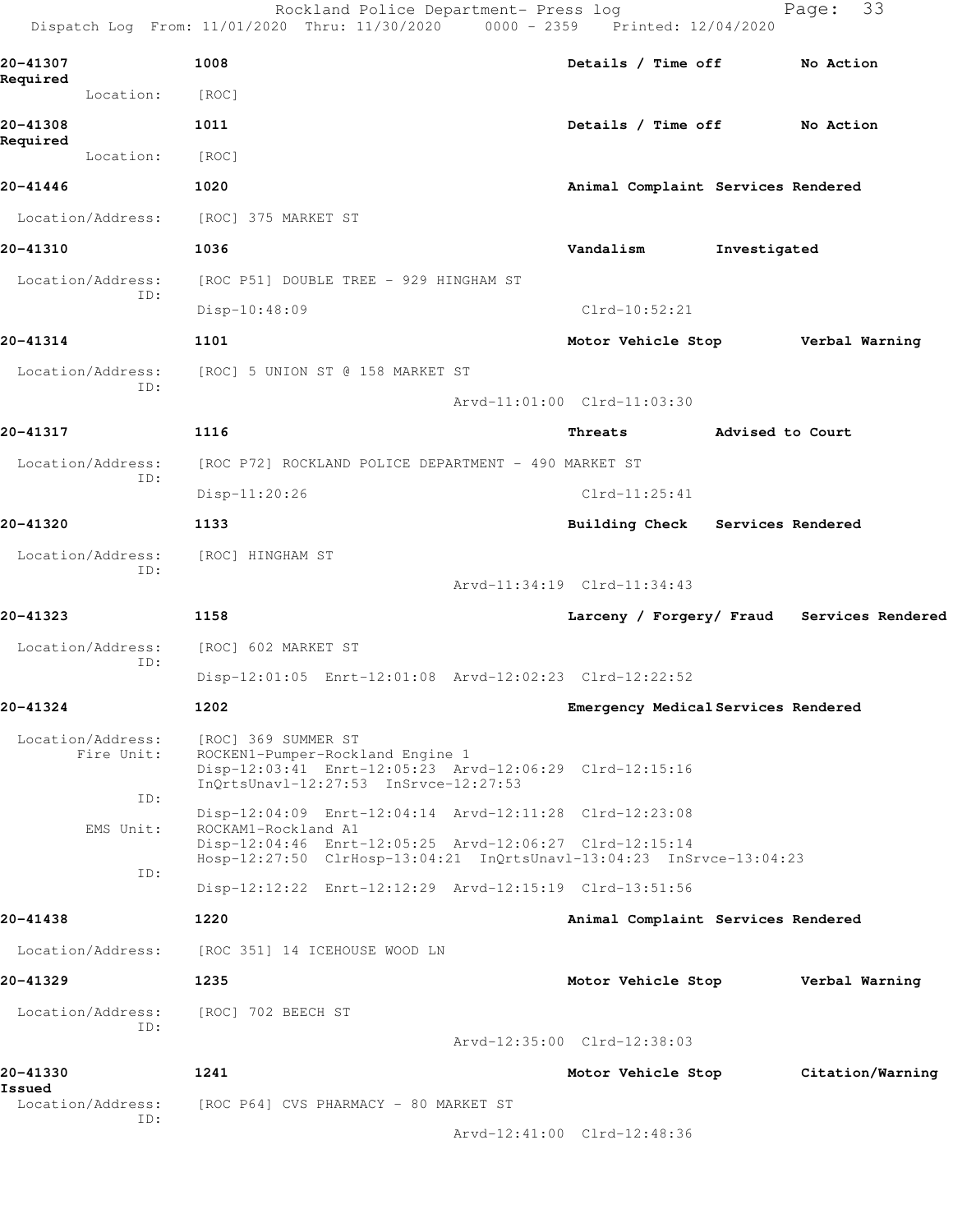|                                 | Rockland Police Department- Press log<br>Dispatch Log From: 11/01/2020 Thru: 11/30/2020 0000 - 2359 Printed: 12/04/2020                                     |                                            |                  | 33<br>Page:      |
|---------------------------------|-------------------------------------------------------------------------------------------------------------------------------------------------------------|--------------------------------------------|------------------|------------------|
| 20-41307                        | 1008                                                                                                                                                        | Details / Time off No Action               |                  |                  |
| Required<br>Location:           | [ROC]                                                                                                                                                       |                                            |                  |                  |
| 20-41308                        | 1011                                                                                                                                                        | Details / Time off                         |                  | No Action        |
| Required<br>Location:           | [ROC]                                                                                                                                                       |                                            |                  |                  |
| 20-41446                        | 1020                                                                                                                                                        | Animal Complaint Services Rendered         |                  |                  |
| Location/Address:               | [ROC] 375 MARKET ST                                                                                                                                         |                                            |                  |                  |
| 20-41310                        | 1036                                                                                                                                                        | Vandalism                                  | Investigated     |                  |
| Location/Address:               | [ROC P51] DOUBLE TREE - 929 HINGHAM ST                                                                                                                      |                                            |                  |                  |
| ID:                             | Disp-10:48:09                                                                                                                                               | $Clrd-10:52:21$                            |                  |                  |
| 20-41314                        | 1101                                                                                                                                                        | Motor Vehicle Stop Verbal Warning          |                  |                  |
| Location/Address:<br>ID:        | [ROC] 5 UNION ST @ 158 MARKET ST                                                                                                                            |                                            |                  |                  |
|                                 |                                                                                                                                                             | Arvd-11:01:00 Clrd-11:03:30                |                  |                  |
| 20-41317                        | 1116                                                                                                                                                        | Threats                                    | Advised to Court |                  |
| Location/Address:<br>ID:        | [ROC P72] ROCKLAND POLICE DEPARTMENT - 490 MARKET ST                                                                                                        |                                            |                  |                  |
|                                 | Disp-11:20:26                                                                                                                                               | $Clrd-11:25:41$                            |                  |                  |
| 20-41320                        | 1133                                                                                                                                                        | Building Check Services Rendered           |                  |                  |
| Location/Address:<br>ID:        | [ROC] HINGHAM ST                                                                                                                                            |                                            |                  |                  |
|                                 |                                                                                                                                                             | Arvd-11:34:19 Clrd-11:34:43                |                  |                  |
| 20-41323                        | 1158                                                                                                                                                        | Larceny / Forgery/ Fraud Services Rendered |                  |                  |
| Location/Address:<br>ID:        | [ROC] 602 MARKET ST                                                                                                                                         |                                            |                  |                  |
|                                 | Disp-12:01:05 Enrt-12:01:08 Arvd-12:02:23 Clrd-12:22:52                                                                                                     |                                            |                  |                  |
| 20-41324                        | 1202                                                                                                                                                        | Emergency Medical Services Rendered        |                  |                  |
| Location/Address:<br>Fire Unit: | [ROC] 369 SUMMER ST<br>ROCKEN1-Pumper-Rockland Engine 1<br>Disp-12:03:41 Enrt-12:05:23 Arvd-12:06:29 Clrd-12:15:16<br>InQrtsUnavl-12:27:53 InSrvce-12:27:53 |                                            |                  |                  |
| ID:                             | Disp-12:04:09 Enrt-12:04:14 Arvd-12:11:28 Clrd-12:23:08                                                                                                     |                                            |                  |                  |
| EMS Unit:<br>ID:                | ROCKAM1-Rockland A1<br>Disp-12:04:46 Enrt-12:05:25 Arvd-12:06:27 Clrd-12:15:14<br>Hosp-12:27:50 ClrHosp-13:04:21 InQrtsUnavl-13:04:23 InSrvce-13:04:23      |                                            |                  |                  |
|                                 | Disp-12:12:22 Enrt-12:12:29 Arvd-12:15:19 Clrd-13:51:56                                                                                                     |                                            |                  |                  |
| 20-41438                        | 1220                                                                                                                                                        | Animal Complaint Services Rendered         |                  |                  |
| Location/Address:               | [ROC 351] 14 ICEHOUSE WOOD LN                                                                                                                               |                                            |                  |                  |
| 20-41329                        | 1235                                                                                                                                                        | Motor Vehicle Stop                         |                  | Verbal Warning   |
| Location/Address:<br>ID:        | [ROC] 702 BEECH ST                                                                                                                                          |                                            |                  |                  |
|                                 |                                                                                                                                                             | Arvd-12:35:00 Clrd-12:38:03                |                  |                  |
| 20-41330<br>Issued              | 1241                                                                                                                                                        | Motor Vehicle Stop                         |                  | Citation/Warning |
| Location/Address:<br>ID:        | [ROC P64] CVS PHARMACY - 80 MARKET ST                                                                                                                       |                                            |                  |                  |
|                                 |                                                                                                                                                             | Arvd-12:41:00 Clrd-12:48:36                |                  |                  |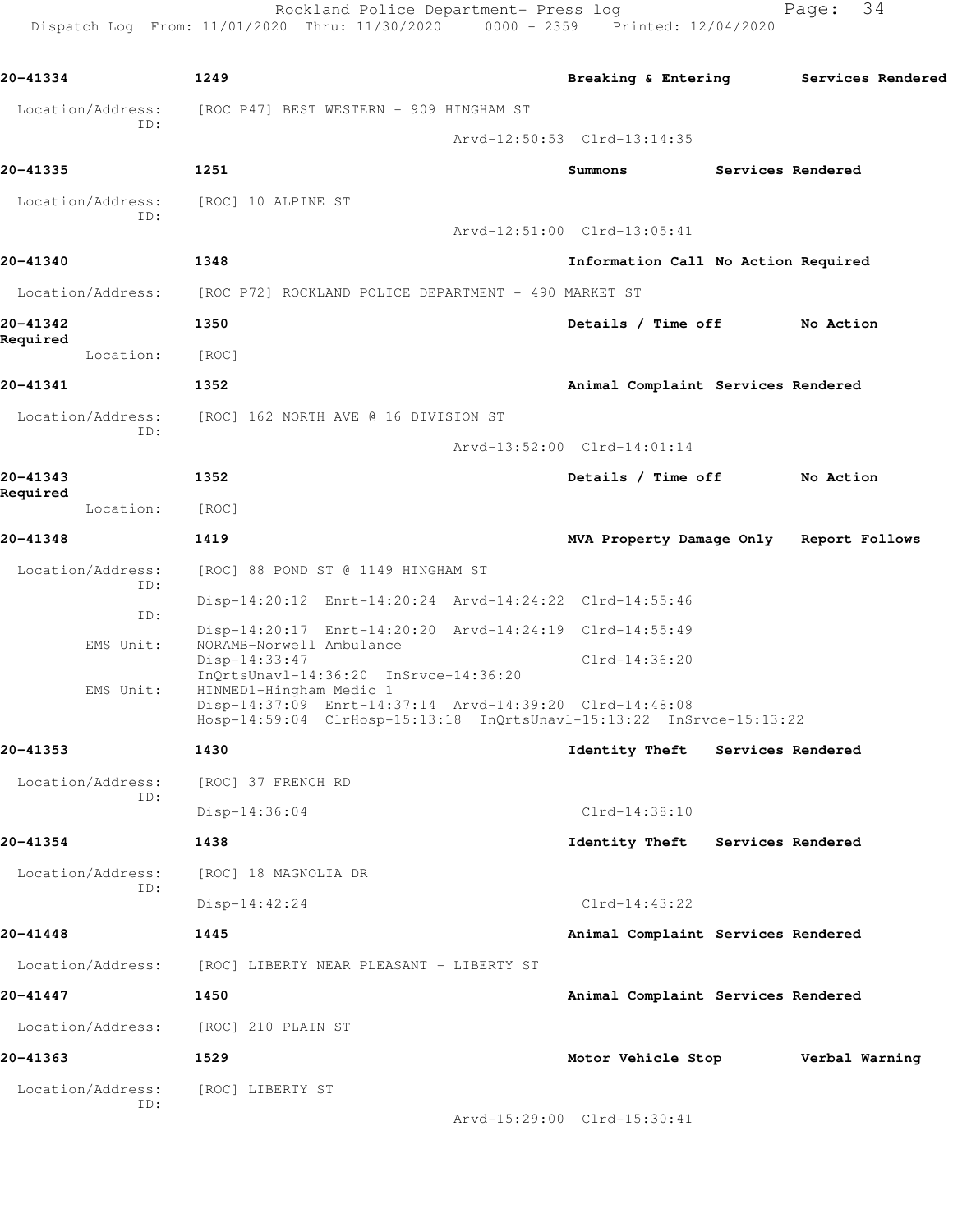Rockland Police Department- Press log entitled and Page: 34 Dispatch Log From: 11/01/2020 Thru: 11/30/2020 0000 - 2359 Printed: 12/04/2020

| 20-41334              | 1249                                      |                                                                                                                             |  | Breaking & Entering                                                  |                   | Services Rendered |  |
|-----------------------|-------------------------------------------|-----------------------------------------------------------------------------------------------------------------------------|--|----------------------------------------------------------------------|-------------------|-------------------|--|
| Location/Address:     |                                           | [ROC P47] BEST WESTERN - 909 HINGHAM ST                                                                                     |  |                                                                      |                   |                   |  |
| ID:                   |                                           |                                                                                                                             |  | Arvd-12:50:53 Clrd-13:14:35                                          |                   |                   |  |
| 20-41335              | 1251                                      |                                                                                                                             |  | Summons                                                              | Services Rendered |                   |  |
| Location/Address:     | [ROC] 10 ALPINE ST                        |                                                                                                                             |  |                                                                      |                   |                   |  |
| ID:                   |                                           |                                                                                                                             |  | Arvd-12:51:00 Clrd-13:05:41                                          |                   |                   |  |
| 20-41340              | 1348                                      |                                                                                                                             |  | Information Call No Action Required                                  |                   |                   |  |
| Location/Address:     |                                           | [ROC P72] ROCKLAND POLICE DEPARTMENT - 490 MARKET ST                                                                        |  |                                                                      |                   |                   |  |
| 20-41342              | 1350                                      |                                                                                                                             |  | Details / Time off                                                   |                   | No Action         |  |
| Required<br>Location: | [ROC]                                     |                                                                                                                             |  |                                                                      |                   |                   |  |
| 20-41341              | 1352                                      |                                                                                                                             |  | Animal Complaint Services Rendered                                   |                   |                   |  |
| Location/Address:     |                                           | [ROC] 162 NORTH AVE @ 16 DIVISION ST                                                                                        |  |                                                                      |                   |                   |  |
| ID:                   |                                           |                                                                                                                             |  | Arvd-13:52:00 Clrd-14:01:14                                          |                   |                   |  |
| 20-41343              | 1352                                      |                                                                                                                             |  | Details / Time off                                                   |                   | No Action         |  |
| Required<br>Location: | [ROC]                                     |                                                                                                                             |  |                                                                      |                   |                   |  |
| 20-41348              | 1419                                      |                                                                                                                             |  | MVA Property Damage Only Report Follows                              |                   |                   |  |
| Location/Address:     |                                           | [ROC] 88 POND ST @ 1149 HINGHAM ST                                                                                          |  |                                                                      |                   |                   |  |
| ID:                   |                                           | Disp-14:20:12 Enrt-14:20:24 Arvd-14:24:22 Clrd-14:55:46                                                                     |  |                                                                      |                   |                   |  |
| ID:                   |                                           | Disp-14:20:17 Enrt-14:20:20 Arvd-14:24:19 Clrd-14:55:49                                                                     |  |                                                                      |                   |                   |  |
| EMS Unit:             | NORAMB-Norwell Ambulance<br>Disp-14:33:47 |                                                                                                                             |  | $Clrd-14:36:20$                                                      |                   |                   |  |
| EMS Unit:             |                                           | InQrtsUnavl-14:36:20 InSrvce-14:36:20<br>HINMED1-Hingham Medic 1<br>Disp-14:37:09 Enrt-14:37:14 Arvd-14:39:20 Clrd-14:48:08 |  |                                                                      |                   |                   |  |
|                       |                                           |                                                                                                                             |  | Hosp-14:59:04 ClrHosp-15:13:18 InQrtsUnavl-15:13:22 InSrvce-15:13:22 |                   |                   |  |
| 20-41353              | 1430                                      |                                                                                                                             |  | Identity Theft                                                       | Services Rendered |                   |  |
| Location/Address:     | [ROC] 37 FRENCH RD                        |                                                                                                                             |  |                                                                      |                   |                   |  |
| ID:                   | $Disp-14:36:04$                           |                                                                                                                             |  | Clrd-14:38:10                                                        |                   |                   |  |
| 20-41354              | 1438                                      |                                                                                                                             |  | Identity Theft Services Rendered                                     |                   |                   |  |
| Location/Address:     | [ROC] 18 MAGNOLIA DR                      |                                                                                                                             |  |                                                                      |                   |                   |  |
| ID:                   |                                           | $Disp-14:42:24$                                                                                                             |  | $Clrd-14:43:22$                                                      |                   |                   |  |
| 20-41448              | 1445                                      |                                                                                                                             |  | Animal Complaint Services Rendered                                   |                   |                   |  |
| Location/Address:     |                                           | [ROC] LIBERTY NEAR PLEASANT - LIBERTY ST                                                                                    |  |                                                                      |                   |                   |  |
| 20-41447              | 1450                                      |                                                                                                                             |  | Animal Complaint Services Rendered                                   |                   |                   |  |
| Location/Address:     | [ROC] 210 PLAIN ST                        |                                                                                                                             |  |                                                                      |                   |                   |  |
| 20-41363              | 1529                                      |                                                                                                                             |  | Motor Vehicle Stop                                                   |                   | Verbal Warning    |  |
| Location/Address:     | [ROC] LIBERTY ST                          |                                                                                                                             |  |                                                                      |                   |                   |  |
| ID:                   |                                           |                                                                                                                             |  | Arvd-15:29:00 Clrd-15:30:41                                          |                   |                   |  |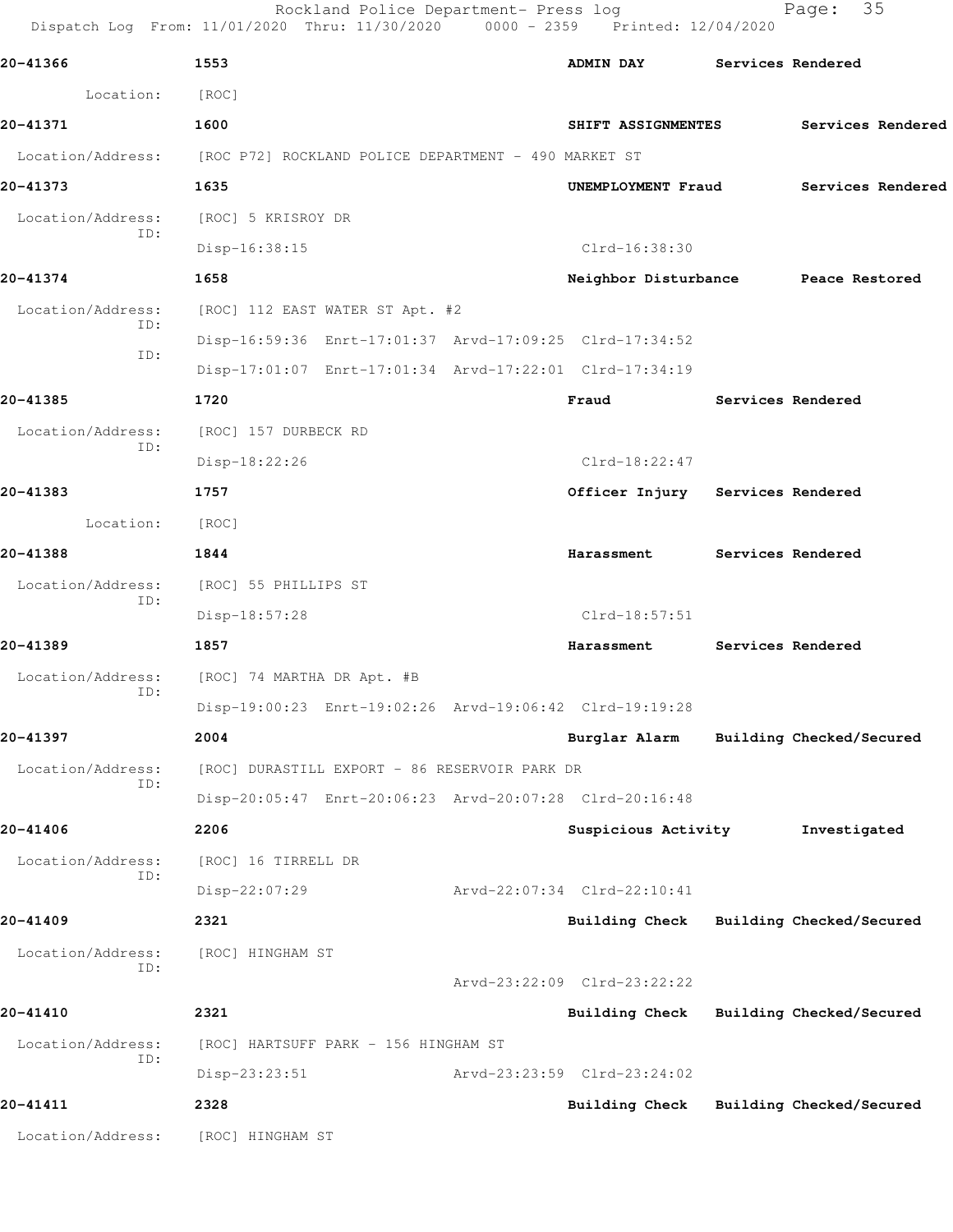|                          | Rockland Police Department- Press log<br>Dispatch Log From: 11/01/2020 Thru: 11/30/2020 0000 - 2359 Printed: 12/04/2020 |                                     |                          | 35<br>Page:              |
|--------------------------|-------------------------------------------------------------------------------------------------------------------------|-------------------------------------|--------------------------|--------------------------|
| 20-41366                 | 1553                                                                                                                    | <b>ADMIN DAY</b>                    | Services Rendered        |                          |
| Location:                | [ROC]                                                                                                                   |                                     |                          |                          |
| 20-41371                 | 1600                                                                                                                    | SHIFT ASSIGNMENTES                  |                          | Services Rendered        |
|                          | Location/Address: [ROC P72] ROCKLAND POLICE DEPARTMENT - 490 MARKET ST                                                  |                                     |                          |                          |
| 20-41373                 | 1635                                                                                                                    | UNEMPLOYMENT Fraud                  |                          | Services Rendered        |
| Location/Address:        | [ROC] 5 KRISROY DR                                                                                                      |                                     |                          |                          |
| ID:                      | Disp-16:38:15                                                                                                           | Clrd-16:38:30                       |                          |                          |
| 20-41374                 | 1658                                                                                                                    | Neighbor Disturbance Peace Restored |                          |                          |
| Location/Address:        | [ROC] 112 EAST WATER ST Apt. #2                                                                                         |                                     |                          |                          |
| ID:                      | Disp-16:59:36 Enrt-17:01:37 Arvd-17:09:25 Clrd-17:34:52                                                                 |                                     |                          |                          |
| ID:                      | Disp-17:01:07 Enrt-17:01:34 Arvd-17:22:01 Clrd-17:34:19                                                                 |                                     |                          |                          |
| 20-41385                 | 1720                                                                                                                    | Fraud                               | <b>Services Rendered</b> |                          |
| Location/Address:        | [ROC] 157 DURBECK RD                                                                                                    |                                     |                          |                          |
| ID:                      | Disp-18:22:26                                                                                                           | $Clrd-18:22:47$                     |                          |                          |
| 20-41383                 | 1757                                                                                                                    | Officer Injury Services Rendered    |                          |                          |
| Location:                | [ROC]                                                                                                                   |                                     |                          |                          |
| 20-41388                 | 1844                                                                                                                    | Harassment                          | Services Rendered        |                          |
| Location/Address:        | [ROC] 55 PHILLIPS ST                                                                                                    |                                     |                          |                          |
| ID:                      | Disp-18:57:28                                                                                                           | Clrd-18:57:51                       |                          |                          |
| 20-41389                 | 1857                                                                                                                    | Harassment                          |                          | Services Rendered        |
| Location/Address:<br>ID: | [ROC] 74 MARTHA DR Apt. #B                                                                                              |                                     |                          |                          |
|                          | Disp-19:00:23 Enrt-19:02:26 Arvd-19:06:42 Clrd-19:19:28                                                                 |                                     |                          |                          |
| 20-41397                 | 2004                                                                                                                    | Burglar Alarm                       |                          | Building Checked/Secured |
| Location/Address:<br>ID: | [ROC] DURASTILL EXPORT - 86 RESERVOIR PARK DR                                                                           |                                     |                          |                          |
|                          | Disp-20:05:47 Enrt-20:06:23 Arvd-20:07:28 Clrd-20:16:48                                                                 |                                     |                          |                          |
| 20-41406                 | 2206                                                                                                                    | Suspicious Activity                 |                          | Investigated             |
| Location/Address:<br>ID: | [ROC] 16 TIRRELL DR                                                                                                     |                                     |                          |                          |
|                          | Disp-22:07:29                                                                                                           | Arvd-22:07:34 Clrd-22:10:41         |                          |                          |
| 20-41409                 | 2321                                                                                                                    | Building Check                      |                          | Building Checked/Secured |
| Location/Address:<br>ID: | [ROC] HINGHAM ST                                                                                                        | Arvd-23:22:09 Clrd-23:22:22         |                          |                          |
| 20-41410                 | 2321                                                                                                                    | Building Check                      |                          | Building Checked/Secured |
| Location/Address:        | [ROC] HARTSUFF PARK - 156 HINGHAM ST                                                                                    |                                     |                          |                          |
| ID:                      | Disp-23:23:51                                                                                                           | Arvd-23:23:59 Clrd-23:24:02         |                          |                          |
| 20-41411                 | 2328                                                                                                                    | <b>Building Check</b>               |                          | Building Checked/Secured |
| Location/Address:        | [ROC] HINGHAM ST                                                                                                        |                                     |                          |                          |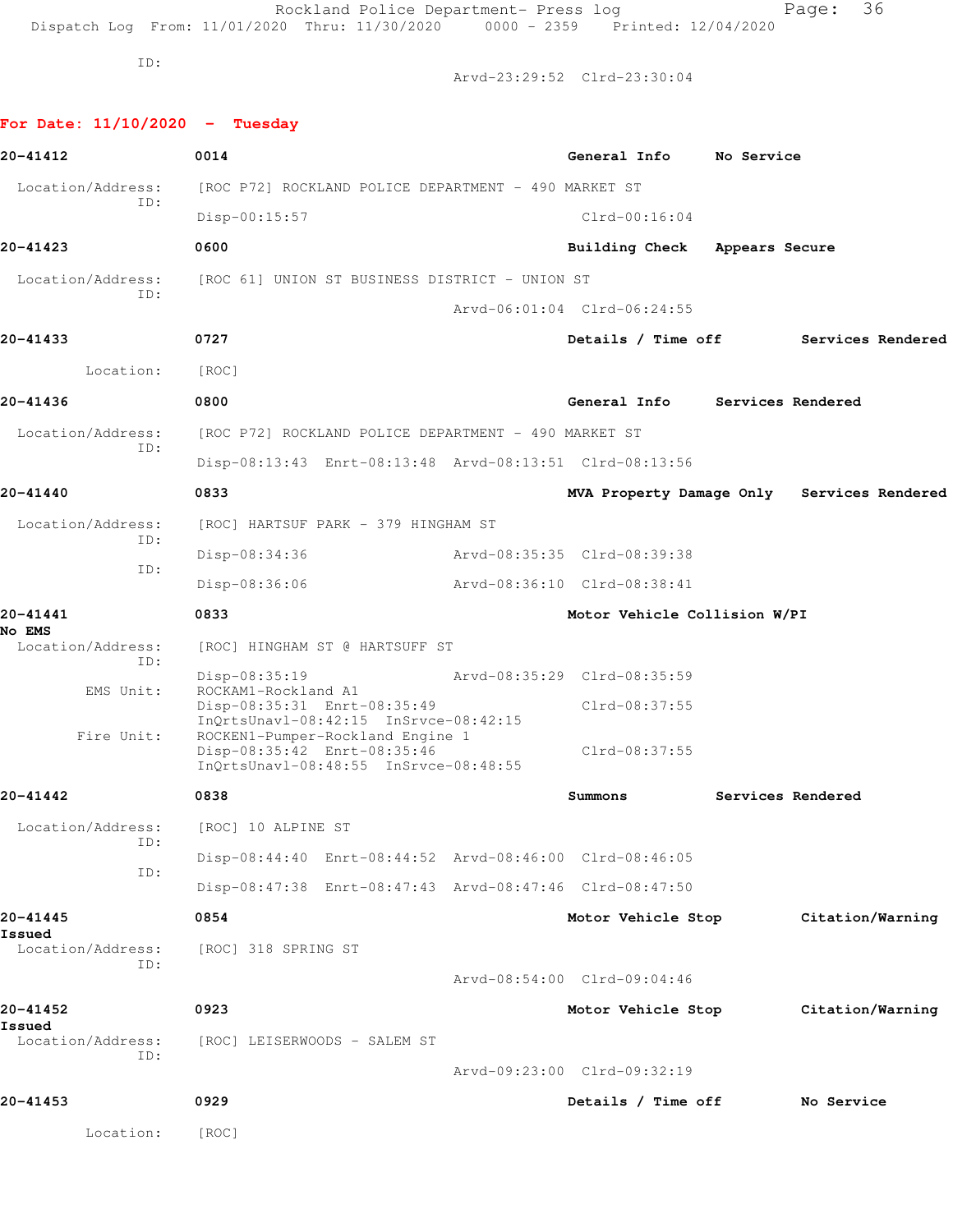Rockland Police Department- Press log entitled and Page: 36 Dispatch Log From: 11/01/2020 Thru: 11/30/2020 0000 - 2359 Printed: 12/04/2020

ID:

Arvd-23:29:52 Clrd-23:30:04

**For Date: 11/10/2020 - Tuesday**

| 20-41412                  | 0014                                                                 | General Info                 | No Service        |                                            |
|---------------------------|----------------------------------------------------------------------|------------------------------|-------------------|--------------------------------------------|
| Location/Address:         | [ROC P72] ROCKLAND POLICE DEPARTMENT - 490 MARKET ST                 |                              |                   |                                            |
| ID:                       | $Disp-00:15:57$                                                      | $Clrd-00:16:04$              |                   |                                            |
| 20-41423                  | 0600                                                                 | Building Check               | Appears Secure    |                                            |
| Location/Address:         | [ROC 61] UNION ST BUSINESS DISTRICT - UNION ST                       |                              |                   |                                            |
| ID:                       |                                                                      | Arvd-06:01:04 Clrd-06:24:55  |                   |                                            |
| 20-41433                  | 0727                                                                 | Details / Time off           |                   | Services Rendered                          |
| Location:                 | [ROC]                                                                |                              |                   |                                            |
| 20-41436                  | 0800                                                                 | General Info                 | Services Rendered |                                            |
| Location/Address:         | [ROC P72] ROCKLAND POLICE DEPARTMENT - 490 MARKET ST                 |                              |                   |                                            |
| ID:                       | Disp-08:13:43 Enrt-08:13:48 Arvd-08:13:51 Clrd-08:13:56              |                              |                   |                                            |
| 20-41440                  | 0833                                                                 |                              |                   | MVA Property Damage Only Services Rendered |
| Location/Address:         | [ROC] HARTSUF PARK - 379 HINGHAM ST                                  |                              |                   |                                            |
| ID:                       | Disp-08:34:36                                                        | Arvd-08:35:35 Clrd-08:39:38  |                   |                                            |
| ID:                       | Disp-08:36:06                                                        | Arvd-08:36:10 Clrd-08:38:41  |                   |                                            |
| 20-41441<br><b>No EMS</b> | 0833                                                                 | Motor Vehicle Collision W/PI |                   |                                            |
| Location/Address:<br>ID:  | [ROC] HINGHAM ST @ HARTSUFF ST                                       |                              |                   |                                            |
| EMS Unit:                 | Disp-08:35:19<br>ROCKAM1-Rockland A1                                 | Arvd-08:35:29 Clrd-08:35:59  |                   |                                            |
|                           | Disp-08:35:31 Enrt-08:35:49<br>InQrtsUnavl-08:42:15 InSrvce-08:42:15 | $Clrd-08:37:55$              |                   |                                            |
| Fire Unit:                | ROCKEN1-Pumper-Rockland Engine 1<br>Disp-08:35:42 Enrt-08:35:46      | $Clrd-08:37:55$              |                   |                                            |
|                           | InQrtsUnavl-08:48:55 InSrvce-08:48:55                                |                              |                   |                                            |
| 20-41442                  | 0838                                                                 | Summons                      |                   | Services Rendered                          |
| Location/Address:<br>ID:  | [ROC] 10 ALPINE ST                                                   |                              |                   |                                            |
| ID:                       | Disp-08:44:40 Enrt-08:44:52 Arvd-08:46:00 Clrd-08:46:05              |                              |                   |                                            |
|                           | Disp-08:47:38 Enrt-08:47:43 Arvd-08:47:46 Clrd-08:47:50              |                              |                   |                                            |
| 20-41445<br>Issued        | 0854                                                                 | Motor Vehicle Stop           |                   | Citation/Warning                           |
| Location/Address:<br>ID:  | [ROC] 318 SPRING ST                                                  |                              |                   |                                            |
|                           |                                                                      | Arvd-08:54:00 Clrd-09:04:46  |                   |                                            |
| 20-41452<br>Issued        | 0923                                                                 | Motor Vehicle Stop           |                   | Citation/Warning                           |
| Location/Address:<br>ID:  | [ROC] LEISERWOODS - SALEM ST                                         |                              |                   |                                            |
|                           |                                                                      | Arvd-09:23:00 Clrd-09:32:19  |                   |                                            |
| 20-41453                  | 0929                                                                 | Details / Time off           |                   | No Service                                 |
| Location:                 | [ROC]                                                                |                              |                   |                                            |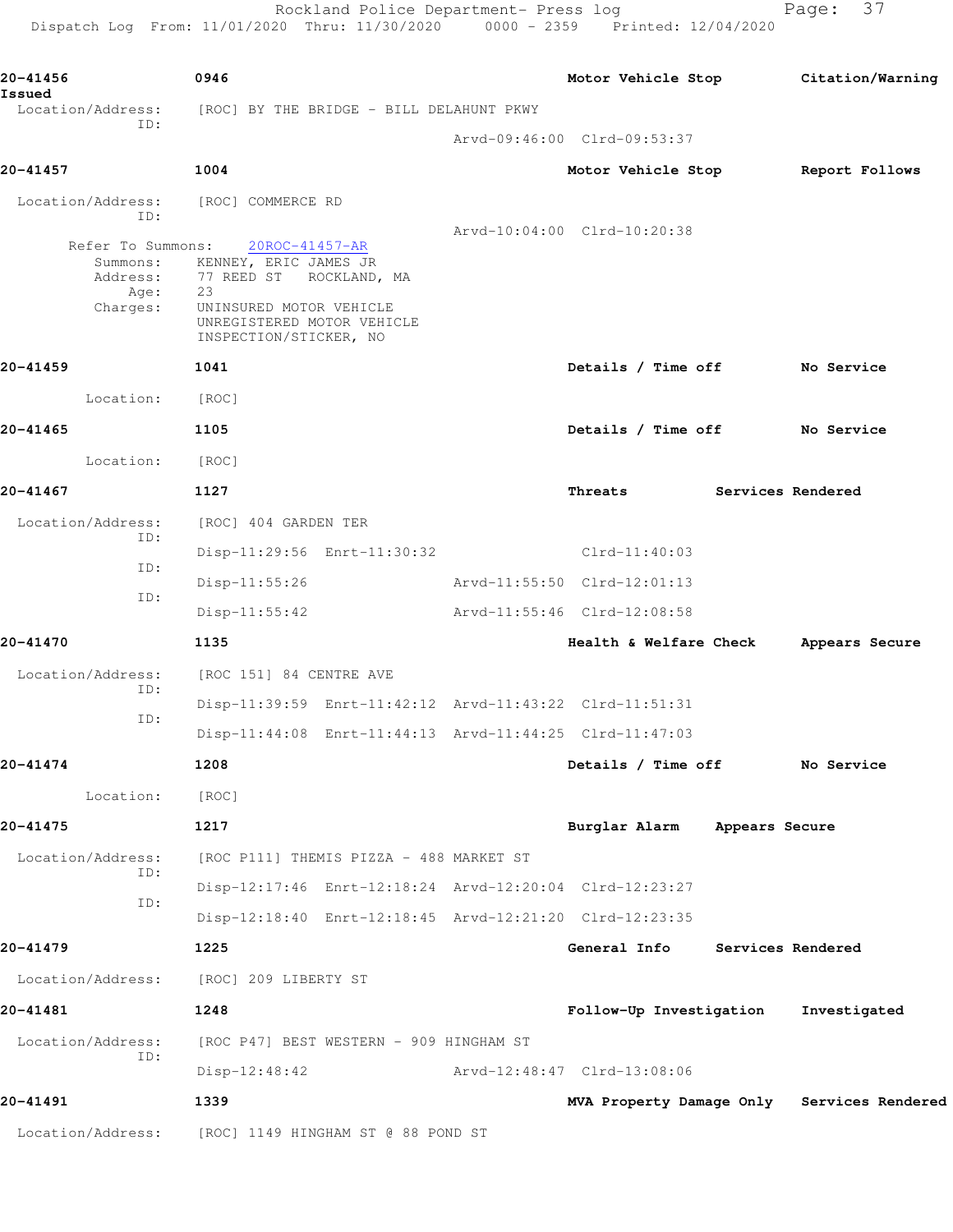Rockland Police Department- Press log entitled and Page: 37 Dispatch Log From: 11/01/2020 Thru: 11/30/2020 0000 - 2359 Printed: 12/04/2020

| 20-41456<br>Issued                                            | 0946                                                                                                                                                          |                                         | Motor Vehicle Stop                                      |                   | Citation/Warning                           |
|---------------------------------------------------------------|---------------------------------------------------------------------------------------------------------------------------------------------------------------|-----------------------------------------|---------------------------------------------------------|-------------------|--------------------------------------------|
| Location/Address:<br>ID:                                      | [ROC] BY THE BRIDGE - BILL DELAHUNT PKWY                                                                                                                      |                                         |                                                         |                   |                                            |
|                                                               |                                                                                                                                                               |                                         | Arvd-09:46:00 Clrd-09:53:37                             |                   |                                            |
| 20-41457                                                      | 1004                                                                                                                                                          |                                         | Motor Vehicle Stop                                      |                   | Report Follows                             |
| Location/Address:<br>ID:                                      | [ROC] COMMERCE RD                                                                                                                                             |                                         |                                                         |                   |                                            |
| Refer To Summons:<br>Summons:<br>Address:<br>Age:<br>Charges: | 20ROC-41457-AR<br>KENNEY, ERIC JAMES JR<br>77 REED ST – ROCKLAND, MA<br>23<br>UNINSURED MOTOR VEHICLE<br>UNREGISTERED MOTOR VEHICLE<br>INSPECTION/STICKER, NO |                                         | Arvd-10:04:00 Clrd-10:20:38                             |                   |                                            |
| 20-41459                                                      | 1041                                                                                                                                                          |                                         | Details / Time off No Service                           |                   |                                            |
| Location:                                                     | [ROC]                                                                                                                                                         |                                         |                                                         |                   |                                            |
| 20-41465                                                      | 1105                                                                                                                                                          |                                         | Details / Time off                                      |                   | No Service                                 |
| Location:                                                     | [ROC]                                                                                                                                                         |                                         |                                                         |                   |                                            |
| 20-41467                                                      | 1127                                                                                                                                                          |                                         | Threats                                                 | Services Rendered |                                            |
| Location/Address:                                             | [ROC] 404 GARDEN TER                                                                                                                                          |                                         |                                                         |                   |                                            |
| ID:                                                           |                                                                                                                                                               | Disp-11:29:56 Enrt-11:30:32             | $Clrd-11:40:03$                                         |                   |                                            |
| ID:                                                           | $Disp-11:55:26$                                                                                                                                               |                                         | Arvd-11:55:50 Clrd-12:01:13                             |                   |                                            |
| ID:                                                           | $Disp-11:55:42$                                                                                                                                               |                                         | Arvd-11:55:46 Clrd-12:08:58                             |                   |                                            |
| 20-41470                                                      | 1135                                                                                                                                                          |                                         | Health & Welfare Check                                  |                   | Appears Secure                             |
| Location/Address:                                             | [ROC 151] 84 CENTRE AVE                                                                                                                                       |                                         |                                                         |                   |                                            |
| ID:                                                           |                                                                                                                                                               |                                         | Disp-11:39:59 Enrt-11:42:12 Arvd-11:43:22 Clrd-11:51:31 |                   |                                            |
| ID:                                                           |                                                                                                                                                               |                                         | Disp-11:44:08 Enrt-11:44:13 Arvd-11:44:25 Clrd-11:47:03 |                   |                                            |
| 20-41474                                                      | 1208                                                                                                                                                          |                                         | Details / Time off                                      |                   | No Service                                 |
| Location:                                                     | [ROC]                                                                                                                                                         |                                         |                                                         |                   |                                            |
| 20-41475                                                      | 1217                                                                                                                                                          |                                         | Burglar Alarm Appears Secure                            |                   |                                            |
| Location/Address:                                             |                                                                                                                                                               | [ROC P111] THEMIS PIZZA - 488 MARKET ST |                                                         |                   |                                            |
| ID:                                                           |                                                                                                                                                               |                                         | Disp-12:17:46 Enrt-12:18:24 Arvd-12:20:04 Clrd-12:23:27 |                   |                                            |
| ID:                                                           |                                                                                                                                                               |                                         | Disp-12:18:40 Enrt-12:18:45 Arvd-12:21:20 Clrd-12:23:35 |                   |                                            |
| 20-41479                                                      | 1225                                                                                                                                                          |                                         | General Info Services Rendered                          |                   |                                            |
| Location/Address:                                             | [ROC] 209 LIBERTY ST                                                                                                                                          |                                         |                                                         |                   |                                            |
| 20-41481                                                      | 1248                                                                                                                                                          |                                         | Follow-Up Investigation                                 |                   | Investigated                               |
| Location/Address:                                             | [ROC P47] BEST WESTERN - 909 HINGHAM ST                                                                                                                       |                                         |                                                         |                   |                                            |
| ID:                                                           | $Disp-12:48:42$                                                                                                                                               |                                         | Arvd-12:48:47 Clrd-13:08:06                             |                   |                                            |
| 20-41491                                                      | 1339                                                                                                                                                          |                                         |                                                         |                   | MVA Property Damage Only Services Rendered |
| Location/Address:                                             | [ROC] 1149 HINGHAM ST @ 88 POND ST                                                                                                                            |                                         |                                                         |                   |                                            |
|                                                               |                                                                                                                                                               |                                         |                                                         |                   |                                            |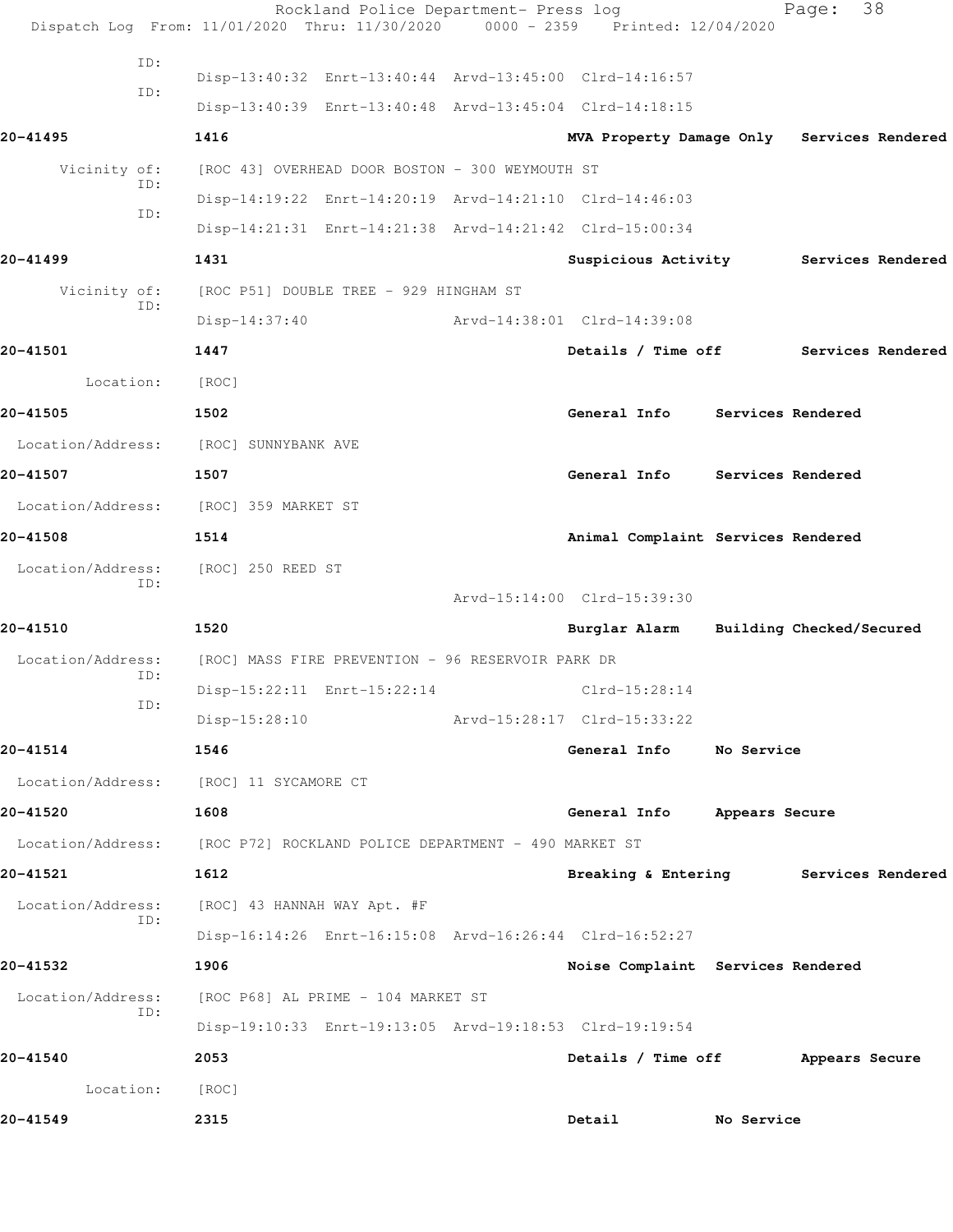|                          | Rockland Police Department- Press log<br>Dispatch Log From: 11/01/2020 Thru: 11/30/2020 0000 - 2359 Printed: 12/04/2020 |                                        |            | Page:             | 38                |
|--------------------------|-------------------------------------------------------------------------------------------------------------------------|----------------------------------------|------------|-------------------|-------------------|
| ID:<br>ID:               | Disp-13:40:32 Enrt-13:40:44 Arvd-13:45:00 Clrd-14:16:57                                                                 |                                        |            |                   |                   |
|                          | Disp-13:40:39 Enrt-13:40:48 Arvd-13:45:04 Clrd-14:18:15                                                                 |                                        |            |                   |                   |
| 20-41495                 | 1416                                                                                                                    | MVA Property Damage Only               |            |                   | Services Rendered |
| Vicinity of:<br>ID:      | [ROC 43] OVERHEAD DOOR BOSTON - 300 WEYMOUTH ST                                                                         |                                        |            |                   |                   |
| ID:                      | Disp-14:19:22 Enrt-14:20:19 Arvd-14:21:10 Clrd-14:46:03                                                                 |                                        |            |                   |                   |
|                          | Disp-14:21:31 Enrt-14:21:38 Arvd-14:21:42 Clrd-15:00:34                                                                 |                                        |            |                   |                   |
| 20-41499                 | 1431                                                                                                                    | Suspicious Activity                    |            |                   | Services Rendered |
| Vicinity of:<br>ID:      | [ROC P51] DOUBLE TREE - 929 HINGHAM ST                                                                                  |                                        |            |                   |                   |
|                          | $Disp-14:37:40$                                                                                                         | Arvd-14:38:01 Clrd-14:39:08            |            |                   |                   |
| 20-41501                 | 1447                                                                                                                    | Details / Time off                     |            |                   | Services Rendered |
| Location:                | [ROC]                                                                                                                   |                                        |            |                   |                   |
| 20-41505                 | 1502                                                                                                                    | General Info                           |            | Services Rendered |                   |
| Location/Address:        | [ROC] SUNNYBANK AVE                                                                                                     |                                        |            |                   |                   |
| 20-41507                 | 1507                                                                                                                    | General Info                           |            | Services Rendered |                   |
| Location/Address:        | [ROC] 359 MARKET ST                                                                                                     |                                        |            |                   |                   |
| 20-41508                 | 1514                                                                                                                    | Animal Complaint Services Rendered     |            |                   |                   |
| Location/Address:        | [ROC] 250 REED ST                                                                                                       |                                        |            |                   |                   |
| ID:                      |                                                                                                                         | Arvd-15:14:00 Clrd-15:39:30            |            |                   |                   |
| 20-41510                 | 1520                                                                                                                    | Burglar Alarm Building Checked/Secured |            |                   |                   |
| Location/Address:        | [ROC] MASS FIRE PREVENTION - 96 RESERVOIR PARK DR                                                                       |                                        |            |                   |                   |
| ID:                      | Disp-15:22:11 Enrt-15:22:14                                                                                             | $Clrd-15:28:14$                        |            |                   |                   |
| ID:                      | $Disp-15:28:10$                                                                                                         | Arvd-15:28:17 Clrd-15:33:22            |            |                   |                   |
| 20-41514                 | 1546                                                                                                                    | General Info                           | No Service |                   |                   |
|                          | Location/Address: [ROC] 11 SYCAMORE CT                                                                                  |                                        |            |                   |                   |
| 20-41520                 | 1608                                                                                                                    | General Info Appears Secure            |            |                   |                   |
| Location/Address:        | [ROC P72] ROCKLAND POLICE DEPARTMENT - 490 MARKET ST                                                                    |                                        |            |                   |                   |
| 20-41521                 | 1612                                                                                                                    | Breaking & Entering Services Rendered  |            |                   |                   |
|                          |                                                                                                                         |                                        |            |                   |                   |
| Location/Address:<br>ID: | [ROC] 43 HANNAH WAY Apt. #F                                                                                             |                                        |            |                   |                   |
|                          | Disp-16:14:26 Enrt-16:15:08 Arvd-16:26:44 Clrd-16:52:27                                                                 |                                        |            |                   |                   |
| 20-41532                 | 1906                                                                                                                    | Noise Complaint Services Rendered      |            |                   |                   |
| Location/Address:<br>ID: | [ROC P68] AL PRIME - 104 MARKET ST                                                                                      |                                        |            |                   |                   |
|                          | Disp-19:10:33 Enrt-19:13:05 Arvd-19:18:53 Clrd-19:19:54                                                                 |                                        |            |                   |                   |
| 20-41540                 | 2053                                                                                                                    | Details / Time off Appears Secure      |            |                   |                   |
| Location:                | [ROC]                                                                                                                   |                                        |            |                   |                   |
| 20-41549                 | 2315                                                                                                                    | Detail                                 | No Service |                   |                   |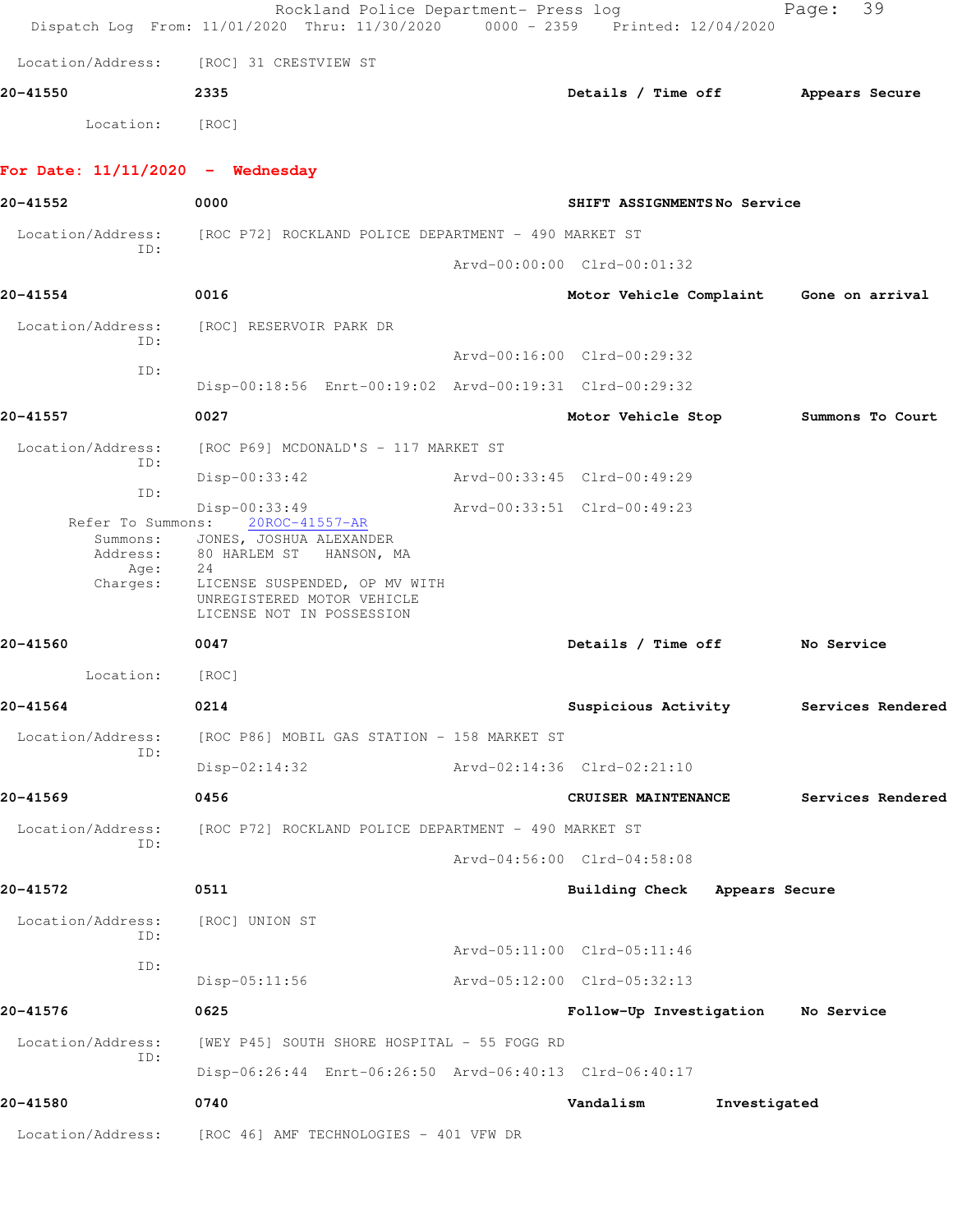|                                                          | Rockland Police Department- Press log<br>Dispatch Log From: 11/01/2020 Thru: 11/30/2020 0000 - 2359 Printed: 12/04/2020                                                                           |                                         |                | 39<br>Page:       |  |
|----------------------------------------------------------|---------------------------------------------------------------------------------------------------------------------------------------------------------------------------------------------------|-----------------------------------------|----------------|-------------------|--|
|                                                          | Location/Address: [ROC] 31 CRESTVIEW ST                                                                                                                                                           |                                         |                |                   |  |
| 20-41550                                                 | 2335                                                                                                                                                                                              | Details / Time off                      |                | Appears Secure    |  |
| Location:                                                | [ROC]                                                                                                                                                                                             |                                         |                |                   |  |
| For Date: $11/11/2020 -$ Wednesday                       |                                                                                                                                                                                                   |                                         |                |                   |  |
| 20-41552                                                 | 0000                                                                                                                                                                                              | SHIFT ASSIGNMENTSNo Service             |                |                   |  |
| Location/Address:                                        | [ROC P72] ROCKLAND POLICE DEPARTMENT - 490 MARKET ST                                                                                                                                              |                                         |                |                   |  |
| TD:                                                      |                                                                                                                                                                                                   | Arvd-00:00:00 Clrd-00:01:32             |                |                   |  |
| 20-41554                                                 | 0016                                                                                                                                                                                              | Motor Vehicle Complaint Gone on arrival |                |                   |  |
| Location/Address:                                        | [ROC] RESERVOIR PARK DR                                                                                                                                                                           |                                         |                |                   |  |
| ID:                                                      |                                                                                                                                                                                                   | Arvd-00:16:00 Clrd-00:29:32             |                |                   |  |
| ID:                                                      | Disp-00:18:56 Enrt-00:19:02 Arvd-00:19:31 Clrd-00:29:32                                                                                                                                           |                                         |                |                   |  |
| 20-41557                                                 | 0027                                                                                                                                                                                              | Motor Vehicle Stop                      |                | Summons To Court  |  |
| Location/Address:                                        | [ROC P69] MCDONALD'S - 117 MARKET ST                                                                                                                                                              |                                         |                |                   |  |
| ID:                                                      | Disp-00:33:42                                                                                                                                                                                     | Arvd-00:33:45 Clrd-00:49:29             |                |                   |  |
| ID:<br>Refer To Summons:<br>Address:<br>Age:<br>Charges: | Disp-00:33:49<br>20ROC-41557-AR<br>Summons: JONES, JOSHUA ALEXANDER<br>80 HARLEM STA HANSON, MA<br>24<br>LICENSE SUSPENDED, OP MV WITH<br>UNREGISTERED MOTOR VEHICLE<br>LICENSE NOT IN POSSESSION | Arvd-00:33:51 Clrd-00:49:23             |                |                   |  |
| 20-41560                                                 | 0047                                                                                                                                                                                              | Details / Time off No Service           |                |                   |  |
| Location:                                                | [ROC]                                                                                                                                                                                             |                                         |                |                   |  |
| 20-41564                                                 | 0214                                                                                                                                                                                              | Suspicious Activity                     |                | Services Rendered |  |
| Location/Address:                                        | [ROC P86] MOBIL GAS STATION - 158 MARKET ST                                                                                                                                                       |                                         |                |                   |  |
| ID:                                                      | $Disp-02:14:32$                                                                                                                                                                                   | Arvd-02:14:36 Clrd-02:21:10             |                |                   |  |
| 20-41569                                                 | 0456                                                                                                                                                                                              | CRUISER MAINTENANCE                     |                | Services Rendered |  |
| Location/Address:                                        | [ROC P72] ROCKLAND POLICE DEPARTMENT - 490 MARKET ST                                                                                                                                              |                                         |                |                   |  |
| ID:                                                      |                                                                                                                                                                                                   | Arvd-04:56:00 Clrd-04:58:08             |                |                   |  |
| 20-41572                                                 | 0511                                                                                                                                                                                              | <b>Building Check</b>                   | Appears Secure |                   |  |
| Location/Address:<br>ID:                                 | [ROC] UNION ST                                                                                                                                                                                    |                                         |                |                   |  |
| ID:                                                      |                                                                                                                                                                                                   | Arvd-05:11:00 Clrd-05:11:46             |                |                   |  |
|                                                          | $Disp-05:11:56$                                                                                                                                                                                   | Arvd-05:12:00 Clrd-05:32:13             |                |                   |  |
| 20-41576                                                 | 0625                                                                                                                                                                                              | Follow-Up Investigation                 |                | No Service        |  |
| Location/Address:<br>ID:                                 | [WEY P45] SOUTH SHORE HOSPITAL - 55 FOGG RD                                                                                                                                                       |                                         |                |                   |  |
|                                                          | Disp-06:26:44 Enrt-06:26:50 Arvd-06:40:13 Clrd-06:40:17                                                                                                                                           |                                         |                |                   |  |
| 20-41580                                                 | 0740                                                                                                                                                                                              | Vandalism                               | Investigated   |                   |  |
| Location/Address:                                        | [ROC 46] AMF TECHNOLOGIES - 401 VFW DR                                                                                                                                                            |                                         |                |                   |  |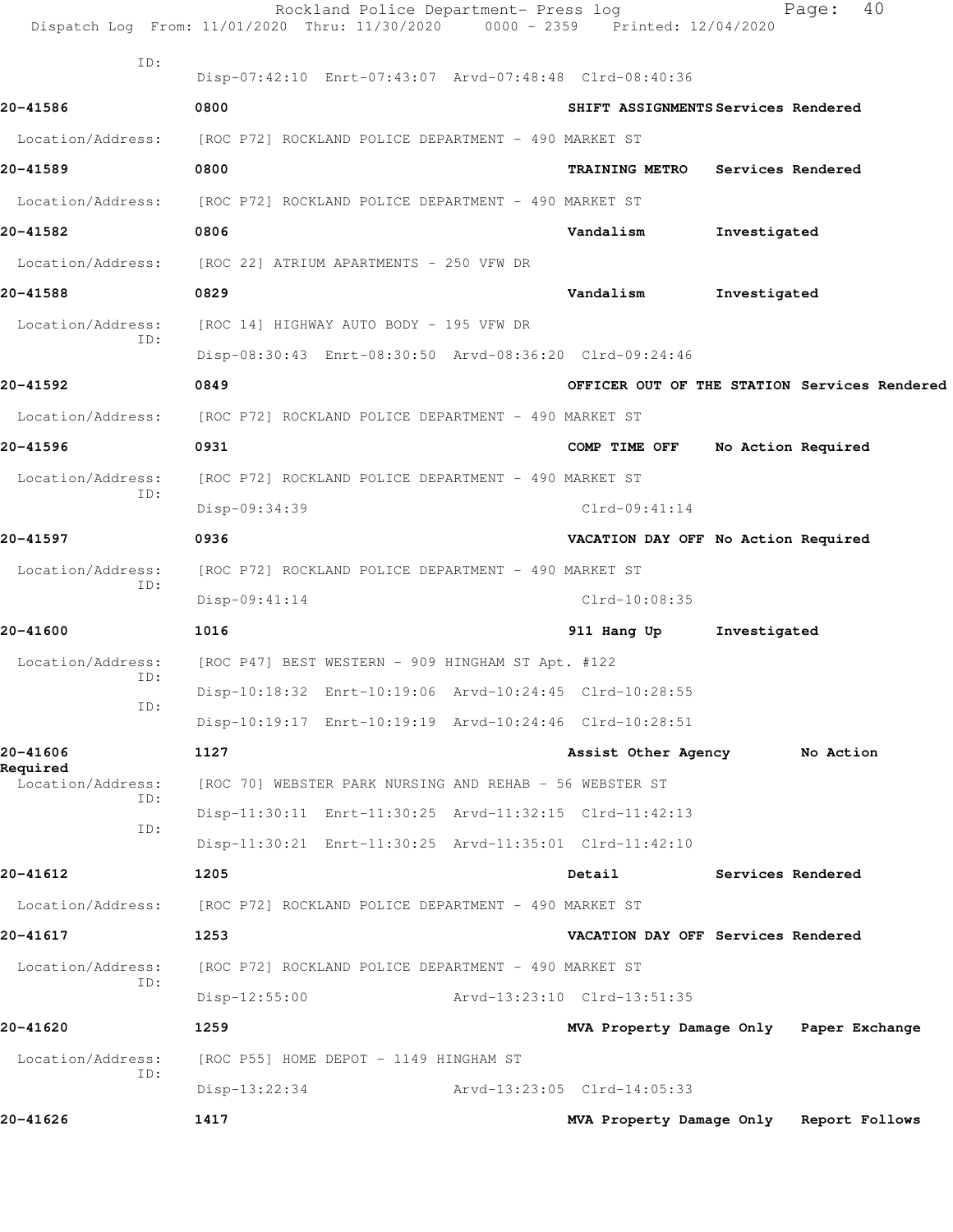|                          | Rockland Police Department- Press log<br>Dispatch Log From: 11/01/2020 Thru: 11/30/2020 0000 - 2359 Printed: 12/04/2020 |                             | 40<br>Page:                                  |
|--------------------------|-------------------------------------------------------------------------------------------------------------------------|-----------------------------|----------------------------------------------|
| ID:                      | Disp-07:42:10 Enrt-07:43:07 Arvd-07:48:48 Clrd-08:40:36                                                                 |                             |                                              |
| 20-41586                 | 0800                                                                                                                    |                             | SHIFT ASSIGNMENTS Services Rendered          |
| Location/Address:        | [ROC P72] ROCKLAND POLICE DEPARTMENT - 490 MARKET ST                                                                    |                             |                                              |
| 20-41589                 | 0800                                                                                                                    | <b>TRAINING METRO</b>       | Services Rendered                            |
| Location/Address:        | [ROC P72] ROCKLAND POLICE DEPARTMENT - 490 MARKET ST                                                                    |                             |                                              |
| 20-41582                 | 0806                                                                                                                    | Vandalism                   | Investigated                                 |
| Location/Address:        | [ROC 22] ATRIUM APARTMENTS - 250 VFW DR                                                                                 |                             |                                              |
| 20-41588                 | 0829                                                                                                                    | Vandalism                   | Investigated                                 |
| Location/Address:        | [ROC 14] HIGHWAY AUTO BODY - 195 VFW DR                                                                                 |                             |                                              |
| ID:                      | Disp-08:30:43 Enrt-08:30:50 Arvd-08:36:20 Clrd-09:24:46                                                                 |                             |                                              |
| 20-41592                 | 0849                                                                                                                    |                             | OFFICER OUT OF THE STATION Services Rendered |
| Location/Address:        | [ROC P72] ROCKLAND POLICE DEPARTMENT - 490 MARKET ST                                                                    |                             |                                              |
| 20-41596                 | 0931                                                                                                                    | COMP TIME OFF               | No Action Required                           |
| Location/Address:        | [ROC P72] ROCKLAND POLICE DEPARTMENT - 490 MARKET ST                                                                    |                             |                                              |
| ID:                      | Disp-09:34:39                                                                                                           | $Clrd-09:41:14$             |                                              |
| 20-41597                 | 0936                                                                                                                    |                             | VACATION DAY OFF No Action Required          |
| Location/Address:        | [ROC P72] ROCKLAND POLICE DEPARTMENT - 490 MARKET ST                                                                    |                             |                                              |
| ID:                      | $Disp-09:41:14$                                                                                                         | Clrd-10:08:35               |                                              |
| 20-41600                 | 1016                                                                                                                    | 911 Hang Up                 | Investigated                                 |
| Location/Address:        | [ROC P47] BEST WESTERN - 909 HINGHAM ST Apt. #122                                                                       |                             |                                              |
| ID:<br>ID:               | Disp-10:18:32 Enrt-10:19:06 Arvd-10:24:45 Clrd-10:28:55                                                                 |                             |                                              |
|                          | Disp-10:19:17 Enrt-10:19:19 Arvd-10:24:46 Clrd-10:28:51                                                                 |                             |                                              |
| 20-41606<br>Required     | 1127                                                                                                                    | Assist Other Agency         | No Action                                    |
| Location/Address:<br>ID: | [ROC 70] WEBSTER PARK NURSING AND REHAB - 56 WEBSTER ST                                                                 |                             |                                              |
| ID:                      | Disp-11:30:11 Enrt-11:30:25 Arvd-11:32:15 Clrd-11:42:13                                                                 |                             |                                              |
|                          | Disp-11:30:21 Enrt-11:30:25 Arvd-11:35:01 Clrd-11:42:10                                                                 |                             |                                              |
| 20-41612                 | 1205                                                                                                                    | Detail                      | Services Rendered                            |
| Location/Address:        | [ROC P72] ROCKLAND POLICE DEPARTMENT - 490 MARKET ST                                                                    |                             |                                              |
| 20-41617                 | 1253                                                                                                                    |                             | VACATION DAY OFF Services Rendered           |
| Location/Address:<br>ID: | [ROC P72] ROCKLAND POLICE DEPARTMENT - 490 MARKET ST                                                                    |                             |                                              |
|                          | $Disp-12:55:00$                                                                                                         | Arvd-13:23:10 Clrd-13:51:35 |                                              |
| 20-41620                 | 1259                                                                                                                    |                             | MVA Property Damage Only Paper Exchange      |
| Location/Address:<br>ID: | [ROC P55] HOME DEPOT - 1149 HINGHAM ST                                                                                  |                             |                                              |
|                          | Disp-13:22:34                                                                                                           | Arvd-13:23:05 Clrd-14:05:33 |                                              |
| 20-41626                 | 1417                                                                                                                    |                             | MVA Property Damage Only Report Follows      |
|                          |                                                                                                                         |                             |                                              |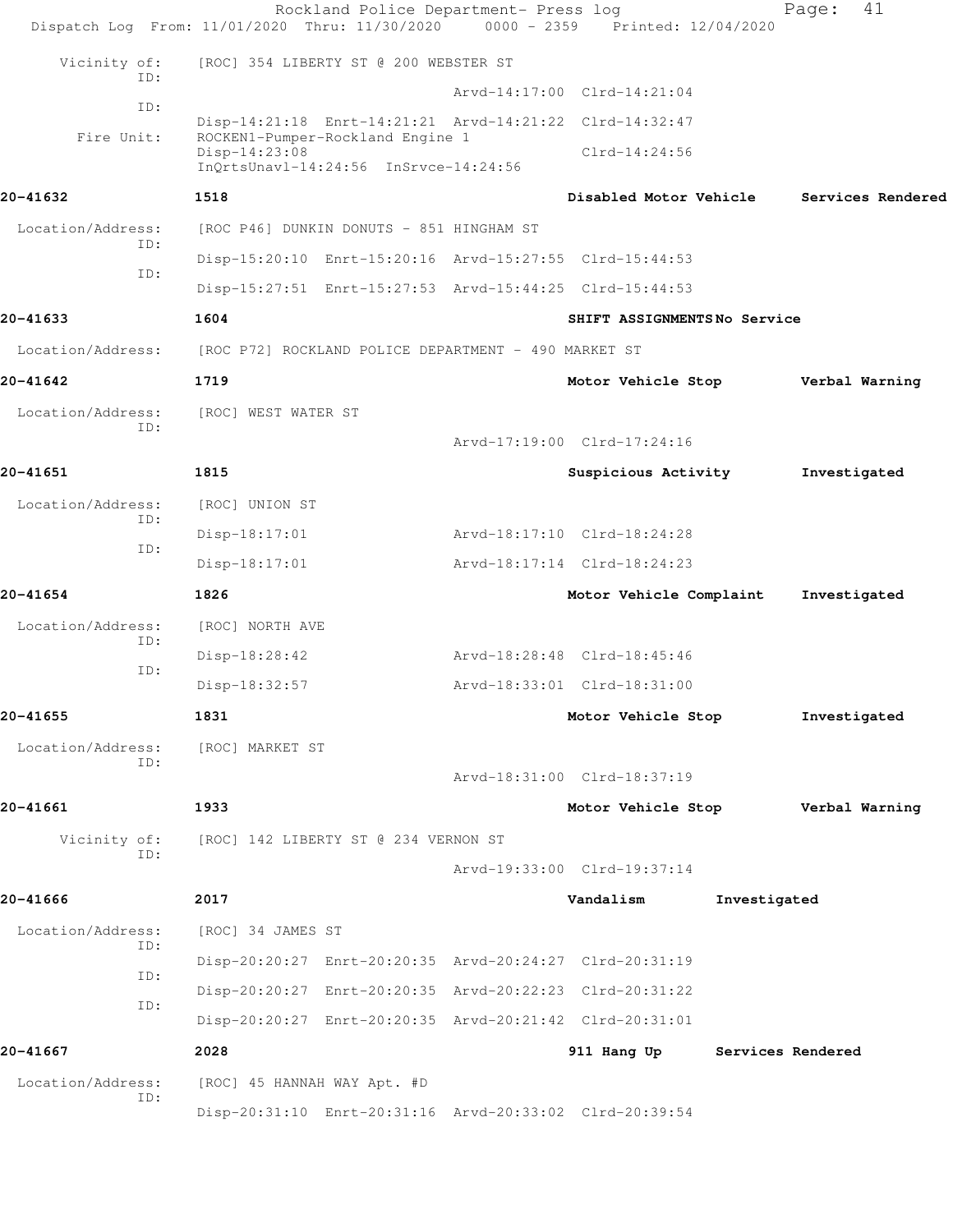|                   | Rockland Police Department- Press log<br>Dispatch Log From: 11/01/2020 Thru: 11/30/2020    | 0000 - 2359 Printed: 12/04/2020 |              | 41<br>Page:       |
|-------------------|--------------------------------------------------------------------------------------------|---------------------------------|--------------|-------------------|
| Vicinity of:      | [ROC] 354 LIBERTY ST @ 200 WEBSTER ST                                                      |                                 |              |                   |
| TD:               |                                                                                            | Arvd-14:17:00 Clrd-14:21:04     |              |                   |
| ID:               | Disp-14:21:18 Enrt-14:21:21 Arvd-14:21:22 Clrd-14:32:47                                    |                                 |              |                   |
| Fire Unit:        | ROCKEN1-Pumper-Rockland Engine 1<br>Disp-14:23:08<br>InQrtsUnavl-14:24:56 InSrvce-14:24:56 | $Clrd-14:24:56$                 |              |                   |
| 20-41632          | 1518                                                                                       | Disabled Motor Vehicle          |              | Services Rendered |
| Location/Address: | [ROC P46] DUNKIN DONUTS - 851 HINGHAM ST                                                   |                                 |              |                   |
| ID:               | Disp-15:20:10 Enrt-15:20:16 Arvd-15:27:55 Clrd-15:44:53                                    |                                 |              |                   |
| ID:               | Disp-15:27:51 Enrt-15:27:53 Arvd-15:44:25 Clrd-15:44:53                                    |                                 |              |                   |
| 20-41633          | 1604                                                                                       | SHIFT ASSIGNMENTSNo Service     |              |                   |
| Location/Address: | [ROC P72] ROCKLAND POLICE DEPARTMENT - 490 MARKET ST                                       |                                 |              |                   |
| 20-41642          | 1719                                                                                       | Motor Vehicle Stop              |              | Verbal Warning    |
| Location/Address: | [ROC] WEST WATER ST                                                                        |                                 |              |                   |
| ID:               |                                                                                            | Arvd-17:19:00 Clrd-17:24:16     |              |                   |
| 20-41651          | 1815                                                                                       | Suspicious Activity             |              | Investigated      |
| Location/Address: | [ROC] UNION ST                                                                             |                                 |              |                   |
| ID:               | $Disp-18:17:01$                                                                            | Arvd-18:17:10 Clrd-18:24:28     |              |                   |
| ID:               | $Disp-18:17:01$                                                                            | Arvd-18:17:14 Clrd-18:24:23     |              |                   |
| 20-41654          | 1826                                                                                       | Motor Vehicle Complaint         |              | Investigated      |
| Location/Address: | [ROC] NORTH AVE                                                                            |                                 |              |                   |
| ID:               | $Disp-18:28:42$                                                                            | Arvd-18:28:48 Clrd-18:45:46     |              |                   |
| ID:               | Disp-18:32:57                                                                              | Arvd-18:33:01 Clrd-18:31:00     |              |                   |
| 20-41655          | 1831                                                                                       | Motor Vehicle Stop              |              | Investigated      |
| Location/Address: | [ROC] MARKET ST                                                                            |                                 |              |                   |
| ID:               |                                                                                            | Arvd-18:31:00 Clrd-18:37:19     |              |                   |
| 20-41661          | 1933                                                                                       | Motor Vehicle Stop              |              | Verbal Warning    |
| Vicinity of:      | [ROC] 142 LIBERTY ST @ 234 VERNON ST                                                       |                                 |              |                   |
| ID:               |                                                                                            | Arvd-19:33:00 Clrd-19:37:14     |              |                   |
| 20-41666          | 2017                                                                                       | Vandalism                       | Investigated |                   |
| Location/Address: | [ROC] 34 JAMES ST                                                                          |                                 |              |                   |
| ID:               | Disp-20:20:27 Enrt-20:20:35 Arvd-20:24:27 Clrd-20:31:19                                    |                                 |              |                   |
| ID:               | Disp-20:20:27 Enrt-20:20:35 Arvd-20:22:23 Clrd-20:31:22                                    |                                 |              |                   |
| ID:               | Disp-20:20:27 Enrt-20:20:35 Arvd-20:21:42 Clrd-20:31:01                                    |                                 |              |                   |
| 20-41667          | 2028                                                                                       | 911 Hang Up                     |              | Services Rendered |
| Location/Address: | [ROC] 45 HANNAH WAY Apt. #D                                                                |                                 |              |                   |
| ID:               | Disp-20:31:10 Enrt-20:31:16 Arvd-20:33:02 Clrd-20:39:54                                    |                                 |              |                   |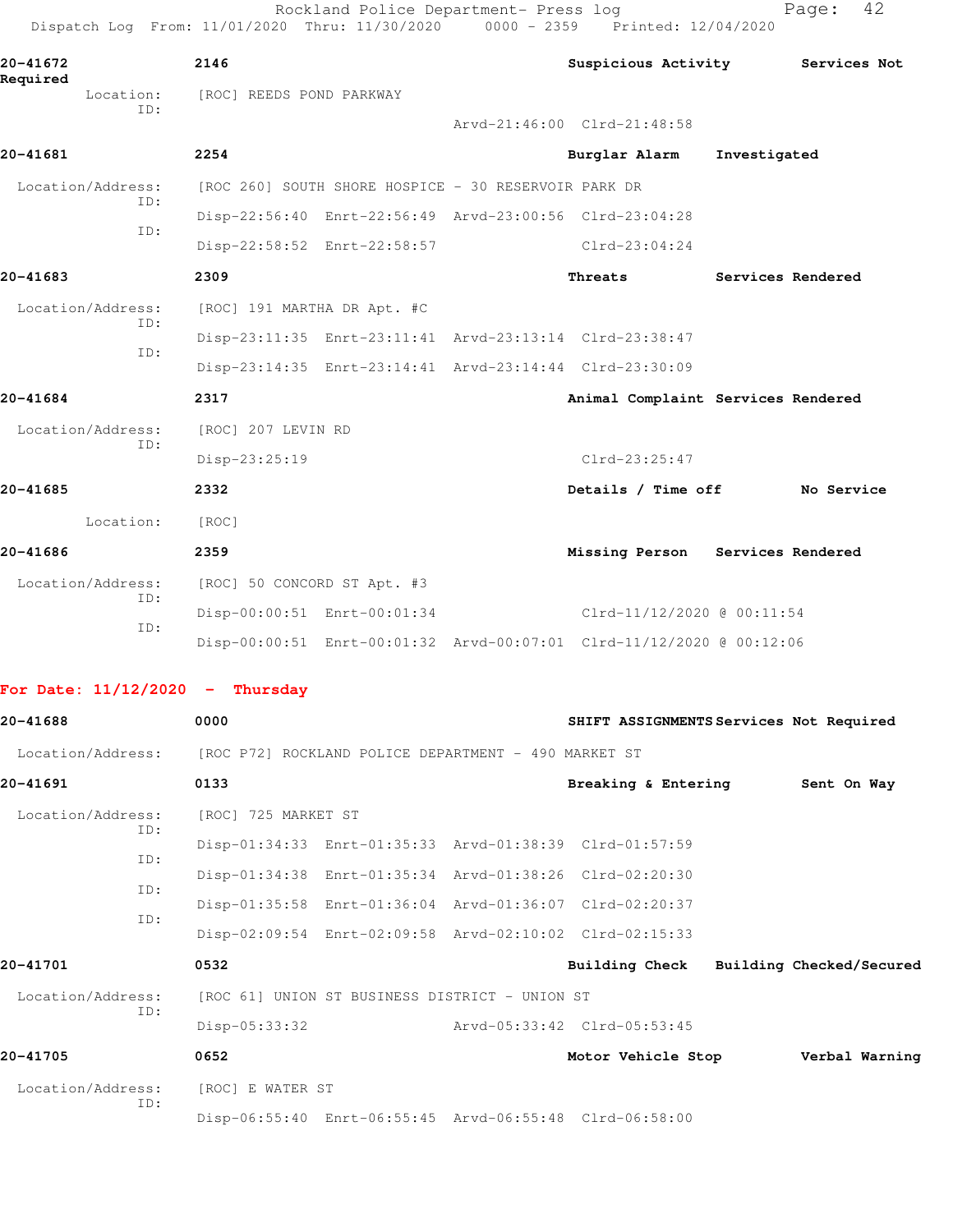| 20-41672              |            | 2146                                                 |                                                      | <b>Suspicious Activity</b>                                           |              | Services Not             |
|-----------------------|------------|------------------------------------------------------|------------------------------------------------------|----------------------------------------------------------------------|--------------|--------------------------|
| Required<br>Location: |            | [ROC] REEDS POND PARKWAY                             |                                                      |                                                                      |              |                          |
|                       | ID:        |                                                      |                                                      | Arvd-21:46:00 Clrd-21:48:58                                          |              |                          |
| 20-41681              |            | 2254                                                 |                                                      | Burglar Alarm                                                        | Investigated |                          |
| Location/Address:     |            |                                                      | [ROC 260] SOUTH SHORE HOSPICE - 30 RESERVOIR PARK DR |                                                                      |              |                          |
|                       | ID:        |                                                      |                                                      | Disp-22:56:40 Enrt-22:56:49 Arvd-23:00:56 Clrd-23:04:28              |              |                          |
|                       | ID:        |                                                      | Disp-22:58:52 Enrt-22:58:57                          | $Clrd-23:04:24$                                                      |              |                          |
| 20-41683              |            | 2309                                                 |                                                      | Threats                                                              |              | Services Rendered        |
| Location/Address:     |            | [ROC] 191 MARTHA DR Apt. #C                          |                                                      |                                                                      |              |                          |
|                       | ID:        |                                                      |                                                      | Disp-23:11:35 Enrt-23:11:41 Arvd-23:13:14 Clrd-23:38:47              |              |                          |
|                       | ID:        |                                                      |                                                      | Disp-23:14:35 Enrt-23:14:41 Arvd-23:14:44 Clrd-23:30:09              |              |                          |
| 20-41684              |            | 2317                                                 |                                                      | Animal Complaint Services Rendered                                   |              |                          |
| Location/Address:     |            | [ROC] 207 LEVIN RD                                   |                                                      |                                                                      |              |                          |
|                       | ID:        | Disp-23:25:19                                        |                                                      | $Clrd-23:25:47$                                                      |              |                          |
| 20-41685              |            | 2332                                                 |                                                      | Details / Time off                                                   |              | No Service               |
| Location:             |            | [ROC]                                                |                                                      |                                                                      |              |                          |
| 20-41686              |            | 2359                                                 |                                                      | Missing Person Services Rendered                                     |              |                          |
| Location/Address:     |            | [ROC] 50 CONCORD ST Apt. #3                          |                                                      |                                                                      |              |                          |
|                       | ID:        |                                                      | Disp-00:00:51 Enrt-00:01:34                          | Clrd-11/12/2020 @ 00:11:54                                           |              |                          |
|                       | ID:        |                                                      |                                                      | Disp-00:00:51 Enrt-00:01:32 Arvd-00:07:01 Clrd-11/12/2020 @ 00:12:06 |              |                          |
|                       |            | For Date: $11/12/2020$ - Thursday                    |                                                      |                                                                      |              |                          |
| 20-41688              |            | 0000                                                 |                                                      | SHIFT ASSIGNMENTS Services Not Required                              |              |                          |
| Location/Address:     |            | [ROC P72] ROCKLAND POLICE DEPARTMENT - 490 MARKET ST |                                                      |                                                                      |              |                          |
| 20-41691              |            | 0133                                                 |                                                      | Breaking & Entering                                                  |              | Sent On Way              |
| Location/Address:     |            | [ROC] 725 MARKET ST                                  |                                                      |                                                                      |              |                          |
|                       | ID:        |                                                      |                                                      | Disp-01:34:33 Enrt-01:35:33 Arvd-01:38:39 Clrd-01:57:59              |              |                          |
|                       | ID:        |                                                      |                                                      | Disp-01:34:38 Enrt-01:35:34 Arvd-01:38:26 Clrd-02:20:30              |              |                          |
|                       | ID:<br>ID: |                                                      |                                                      | Disp-01:35:58 Enrt-01:36:04 Arvd-01:36:07 Clrd-02:20:37              |              |                          |
|                       |            |                                                      |                                                      | Disp-02:09:54 Enrt-02:09:58 Arvd-02:10:02 Clrd-02:15:33              |              |                          |
| 20-41701              |            | 0532                                                 |                                                      | <b>Building Check</b>                                                |              | Building Checked/Secured |
| Location/Address:     |            |                                                      | [ROC 61] UNION ST BUSINESS DISTRICT - UNION ST       |                                                                      |              |                          |
|                       | ID:        | Disp-05:33:32                                        |                                                      | Arvd-05:33:42 Clrd-05:53:45                                          |              |                          |
| 20-41705              |            | 0652                                                 |                                                      | Motor Vehicle Stop                                                   |              | Verbal Warning           |
|                       |            | Location/Address: [ROC] E WATER ST                   |                                                      |                                                                      |              |                          |

Disp-06:55:40 Enrt-06:55:45 Arvd-06:55:48 Clrd-06:58:00

ID: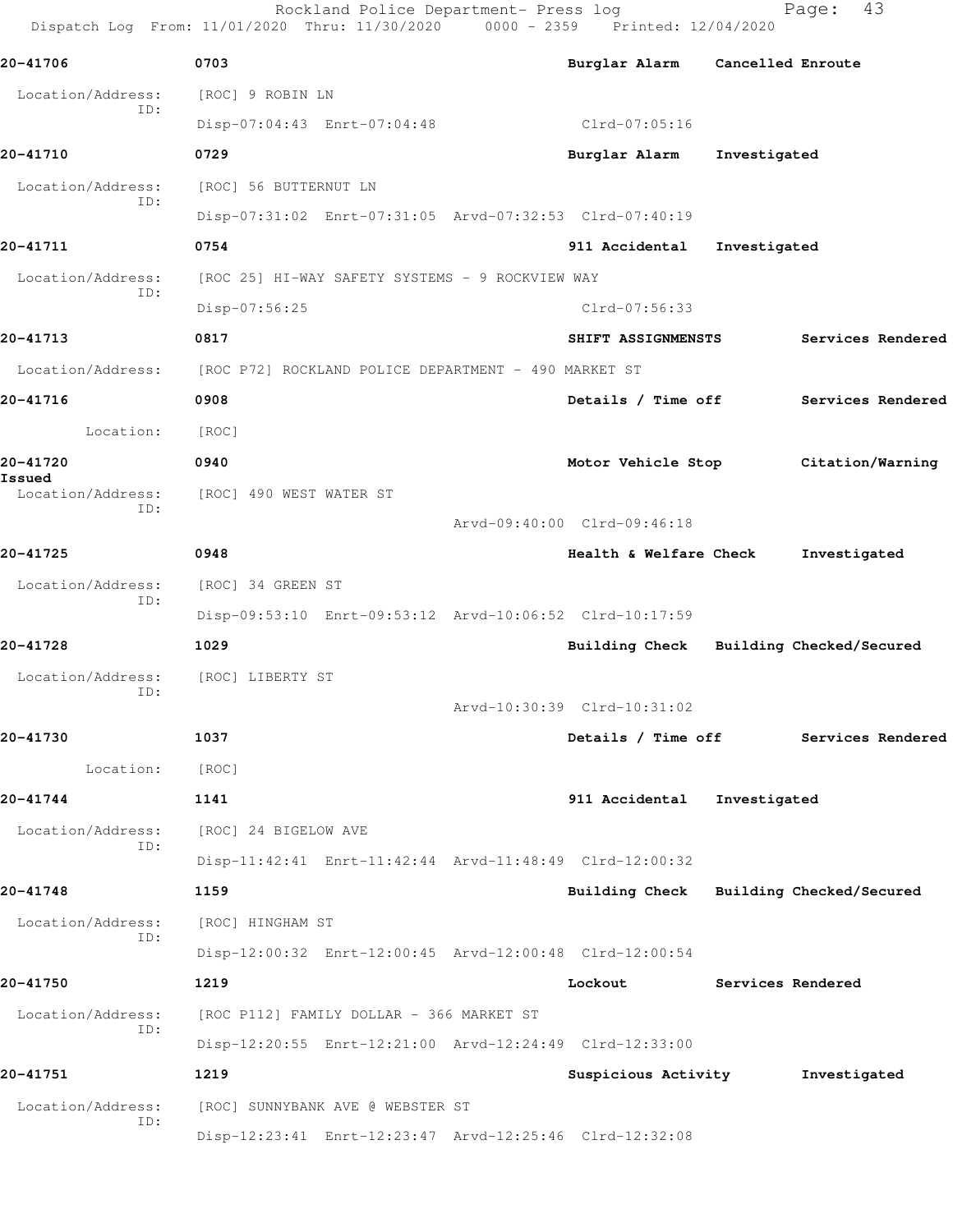|                             | Rockland Police Department- Press log<br>Dispatch Log From: 11/01/2020 Thru: 11/30/2020 0000 - 2359 Printed: 12/04/2020 |                                         | 43<br>Page:       |
|-----------------------------|-------------------------------------------------------------------------------------------------------------------------|-----------------------------------------|-------------------|
| 20-41706                    | 0703                                                                                                                    | Burglar Alarm Cancelled Enroute         |                   |
| Location/Address:           | [ROC] 9 ROBIN LN                                                                                                        |                                         |                   |
| ID:                         | Disp-07:04:43 Enrt-07:04:48                                                                                             | Clrd-07:05:16                           |                   |
| 20-41710                    | 0729                                                                                                                    | Burglar Alarm                           | Investigated      |
| Location/Address:           | [ROC] 56 BUTTERNUT LN                                                                                                   |                                         |                   |
| ID:                         | Disp-07:31:02 Enrt-07:31:05 Arvd-07:32:53 Clrd-07:40:19                                                                 |                                         |                   |
| 20-41711                    | 0754                                                                                                                    | 911 Accidental                          | Investigated      |
| Location/Address:           | [ROC 25] HI-WAY SAFETY SYSTEMS - 9 ROCKVIEW WAY                                                                         |                                         |                   |
| ID:                         | Disp-07:56:25                                                                                                           | Clrd-07:56:33                           |                   |
| 20-41713                    | 0817                                                                                                                    | SHIFT ASSIGNMENSTS                      | Services Rendered |
| Location/Address:           | [ROC P72] ROCKLAND POLICE DEPARTMENT - 490 MARKET ST                                                                    |                                         |                   |
| 20-41716                    | 0908                                                                                                                    | Details / Time off                      | Services Rendered |
| Location:                   | [ROC]                                                                                                                   |                                         |                   |
| 20-41720                    | 0940                                                                                                                    | Motor Vehicle Stop                      | Citation/Warning  |
| Issued<br>Location/Address: | [ROC] 490 WEST WATER ST                                                                                                 |                                         |                   |
| ID:                         |                                                                                                                         | Arvd-09:40:00 Clrd-09:46:18             |                   |
| 20-41725                    | 0948                                                                                                                    | Health & Welfare Check                  | Investigated      |
| Location/Address:           | [ROC] 34 GREEN ST                                                                                                       |                                         |                   |
| ID:                         | Disp-09:53:10 Enrt-09:53:12 Arvd-10:06:52 Clrd-10:17:59                                                                 |                                         |                   |
| 20-41728                    | 1029                                                                                                                    | Building Check Building Checked/Secured |                   |
| Location/Address:           | [ROC] LIBERTY ST                                                                                                        |                                         |                   |
| ID:                         |                                                                                                                         | Arvd-10:30:39 Clrd-10:31:02             |                   |
| 20-41730                    | 1037                                                                                                                    | Details / Time off                      | Services Rendered |
| Location:                   | [ROC]                                                                                                                   |                                         |                   |
| 20-41744                    | 1141                                                                                                                    | 911 Accidental                          | Investigated      |
| Location/Address:<br>ID:    | [ROC] 24 BIGELOW AVE                                                                                                    |                                         |                   |
|                             | Disp-11:42:41 Enrt-11:42:44 Arvd-11:48:49 Clrd-12:00:32                                                                 |                                         |                   |
| 20-41748                    | 1159                                                                                                                    | Building Check Building Checked/Secured |                   |
| Location/Address:<br>ID:    | [ROC] HINGHAM ST                                                                                                        |                                         |                   |
|                             | Disp-12:00:32 Enrt-12:00:45 Arvd-12:00:48 Clrd-12:00:54                                                                 |                                         |                   |
| 20-41750                    | 1219                                                                                                                    | Lockout                                 | Services Rendered |
| Location/Address:<br>ID:    | [ROC P112] FAMILY DOLLAR - 366 MARKET ST                                                                                |                                         |                   |
|                             | Disp-12:20:55 Enrt-12:21:00 Arvd-12:24:49 Clrd-12:33:00                                                                 |                                         |                   |
| 20-41751                    | 1219                                                                                                                    | Suspicious Activity                     | Investigated      |
| Location/Address:<br>ID:    | [ROC] SUNNYBANK AVE @ WEBSTER ST                                                                                        |                                         |                   |
|                             | Disp-12:23:41 Enrt-12:23:47 Arvd-12:25:46 Clrd-12:32:08                                                                 |                                         |                   |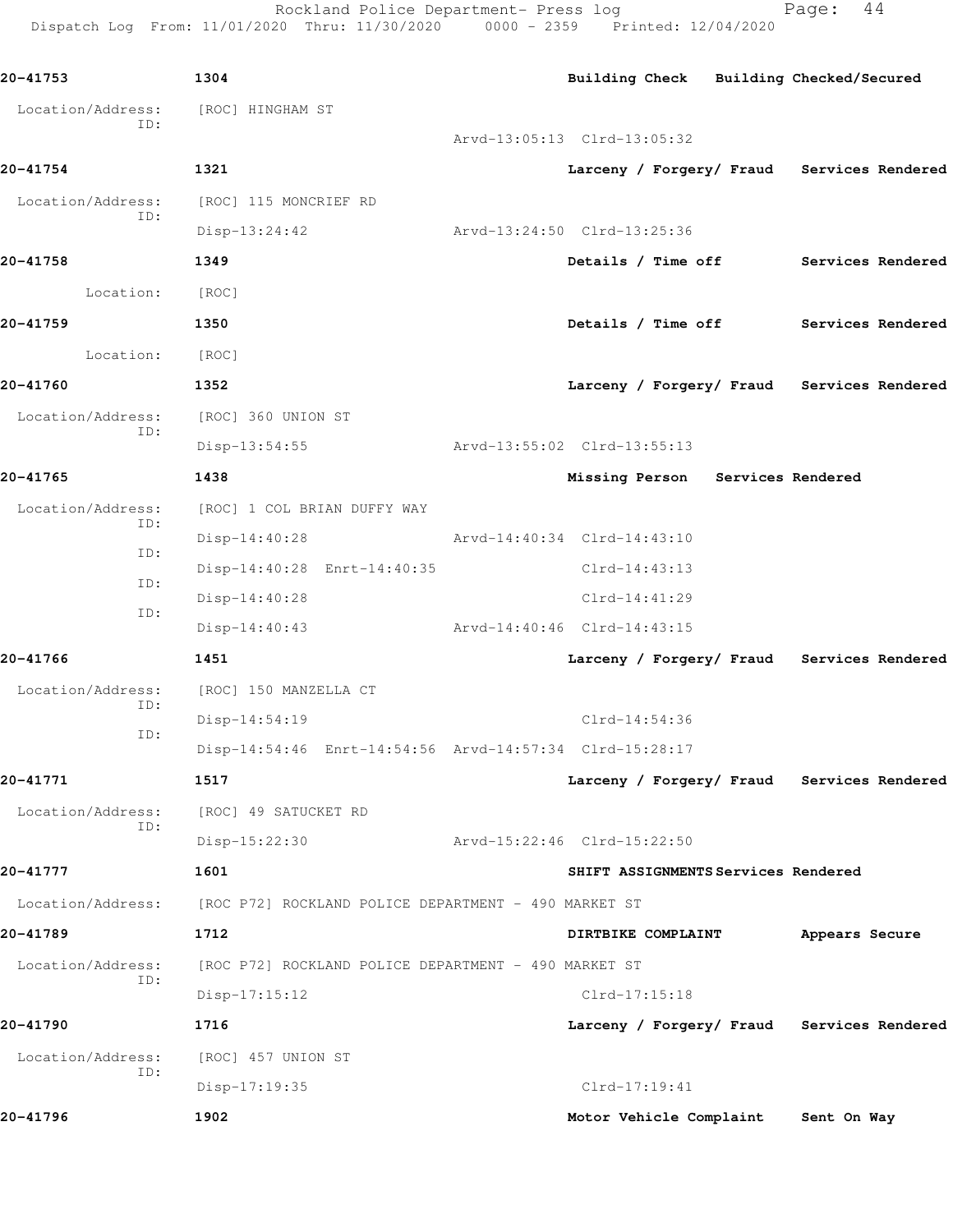Rockland Police Department- Press log Fage: 44 Dispatch Log From: 11/01/2020 Thru: 11/30/2020 0000 - 2359 Printed: 12/04/2020

**20-41753 1304 Building Check Building Checked/Secured** Location/Address: [ROC] HINGHAM ST ID: Arvd-13:05:13 Clrd-13:05:32 **20-41754 1321 Larceny / Forgery/ Fraud Services Rendered** Location/Address: [ROC] 115 MONCRIEF RD ID: Disp-13:24:42 Arvd-13:24:50 Clrd-13:25:36 **20-41758 1349 Details / Time off Services Rendered** Location: [ROC] **20-41759 1350 Details / Time off Services Rendered** Location: [ROC] **20-41760 1352 Larceny / Forgery/ Fraud Services Rendered** Location/Address: [ROC] 360 UNION ST ID: Disp-13:54:55 Arvd-13:55:02 Clrd-13:55:13 **20-41765 1438 Missing Person Services Rendered** Location/Address: [ROC] 1 COL BRIAN DUFFY WAY ID: Disp-14:40:28 Arvd-14:40:34 Clrd-14:43:10 ID: Disp-14:40:28 Enrt-14:40:35 Clrd-14:43:13 ID: Disp-14:40:28 Clrd-14:41:29 ID: Disp-14:40:43 Arvd-14:40:46 Clrd-14:43:15 **20-41766 1451 Larceny / Forgery/ Fraud Services Rendered** Location/Address: [ROC] 150 MANZELLA CT ID: Disp-14:54:19 Clrd-14:54:36 ID: Disp-14:54:46 Enrt-14:54:56 Arvd-14:57:34 Clrd-15:28:17 **20-41771 1517 Larceny / Forgery/ Fraud Services Rendered** Location/Address: [ROC] 49 SATUCKET RD ID: Disp-15:22:30 Arvd-15:22:46 Clrd-15:22:50 **20-41777 1601 SHIFT ASSIGNMENTS Services Rendered** Location/Address: [ROC P72] ROCKLAND POLICE DEPARTMENT - 490 MARKET ST **20-41789 1712 DIRTBIKE COMPLAINT Appears Secure** Location/Address: [ROC P72] ROCKLAND POLICE DEPARTMENT - 490 MARKET ST ID: Disp-17:15:12 Clrd-17:15:18 **20-41790 1716 Larceny / Forgery/ Fraud Services Rendered** Location/Address: [ROC] 457 UNION ST ID: Disp-17:19:35 Clrd-17:19:41 **20-41796 1902 Motor Vehicle Complaint Sent On Way**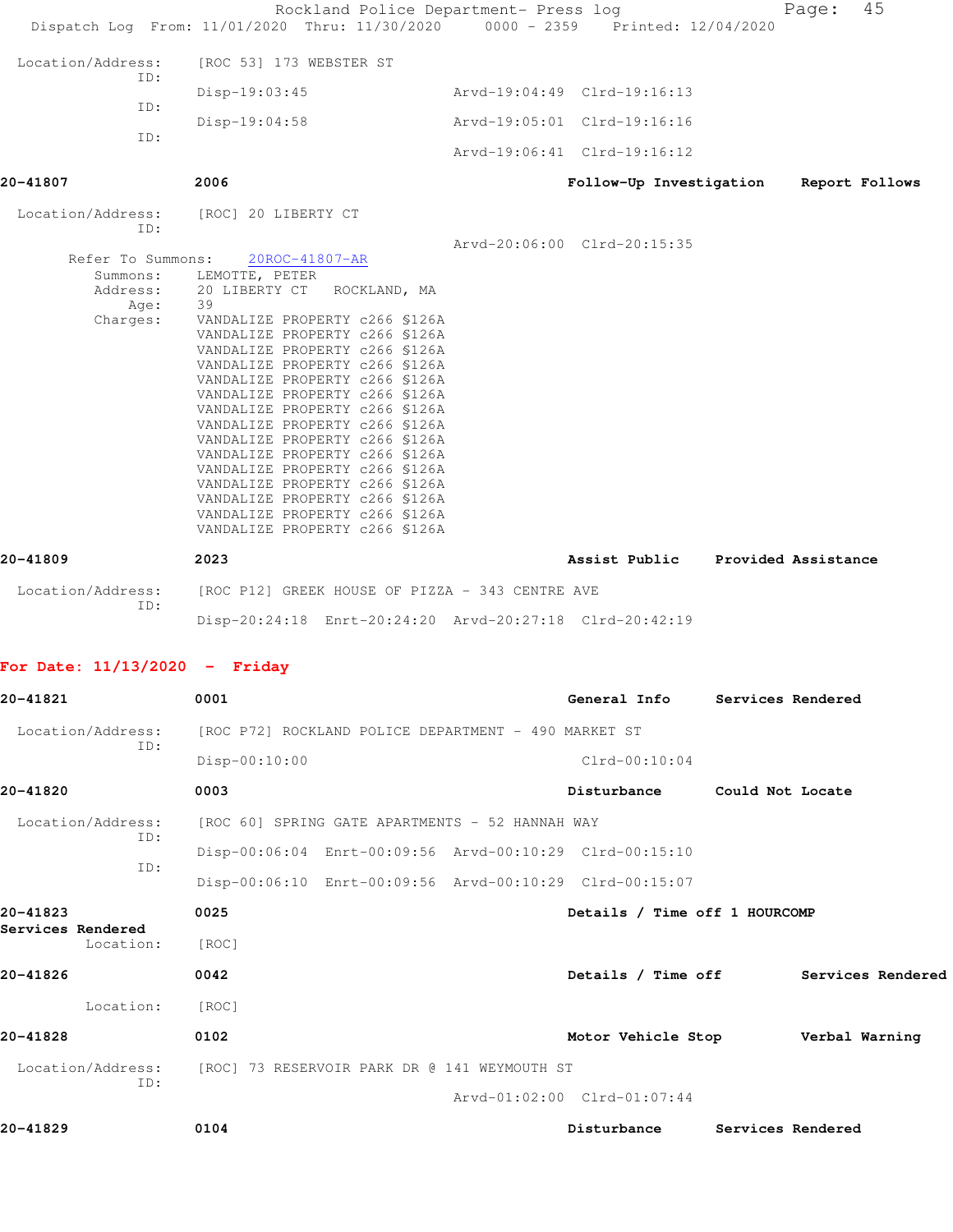| 20-41829                                                                           | 0104                                                                                                                                                                                                                                                                                                                                                                                                                                                                                                                                                                                                                                                                          | Disturbance                                                                                                          | Services Rendered |                                      |
|------------------------------------------------------------------------------------|-------------------------------------------------------------------------------------------------------------------------------------------------------------------------------------------------------------------------------------------------------------------------------------------------------------------------------------------------------------------------------------------------------------------------------------------------------------------------------------------------------------------------------------------------------------------------------------------------------------------------------------------------------------------------------|----------------------------------------------------------------------------------------------------------------------|-------------------|--------------------------------------|
|                                                                                    |                                                                                                                                                                                                                                                                                                                                                                                                                                                                                                                                                                                                                                                                               | Arvd-01:02:00 Clrd-01:07:44                                                                                          |                   |                                      |
| Location/Address:<br>ID:                                                           | [ROC] 73 RESERVOIR PARK DR @ 141 WEYMOUTH ST                                                                                                                                                                                                                                                                                                                                                                                                                                                                                                                                                                                                                                  |                                                                                                                      |                   |                                      |
| 20-41828                                                                           | 0102                                                                                                                                                                                                                                                                                                                                                                                                                                                                                                                                                                                                                                                                          | Motor Vehicle Stop Verbal Warning                                                                                    |                   |                                      |
| Location:                                                                          | [ROC]                                                                                                                                                                                                                                                                                                                                                                                                                                                                                                                                                                                                                                                                         |                                                                                                                      |                   |                                      |
| 20-41826                                                                           | 0042                                                                                                                                                                                                                                                                                                                                                                                                                                                                                                                                                                                                                                                                          |                                                                                                                      |                   | Details / Time off Services Rendered |
| Services Rendered<br>Location:                                                     | [ROC]                                                                                                                                                                                                                                                                                                                                                                                                                                                                                                                                                                                                                                                                         |                                                                                                                      |                   |                                      |
| 20-41823                                                                           | 0025                                                                                                                                                                                                                                                                                                                                                                                                                                                                                                                                                                                                                                                                          | Details / Time off 1 HOURCOMP                                                                                        |                   |                                      |
| ID:                                                                                | Disp-00:06:10 Enrt-00:09:56 Arvd-00:10:29 Clrd-00:15:07                                                                                                                                                                                                                                                                                                                                                                                                                                                                                                                                                                                                                       |                                                                                                                      |                   |                                      |
| ID:                                                                                | Disp-00:06:04 Enrt-00:09:56 Arvd-00:10:29 Clrd-00:15:10                                                                                                                                                                                                                                                                                                                                                                                                                                                                                                                                                                                                                       |                                                                                                                      |                   |                                      |
| Location/Address:                                                                  | [ROC 60] SPRING GATE APARTMENTS - 52 HANNAH WAY                                                                                                                                                                                                                                                                                                                                                                                                                                                                                                                                                                                                                               |                                                                                                                      |                   |                                      |
| 20-41820                                                                           | 0003                                                                                                                                                                                                                                                                                                                                                                                                                                                                                                                                                                                                                                                                          | Disturbance Could Not Locate                                                                                         |                   |                                      |
| ID:                                                                                | $Disp-00:10:00$                                                                                                                                                                                                                                                                                                                                                                                                                                                                                                                                                                                                                                                               | $Clrd-00:10:04$                                                                                                      |                   |                                      |
| Location/Address:                                                                  | [ROC P72] ROCKLAND POLICE DEPARTMENT - 490 MARKET ST                                                                                                                                                                                                                                                                                                                                                                                                                                                                                                                                                                                                                          |                                                                                                                      |                   |                                      |
| 20-41821                                                                           | 0001                                                                                                                                                                                                                                                                                                                                                                                                                                                                                                                                                                                                                                                                          | General Info                                                                                                         | Services Rendered |                                      |
| For Date: $11/13/2020 -$ Friday                                                    |                                                                                                                                                                                                                                                                                                                                                                                                                                                                                                                                                                                                                                                                               |                                                                                                                      |                   |                                      |
| Location/Address:<br>ID:                                                           | [ROC P12] GREEK HOUSE OF PIZZA - 343 CENTRE AVE<br>Disp-20:24:18 Enrt-20:24:20 Arvd-20:27:18 Clrd-20:42:19                                                                                                                                                                                                                                                                                                                                                                                                                                                                                                                                                                    |                                                                                                                      |                   |                                      |
| 20-41809                                                                           | 2023                                                                                                                                                                                                                                                                                                                                                                                                                                                                                                                                                                                                                                                                          | Assist Public Provided Assistance                                                                                    |                   |                                      |
| ID:<br>ID:<br>20-41807<br>ID:<br>Refer To Summons:<br>Summons:<br>Age:<br>Charges: | Disp-19:04:58<br>2006<br>Location/Address: [ROC] 20 LIBERTY CT<br>20ROC-41807-AR<br>LEMOTTE, PETER<br>Address: 20 LIBERTY CT ROCKLAND, MA<br>39<br>VANDALIZE PROPERTY c266 \$126A<br>VANDALIZE PROPERTY c266 \$126A<br>VANDALIZE PROPERTY c266 \$126A<br>VANDALIZE PROPERTY c266 \$126A<br>VANDALIZE PROPERTY c266 \$126A<br>VANDALIZE PROPERTY c266 \$126A<br>VANDALIZE PROPERTY c266 \$126A<br>VANDALIZE PROPERTY c266 \$126A<br>VANDALIZE PROPERTY c266 \$126A<br>VANDALIZE PROPERTY c266 \$126A<br>VANDALIZE PROPERTY c266 \$126A<br>VANDALIZE PROPERTY c266 \$126A<br>VANDALIZE PROPERTY c266 \$126A<br>VANDALIZE PROPERTY c266 \$126A<br>VANDALIZE PROPERTY c266 \$126A | Arvd-19:05:01 Clrd-19:16:16<br>Arvd-19:06:41 Clrd-19:16:12<br>Follow-Up Investigation<br>Arvd-20:06:00 Clrd-20:15:35 |                   | Report Follows                       |
| Location/Address:<br>ID:                                                           | [ROC 53] 173 WEBSTER ST<br>$Disp-19:03:45$                                                                                                                                                                                                                                                                                                                                                                                                                                                                                                                                                                                                                                    | Arvd-19:04:49 Clrd-19:16:13                                                                                          |                   |                                      |
|                                                                                    | Rockland Police Department- Press log<br>Dispatch Log From: 11/01/2020 Thru: 11/30/2020 0000 - 2359 Printed: 12/04/2020                                                                                                                                                                                                                                                                                                                                                                                                                                                                                                                                                       |                                                                                                                      |                   | 45<br>Page:                          |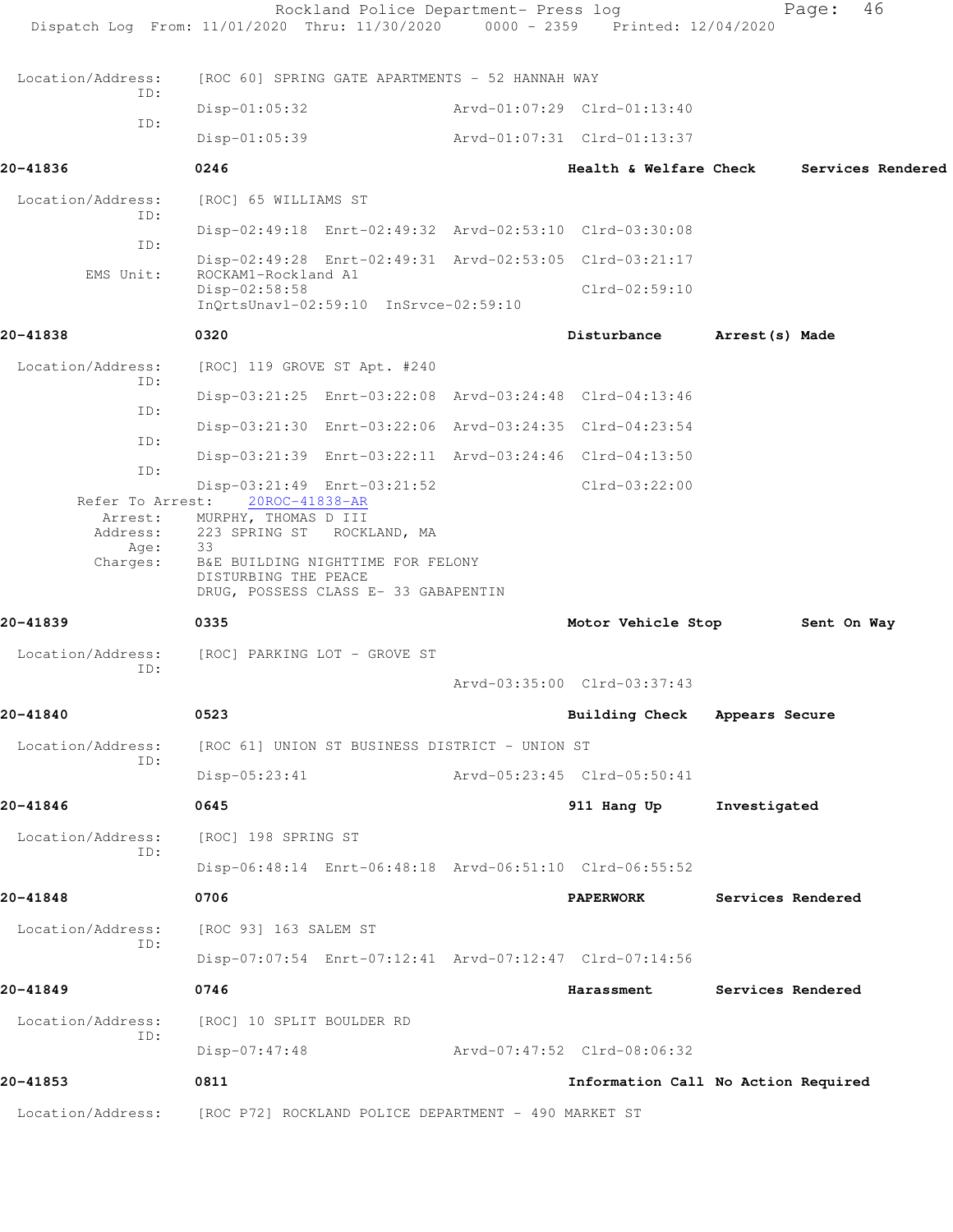|                                         | Rockland Police Department- Press log<br>Dispatch Log From: 11/01/2020 Thru: 11/30/2020 0000 - 2359 Printed: 12/04/2020                                       |                                     |                          | 46<br>Page:       |  |
|-----------------------------------------|---------------------------------------------------------------------------------------------------------------------------------------------------------------|-------------------------------------|--------------------------|-------------------|--|
| Location/Address:                       | [ROC 60] SPRING GATE APARTMENTS - 52 HANNAH WAY                                                                                                               |                                     |                          |                   |  |
| ID:                                     | $Disp-01:05:32$                                                                                                                                               | Arvd-01:07:29 Clrd-01:13:40         |                          |                   |  |
| ID:                                     | $Disp-01:05:39$                                                                                                                                               | Arvd-01:07:31 Clrd-01:13:37         |                          |                   |  |
| 20-41836                                | 0246                                                                                                                                                          | <b>Health &amp; Welfare Check</b>   |                          | Services Rendered |  |
| Location/Address:                       | [ROC] 65 WILLIAMS ST                                                                                                                                          |                                     |                          |                   |  |
| ID:<br>TD:                              | Disp-02:49:18 Enrt-02:49:32 Arvd-02:53:10 Clrd-03:30:08                                                                                                       |                                     |                          |                   |  |
| EMS Unit:                               | Disp-02:49:28 Enrt-02:49:31 Arvd-02:53:05 Clrd-03:21:17<br>ROCKAM1-Rockland A1                                                                                |                                     |                          |                   |  |
|                                         | Disp-02:58:58<br>InQrtsUnavl-02:59:10 InSrvce-02:59:10                                                                                                        | $Clrd-02:59:10$                     |                          |                   |  |
| 20-41838                                | 0320                                                                                                                                                          | Disturbance                         | Arrest(s) Made           |                   |  |
| Location/Address:                       | [ROC] 119 GROVE ST Apt. #240                                                                                                                                  |                                     |                          |                   |  |
| ID:                                     | Disp-03:21:25 Enrt-03:22:08 Arvd-03:24:48 Clrd-04:13:46                                                                                                       |                                     |                          |                   |  |
| ID:                                     | Disp-03:21:30 Enrt-03:22:06 Arvd-03:24:35 Clrd-04:23:54                                                                                                       |                                     |                          |                   |  |
| ID:                                     | Disp-03:21:39 Enrt-03:22:11 Arvd-03:24:46 Clrd-04:13:50                                                                                                       |                                     |                          |                   |  |
| ID:<br>Refer To Arrest:                 | Disp-03:21:49 Enrt-03:21:52<br>20ROC-41838-AR                                                                                                                 | $Clrd-03:22:00$                     |                          |                   |  |
| Arrest:<br>Address:<br>Age:<br>Charges: | MURPHY, THOMAS D III<br>223 SPRING ST ROCKLAND, MA<br>33<br>B&E BUILDING NIGHTTIME FOR FELONY<br>DISTURBING THE PEACE<br>DRUG, POSSESS CLASS E- 33 GABAPENTIN |                                     |                          |                   |  |
| 20-41839                                | 0335                                                                                                                                                          | Motor Vehicle Stop                  |                          | Sent On Way       |  |
| Location/Address:<br>ID:                | [ROC] PARKING LOT - GROVE ST                                                                                                                                  |                                     |                          |                   |  |
|                                         |                                                                                                                                                               | Arvd-03:35:00 Clrd-03:37:43         |                          |                   |  |
| 20-41840                                | 0523                                                                                                                                                          | Building Check Appears Secure       |                          |                   |  |
| Location/Address:<br>ID:                | [ROC 61] UNION ST BUSINESS DISTRICT - UNION ST                                                                                                                |                                     |                          |                   |  |
|                                         | $Disp-05:23:41$                                                                                                                                               | Arvd-05:23:45 Clrd-05:50:41         |                          |                   |  |
| 20-41846                                | 0645                                                                                                                                                          | 911 Hang Up                         | Investigated             |                   |  |
| Location/Address:<br>ID:                | [ROC] 198 SPRING ST                                                                                                                                           |                                     |                          |                   |  |
|                                         | Disp-06:48:14 Enrt-06:48:18 Arvd-06:51:10 Clrd-06:55:52                                                                                                       |                                     |                          |                   |  |
| 20-41848                                | 0706                                                                                                                                                          | <b>PAPERWORK</b>                    | Services Rendered        |                   |  |
| Location/Address:<br>ID:                | [ROC 93] 163 SALEM ST                                                                                                                                         |                                     |                          |                   |  |
|                                         | Disp-07:07:54 Enrt-07:12:41 Arvd-07:12:47 Clrd-07:14:56                                                                                                       |                                     |                          |                   |  |
| 20-41849                                | 0746                                                                                                                                                          | Harassment                          | <b>Services Rendered</b> |                   |  |
| Location/Address:<br>ID:                | [ROC] 10 SPLIT BOULDER RD                                                                                                                                     |                                     |                          |                   |  |
|                                         | $Disp-07:47:48$                                                                                                                                               | Arvd-07:47:52 Clrd-08:06:32         |                          |                   |  |
| 20-41853                                | 0811                                                                                                                                                          | Information Call No Action Required |                          |                   |  |
| Location/Address:                       | [ROC P72] ROCKLAND POLICE DEPARTMENT - 490 MARKET ST                                                                                                          |                                     |                          |                   |  |
|                                         |                                                                                                                                                               |                                     |                          |                   |  |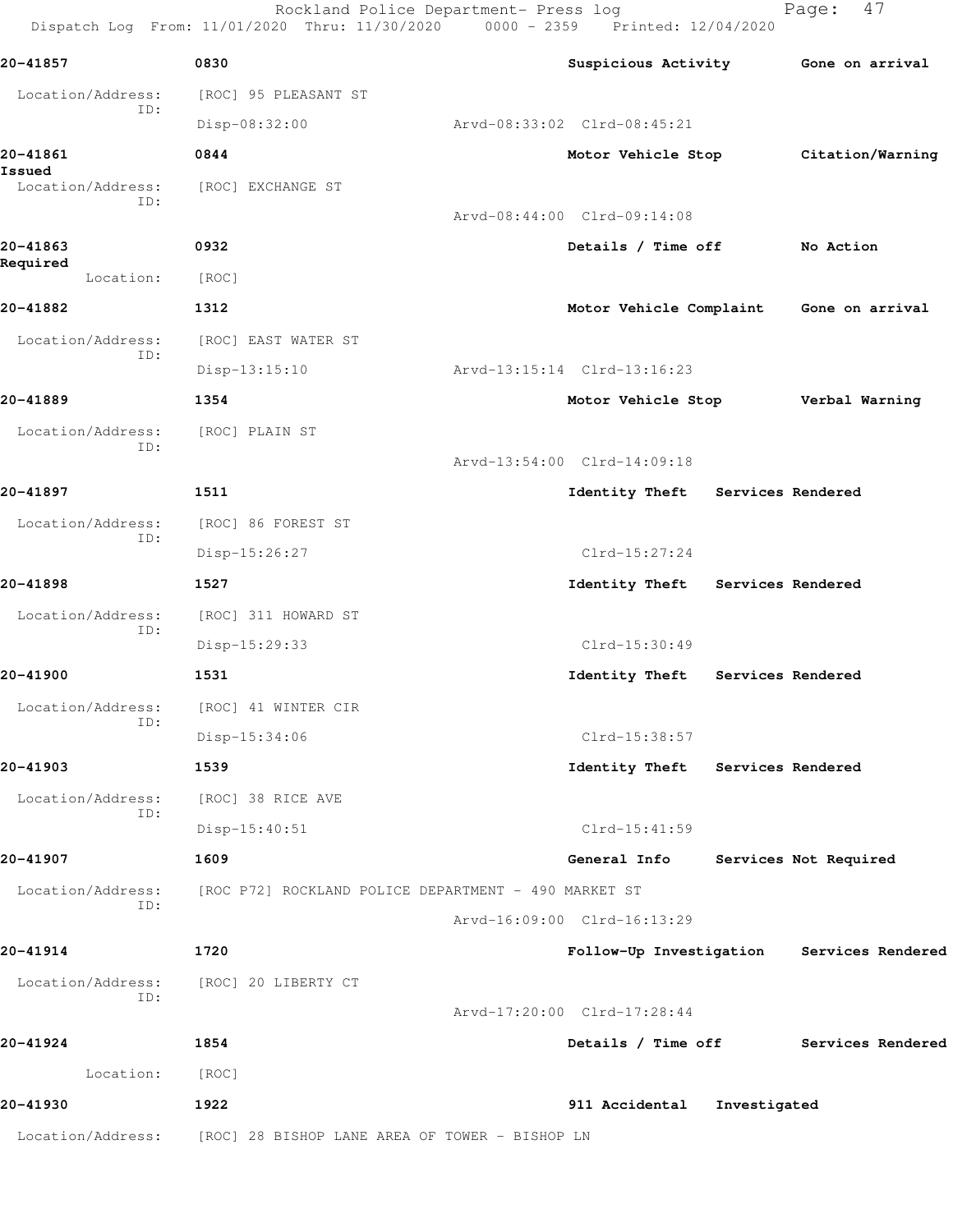Rockland Police Department- Press log entitled and Page: 47 Dispatch Log From: 11/01/2020 Thru: 11/30/2020 0000 - 2359 Printed: 12/04/2020

| 20-41857                 | 0830                                                 | Suspicious Activity              |                   | Gone on arrival                           |
|--------------------------|------------------------------------------------------|----------------------------------|-------------------|-------------------------------------------|
| Location/Address:        | [ROC] 95 PLEASANT ST                                 |                                  |                   |                                           |
| ID:                      | Disp-08:32:00                                        | Arvd-08:33:02 Clrd-08:45:21      |                   |                                           |
| 20-41861<br>Issued       | 0844                                                 | Motor Vehicle Stop               |                   | Citation/Warning                          |
| Location/Address:<br>ID: | [ROC] EXCHANGE ST                                    |                                  |                   |                                           |
|                          |                                                      | Arvd-08:44:00 Clrd-09:14:08      |                   |                                           |
| 20-41863<br>Required     | 0932                                                 | Details / Time off               |                   | No Action                                 |
| Location:                | [ROC]                                                |                                  |                   |                                           |
| 20-41882                 | 1312                                                 |                                  |                   | Motor Vehicle Complaint Gone on arrival   |
| Location/Address:<br>ID: | [ROC] EAST WATER ST                                  |                                  |                   |                                           |
|                          | $Disp-13:15:10$                                      | Arvd-13:15:14 Clrd-13:16:23      |                   |                                           |
| 20-41889                 | 1354                                                 | Motor Vehicle Stop               |                   | Verbal Warning                            |
| Location/Address:<br>ID: | [ROC] PLAIN ST                                       |                                  |                   |                                           |
|                          |                                                      | Arvd-13:54:00 Clrd-14:09:18      |                   |                                           |
| 20-41897                 | 1511                                                 | Identity Theft Services Rendered |                   |                                           |
| Location/Address:<br>ID: | [ROC] 86 FOREST ST                                   |                                  |                   |                                           |
|                          | Disp-15:26:27                                        | $Clrd-15:27:24$                  |                   |                                           |
| 20-41898                 | 1527                                                 | Identity Theft Services Rendered |                   |                                           |
| Location/Address:<br>ID: | [ROC] 311 HOWARD ST                                  |                                  |                   |                                           |
|                          | Disp-15:29:33                                        | Clrd-15:30:49                    |                   |                                           |
| 20-41900                 | 1531                                                 | Identity Theft                   | Services Rendered |                                           |
| Location/Address:<br>ID: | [ROC] 41 WINTER CIR                                  |                                  |                   |                                           |
|                          | $Disp-15:34:06$                                      | Clrd-15:38:57                    |                   |                                           |
| 20-41903                 | 1539                                                 | Identity Theft Services Rendered |                   |                                           |
| Location/Address:<br>ID: | [ROC] 38 RICE AVE                                    |                                  |                   |                                           |
|                          | $Disp-15:40:51$                                      | Clrd-15:41:59                    |                   |                                           |
| 20-41907                 | 1609                                                 | General Info                     |                   | Services Not Required                     |
| Location/Address:<br>ID: | [ROC P72] ROCKLAND POLICE DEPARTMENT - 490 MARKET ST |                                  |                   |                                           |
|                          |                                                      | Arvd-16:09:00 Clrd-16:13:29      |                   |                                           |
| 20-41914                 | 1720                                                 |                                  |                   | Follow-Up Investigation Services Rendered |
| Location/Address:<br>ID: | [ROC] 20 LIBERTY CT                                  |                                  |                   |                                           |
|                          |                                                      | Arvd-17:20:00 Clrd-17:28:44      |                   |                                           |
| 20-41924                 | 1854                                                 | Details / Time off               |                   | Services Rendered                         |
| Location:                | [ROC]                                                |                                  |                   |                                           |
| 20-41930                 | 1922                                                 | 911 Accidental                   | Investigated      |                                           |
| Location/Address:        | [ROC] 28 BISHOP LANE AREA OF TOWER - BISHOP LN       |                                  |                   |                                           |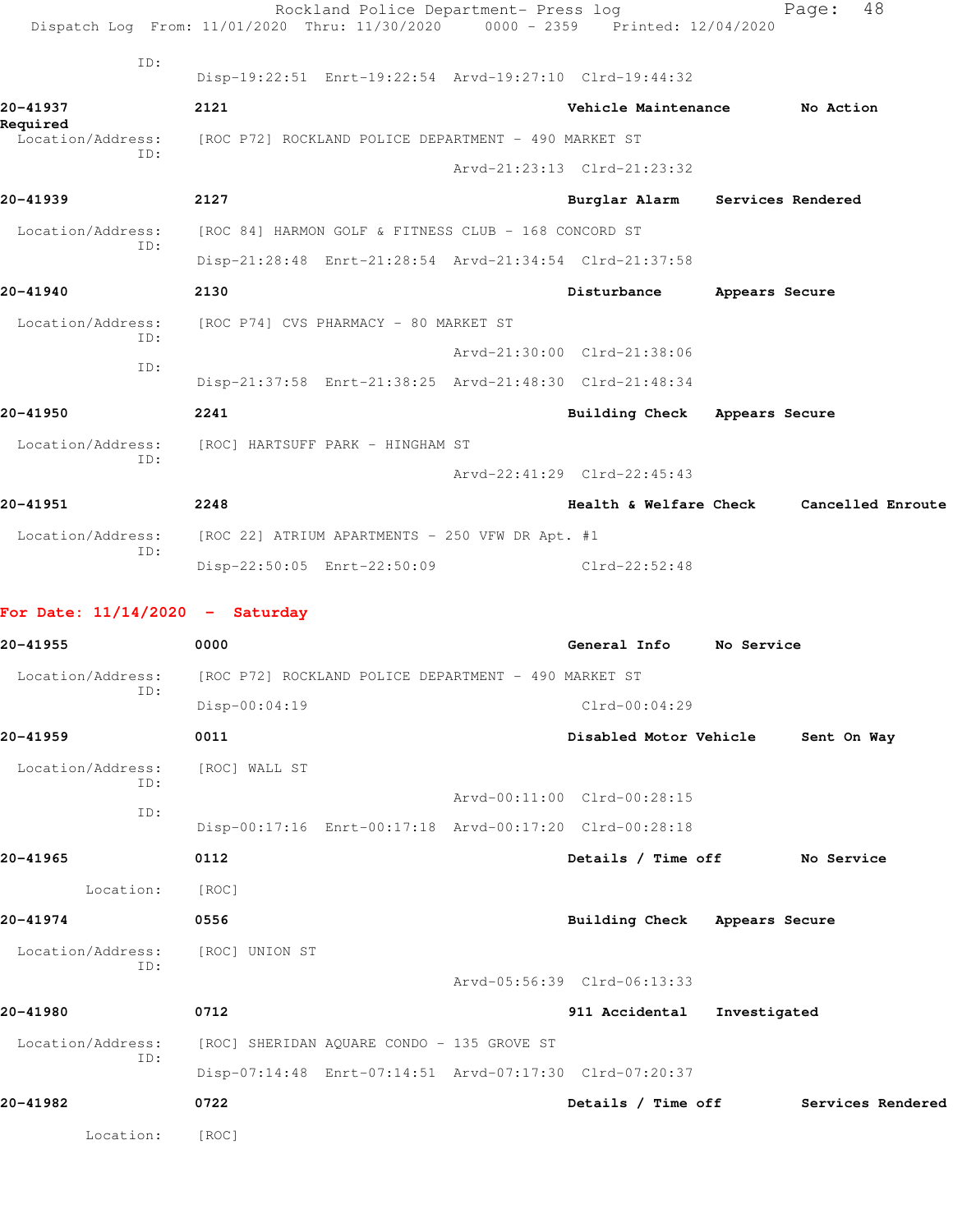|                                   | Rockland Police Department- Press log<br>Dispatch Log From: 11/01/2020 Thru: 11/30/2020 0000 - 2359 Printed: 12/04/2020 |                                 |                | 48<br>Page:                              |
|-----------------------------------|-------------------------------------------------------------------------------------------------------------------------|---------------------------------|----------------|------------------------------------------|
| ID:                               | Disp-19:22:51 Enrt-19:22:54 Arvd-19:27:10 Clrd-19:44:32                                                                 |                                 |                |                                          |
| 20-41937                          | 2121                                                                                                                    | Vehicle Maintenance             |                | No Action                                |
| Required<br>Location/Address:     | [ROC P72] ROCKLAND POLICE DEPARTMENT - 490 MARKET ST                                                                    |                                 |                |                                          |
| TD:                               |                                                                                                                         | Arvd-21:23:13 Clrd-21:23:32     |                |                                          |
| 20-41939                          | 2127                                                                                                                    | Burglar Alarm Services Rendered |                |                                          |
| Location/Address:                 | [ROC 84] HARMON GOLF & FITNESS CLUB - 168 CONCORD ST                                                                    |                                 |                |                                          |
| ID:                               | Disp-21:28:48 Enrt-21:28:54 Arvd-21:34:54 Clrd-21:37:58                                                                 |                                 |                |                                          |
| 20-41940                          | 2130                                                                                                                    | Disturbance                     | Appears Secure |                                          |
| Location/Address:                 | [ROC P74] CVS PHARMACY - 80 MARKET ST                                                                                   |                                 |                |                                          |
| ID:                               |                                                                                                                         | Arvd-21:30:00 Clrd-21:38:06     |                |                                          |
| ID:                               | Disp-21:37:58 Enrt-21:38:25 Arvd-21:48:30 Clrd-21:48:34                                                                 |                                 |                |                                          |
| 20-41950                          | 2241                                                                                                                    | Building Check Appears Secure   |                |                                          |
| Location/Address:                 | [ROC] HARTSUFF PARK - HINGHAM ST                                                                                        |                                 |                |                                          |
| ID:                               |                                                                                                                         | Arvd-22:41:29 Clrd-22:45:43     |                |                                          |
| 20-41951                          | 2248                                                                                                                    |                                 |                | Health & Welfare Check Cancelled Enroute |
| Location/Address:                 | [ROC 22] ATRIUM APARTMENTS - 250 VFW DR Apt. #1                                                                         |                                 |                |                                          |
| ID:                               | Disp-22:50:05 Enrt-22:50:09                                                                                             | $Clrd-22:52:48$                 |                |                                          |
| For Date: $11/14/2020 -$ Saturday |                                                                                                                         |                                 |                |                                          |
| 20-41955                          | 0000                                                                                                                    | General Info No Service         |                |                                          |
| Location/Address:                 | [ROC P72] ROCKLAND POLICE DEPARTMENT - 490 MARKET ST                                                                    |                                 |                |                                          |
| ID:                               | Disp-00:04:19                                                                                                           | $Clrd-00:04:29$                 |                |                                          |
| 20-41959                          | 0011                                                                                                                    | Disabled Motor Vehicle          |                | Sent On Way                              |
| Location/Address:<br>ID:          | [ROC] WALL ST                                                                                                           |                                 |                |                                          |
| ID:                               |                                                                                                                         | Arvd-00:11:00 Clrd-00:28:15     |                |                                          |
|                                   | Disp-00:17:16 Enrt-00:17:18 Arvd-00:17:20 Clrd-00:28:18                                                                 |                                 |                |                                          |
| 20-41965                          | 0112                                                                                                                    | Details / Time off              |                | No Service                               |
| Location:                         | [ROC]                                                                                                                   |                                 |                |                                          |
| 20-41974                          | 0556                                                                                                                    | Building Check Appears Secure   |                |                                          |
| Location/Address:<br>ID:          | [ROC] UNION ST                                                                                                          |                                 |                |                                          |
|                                   |                                                                                                                         | Arvd-05:56:39 Clrd-06:13:33     |                |                                          |
| 20-41980                          | 0712                                                                                                                    | 911 Accidental                  | Investigated   |                                          |
| Location/Address:<br>ID:          | [ROC] SHERIDAN AQUARE CONDO - 135 GROVE ST                                                                              |                                 |                |                                          |
|                                   | Disp-07:14:48 Enrt-07:14:51 Arvd-07:17:30 Clrd-07:20:37                                                                 |                                 |                |                                          |
| 20-41982                          | 0722                                                                                                                    | Details / Time off              |                | Services Rendered                        |
| Location:                         | [ROC]                                                                                                                   |                                 |                |                                          |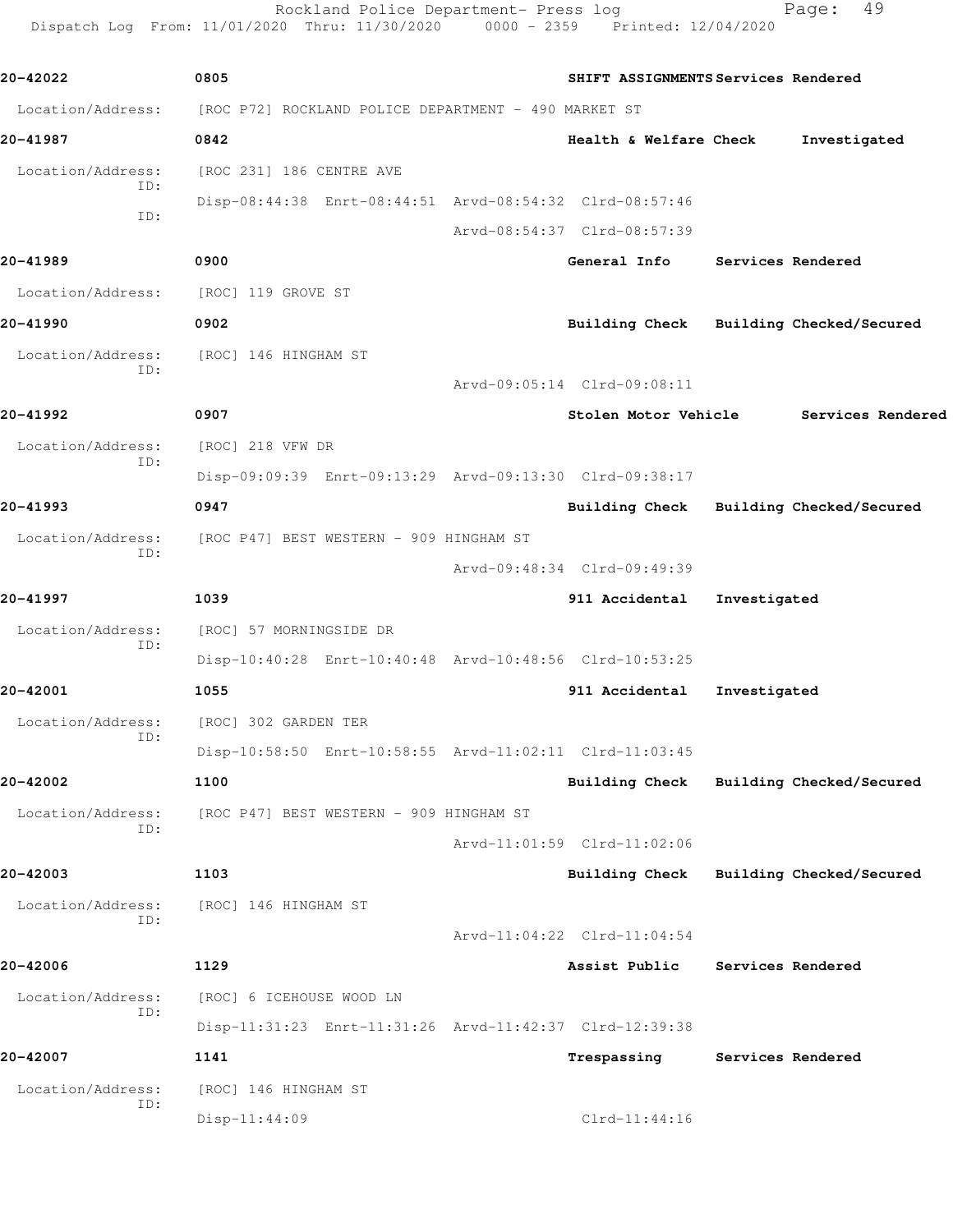Rockland Police Department- Press log Fage: 49 Dispatch Log From: 11/01/2020 Thru: 11/30/2020 0000 - 2359 Printed: 12/04/2020

**20-42022 0805 SHIFT ASSIGNMENTS Services Rendered** Location/Address: [ROC P72] ROCKLAND POLICE DEPARTMENT - 490 MARKET ST **20-41987 0842 Health & Welfare Check Investigated** Location/Address: [ROC 231] 186 CENTRE AVE ID: Disp-08:44:38 Enrt-08:44:51 Arvd-08:54:32 Clrd-08:57:46 ID: Arvd-08:54:37 Clrd-08:57:39 **20-41989 0900 General Info Services Rendered** Location/Address: [ROC] 119 GROVE ST **20-41990 0902 Building Check Building Checked/Secured** Location/Address: [ROC] 146 HINGHAM ST ID: Arvd-09:05:14 Clrd-09:08:11 **20-41992 0907 Stolen Motor Vehicle Services Rendered** Location/Address: [ROC] 218 VFW DR ID: Disp-09:09:39 Enrt-09:13:29 Arvd-09:13:30 Clrd-09:38:17 **20-41993 0947 Building Check Building Checked/Secured** Location/Address: [ROC P47] BEST WESTERN - 909 HINGHAM ST ID: Arvd-09:48:34 Clrd-09:49:39 **20-41997 1039 911 Accidental Investigated** Location/Address: [ROC] 57 MORNINGSIDE DR ID: Disp-10:40:28 Enrt-10:40:48 Arvd-10:48:56 Clrd-10:53:25 **20-42001 1055 911 Accidental Investigated** Location/Address: [ROC] 302 GARDEN TER ID: Disp-10:58:50 Enrt-10:58:55 Arvd-11:02:11 Clrd-11:03:45 **20-42002 1100 Building Check Building Checked/Secured** Location/Address: [ROC P47] BEST WESTERN - 909 HINGHAM ST ID: Arvd-11:01:59 Clrd-11:02:06 **20-42003 1103 Building Check Building Checked/Secured** Location/Address: [ROC] 146 HINGHAM ST ID: Arvd-11:04:22 Clrd-11:04:54 **20-42006 1129 Assist Public Services Rendered** Location/Address: [ROC] 6 ICEHOUSE WOOD LN ID: Disp-11:31:23 Enrt-11:31:26 Arvd-11:42:37 Clrd-12:39:38 **20-42007 1141 Trespassing Services Rendered** Location/Address: [ROC] 146 HINGHAM ST ID: Disp-11:44:09 Clrd-11:44:16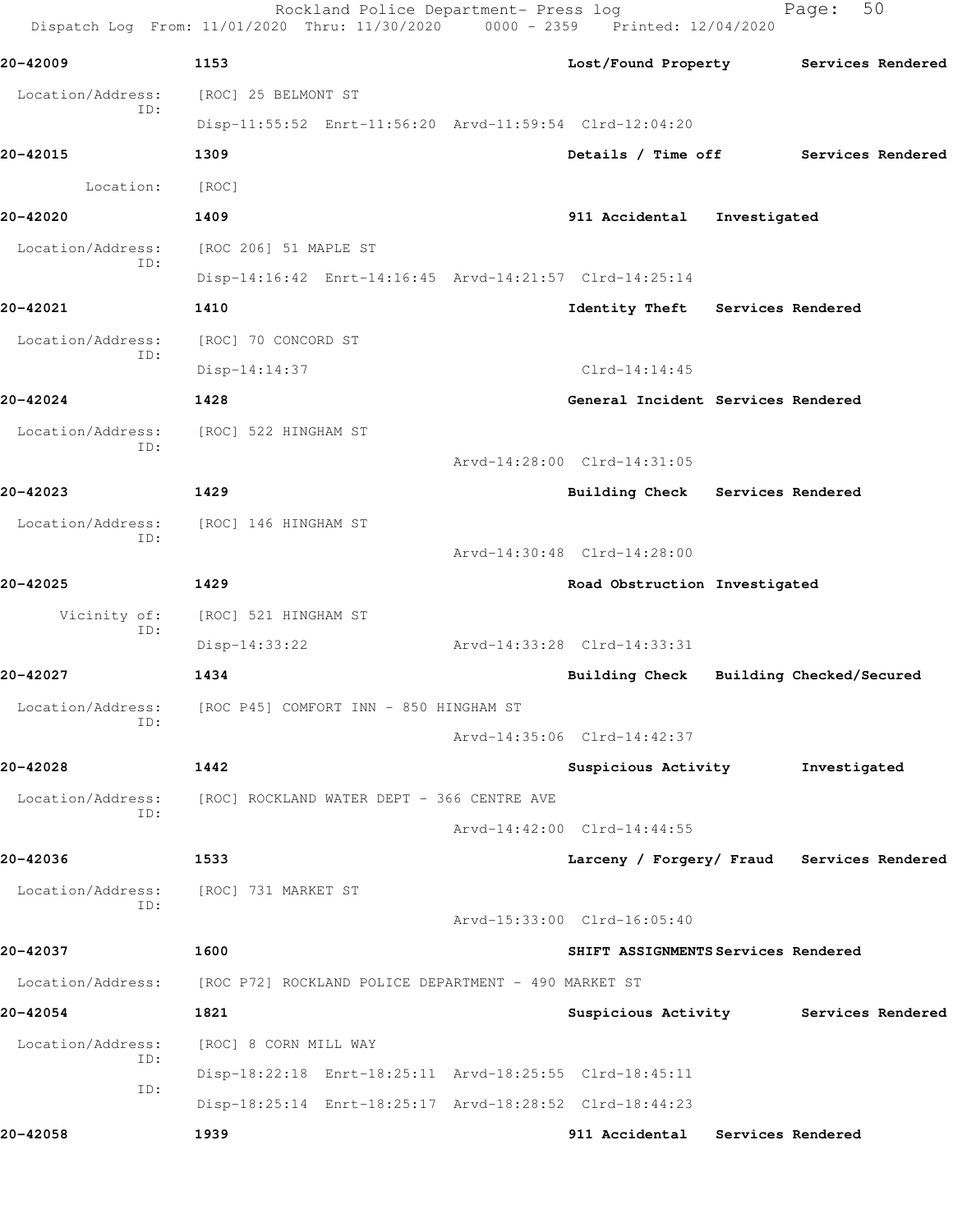|                          | Rockland Police Department- Press log<br>Dispatch Log From: 11/01/2020 Thru: 11/30/2020 | 0000 - 2359 Printed: 12/04/2020            |                   | Page:                    | 50                |
|--------------------------|-----------------------------------------------------------------------------------------|--------------------------------------------|-------------------|--------------------------|-------------------|
| 20-42009                 | 1153                                                                                    | Lost/Found Property                        |                   |                          | Services Rendered |
| Location/Address:        | [ROC] 25 BELMONT ST                                                                     |                                            |                   |                          |                   |
| ID:                      | Disp-11:55:52 Enrt-11:56:20 Arvd-11:59:54 Clrd-12:04:20                                 |                                            |                   |                          |                   |
| 20-42015                 | 1309                                                                                    | Details / Time off                         |                   |                          | Services Rendered |
| Location:                | [ROC]                                                                                   |                                            |                   |                          |                   |
| 20-42020                 | 1409                                                                                    | 911 Accidental                             | Investigated      |                          |                   |
| Location/Address:        | [ROC 206] 51 MAPLE ST                                                                   |                                            |                   |                          |                   |
| ID:                      | Disp-14:16:42 Enrt-14:16:45 Arvd-14:21:57 Clrd-14:25:14                                 |                                            |                   |                          |                   |
| 20-42021                 | 1410                                                                                    | Identity Theft                             | Services Rendered |                          |                   |
| Location/Address:        | [ROC] 70 CONCORD ST                                                                     |                                            |                   |                          |                   |
| ID:                      | Disp-14:14:37                                                                           | $Clrd-14:14:45$                            |                   |                          |                   |
| 20-42024                 | 1428                                                                                    | General Incident Services Rendered         |                   |                          |                   |
| Location/Address:        | [ROC] 522 HINGHAM ST                                                                    |                                            |                   |                          |                   |
| ID:                      |                                                                                         | Arvd-14:28:00 Clrd-14:31:05                |                   |                          |                   |
| 20-42023                 | 1429                                                                                    | <b>Building Check</b>                      | Services Rendered |                          |                   |
| Location/Address:<br>ID: | [ROC] 146 HINGHAM ST                                                                    |                                            |                   |                          |                   |
|                          |                                                                                         | Arvd-14:30:48 Clrd-14:28:00                |                   |                          |                   |
| 20-42025                 | 1429                                                                                    | Road Obstruction Investigated              |                   |                          |                   |
| Vicinity of:<br>ID:      | [ROC] 521 HINGHAM ST                                                                    |                                            |                   |                          |                   |
|                          | $Disp-14:33:22$                                                                         | Arvd-14:33:28 Clrd-14:33:31                |                   |                          |                   |
| 20-42027                 | 1434                                                                                    | Building Check                             |                   | Building Checked/Secured |                   |
| Location/Address:<br>ID: | [ROC P45] COMFORT INN - 850 HINGHAM ST                                                  |                                            |                   |                          |                   |
|                          |                                                                                         | Arvd-14:35:06 Clrd-14:42:37                |                   |                          |                   |
| 20-42028                 | 1442                                                                                    | Suspicious Activity                        |                   | Investigated             |                   |
| Location/Address:<br>ID: | [ROC] ROCKLAND WATER DEPT - 366 CENTRE AVE                                              |                                            |                   |                          |                   |
|                          |                                                                                         | Arvd-14:42:00 Clrd-14:44:55                |                   |                          |                   |
| 20-42036                 | 1533                                                                                    | Larceny / Forgery/ Fraud Services Rendered |                   |                          |                   |
| Location/Address:<br>ID: | [ROC] 731 MARKET ST                                                                     |                                            |                   |                          |                   |
|                          |                                                                                         | Arvd-15:33:00 Clrd-16:05:40                |                   |                          |                   |
| 20-42037                 | 1600                                                                                    | SHIFT ASSIGNMENTS Services Rendered        |                   |                          |                   |
| Location/Address:        | [ROC P72] ROCKLAND POLICE DEPARTMENT - 490 MARKET ST                                    |                                            |                   |                          |                   |
| 20-42054                 | 1821                                                                                    | Suspicious Activity Services Rendered      |                   |                          |                   |
| Location/Address:<br>ID: | [ROC] 8 CORN MILL WAY                                                                   |                                            |                   |                          |                   |
| ID:                      | Disp-18:22:18 Enrt-18:25:11 Arvd-18:25:55 Clrd-18:45:11                                 |                                            |                   |                          |                   |
|                          | Disp-18:25:14 Enrt-18:25:17 Arvd-18:28:52 Clrd-18:44:23                                 |                                            |                   |                          |                   |
| 20-42058                 | 1939                                                                                    | 911 Accidental Services Rendered           |                   |                          |                   |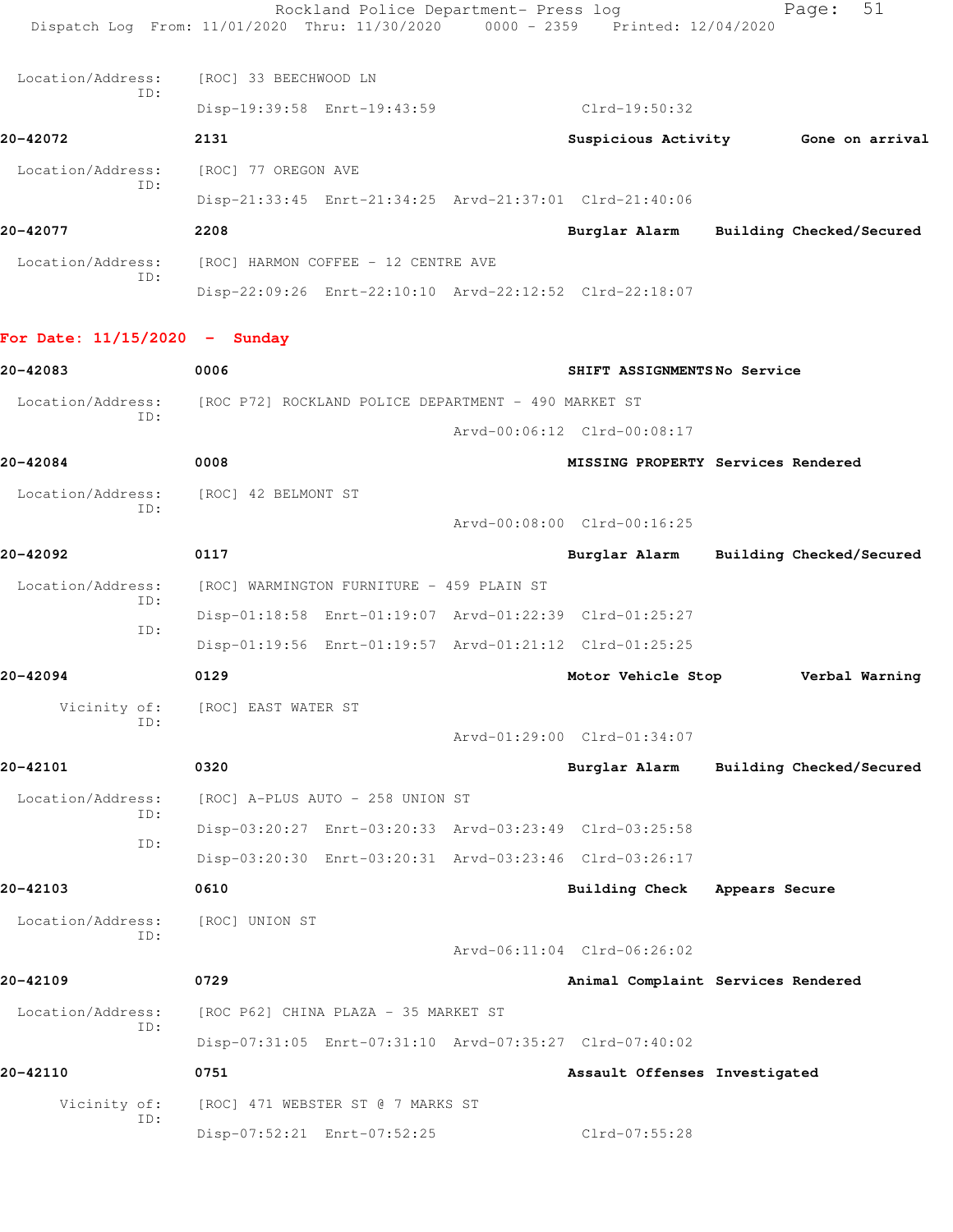|                                 | Dispatch Log From: 11/01/2020 Thru: 11/30/2020 0000 - 2359 Printed: 12/04/2020 | Rockland Police Department- Press log |                               | 51<br>Page:                            |
|---------------------------------|--------------------------------------------------------------------------------|---------------------------------------|-------------------------------|----------------------------------------|
| Location/Address:               | [ROC] 33 BEECHWOOD LN                                                          |                                       |                               |                                        |
| ID:                             | Disp-19:39:58 Enrt-19:43:59                                                    |                                       | Clrd-19:50:32                 |                                        |
| 20-42072                        | 2131                                                                           |                                       |                               | Suspicious Activity 6one on arrival    |
| Location/Address:               | [ROC] 77 OREGON AVE                                                            |                                       |                               |                                        |
| ID:                             | Disp-21:33:45 Enrt-21:34:25 Arvd-21:37:01 Clrd-21:40:06                        |                                       |                               |                                        |
| 20-42077                        | 2208                                                                           |                                       |                               | Burglar Alarm Building Checked/Secured |
| Location/Address:               | [ROC] HARMON COFFEE - 12 CENTRE AVE                                            |                                       |                               |                                        |
| ID:                             | Disp-22:09:26 Enrt-22:10:10 Arvd-22:12:52 Clrd-22:18:07                        |                                       |                               |                                        |
| For Date: $11/15/2020 -$ Sunday |                                                                                |                                       |                               |                                        |
| 20-42083                        | 0006                                                                           |                                       | SHIFT ASSIGNMENTSNo Service   |                                        |
| Location/Address:<br>ID:        | [ROC P72] ROCKLAND POLICE DEPARTMENT - 490 MARKET ST                           |                                       |                               |                                        |
|                                 |                                                                                |                                       | Arvd-00:06:12 Clrd-00:08:17   |                                        |
| 20-42084                        | 0008                                                                           |                                       |                               | MISSING PROPERTY Services Rendered     |
| ID:                             | Location/Address: [ROC] 42 BELMONT ST                                          |                                       |                               |                                        |
|                                 |                                                                                |                                       | Arvd-00:08:00 Clrd-00:16:25   |                                        |
| 20-42092                        | 0117                                                                           |                                       | Burglar Alarm                 | Building Checked/Secured               |
| Location/Address:<br>ID:        | [ROC] WARMINGTON FURNITURE - 459 PLAIN ST                                      |                                       |                               |                                        |
| ID:                             | Disp-01:18:58 Enrt-01:19:07 Arvd-01:22:39 Clrd-01:25:27                        |                                       |                               |                                        |
|                                 | Disp-01:19:56 Enrt-01:19:57 Arvd-01:21:12 Clrd-01:25:25                        |                                       |                               |                                        |
| 20-42094                        | 0129                                                                           |                                       | Motor Vehicle Stop            | Verbal Warning                         |
| Vicinity of:<br>ID:             | [ROC] EAST WATER ST                                                            |                                       |                               |                                        |
|                                 |                                                                                |                                       | Arvd-01:29:00 Clrd-01:34:07   |                                        |
| 20-42101                        | 0320                                                                           |                                       | Burglar Alarm                 | Building Checked/Secured               |
| Location/Address:<br>ID:        | [ROC] A-PLUS AUTO - 258 UNION ST                                               |                                       |                               |                                        |
| ID:                             | Disp-03:20:27 Enrt-03:20:33 Arvd-03:23:49 Clrd-03:25:58                        |                                       |                               |                                        |
|                                 | Disp-03:20:30 Enrt-03:20:31 Arvd-03:23:46 Clrd-03:26:17                        |                                       |                               |                                        |
| 20-42103                        | 0610                                                                           |                                       | <b>Building Check</b>         | Appears Secure                         |
| Location/Address:<br>ID:        | [ROC] UNION ST                                                                 |                                       |                               |                                        |
|                                 |                                                                                |                                       | Arvd-06:11:04 Clrd-06:26:02   |                                        |
| 20-42109                        | 0729                                                                           |                                       |                               | Animal Complaint Services Rendered     |
| Location/Address:<br>ID:        | [ROC P62] CHINA PLAZA - 35 MARKET ST                                           |                                       |                               |                                        |
|                                 | Disp-07:31:05 Enrt-07:31:10 Arvd-07:35:27 Clrd-07:40:02                        |                                       |                               |                                        |
| 20-42110                        | 0751                                                                           |                                       | Assault Offenses Investigated |                                        |
| Vicinity of:<br>ID:             | [ROC] 471 WEBSTER ST @ 7 MARKS ST                                              |                                       |                               |                                        |
|                                 | Disp-07:52:21 Enrt-07:52:25                                                    |                                       | Clrd-07:55:28                 |                                        |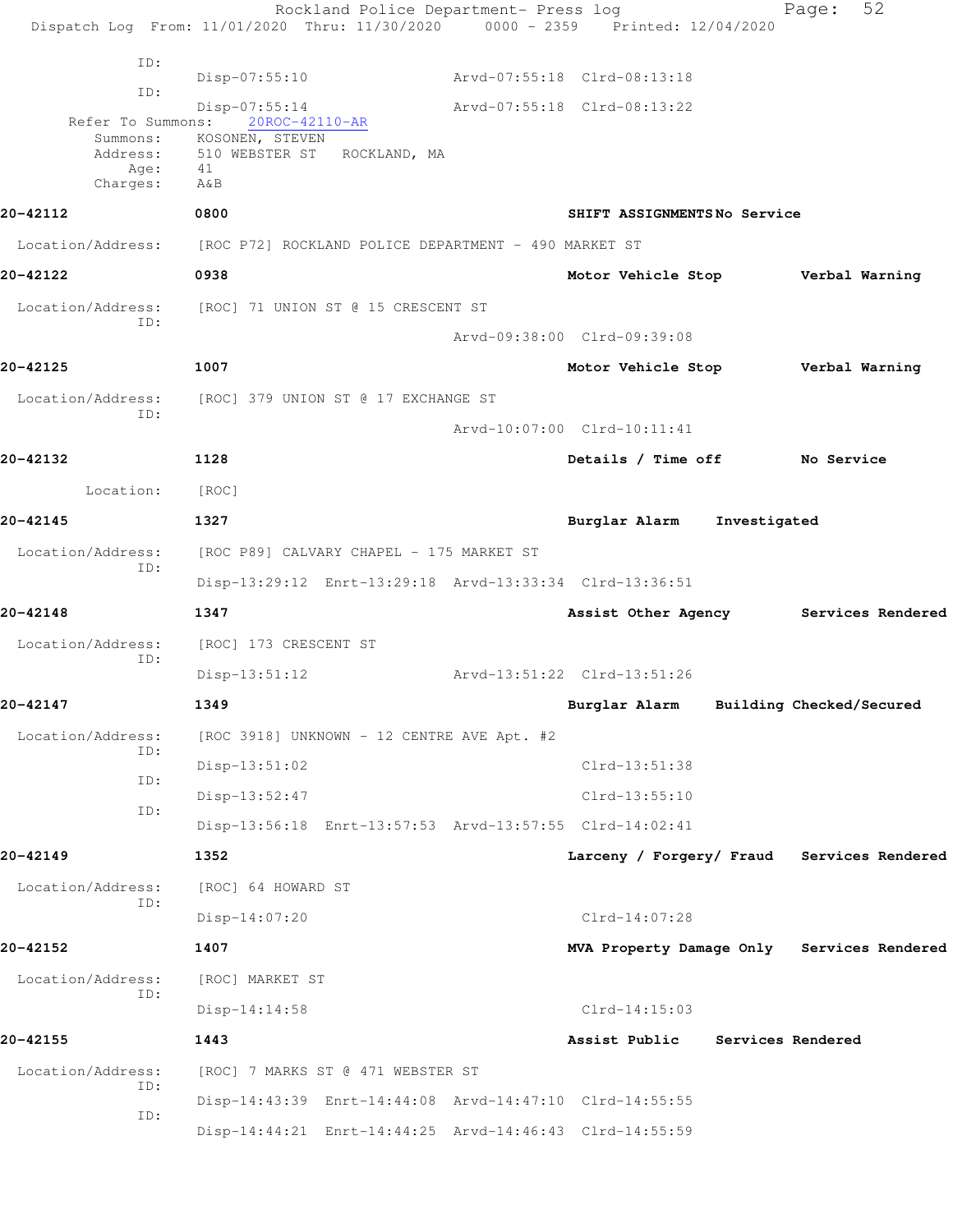Rockland Police Department- Press log Fage: 52 Dispatch Log From: 11/01/2020 Thru: 11/30/2020 0000 - 2359 Printed: 12/04/2020 ID: Disp-07:55:10 Arvd-07:55:18 Clrd-08:13:18 ID: Disp-07:55:14 Arvd-07:55:18 Clrd-08:13:22 Refer To Summons: Summons: KOSONEN, STEVEN<br>Address: 510 WEBSTER ST 510 WEBSTER ST ROCKLAND, MA Age: 41 Charges: A&B **20-42112 0800 SHIFT ASSIGNMENTS No Service** Location/Address: [ROC P72] ROCKLAND POLICE DEPARTMENT - 490 MARKET ST **20-42122 0938 Motor Vehicle Stop Verbal Warning** Location/Address: [ROC] 71 UNION ST @ 15 CRESCENT ST ID: Arvd-09:38:00 Clrd-09:39:08 **20-42125 1007 Motor Vehicle Stop Verbal Warning** Location/Address: [ROC] 379 UNION ST @ 17 EXCHANGE ST ID: Arvd-10:07:00 Clrd-10:11:41 **20-42132 1128 Details / Time off No Service** Location: [ROC] **20-42145 1327 Burglar Alarm Investigated** Location/Address: [ROC P89] CALVARY CHAPEL - 175 MARKET ST ID: Disp-13:29:12 Enrt-13:29:18 Arvd-13:33:34 Clrd-13:36:51 **20-42148 1347 Assist Other Agency Services Rendered** Location/Address: [ROC] 173 CRESCENT ST ID: Disp-13:51:12 Arvd-13:51:22 Clrd-13:51:26 **20-42147 1349 Burglar Alarm Building Checked/Secured** Location/Address: [ROC 3918] UNKNOWN - 12 CENTRE AVE Apt. #2 ID: Disp-13:51:02 Clrd-13:51:38 ID: Disp-13:52:47 Clrd-13:55:10 ID: Disp-13:56:18 Enrt-13:57:53 Arvd-13:57:55 Clrd-14:02:41 **20-42149 1352 Larceny / Forgery/ Fraud Services Rendered** Location/Address: [ROC] 64 HOWARD ST ID: Disp-14:07:20 Clrd-14:07:28 **20-42152 1407 MVA Property Damage Only Services Rendered** Location/Address: [ROC] MARKET ST ID: Disp-14:14:58 Clrd-14:15:03 **20-42155 1443 Assist Public Services Rendered** Location/Address: [ROC] 7 MARKS ST @ 471 WEBSTER ST ID: Disp-14:43:39 Enrt-14:44:08 Arvd-14:47:10 Clrd-14:55:55 ID: Disp-14:44:21 Enrt-14:44:25 Arvd-14:46:43 Clrd-14:55:59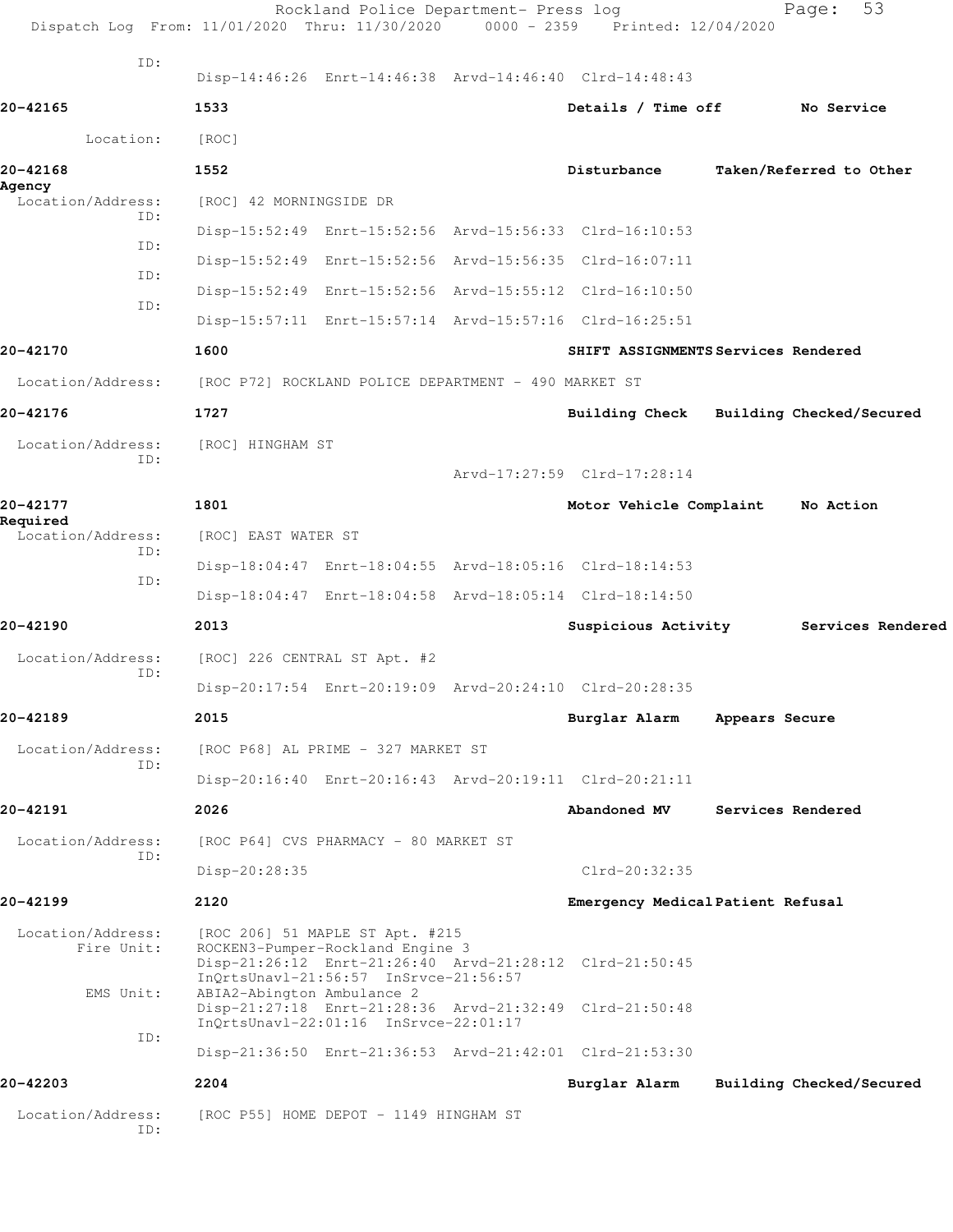|                                 | Rockland Police Department- Press log<br>Dispatch Log From: 11/01/2020 Thru: 11/30/2020 0000 - 2359 Printed: 12/04/2020                                                 |                             | Page:                               | 53                |
|---------------------------------|-------------------------------------------------------------------------------------------------------------------------------------------------------------------------|-----------------------------|-------------------------------------|-------------------|
| TD:                             | Disp-14:46:26 Enrt-14:46:38 Arvd-14:46:40 Clrd-14:48:43                                                                                                                 |                             |                                     |                   |
| 20-42165                        | 1533                                                                                                                                                                    | Details / Time off          | No Service                          |                   |
| Location:                       | [ROC]                                                                                                                                                                   |                             |                                     |                   |
| 20-42168<br>Agency              | 1552                                                                                                                                                                    | Disturbance                 | Taken/Referred to Other             |                   |
| Location/Address:<br>ID:        | [ROC] 42 MORNINGSIDE DR                                                                                                                                                 |                             |                                     |                   |
| ID:                             | Disp-15:52:49 Enrt-15:52:56 Arvd-15:56:33 Clrd-16:10:53                                                                                                                 |                             |                                     |                   |
| ID:                             | Disp-15:52:49 Enrt-15:52:56 Arvd-15:56:35 Clrd-16:07:11                                                                                                                 |                             |                                     |                   |
| ID:                             | Disp-15:52:49 Enrt-15:52:56 Arvd-15:55:12 Clrd-16:10:50                                                                                                                 |                             |                                     |                   |
|                                 | Disp-15:57:11 Enrt-15:57:14 Arvd-15:57:16 Clrd-16:25:51                                                                                                                 |                             |                                     |                   |
| 20-42170                        | 1600                                                                                                                                                                    |                             | SHIFT ASSIGNMENTS Services Rendered |                   |
| Location/Address:               | [ROC P72] ROCKLAND POLICE DEPARTMENT - 490 MARKET ST                                                                                                                    |                             |                                     |                   |
| 20-42176                        | 1727                                                                                                                                                                    | Building Check              | Building Checked/Secured            |                   |
| Location/Address:               | [ROC] HINGHAM ST                                                                                                                                                        |                             |                                     |                   |
| ID:                             |                                                                                                                                                                         | Arvd-17:27:59 Clrd-17:28:14 |                                     |                   |
| 20-42177                        | 1801                                                                                                                                                                    | Motor Vehicle Complaint     | No Action                           |                   |
| Required<br>Location/Address:   | [ROC] EAST WATER ST                                                                                                                                                     |                             |                                     |                   |
| ID:                             | Disp-18:04:47 Enrt-18:04:55 Arvd-18:05:16 Clrd-18:14:53                                                                                                                 |                             |                                     |                   |
| TD:                             | Disp-18:04:47 Enrt-18:04:58 Arvd-18:05:14 Clrd-18:14:50                                                                                                                 |                             |                                     |                   |
| 20-42190                        | 2013                                                                                                                                                                    | Suspicious Activity         |                                     | Services Rendered |
| Location/Address:               | [ROC] 226 CENTRAL ST Apt. #2                                                                                                                                            |                             |                                     |                   |
| ID:                             | Disp-20:17:54 Enrt-20:19:09 Arvd-20:24:10 Clrd-20:28:35                                                                                                                 |                             |                                     |                   |
| 20-42189                        | 2015                                                                                                                                                                    | Burglar Alarm               | Appears Secure                      |                   |
| Location/Address:               | [ROC P68] AL PRIME - 327 MARKET ST                                                                                                                                      |                             |                                     |                   |
| TD:                             | Disp-20:16:40 Enrt-20:16:43 Arvd-20:19:11 Clrd-20:21:11                                                                                                                 |                             |                                     |                   |
| 20-42191                        | 2026                                                                                                                                                                    | Abandoned MV                | Services Rendered                   |                   |
| Location/Address:               | [ROC P64] CVS PHARMACY - 80 MARKET ST                                                                                                                                   |                             |                                     |                   |
| TD:                             | Disp-20:28:35                                                                                                                                                           | $C1rd - 20:32:35$           |                                     |                   |
| 20-42199                        | 2120                                                                                                                                                                    |                             | Emergency Medical Patient Refusal   |                   |
| Location/Address:<br>Fire Unit: | [ROC 206] 51 MAPLE ST Apt. #215<br>ROCKEN3-Pumper-Rockland Engine 3<br>Disp-21:26:12 Enrt-21:26:40 Arvd-21:28:12 Clrd-21:50:45                                          |                             |                                     |                   |
| EMS Unit:                       | InQrtsUnavl-21:56:57 InSrvce-21:56:57<br>ABIA2-Abington Ambulance 2<br>Disp-21:27:18 Enrt-21:28:36 Arvd-21:32:49 Clrd-21:50:48<br>InQrtsUnavl-22:01:16 InSrvce-22:01:17 |                             |                                     |                   |
| ID:                             | Disp-21:36:50 Enrt-21:36:53 Arvd-21:42:01 Clrd-21:53:30                                                                                                                 |                             |                                     |                   |
| 20-42203                        | 2204                                                                                                                                                                    | Burglar Alarm               | Building Checked/Secured            |                   |
| Location/Address:<br>ID:        | [ROC P55] HOME DEPOT - 1149 HINGHAM ST                                                                                                                                  |                             |                                     |                   |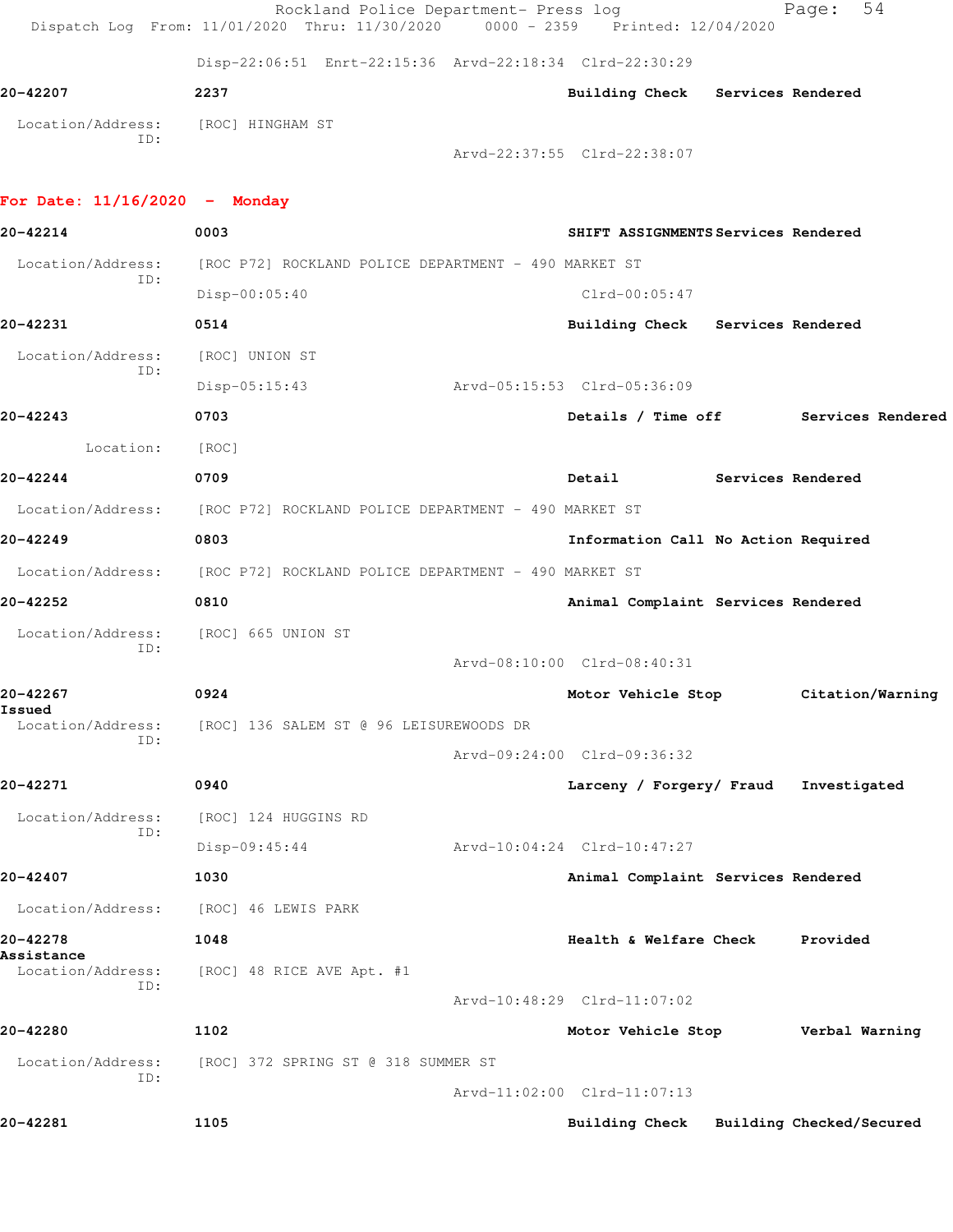Rockland Police Department- Press log Fage: 54 Dispatch Log From: 11/01/2020 Thru: 11/30/2020 0000 - 2359 Printed: 12/04/2020 Disp-22:06:51 Enrt-22:15:36 Arvd-22:18:34 Clrd-22:30:29 **20-42207 2237 Building Check Services Rendered** Location/Address: [ROC] HINGHAM ST ID: Arvd-22:37:55 Clrd-22:38:07 **For Date: 11/16/2020 - Monday 20-42214 0003 SHIFT ASSIGNMENTS Services Rendered** Location/Address: [ROC P72] ROCKLAND POLICE DEPARTMENT - 490 MARKET ST ID: Disp-00:05:40 Clrd-00:05:47 **20-42231 0514 Building Check Services Rendered** Location/Address: [ROC] UNION ST ID: Disp-05:15:43 Arvd-05:15:53 Clrd-05:36:09 **20-42243 0703 Details / Time off Services Rendered** Location: [ROC] **20-42244 0709 Detail Services Rendered** Location/Address: [ROC P72] ROCKLAND POLICE DEPARTMENT - 490 MARKET ST **20-42249 0803 Information Call No Action Required** Location/Address: [ROC P72] ROCKLAND POLICE DEPARTMENT - 490 MARKET ST **20-42252 0810 Animal Complaint Services Rendered** Location/Address: [ROC] 665 UNION ST ID: Arvd-08:10:00 Clrd-08:40:31 **20-42267 0924 Motor Vehicle Stop Citation/Warning Issued**<br>Location/Address: [ROC] 136 SALEM ST @ 96 LEISUREWOODS DR ID: Arvd-09:24:00 Clrd-09:36:32 **20-42271 0940 Larceny / Forgery/ Fraud Investigated** Location/Address: [ROC] 124 HUGGINS RD ID: Disp-09:45:44 Arvd-10:04:24 Clrd-10:47:27 **20-42407 1030 Animal Complaint Services Rendered** Location/Address: [ROC] 46 LEWIS PARK **20-42278 1048 Health & Welfare Check Provided Assistance**  Location/Address: [ROC] 48 RICE AVE Apt. #1 ID: Arvd-10:48:29 Clrd-11:07:02 **20-42280 1102 Motor Vehicle Stop Verbal Warning** Location/Address: [ROC] 372 SPRING ST @ 318 SUMMER ST ID: Arvd-11:02:00 Clrd-11:07:13 **20-42281 1105 Building Check Building Checked/Secured**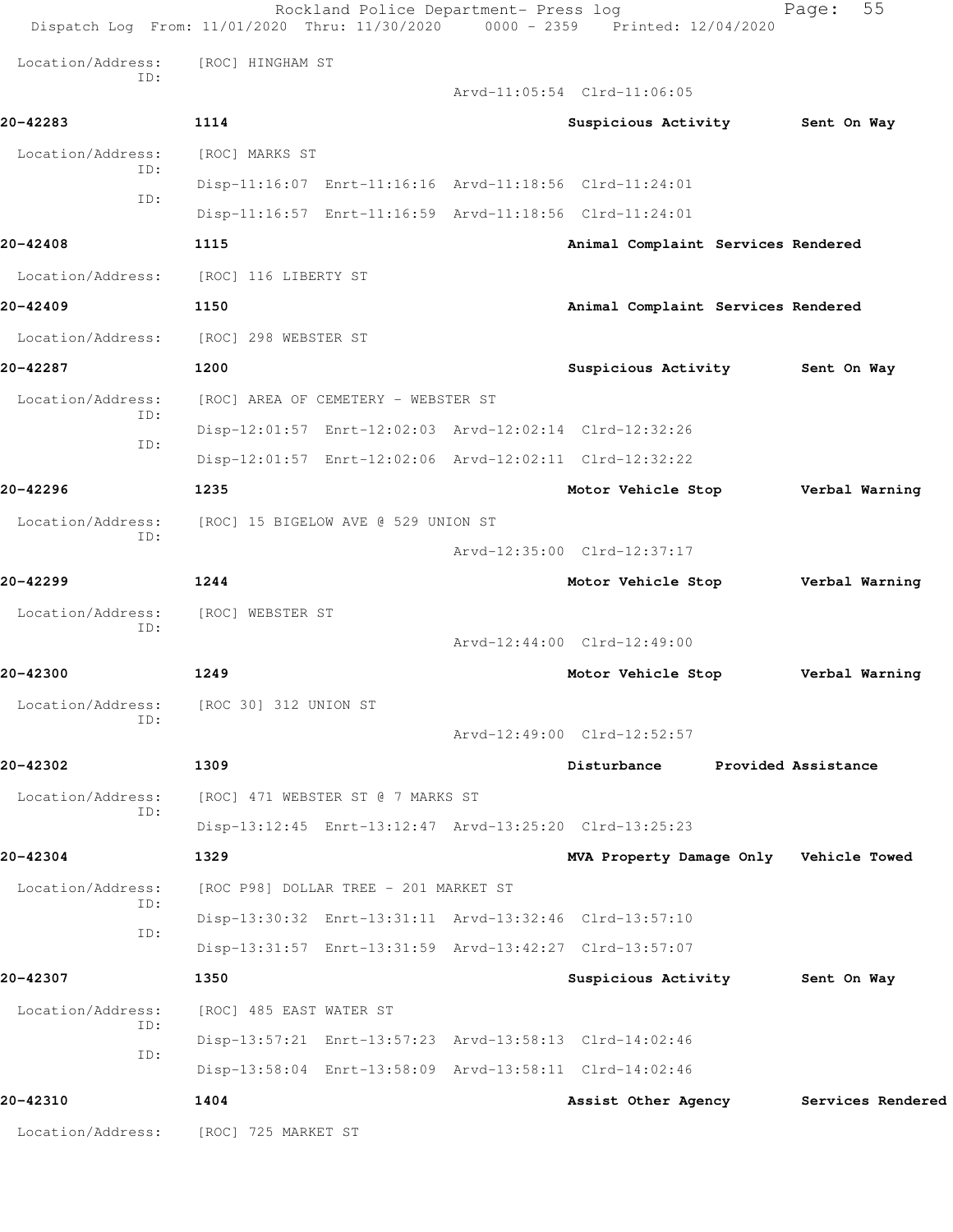|                   | Rockland Police Department- Press log<br>Dispatch Log From: 11/01/2020 Thru: 11/30/2020 | 0000 - 2359 Printed: 12/04/2020        | 55<br>Page:         |
|-------------------|-----------------------------------------------------------------------------------------|----------------------------------------|---------------------|
| Location/Address: | [ROC] HINGHAM ST                                                                        |                                        |                     |
| ID:               |                                                                                         | Arvd-11:05:54 Clrd-11:06:05            |                     |
| 20-42283          | 1114                                                                                    | Suspicious Activity                    | Sent On Way         |
| Location/Address: | [ROC] MARKS ST                                                                          |                                        |                     |
| ID:               | Disp-11:16:07 Enrt-11:16:16 Arvd-11:18:56 Clrd-11:24:01                                 |                                        |                     |
| ID:               | Disp-11:16:57 Enrt-11:16:59 Arvd-11:18:56 Clrd-11:24:01                                 |                                        |                     |
| 20-42408          | 1115                                                                                    | Animal Complaint Services Rendered     |                     |
| Location/Address: | [ROC] 116 LIBERTY ST                                                                    |                                        |                     |
| 20-42409          | 1150                                                                                    | Animal Complaint Services Rendered     |                     |
| Location/Address: | [ROC] 298 WEBSTER ST                                                                    |                                        |                     |
| 20-42287          | 1200                                                                                    | Suspicious Activity                    | Sent On Way         |
| Location/Address: | [ROC] AREA OF CEMETERY - WEBSTER ST                                                     |                                        |                     |
| TD:               | Disp-12:01:57 Enrt-12:02:03 Arvd-12:02:14 Clrd-12:32:26                                 |                                        |                     |
| ID:               | Disp-12:01:57 Enrt-12:02:06 Arvd-12:02:11 Clrd-12:32:22                                 |                                        |                     |
| 20-42296          | 1235                                                                                    | Motor Vehicle Stop                     | Verbal Warning      |
| Location/Address: | [ROC] 15 BIGELOW AVE @ 529 UNION ST                                                     |                                        |                     |
| ID:               |                                                                                         | Arvd-12:35:00 Clrd-12:37:17            |                     |
| 20-42299          | 1244                                                                                    | Motor Vehicle Stop                     | Verbal Warning      |
| Location/Address: | [ROC] WEBSTER ST                                                                        |                                        |                     |
| ID:               |                                                                                         | Arvd-12:44:00 Clrd-12:49:00            |                     |
| 20-42300          | 1249                                                                                    | Motor Vehicle Stop                     | Verbal Warning      |
| Location/Address: | [ROC 30] 312 UNION ST                                                                   |                                        |                     |
| ID:               |                                                                                         | Arvd-12:49:00 Clrd-12:52:57            |                     |
| 20-42302          | 1309                                                                                    | Disturbance                            | Provided Assistance |
| Location/Address: | [ROC] 471 WEBSTER ST @ 7 MARKS ST                                                       |                                        |                     |
| ID:               | Disp-13:12:45 Enrt-13:12:47 Arvd-13:25:20 Clrd-13:25:23                                 |                                        |                     |
| 20-42304          | 1329                                                                                    | MVA Property Damage Only Vehicle Towed |                     |
| Location/Address: | [ROC P98] DOLLAR TREE - 201 MARKET ST                                                   |                                        |                     |
| ID:               | Disp-13:30:32 Enrt-13:31:11 Arvd-13:32:46 Clrd-13:57:10                                 |                                        |                     |
| ID:               | Disp-13:31:57 Enrt-13:31:59 Arvd-13:42:27 Clrd-13:57:07                                 |                                        |                     |
| 20-42307          | 1350                                                                                    | Suspicious Activity                    | Sent On Way         |
| Location/Address: | [ROC] 485 EAST WATER ST                                                                 |                                        |                     |
| ID:<br>ID:        | Disp-13:57:21 Enrt-13:57:23 Arvd-13:58:13 Clrd-14:02:46                                 |                                        |                     |
|                   | Disp-13:58:04 Enrt-13:58:09 Arvd-13:58:11 Clrd-14:02:46                                 |                                        |                     |
| 20-42310          | 1404                                                                                    | Assist Other Agency                    | Services Rendered   |
| Location/Address: | [ROC] 725 MARKET ST                                                                     |                                        |                     |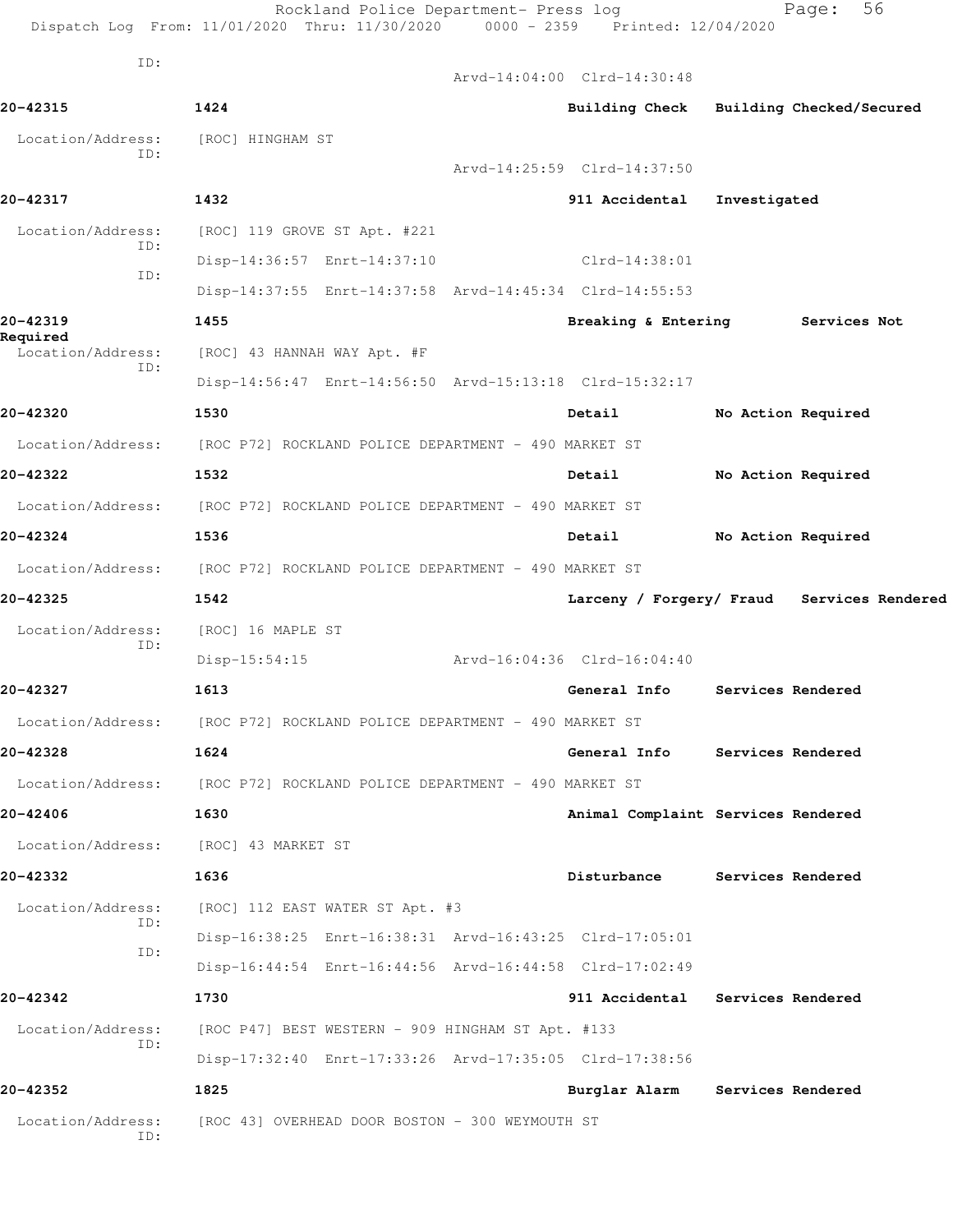|                               | Rockland Police Department- Press log<br>Dispatch Log From: 11/01/2020 Thru: 11/30/2020 | 0000 - 2359 Printed: 12/04/2020 | 56<br>Page:                                |
|-------------------------------|-----------------------------------------------------------------------------------------|---------------------------------|--------------------------------------------|
| ID:                           |                                                                                         | Arvd-14:04:00 Clrd-14:30:48     |                                            |
| 20-42315                      | 1424                                                                                    | <b>Building Check</b>           | Building Checked/Secured                   |
| Location/Address:             | [ROC] HINGHAM ST                                                                        |                                 |                                            |
| TD:                           |                                                                                         | Arvd-14:25:59 Clrd-14:37:50     |                                            |
| 20-42317                      | 1432                                                                                    | 911 Accidental                  | Investigated                               |
| Location/Address:             | [ROC] 119 GROVE ST Apt. #221                                                            |                                 |                                            |
| ID:                           | Disp-14:36:57 Enrt-14:37:10                                                             | $Clrd-14:38:01$                 |                                            |
| ID:                           | Disp-14:37:55 Enrt-14:37:58 Arvd-14:45:34 Clrd-14:55:53                                 |                                 |                                            |
| 20-42319                      | 1455                                                                                    | Breaking & Entering             | Services Not                               |
| Required<br>Location/Address: | [ROC] 43 HANNAH WAY Apt. #F                                                             |                                 |                                            |
| ID:                           | Disp-14:56:47 Enrt-14:56:50 Arvd-15:13:18 Clrd-15:32:17                                 |                                 |                                            |
| 20-42320                      | 1530                                                                                    | Detail                          | No Action Required                         |
| Location/Address:             | [ROC P72] ROCKLAND POLICE DEPARTMENT - 490 MARKET ST                                    |                                 |                                            |
| 20-42322                      | 1532                                                                                    | Detail                          | No Action Required                         |
| Location/Address:             | [ROC P72] ROCKLAND POLICE DEPARTMENT - 490 MARKET ST                                    |                                 |                                            |
| 20-42324                      | 1536                                                                                    | Detail                          | No Action Required                         |
| Location/Address:             | [ROC P72] ROCKLAND POLICE DEPARTMENT - 490 MARKET ST                                    |                                 |                                            |
| 20-42325                      | 1542                                                                                    |                                 | Larceny / Forgery/ Fraud Services Rendered |
| Location/Address:             | [ROC] 16 MAPLE ST                                                                       |                                 |                                            |
| ID:                           | $Disp-15:54:15$                                                                         | Arvd-16:04:36 Clrd-16:04:40     |                                            |
| 20-42327                      | 1613                                                                                    | General Info                    | Services Rendered                          |
|                               | Location/Address: [ROC P72] ROCKLAND POLICE DEPARTMENT - 490 MARKET ST                  |                                 |                                            |
| 20-42328                      | 1624                                                                                    |                                 | General Info Services Rendered             |
|                               | Location/Address: [ROC P72] ROCKLAND POLICE DEPARTMENT - 490 MARKET ST                  |                                 |                                            |
| 20-42406                      | 1630                                                                                    |                                 |                                            |
|                               |                                                                                         |                                 | Animal Complaint Services Rendered         |
| 20-42332                      | Location/Address: [ROC] 43 MARKET ST                                                    | Disturbance                     | Services Rendered                          |
|                               | 1636                                                                                    |                                 |                                            |
| Location/Address:<br>ID:      | [ROC] 112 EAST WATER ST Apt. #3                                                         |                                 |                                            |
| ID:                           | Disp-16:38:25 Enrt-16:38:31 Arvd-16:43:25 Clrd-17:05:01                                 |                                 |                                            |
|                               | Disp-16:44:54 Enrt-16:44:56 Arvd-16:44:58 Clrd-17:02:49                                 |                                 |                                            |
| 20-42342                      | 1730                                                                                    |                                 | 911 Accidental Services Rendered           |
| Location/Address:<br>ID:      | [ROC P47] BEST WESTERN - 909 HINGHAM ST Apt. #133                                       |                                 |                                            |
|                               | Disp-17:32:40 Enrt-17:33:26 Arvd-17:35:05 Clrd-17:38:56                                 |                                 |                                            |
| 20-42352                      | 1825                                                                                    | Burglar Alarm                   | Services Rendered                          |
| Location/Address:<br>ID:      | [ROC 43] OVERHEAD DOOR BOSTON - 300 WEYMOUTH ST                                         |                                 |                                            |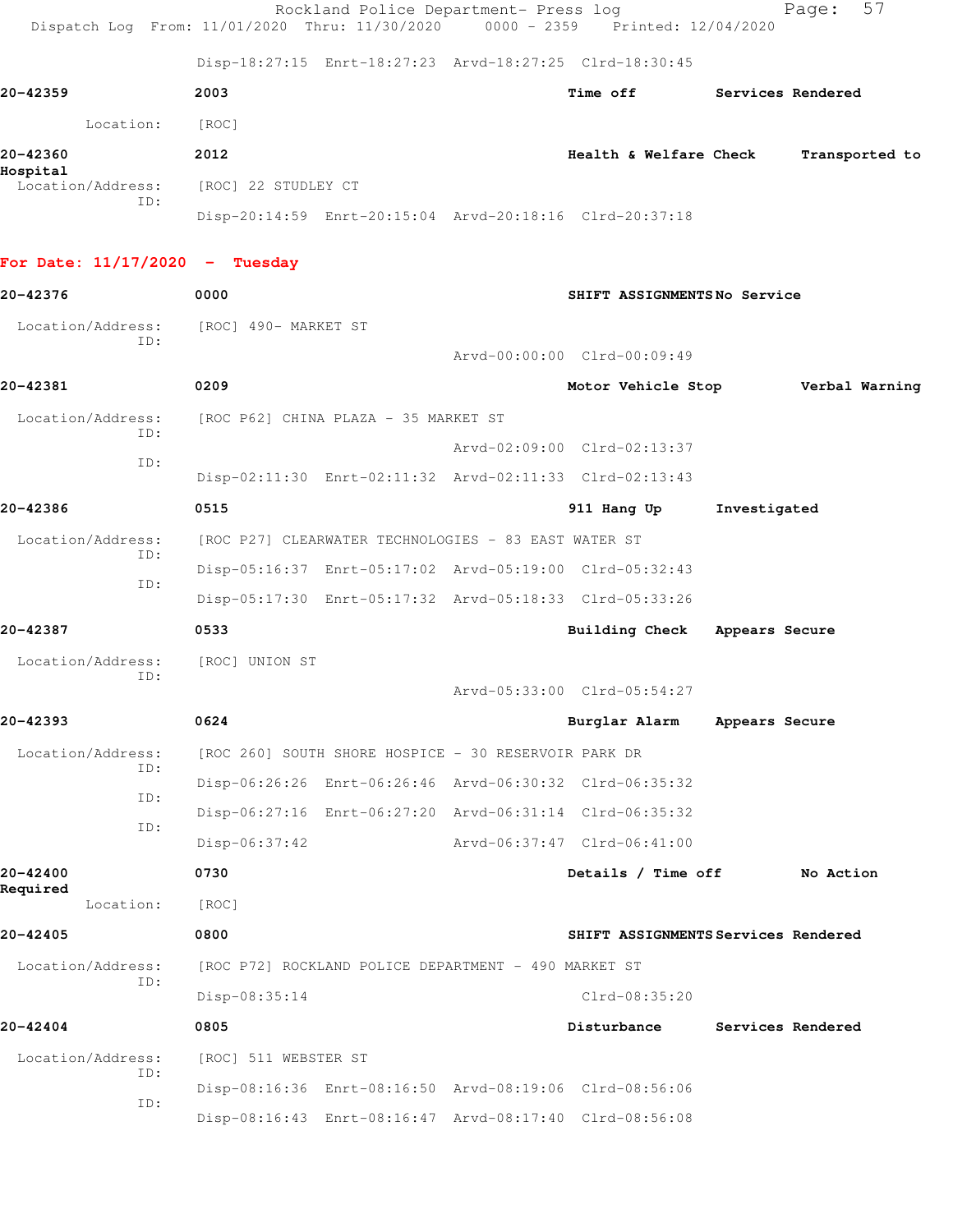| Dispatch Log From: 11/01/2020 Thru: 11/30/2020 0000 - 2359 Printed: 12/04/2020 |                      | Rockland Police Department- Press log                |                                                         | 57<br>Page:                         |
|--------------------------------------------------------------------------------|----------------------|------------------------------------------------------|---------------------------------------------------------|-------------------------------------|
|                                                                                |                      |                                                      | Disp-18:27:15 Enrt-18:27:23 Arvd-18:27:25 Clrd-18:30:45 |                                     |
| 20-42359                                                                       | 2003                 |                                                      | Time off                                                | Services Rendered                   |
| Location:                                                                      | [ROC]                |                                                      |                                                         |                                     |
| 20-42360                                                                       | 2012                 |                                                      | Health & Welfare Check                                  | Transported to                      |
| Hospital<br>Location/Address:<br>TD:                                           | [ROC] 22 STUDLEY CT  |                                                      |                                                         |                                     |
|                                                                                |                      |                                                      | Disp-20:14:59 Enrt-20:15:04 Arvd-20:18:16 Clrd-20:37:18 |                                     |
| For Date: $11/17/2020 -$ Tuesday                                               |                      |                                                      |                                                         |                                     |
| 20-42376                                                                       | 0000                 |                                                      | SHIFT ASSIGNMENTSNo Service                             |                                     |
| Location/Address: [ROC] 490- MARKET ST<br>TD:                                  |                      |                                                      |                                                         |                                     |
|                                                                                |                      |                                                      | Arvd-00:00:00 Clrd-00:09:49                             |                                     |
| 20-42381                                                                       | 0209                 |                                                      | Motor Vehicle Stop                                      | Verbal Warning                      |
| Location/Address:<br>ID:                                                       |                      | [ROC P62] CHINA PLAZA - 35 MARKET ST                 |                                                         |                                     |
| ID:                                                                            |                      |                                                      | Arvd-02:09:00 Clrd-02:13:37                             |                                     |
|                                                                                |                      |                                                      | Disp-02:11:30 Enrt-02:11:32 Arvd-02:11:33 Clrd-02:13:43 |                                     |
| 20-42386                                                                       | 0515                 |                                                      | 911 Hang Up                                             | Investigated                        |
| Location/Address:<br>ID:                                                       |                      | [ROC P27] CLEARWATER TECHNOLOGIES - 83 EAST WATER ST |                                                         |                                     |
| ID:                                                                            |                      |                                                      | Disp-05:16:37 Enrt-05:17:02 Arvd-05:19:00 Clrd-05:32:43 |                                     |
|                                                                                |                      |                                                      | Disp-05:17:30 Enrt-05:17:32 Arvd-05:18:33 Clrd-05:33:26 |                                     |
| 20-42387                                                                       | 0533                 |                                                      | Building Check                                          | Appears Secure                      |
| Location/Address:<br>ID:                                                       | [ROC] UNION ST       |                                                      |                                                         |                                     |
|                                                                                |                      |                                                      | Arvd-05:33:00 Clrd-05:54:27                             |                                     |
| 20-42393                                                                       | 0624                 |                                                      | Burglar Alarm                                           | Appears Secure                      |
| Location/Address:<br>ID:                                                       |                      | [ROC 260] SOUTH SHORE HOSPICE - 30 RESERVOIR PARK DR |                                                         |                                     |
| ID:                                                                            |                      |                                                      | Disp-06:26:26 Enrt-06:26:46 Arvd-06:30:32 Clrd-06:35:32 |                                     |
| ID:                                                                            |                      |                                                      | Disp-06:27:16 Enrt-06:27:20 Arvd-06:31:14 Clrd-06:35:32 |                                     |
|                                                                                | $Disp-06:37:42$      |                                                      | Arvd-06:37:47 Clrd-06:41:00                             |                                     |
| 20-42400<br>Required                                                           | 0730                 |                                                      | Details / Time off                                      | No Action                           |
| Location:                                                                      | [ROC]                |                                                      |                                                         |                                     |
| 20-42405                                                                       | 0800                 |                                                      |                                                         | SHIFT ASSIGNMENTS Services Rendered |
| Location/Address:<br>ID:                                                       |                      | [ROC P72] ROCKLAND POLICE DEPARTMENT - 490 MARKET ST |                                                         |                                     |
|                                                                                | Disp-08:35:14        |                                                      | Clrd-08:35:20                                           |                                     |
| 20-42404                                                                       | 0805                 |                                                      | Disturbance                                             | Services Rendered                   |
| Location/Address:<br>ID:                                                       | [ROC] 511 WEBSTER ST |                                                      |                                                         |                                     |
| ID:                                                                            |                      |                                                      | Disp-08:16:36 Enrt-08:16:50 Arvd-08:19:06 Clrd-08:56:06 |                                     |
|                                                                                |                      |                                                      | Disp-08:16:43 Enrt-08:16:47 Arvd-08:17:40 Clrd-08:56:08 |                                     |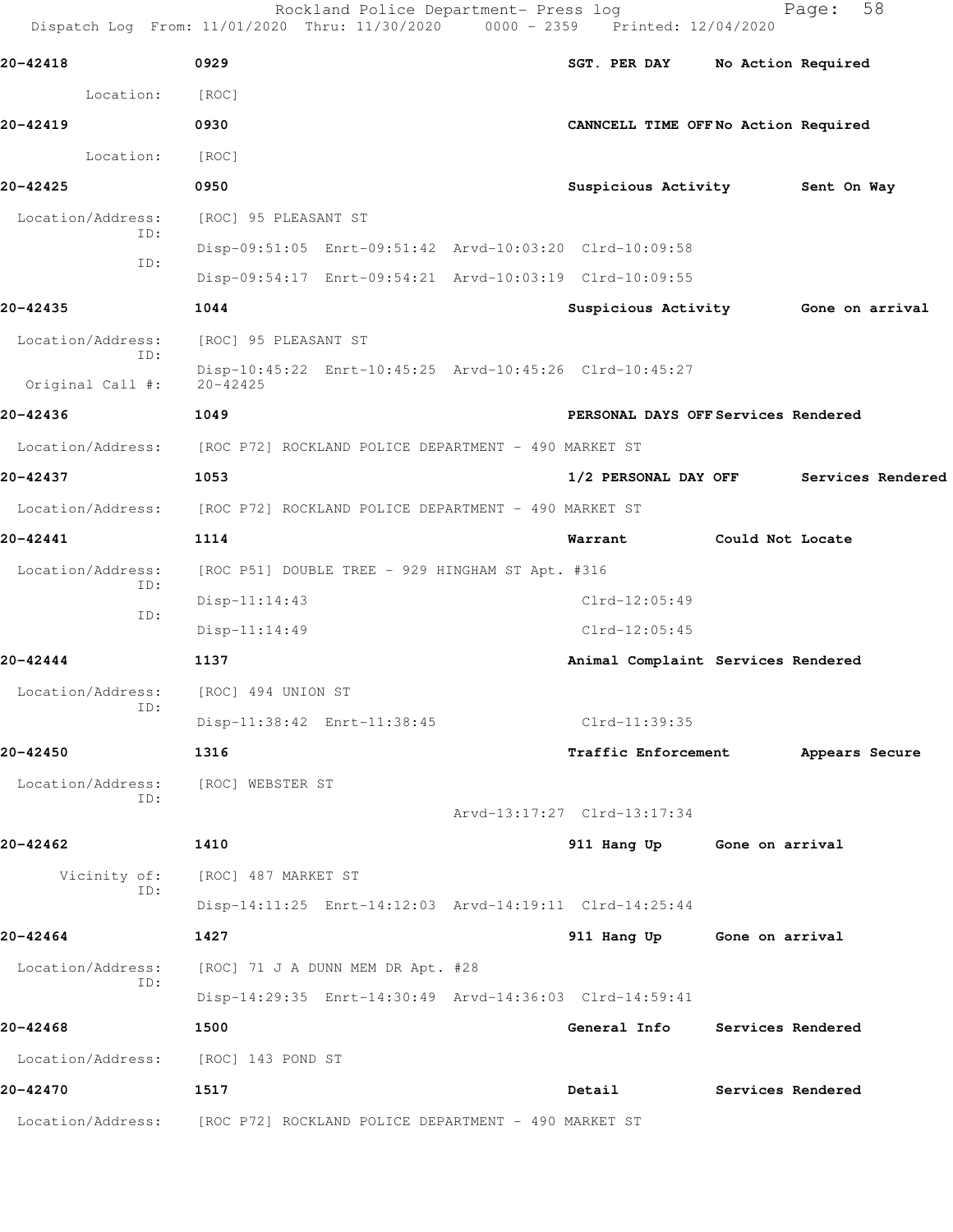Dispatch Log From: 11/01/2020 Thru: 11/30/2020 0000 - 2359 Printed: 12/04/2020 **20-42418 0929 SGT. PER DAY No Action Required** Location: [ROC] **20-42419 0930 CANNCELL TIME OFF No Action Required** Location: [ROC] **20-42425 0950 Suspicious Activity Sent On Way** Location/Address: [ROC] 95 PLEASANT ST ID: Disp-09:51:05 Enrt-09:51:42 Arvd-10:03:20 Clrd-10:09:58 ID: Disp-09:54:17 Enrt-09:54:21 Arvd-10:03:19 Clrd-10:09:55 **20-42435 1044 Suspicious Activity Gone on arrival** Location/Address: [ROC] 95 PLEASANT ST ID: Disp-10:45:22 Enrt-10:45:25 Arvd-10:45:26 Clrd-10:45:27 Original Call #: **20-42436 1049 PERSONAL DAYS OFF Services Rendered** Location/Address: [ROC P72] ROCKLAND POLICE DEPARTMENT - 490 MARKET ST **20-42437 1053 1/2 PERSONAL DAY OFF Services Rendered** Location/Address: [ROC P72] ROCKLAND POLICE DEPARTMENT - 490 MARKET ST **20-42441 1114 Warrant Could Not Locate** Location/Address: [ROC P51] DOUBLE TREE - 929 HINGHAM ST Apt. #316 ID: Disp-11:14:43 Clrd-12:05:49 ID: Disp-11:14:49 Clrd-12:05:45 **20-42444 1137 Animal Complaint Services Rendered** Location/Address: [ROC] 494 UNION ST ID: Disp-11:38:42 Enrt-11:38:45 Clrd-11:39:35 **20-42450 1316 Traffic Enforcement Appears Secure** Location/Address: [ROC] WEBSTER ST ID: Arvd-13:17:27 Clrd-13:17:34 **20-42462 1410 911 Hang Up Gone on arrival** Vicinity of: [ROC] 487 MARKET ST ID: Disp-14:11:25 Enrt-14:12:03 Arvd-14:19:11 Clrd-14:25:44 **20-42464 1427 911 Hang Up Gone on arrival** Location/Address: [ROC] 71 J A DUNN MEM DR Apt. #28 ID: Disp-14:29:35 Enrt-14:30:49 Arvd-14:36:03 Clrd-14:59:41 **20-42468 1500 General Info Services Rendered** Location/Address: [ROC] 143 POND ST **20-42470 1517 Detail Services Rendered** Location/Address: [ROC P72] ROCKLAND POLICE DEPARTMENT - 490 MARKET ST

Rockland Police Department- Press log Fage: 58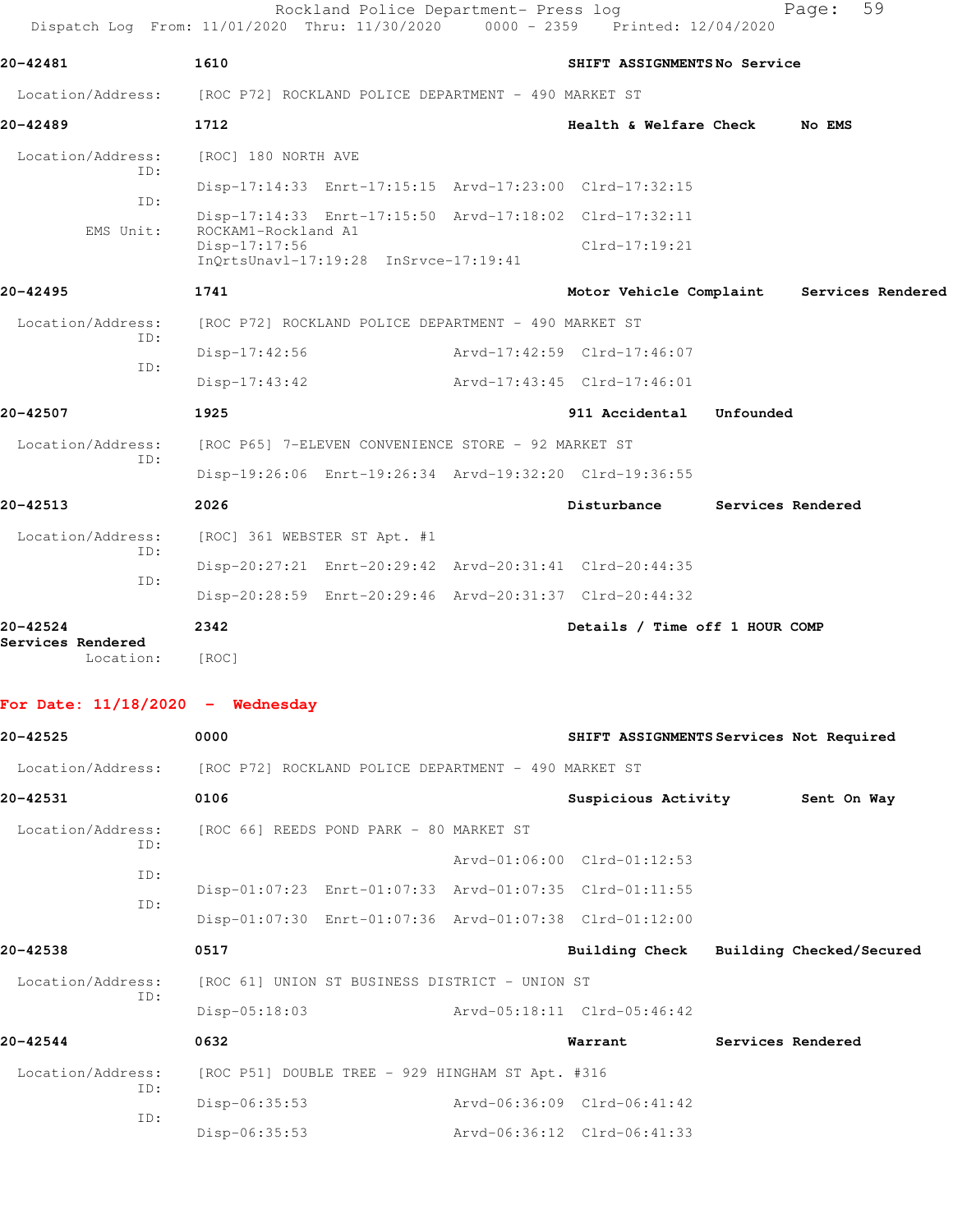| No EMS                                    |
|-------------------------------------------|
|                                           |
|                                           |
|                                           |
| Motor Vehicle Complaint Services Rendered |
|                                           |
|                                           |
|                                           |
|                                           |
|                                           |
|                                           |
| Services Rendered                         |
|                                           |
|                                           |
|                                           |
| Details / Time off 1 HOUR COMP            |
|                                           |
|                                           |
| SHIFT ASSIGNMENTS Services Not Required   |
|                                           |
| Sent On Way                               |
|                                           |
|                                           |
|                                           |
|                                           |
| Building Check Building Checked/Secured   |
|                                           |
|                                           |
|                                           |
| Services Rendered                         |
|                                           |
|                                           |

Disp-06:35:53 Arvd-06:36:12 Clrd-06:41:33

ID: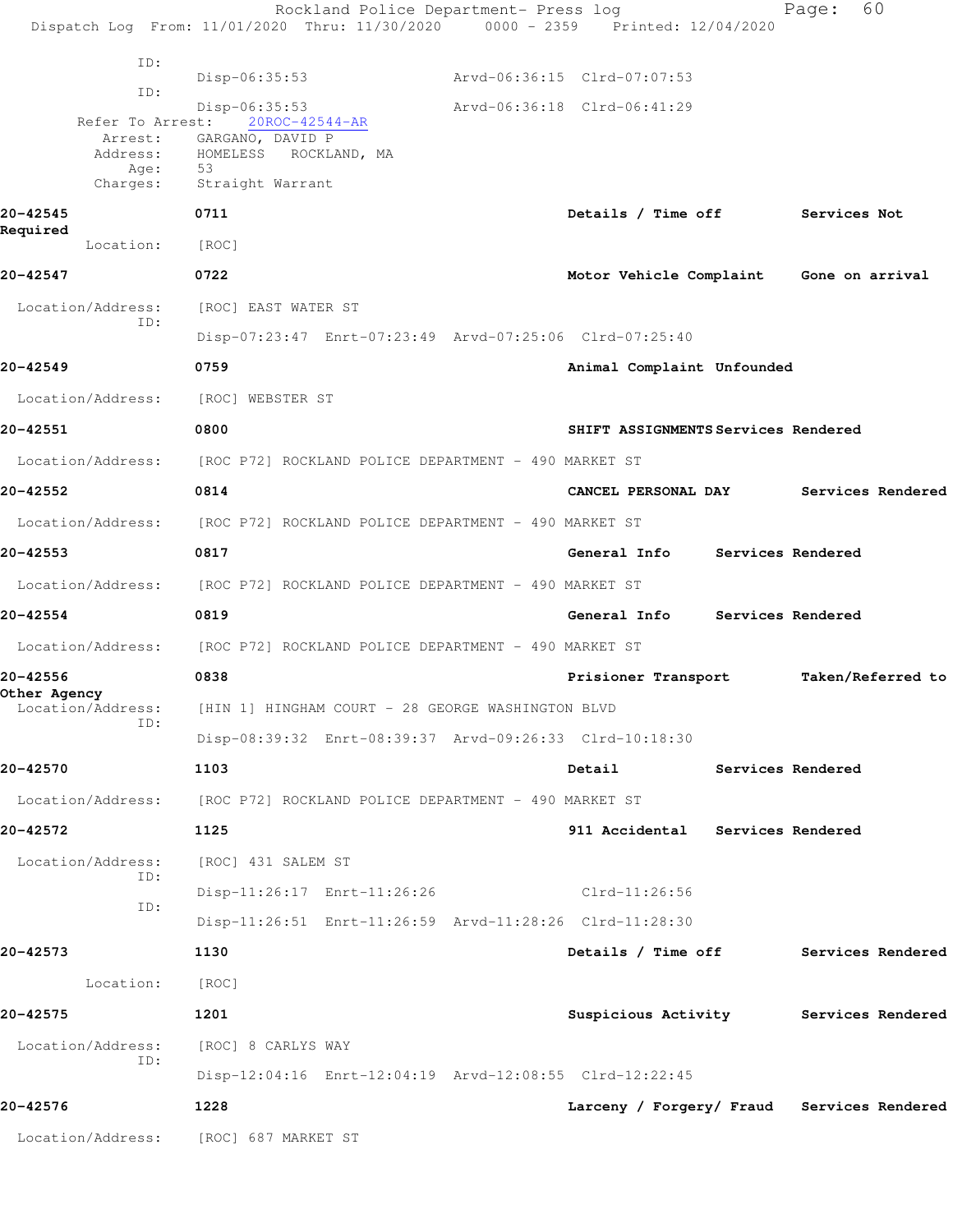Rockland Police Department- Press log Fage: 60 Dispatch Log From: 11/01/2020 Thru: 11/30/2020 0000 - 2359 Printed: 12/04/2020 ID: Disp-06:35:53 Arvd-06:36:15 Clrd-07:07:53 ID: Disp-06:35:53 Arvd-06:36:18 Clrd-06:41:29 Refer To Arrest: Arrest: GARGANO, DAVID P<br>Address: HOMELESS ROCKLA ROCKLAND, MA Age: 53 Charges: Straight Warrant **20-42545 0711 Details / Time off Services Not Required**  Location: [ROC] **20-42547 0722 Motor Vehicle Complaint Gone on arrival** Location/Address: [ROC] EAST WATER ST ID: Disp-07:23:47 Enrt-07:23:49 Arvd-07:25:06 Clrd-07:25:40 **20-42549 0759 Animal Complaint Unfounded**  Location/Address: [ROC] WEBSTER ST **20-42551 0800 SHIFT ASSIGNMENTS Services Rendered** Location/Address: [ROC P72] ROCKLAND POLICE DEPARTMENT - 490 MARKET ST **20-42552 0814 CANCEL PERSONAL DAY Services Rendered** Location/Address: [ROC P72] ROCKLAND POLICE DEPARTMENT - 490 MARKET ST **20-42553 0817 General Info Services Rendered** Location/Address: [ROC P72] ROCKLAND POLICE DEPARTMENT - 490 MARKET ST **20-42554 0819 General Info Services Rendered** Location/Address: [ROC P72] ROCKLAND POLICE DEPARTMENT - 490 MARKET ST **20-42556 0838 Prisioner Transport Taken/Referred to Other Agency**  Location/Address: [HIN 1] HINGHAM COURT - 28 GEORGE WASHINGTON BLVD ID: Disp-08:39:32 Enrt-08:39:37 Arvd-09:26:33 Clrd-10:18:30 **20-42570 1103 Detail Services Rendered** Location/Address: [ROC P72] ROCKLAND POLICE DEPARTMENT - 490 MARKET ST **20-42572 1125 911 Accidental Services Rendered** Location/Address: [ROC] 431 SALEM ST ID: Disp-11:26:17 Enrt-11:26:26 Clrd-11:26:56 ID: Disp-11:26:51 Enrt-11:26:59 Arvd-11:28:26 Clrd-11:28:30 **20-42573 1130 Details / Time off Services Rendered** Location: [ROC] **20-42575 1201 Suspicious Activity Services Rendered** Location/Address: [ROC] 8 CARLYS WAY ID: Disp-12:04:16 Enrt-12:04:19 Arvd-12:08:55 Clrd-12:22:45 **20-42576 1228 Larceny / Forgery/ Fraud Services Rendered** Location/Address: [ROC] 687 MARKET ST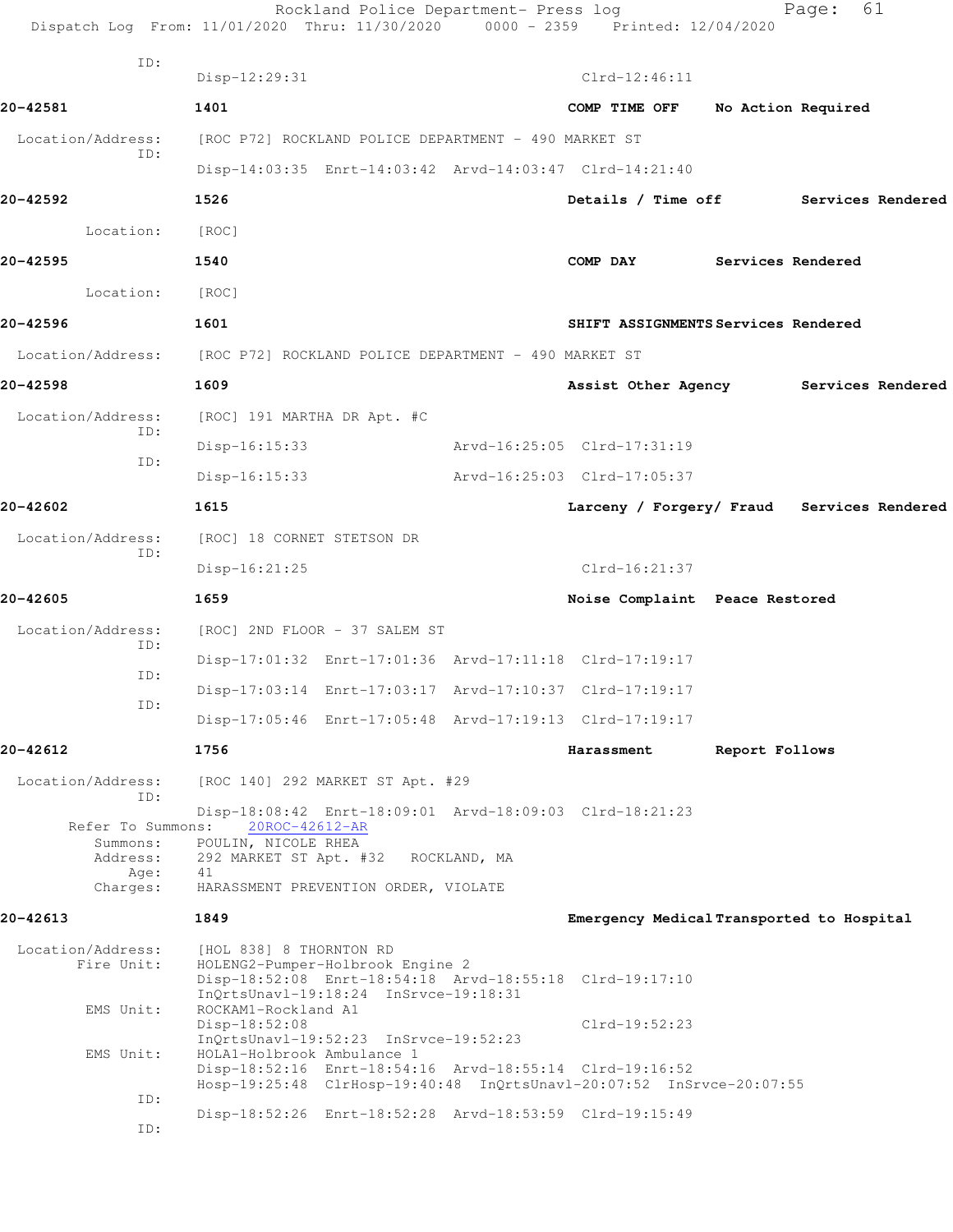|                                                               | Rockland Police Department- Press log<br>Dispatch Log From: 11/01/2020 Thru: 11/30/2020 0000 - 2359 Printed: 12/04/2020                                                                                                                                                                                                                   |              |                                            |                    | Page: | 61                |
|---------------------------------------------------------------|-------------------------------------------------------------------------------------------------------------------------------------------------------------------------------------------------------------------------------------------------------------------------------------------------------------------------------------------|--------------|--------------------------------------------|--------------------|-------|-------------------|
| ID:                                                           | Disp-12:29:31                                                                                                                                                                                                                                                                                                                             |              | $Clrd-12:46:11$                            |                    |       |                   |
| 20-42581                                                      | 1401                                                                                                                                                                                                                                                                                                                                      |              | COMP TIME OFF                              | No Action Required |       |                   |
| Location/Address:                                             | [ROC P72] ROCKLAND POLICE DEPARTMENT - 490 MARKET ST                                                                                                                                                                                                                                                                                      |              |                                            |                    |       |                   |
| ID:                                                           | Disp-14:03:35 Enrt-14:03:42 Arvd-14:03:47 Clrd-14:21:40                                                                                                                                                                                                                                                                                   |              |                                            |                    |       |                   |
| 20-42592                                                      | 1526                                                                                                                                                                                                                                                                                                                                      |              | Details / Time off Services Rendered       |                    |       |                   |
| Location:                                                     | [ROC]                                                                                                                                                                                                                                                                                                                                     |              |                                            |                    |       |                   |
| 20-42595                                                      | 1540                                                                                                                                                                                                                                                                                                                                      |              | COMP DAY                                   | Services Rendered  |       |                   |
| Location:                                                     | [ROC]                                                                                                                                                                                                                                                                                                                                     |              |                                            |                    |       |                   |
| 20-42596                                                      | 1601                                                                                                                                                                                                                                                                                                                                      |              | SHIFT ASSIGNMENTS Services Rendered        |                    |       |                   |
|                                                               | Location/Address: [ROC P72] ROCKLAND POLICE DEPARTMENT - 490 MARKET ST                                                                                                                                                                                                                                                                    |              |                                            |                    |       |                   |
| 20-42598                                                      | 1609                                                                                                                                                                                                                                                                                                                                      |              | Assist Other Agency                        |                    |       | Services Rendered |
| Location/Address:                                             | [ROC] 191 MARTHA DR Apt. #C                                                                                                                                                                                                                                                                                                               |              |                                            |                    |       |                   |
| ID:                                                           | $Disp-16:15:33$                                                                                                                                                                                                                                                                                                                           |              | Arvd-16:25:05 Clrd-17:31:19                |                    |       |                   |
| ID:                                                           | Disp-16:15:33                                                                                                                                                                                                                                                                                                                             |              | Arvd-16:25:03 Clrd-17:05:37                |                    |       |                   |
| 20-42602                                                      | 1615                                                                                                                                                                                                                                                                                                                                      |              | Larceny / Forgery/ Fraud Services Rendered |                    |       |                   |
| Location/Address:                                             | [ROC] 18 CORNET STETSON DR                                                                                                                                                                                                                                                                                                                |              |                                            |                    |       |                   |
| ID:                                                           | $Disp-16:21:25$                                                                                                                                                                                                                                                                                                                           |              | $Clrd-16:21:37$                            |                    |       |                   |
| 20-42605                                                      | 1659                                                                                                                                                                                                                                                                                                                                      |              | Noise Complaint Peace Restored             |                    |       |                   |
| Location/Address:<br>ID:                                      | [ROC] 2ND FLOOR - 37 SALEM ST                                                                                                                                                                                                                                                                                                             |              |                                            |                    |       |                   |
| ID:                                                           | Disp-17:01:32 Enrt-17:01:36 Arvd-17:11:18 Clrd-17:19:17                                                                                                                                                                                                                                                                                   |              |                                            |                    |       |                   |
| ID:                                                           | Disp-17:03:14 Enrt-17:03:17 Arvd-17:10:37 Clrd-17:19:17                                                                                                                                                                                                                                                                                   |              |                                            |                    |       |                   |
|                                                               | Disp-17:05:46 Enrt-17:05:48 Arvd-17:19:13 Clrd-17:19:17                                                                                                                                                                                                                                                                                   |              |                                            |                    |       |                   |
| 20-42612                                                      | 1756                                                                                                                                                                                                                                                                                                                                      |              | Harassment                                 | Report Follows     |       |                   |
| Location/Address:<br>ID:                                      | [ROC 140] 292 MARKET ST Apt. #29                                                                                                                                                                                                                                                                                                          |              |                                            |                    |       |                   |
| Refer To Summons:<br>Summons:<br>Address:<br>Age:<br>Charges: | Disp-18:08:42 Enrt-18:09:01 Arvd-18:09:03 Clrd-18:21:23<br>20ROC-42612-AR<br>POULIN, NICOLE RHEA<br>292 MARKET ST Apt. #32<br>41<br>HARASSMENT PREVENTION ORDER, VIOLATE                                                                                                                                                                  | ROCKLAND, MA |                                            |                    |       |                   |
| 20-42613                                                      | 1849                                                                                                                                                                                                                                                                                                                                      |              | Emergency Medical Transported to Hospital  |                    |       |                   |
| Location/Address:<br>Fire Unit:<br>EMS Unit:<br>EMS Unit:     | [HOL 838] 8 THORNTON RD<br>HOLENG2-Pumper-Holbrook Engine 2<br>Disp-18:52:08 Enrt-18:54:18 Arvd-18:55:18 Clrd-19:17:10<br>InQrtsUnavl-19:18:24 InSrvce-19:18:31<br>ROCKAM1-Rockland A1<br>Disp-18:52:08<br>InQrtsUnavl-19:52:23 InSrvce-19:52:23<br>HOLA1-Holbrook Ambulance 1<br>Disp-18:52:16 Enrt-18:54:16 Arvd-18:55:14 Clrd-19:16:52 |              | $Clrd-19:52:23$                            |                    |       |                   |
| ID:                                                           | Hosp-19:25:48 ClrHosp-19:40:48 InQrtsUnavl-20:07:52 InSrvce-20:07:55                                                                                                                                                                                                                                                                      |              |                                            |                    |       |                   |
| ID:                                                           | Disp-18:52:26 Enrt-18:52:28 Arvd-18:53:59 Clrd-19:15:49                                                                                                                                                                                                                                                                                   |              |                                            |                    |       |                   |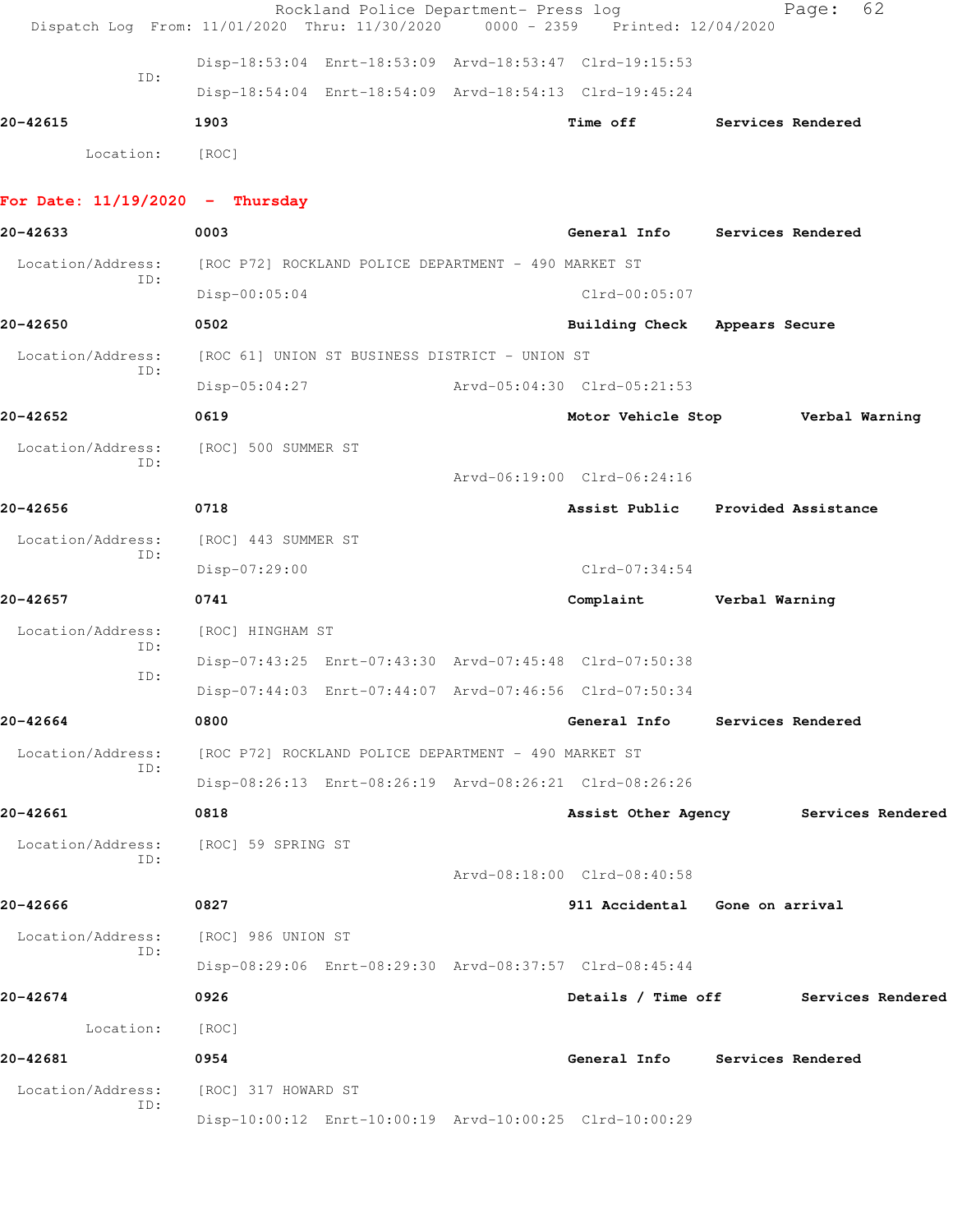|                                   | Rockland Police Department- Press log<br>Dispatch Log From: 11/01/2020 Thru: 11/30/2020 | $0000 - 2359$ | Printed: 12/04/2020                   |                | 62<br>Page:       |  |
|-----------------------------------|-----------------------------------------------------------------------------------------|---------------|---------------------------------------|----------------|-------------------|--|
|                                   | Disp-18:53:04 Enrt-18:53:09 Arvd-18:53:47 Clrd-19:15:53                                 |               |                                       |                |                   |  |
| ID:                               | Disp-18:54:04 Enrt-18:54:09 Arvd-18:54:13 Clrd-19:45:24                                 |               |                                       |                |                   |  |
| 20-42615                          | 1903                                                                                    |               | Time off                              |                | Services Rendered |  |
| Location:                         | [ROC]                                                                                   |               |                                       |                |                   |  |
|                                   |                                                                                         |               |                                       |                |                   |  |
| For Date: $11/19/2020 -$ Thursday |                                                                                         |               |                                       |                |                   |  |
| 20-42633                          | 0003                                                                                    |               | General Info Services Rendered        |                |                   |  |
| Location/Address:<br>ID:          | [ROC P72] ROCKLAND POLICE DEPARTMENT - 490 MARKET ST                                    |               |                                       |                |                   |  |
|                                   | $Disp-00:05:04$                                                                         |               | $Clrd-00:05:07$                       |                |                   |  |
| 20-42650                          | 0502                                                                                    |               | <b>Building Check</b>                 | Appears Secure |                   |  |
| Location/Address:<br>ID:          | [ROC 61] UNION ST BUSINESS DISTRICT - UNION ST                                          |               |                                       |                |                   |  |
|                                   | $Disp-05:04:27$                                                                         |               | Arvd-05:04:30 Clrd-05:21:53           |                |                   |  |
| 20-42652                          | 0619                                                                                    |               | Motor Vehicle Stop                    |                | Verbal Warning    |  |
| Location/Address:<br>ID:          | [ROC] 500 SUMMER ST                                                                     |               |                                       |                |                   |  |
|                                   |                                                                                         |               | Arvd-06:19:00 Clrd-06:24:16           |                |                   |  |
| 20-42656                          | 0718                                                                                    |               | Assist Public Provided Assistance     |                |                   |  |
| Location/Address:                 | [ROC] 443 SUMMER ST                                                                     |               |                                       |                |                   |  |
| ID:                               | Disp-07:29:00                                                                           |               | $Clrd-07:34:54$                       |                |                   |  |
| 20-42657                          | 0741                                                                                    |               | Complaint                             | Verbal Warning |                   |  |
| Location/Address:                 | [ROC] HINGHAM ST                                                                        |               |                                       |                |                   |  |
| ID:                               | Disp-07:43:25 Enrt-07:43:30 Arvd-07:45:48 Clrd-07:50:38                                 |               |                                       |                |                   |  |
| ID:                               | Disp-07:44:03 Enrt-07:44:07 Arvd-07:46:56 Clrd-07:50:34                                 |               |                                       |                |                   |  |
| 20-42664                          | 0800                                                                                    |               | General Info Services Rendered        |                |                   |  |
| Location/Address:                 | [ROC P72] ROCKLAND POLICE DEPARTMENT - 490 MARKET ST                                    |               |                                       |                |                   |  |
| ID:                               | Disp-08:26:13 Enrt-08:26:19 Arvd-08:26:21 Clrd-08:26:26                                 |               |                                       |                |                   |  |
| 20-42661                          | 0818                                                                                    |               | Assist Other Agency Services Rendered |                |                   |  |
| Location/Address:                 | [ROC] 59 SPRING ST                                                                      |               |                                       |                |                   |  |
| ID:                               |                                                                                         |               | Arvd-08:18:00 Clrd-08:40:58           |                |                   |  |
| 20-42666                          | 0827                                                                                    |               | 911 Accidental Gone on arrival        |                |                   |  |
| Location/Address:                 | [ROC] 986 UNION ST                                                                      |               |                                       |                |                   |  |
| ID:                               | Disp-08:29:06 Enrt-08:29:30 Arvd-08:37:57 Clrd-08:45:44                                 |               |                                       |                |                   |  |
| 20-42674                          | 0926                                                                                    |               | Details / Time off                    |                | Services Rendered |  |
| Location:                         | [ROC]                                                                                   |               |                                       |                |                   |  |
| 20-42681                          | 0954                                                                                    |               | General Info Services Rendered        |                |                   |  |
| Location/Address:                 | [ROC] 317 HOWARD ST                                                                     |               |                                       |                |                   |  |
| ID:                               | Disp-10:00:12 Enrt-10:00:19 Arvd-10:00:25 Clrd-10:00:29                                 |               |                                       |                |                   |  |
|                                   |                                                                                         |               |                                       |                |                   |  |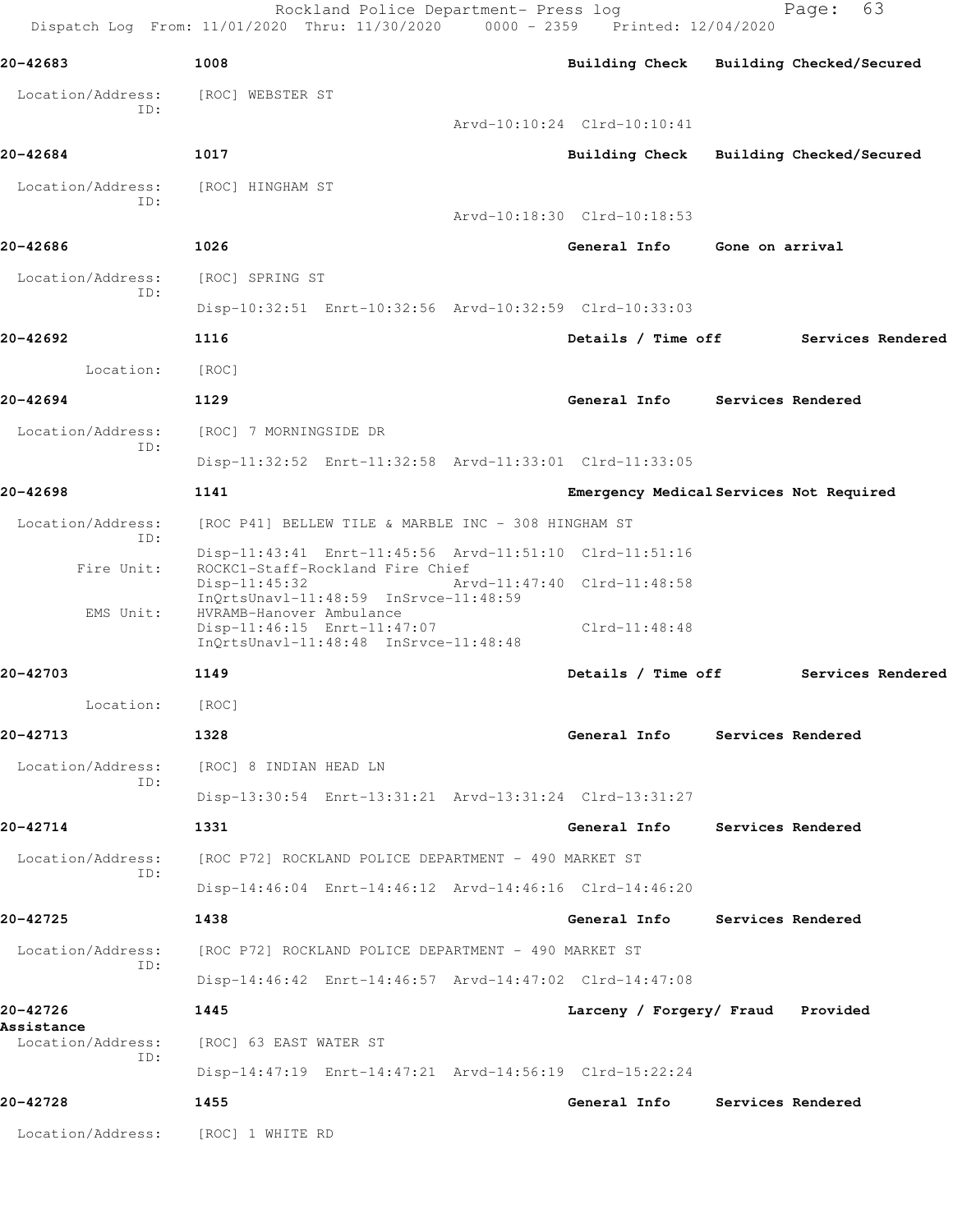|                                 | Rockland Police Department- Press log<br>Dispatch Log From: 11/01/2020 Thru: 11/30/2020 0000 - 2359 Printed: 12/04/2020 |                                         |                          | 63<br>Page:              |
|---------------------------------|-------------------------------------------------------------------------------------------------------------------------|-----------------------------------------|--------------------------|--------------------------|
| 20-42683                        | 1008                                                                                                                    | Building Check Building Checked/Secured |                          |                          |
| Location/Address:               | [ROC] WEBSTER ST                                                                                                        |                                         |                          |                          |
| ID:                             |                                                                                                                         | Arvd-10:10:24 Clrd-10:10:41             |                          |                          |
| 20-42684                        | 1017                                                                                                                    | <b>Building Check</b>                   |                          | Building Checked/Secured |
| Location/Address:<br>ID:        | [ROC] HINGHAM ST                                                                                                        |                                         |                          |                          |
|                                 |                                                                                                                         | Arvd-10:18:30 Clrd-10:18:53             |                          |                          |
| 20-42686                        | 1026                                                                                                                    | General Info                            | Gone on arrival          |                          |
| Location/Address:<br>ID:        | [ROC] SPRING ST                                                                                                         |                                         |                          |                          |
|                                 | Disp-10:32:51 Enrt-10:32:56 Arvd-10:32:59 Clrd-10:33:03                                                                 |                                         |                          |                          |
| 20-42692                        | 1116                                                                                                                    | Details / Time off                      |                          | Services Rendered        |
| Location:                       | [ROC]                                                                                                                   |                                         |                          |                          |
| 20-42694                        | 1129                                                                                                                    | General Info Services Rendered          |                          |                          |
| Location/Address:               | [ROC] 7 MORNINGSIDE DR                                                                                                  |                                         |                          |                          |
| ID:                             | Disp-11:32:52 Enrt-11:32:58 Arvd-11:33:01 Clrd-11:33:05                                                                 |                                         |                          |                          |
| 20-42698                        | 1141                                                                                                                    | Emergency Medical Services Not Required |                          |                          |
| Location/Address:<br>ID:        | [ROC P41] BELLEW TILE & MARBLE INC - 308 HINGHAM ST                                                                     |                                         |                          |                          |
| Fire Unit:                      | Disp-11:43:41 Enrt-11:45:56 Arvd-11:51:10 Clrd-11:51:16<br>ROCKC1-Staff-Rockland Fire Chief                             |                                         |                          |                          |
|                                 | $Disp-11:45:32$<br>InQrtsUnavl-11:48:59 InSrvce-11:48:59                                                                | Arvd-11:47:40 Clrd-11:48:58             |                          |                          |
| EMS Unit:                       | HVRAMB-Hanover Ambulance<br>Disp-11:46:15 Enrt-11:47:07<br>InQrtsUnavl-11:48:48 InSrvce-11:48:48                        | Clrd-11:48:48                           |                          |                          |
| 20-42703                        | 1149                                                                                                                    | Details / Time off                      |                          | Services Rendered        |
| Location:                       | [ROC]                                                                                                                   |                                         |                          |                          |
| 20-42713                        | 1328                                                                                                                    | General Info Services Rendered          |                          |                          |
| Location/Address:               | [ROC] 8 INDIAN HEAD LN                                                                                                  |                                         |                          |                          |
| ID:                             | Disp-13:30:54 Enrt-13:31:21 Arvd-13:31:24 Clrd-13:31:27                                                                 |                                         |                          |                          |
| 20-42714                        | 1331                                                                                                                    | General Info                            | <b>Services Rendered</b> |                          |
| Location/Address:               | [ROC P72] ROCKLAND POLICE DEPARTMENT - 490 MARKET ST                                                                    |                                         |                          |                          |
| ID:                             | Disp-14:46:04 Enrt-14:46:12 Arvd-14:46:16 Clrd-14:46:20                                                                 |                                         |                          |                          |
| 20-42725                        | 1438                                                                                                                    | General Info                            | Services Rendered        |                          |
| Location/Address:               | [ROC P72] ROCKLAND POLICE DEPARTMENT - 490 MARKET ST                                                                    |                                         |                          |                          |
| ID:                             | Disp-14:46:42 Enrt-14:46:57 Arvd-14:47:02 Clrd-14:47:08                                                                 |                                         |                          |                          |
| 20-42726                        | 1445                                                                                                                    | Larceny / Forgery/ Fraud Provided       |                          |                          |
| Assistance<br>Location/Address: | [ROC] 63 EAST WATER ST                                                                                                  |                                         |                          |                          |
| ID:                             | Disp-14:47:19 Enrt-14:47:21 Arvd-14:56:19 Clrd-15:22:24                                                                 |                                         |                          |                          |
| 20-42728                        | 1455                                                                                                                    | General Info Services Rendered          |                          |                          |
| Location/Address:               | [ROC] 1 WHITE RD                                                                                                        |                                         |                          |                          |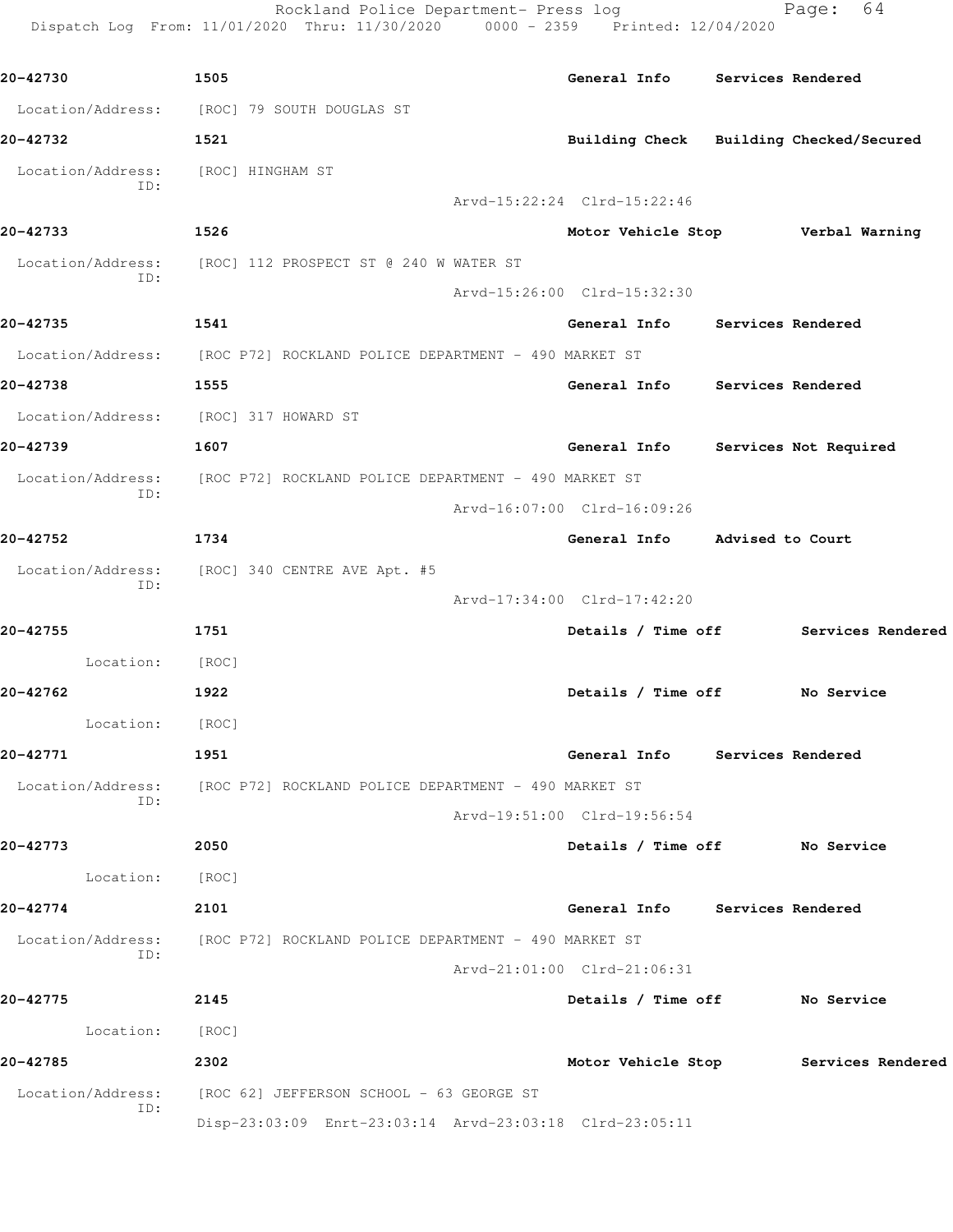| 20-42730                 | 1505                                                                   | General Info Services Rendered          |                                      |
|--------------------------|------------------------------------------------------------------------|-----------------------------------------|--------------------------------------|
|                          | Location/Address: [ROC] 79 SOUTH DOUGLAS ST                            |                                         |                                      |
| 20-42732                 | 1521                                                                   | Building Check Building Checked/Secured |                                      |
| Location/Address:<br>ID: | [ROC] HINGHAM ST                                                       |                                         |                                      |
|                          |                                                                        | Arvd-15:22:24 Clrd-15:22:46             |                                      |
| 20-42733                 | 1526                                                                   | Motor Vehicle Stop Verbal Warning       |                                      |
| Location/Address:<br>ID: | [ROC] 112 PROSPECT ST @ 240 W WATER ST                                 |                                         |                                      |
|                          |                                                                        | Arvd-15:26:00 Clrd-15:32:30             |                                      |
| 20-42735                 | 1541                                                                   | General Info Services Rendered          |                                      |
|                          | Location/Address: [ROC P72] ROCKLAND POLICE DEPARTMENT - 490 MARKET ST |                                         |                                      |
| 20-42738                 | 1555                                                                   | General Info Services Rendered          |                                      |
|                          | Location/Address: [ROC] 317 HOWARD ST                                  |                                         |                                      |
| 20-42739                 | 1607                                                                   | General Info Services Not Required      |                                      |
| Location/Address:<br>TD: | [ROC P72] ROCKLAND POLICE DEPARTMENT - 490 MARKET ST                   |                                         |                                      |
|                          |                                                                        | Arvd-16:07:00 Clrd-16:09:26             |                                      |
| 20-42752                 | 1734                                                                   | General Info Advised to Court           |                                      |
| Location/Address:<br>ID: | [ROC] 340 CENTRE AVE Apt. #5                                           |                                         |                                      |
|                          |                                                                        | Arvd-17:34:00 Clrd-17:42:20             |                                      |
| 20-42755                 | 1751                                                                   | Details / Time off                      | Services Rendered                    |
| Location: [ROC]          |                                                                        |                                         |                                      |
| 20-42762                 | 1922                                                                   | Details / Time off No Service           |                                      |
| Location:                | [ROC]                                                                  |                                         |                                      |
| 20-42771                 | 1951                                                                   | General Info Services Rendered          |                                      |
| ID:                      | Location/Address: [ROC P72] ROCKLAND POLICE DEPARTMENT - 490 MARKET ST |                                         |                                      |
|                          |                                                                        | Arvd-19:51:00 Clrd-19:56:54             |                                      |
| 20-42773                 | 2050                                                                   | Details / Time off No Service           |                                      |
| Location: [ROC]          |                                                                        |                                         |                                      |
| 20-42774                 | 2101                                                                   | General Info Services Rendered          |                                      |
| Location/Address:        | [ROC P72] ROCKLAND POLICE DEPARTMENT - 490 MARKET ST                   |                                         |                                      |
| ID:                      |                                                                        | Arvd-21:01:00 Clrd-21:06:31             |                                      |
| 20-42775                 | 2145                                                                   | Details / Time off No Service           |                                      |
| Location:                | [ROC]                                                                  |                                         |                                      |
| 20-42785                 | 2302                                                                   |                                         | Motor Vehicle Stop Services Rendered |
| Location/Address:        | [ROC 62] JEFFERSON SCHOOL - 63 GEORGE ST                               |                                         |                                      |
| ID:                      | Disp-23:03:09 Enrt-23:03:14 Arvd-23:03:18 Clrd-23:05:11                |                                         |                                      |

Rockland Police Department- Press log Page: 64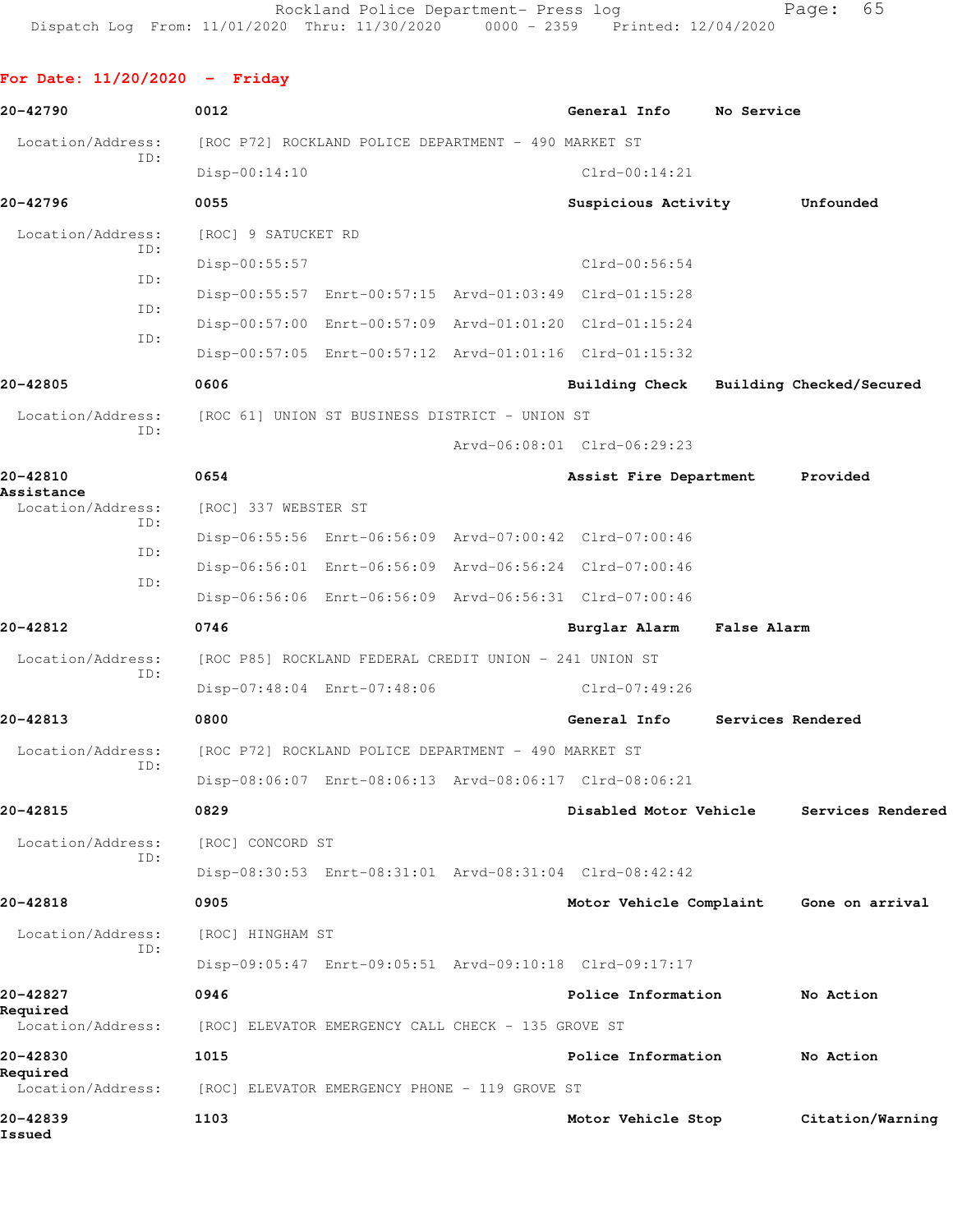**For Date: 11/20/2020 - Friday 20-42790 0012 General Info No Service** Location/Address: [ROC P72] ROCKLAND POLICE DEPARTMENT - 490 MARKET ST ID: Disp-00:14:10 Clrd-00:14:21 **20-42796 0055 Suspicious Activity Unfounded** Location/Address: [ROC] 9 SATUCKET RD ID: Disp-00:55:57 Clrd-00:56:54 ID: Disp-00:55:57 Enrt-00:57:15 Arvd-01:03:49 Clrd-01:15:28 ID: Disp-00:57:00 Enrt-00:57:09 Arvd-01:01:20 Clrd-01:15:24 ID: Disp-00:57:05 Enrt-00:57:12 Arvd-01:01:16 Clrd-01:15:32 **20-42805 0606 Building Check Building Checked/Secured** Location/Address: [ROC 61] UNION ST BUSINESS DISTRICT - UNION ST ID: Arvd-06:08:01 Clrd-06:29:23 **20-42810 0654 Assist Fire Department Provided Assistance**  Location/Address: [ROC] 337 WEBSTER ST ID: Disp-06:55:56 Enrt-06:56:09 Arvd-07:00:42 Clrd-07:00:46 ID: Disp-06:56:01 Enrt-06:56:09 Arvd-06:56:24 Clrd-07:00:46 ID: Disp-06:56:06 Enrt-06:56:09 Arvd-06:56:31 Clrd-07:00:46 **20-42812 0746 Burglar Alarm False Alarm** Location/Address: [ROC P85] ROCKLAND FEDERAL CREDIT UNION - 241 UNION ST ID: Disp-07:48:04 Enrt-07:48:06 Clrd-07:49:26 **20-42813 0800 General Info Services Rendered** Location/Address: [ROC P72] ROCKLAND POLICE DEPARTMENT - 490 MARKET ST ID: Disp-08:06:07 Enrt-08:06:13 Arvd-08:06:17 Clrd-08:06:21 **20-42815 0829 Disabled Motor Vehicle Services Rendered** Location/Address: [ROC] CONCORD ST ID: Disp-08:30:53 Enrt-08:31:01 Arvd-08:31:04 Clrd-08:42:42 **20-42818 0905 Motor Vehicle Complaint Gone on arrival** Location/Address: [ROC] HINGHAM ST ID: Disp-09:05:47 Enrt-09:05:51 Arvd-09:10:18 Clrd-09:17:17 **20-42827 0946 Police Information No Action Required**  Location/Address: [ROC] ELEVATOR EMERGENCY CALL CHECK - 135 GROVE ST **20-42830 1015 Police Information No Action Required**  Location/Address: [ROC] ELEVATOR EMERGENCY PHONE - 119 GROVE ST **20-42839 1103 Motor Vehicle Stop Citation/Warning Issued**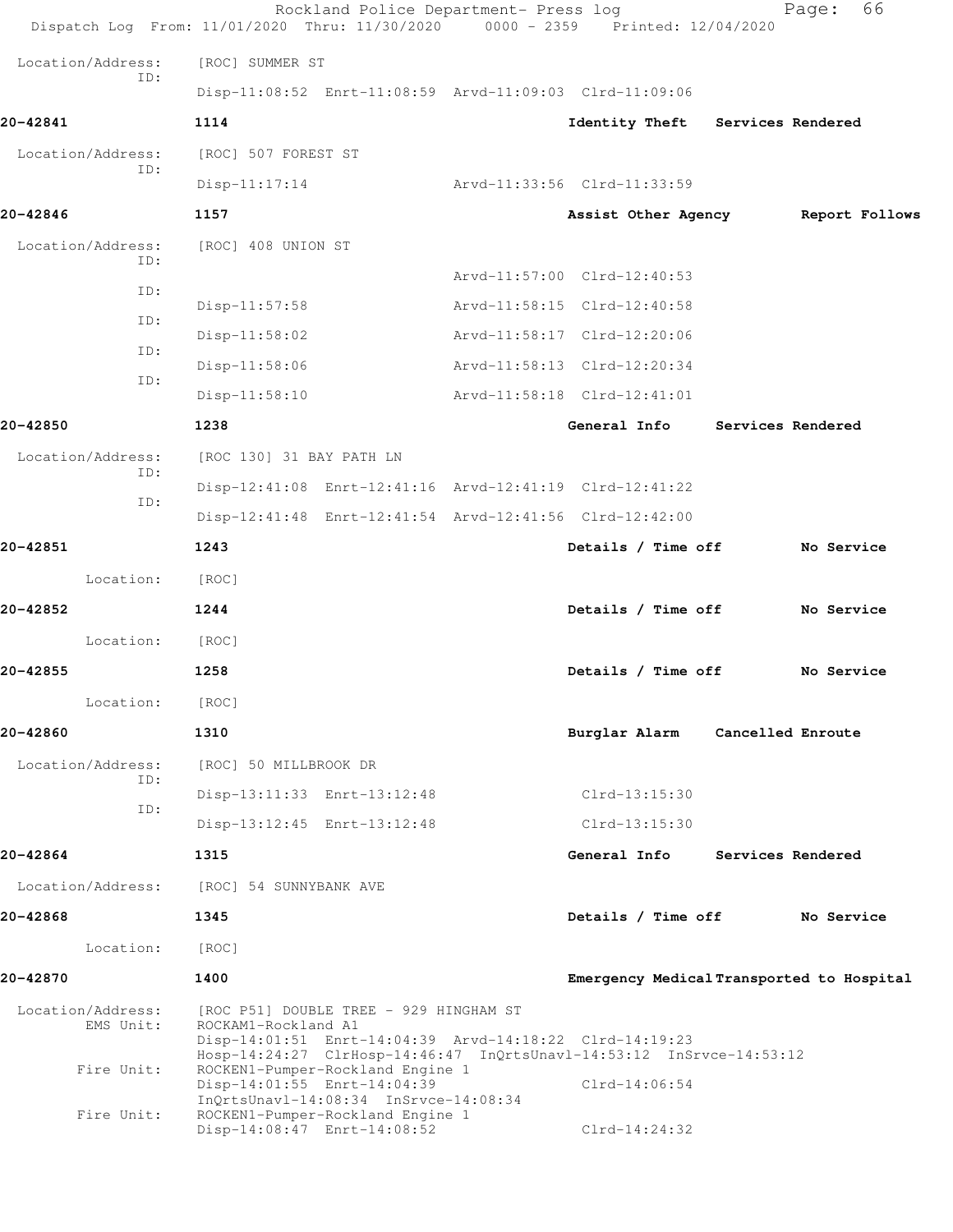| Dispatch Log From: 11/01/2020 Thru: 11/30/2020 0000 - 2359 Printed: 12/04/2020 |                             | Rockland Police Department- Press log                                      |                                                                                                                                 | 66<br>Page:       |  |
|--------------------------------------------------------------------------------|-----------------------------|----------------------------------------------------------------------------|---------------------------------------------------------------------------------------------------------------------------------|-------------------|--|
| Location/Address:                                                              | [ROC] SUMMER ST             |                                                                            |                                                                                                                                 |                   |  |
| ID:                                                                            |                             |                                                                            | Disp-11:08:52 Enrt-11:08:59 Arvd-11:09:03 Clrd-11:09:06                                                                         |                   |  |
| 20-42841                                                                       | 1114                        |                                                                            | Identity Theft                                                                                                                  | Services Rendered |  |
| Location/Address:                                                              | [ROC] 507 FOREST ST         |                                                                            |                                                                                                                                 |                   |  |
| ID:                                                                            | $Disp-11:17:14$             |                                                                            | Arvd-11:33:56 Clrd-11:33:59                                                                                                     |                   |  |
| 20-42846                                                                       | 1157                        |                                                                            | Assist Other Agency                                                                                                             | Report Follows    |  |
| Location/Address:                                                              | [ROC] 408 UNION ST          |                                                                            |                                                                                                                                 |                   |  |
| ID:                                                                            |                             |                                                                            | Arvd-11:57:00 Clrd-12:40:53                                                                                                     |                   |  |
| ID:                                                                            | $Disp-11:57:58$             |                                                                            | Arvd-11:58:15 Clrd-12:40:58                                                                                                     |                   |  |
| ID:                                                                            | Disp-11:58:02               |                                                                            | Arvd-11:58:17 Clrd-12:20:06                                                                                                     |                   |  |
| ID:                                                                            | Disp-11:58:06               |                                                                            | Arvd-11:58:13 Clrd-12:20:34                                                                                                     |                   |  |
| ID:                                                                            | Disp-11:58:10               |                                                                            | Arvd-11:58:18 Clrd-12:41:01                                                                                                     |                   |  |
| 20-42850                                                                       | 1238                        |                                                                            | General Info                                                                                                                    | Services Rendered |  |
| Location/Address:                                                              | [ROC 130] 31 BAY PATH LN    |                                                                            |                                                                                                                                 |                   |  |
| ID:                                                                            |                             |                                                                            | Disp-12:41:08 Enrt-12:41:16 Arvd-12:41:19 Clrd-12:41:22                                                                         |                   |  |
| ID:                                                                            |                             |                                                                            | Disp-12:41:48 Enrt-12:41:54 Arvd-12:41:56 Clrd-12:42:00                                                                         |                   |  |
| 20-42851                                                                       | 1243                        |                                                                            | Details / Time off                                                                                                              | No Service        |  |
| Location:                                                                      | [ROC]                       |                                                                            |                                                                                                                                 |                   |  |
| 20-42852                                                                       | 1244                        |                                                                            | Details / Time off                                                                                                              | No Service        |  |
| Location:                                                                      | [ROC]                       |                                                                            |                                                                                                                                 |                   |  |
| 20-42855                                                                       | 1258                        |                                                                            | Details / Time off                                                                                                              | No Service        |  |
| Location:                                                                      | [ROC]                       |                                                                            |                                                                                                                                 |                   |  |
| 20-42860                                                                       | 1310                        |                                                                            | Burglar Alarm                                                                                                                   | Cancelled Enroute |  |
| Location/Address:                                                              | [ROC] 50 MILLBROOK DR       |                                                                            |                                                                                                                                 |                   |  |
| ID:                                                                            | Disp-13:11:33 Enrt-13:12:48 |                                                                            | $Clrd-13:15:30$                                                                                                                 |                   |  |
| ID:                                                                            | Disp-13:12:45 Enrt-13:12:48 |                                                                            | $Clrd-13:15:30$                                                                                                                 |                   |  |
| 20-42864                                                                       | 1315                        |                                                                            | General Info                                                                                                                    | Services Rendered |  |
| Location/Address:                                                              | [ROC] 54 SUNNYBANK AVE      |                                                                            |                                                                                                                                 |                   |  |
| 20-42868                                                                       | 1345                        |                                                                            | Details / Time off                                                                                                              | No Service        |  |
| Location:                                                                      | [ROC]                       |                                                                            |                                                                                                                                 |                   |  |
| 20-42870                                                                       | 1400                        |                                                                            | Emergency Medical Transported to Hospital                                                                                       |                   |  |
| Location/Address:<br>EMS Unit:<br>Fire Unit:                                   | ROCKAM1-Rockland A1         | [ROC P51] DOUBLE TREE - 929 HINGHAM ST<br>ROCKEN1-Pumper-Rockland Engine 1 | Disp-14:01:51 Enrt-14:04:39 Arvd-14:18:22 Clrd-14:19:23<br>Hosp-14:24:27 ClrHosp-14:46:47 InQrtsUnavl-14:53:12 InSrvce-14:53:12 |                   |  |
|                                                                                | Disp-14:01:55 Enrt-14:04:39 | InQrtsUnavl-14:08:34 InSrvce-14:08:34                                      | $Clrd-14:06:54$                                                                                                                 |                   |  |
| Fire Unit:                                                                     | Disp-14:08:47 Enrt-14:08:52 | ROCKEN1-Pumper-Rockland Engine 1                                           | $Clrd-14:24:32$                                                                                                                 |                   |  |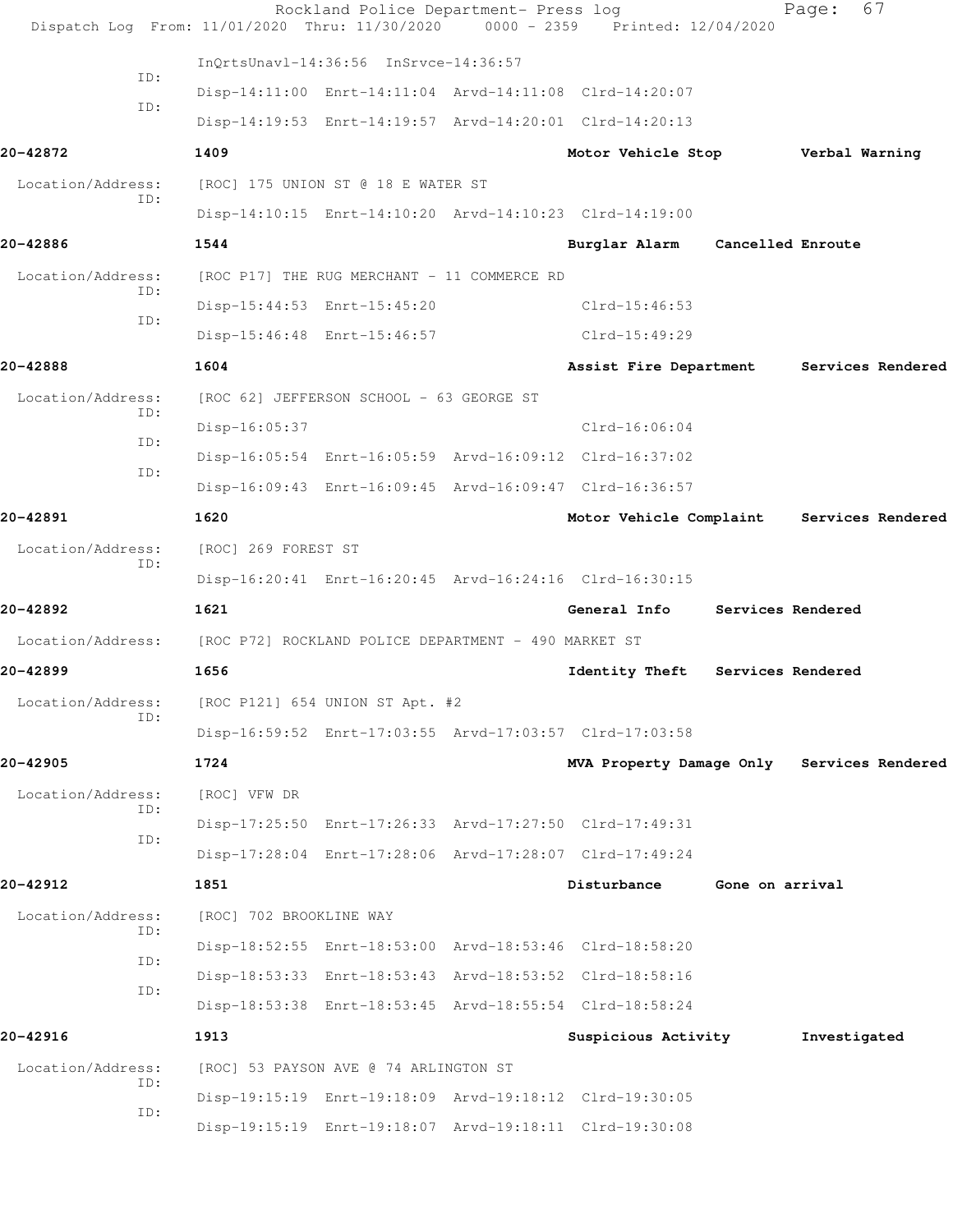|                          |            |                         | Rockland Police Department- Press log<br>Dispatch Log From: 11/01/2020 Thru: 11/30/2020 | 0000 - 2359 Printed: 12/04/2020                         |                   | Page:             | 67                |
|--------------------------|------------|-------------------------|-----------------------------------------------------------------------------------------|---------------------------------------------------------|-------------------|-------------------|-------------------|
|                          |            |                         | InQrtsUnavl-14:36:56 InSrvce-14:36:57                                                   |                                                         |                   |                   |                   |
| ID:                      |            |                         |                                                                                         | Disp-14:11:00 Enrt-14:11:04 Arvd-14:11:08 Clrd-14:20:07 |                   |                   |                   |
| ID:                      |            |                         |                                                                                         | Disp-14:19:53 Enrt-14:19:57 Arvd-14:20:01 Clrd-14:20:13 |                   |                   |                   |
| 20-42872                 |            | 1409                    |                                                                                         | Motor Vehicle Stop                                      |                   | Verbal Warning    |                   |
| Location/Address:        |            |                         | [ROC] 175 UNION ST @ 18 E WATER ST                                                      |                                                         |                   |                   |                   |
| ID:                      |            |                         |                                                                                         | Disp-14:10:15 Enrt-14:10:20 Arvd-14:10:23 Clrd-14:19:00 |                   |                   |                   |
| 20-42886                 |            | 1544                    |                                                                                         | Burglar Alarm                                           | Cancelled Enroute |                   |                   |
| Location/Address:        |            |                         | [ROC P17] THE RUG MERCHANT - 11 COMMERCE RD                                             |                                                         |                   |                   |                   |
| ID:                      |            |                         | Disp-15:44:53 Enrt-15:45:20                                                             | $Clrd-15:46:53$                                         |                   |                   |                   |
| ID:                      |            |                         | Disp-15:46:48 Enrt-15:46:57                                                             | $Clrd-15:49:29$                                         |                   |                   |                   |
| 20-42888                 |            | 1604                    |                                                                                         | Assist Fire Department                                  |                   |                   | Services Rendered |
| Location/Address:        |            |                         | [ROC 62] JEFFERSON SCHOOL - 63 GEORGE ST                                                |                                                         |                   |                   |                   |
| ID:                      |            | Disp-16:05:37           |                                                                                         | $Clrd-16:06:04$                                         |                   |                   |                   |
| ID:                      |            |                         |                                                                                         | Disp-16:05:54 Enrt-16:05:59 Arvd-16:09:12 Clrd-16:37:02 |                   |                   |                   |
| ID:                      |            |                         |                                                                                         | Disp-16:09:43 Enrt-16:09:45 Arvd-16:09:47 Clrd-16:36:57 |                   |                   |                   |
| 20-42891                 |            | 1620                    |                                                                                         | Motor Vehicle Complaint                                 |                   |                   | Services Rendered |
| Location/Address:        |            | [ROC] 269 FOREST ST     |                                                                                         |                                                         |                   |                   |                   |
| ID:                      |            |                         |                                                                                         | Disp-16:20:41 Enrt-16:20:45 Arvd-16:24:16 Clrd-16:30:15 |                   |                   |                   |
| 20-42892                 |            | 1621                    |                                                                                         | General Info                                            |                   | Services Rendered |                   |
| Location/Address:        |            |                         | [ROC P72] ROCKLAND POLICE DEPARTMENT - 490 MARKET ST                                    |                                                         |                   |                   |                   |
| 20-42899                 |            | 1656                    |                                                                                         | Identity Theft                                          |                   | Services Rendered |                   |
| Location/Address:        |            |                         | [ROC P121] 654 UNION ST Apt. #2                                                         |                                                         |                   |                   |                   |
| ID:                      |            |                         |                                                                                         | Disp-16:59:52 Enrt-17:03:55 Arvd-17:03:57 Clrd-17:03:58 |                   |                   |                   |
| 20-42905                 |            | 1724                    |                                                                                         | MVA Property Damage Only Services Rendered              |                   |                   |                   |
| Location/Address:        |            | [ROC] VFW DR            |                                                                                         |                                                         |                   |                   |                   |
|                          | ID:<br>ID: |                         |                                                                                         | Disp-17:25:50 Enrt-17:26:33 Arvd-17:27:50 Clrd-17:49:31 |                   |                   |                   |
|                          |            |                         |                                                                                         | Disp-17:28:04 Enrt-17:28:06 Arvd-17:28:07 Clrd-17:49:24 |                   |                   |                   |
| 20-42912                 |            | 1851                    |                                                                                         | Disturbance                                             | Gone on arrival   |                   |                   |
| Location/Address:        | ID:        | [ROC] 702 BROOKLINE WAY |                                                                                         |                                                         |                   |                   |                   |
|                          | ID:        |                         |                                                                                         | Disp-18:52:55 Enrt-18:53:00 Arvd-18:53:46 Clrd-18:58:20 |                   |                   |                   |
|                          | ID:        |                         |                                                                                         | Disp-18:53:33 Enrt-18:53:43 Arvd-18:53:52 Clrd-18:58:16 |                   |                   |                   |
|                          |            |                         |                                                                                         | Disp-18:53:38 Enrt-18:53:45 Arvd-18:55:54 Clrd-18:58:24 |                   |                   |                   |
| 20-42916                 |            | 1913                    |                                                                                         | Suspicious Activity                                     |                   | Investigated      |                   |
| Location/Address:<br>ID: |            |                         | [ROC] 53 PAYSON AVE @ 74 ARLINGTON ST                                                   |                                                         |                   |                   |                   |
| ID:                      |            |                         |                                                                                         | Disp-19:15:19 Enrt-19:18:09 Arvd-19:18:12 Clrd-19:30:05 |                   |                   |                   |
|                          |            |                         |                                                                                         | Disp-19:15:19 Enrt-19:18:07 Arvd-19:18:11 Clrd-19:30:08 |                   |                   |                   |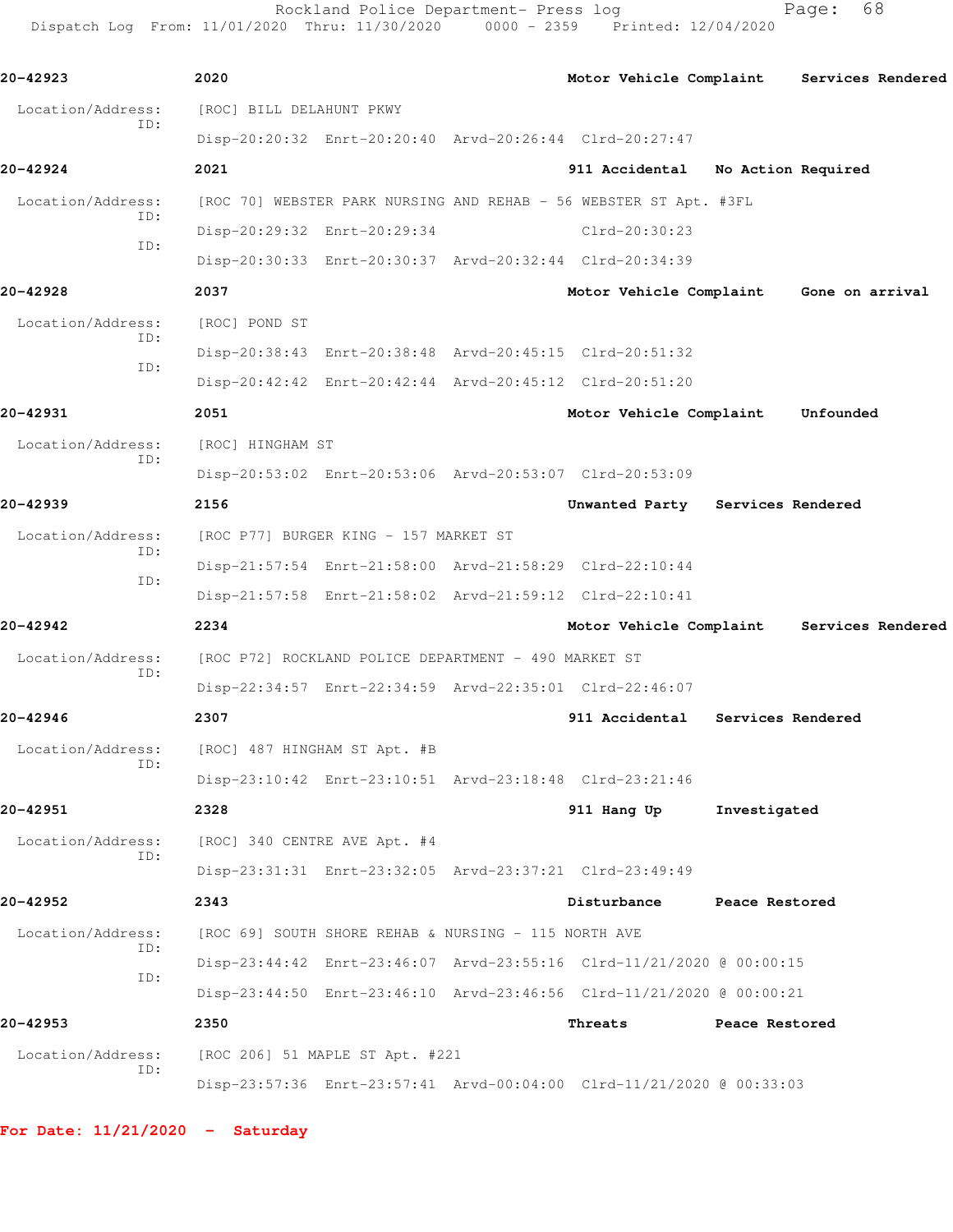Rockland Police Department- Press log extending Page: 68 Dispatch Log From: 11/01/2020 Thru: 11/30/2020 0000 - 2359 Printed: 12/04/2020

**20-42923 2020 Motor Vehicle Complaint Services Rendered** Location/Address: [ROC] BILL DELAHUNT PKWY ID: Disp-20:20:32 Enrt-20:20:40 Arvd-20:26:44 Clrd-20:27:47 **20-42924 2021 911 Accidental No Action Required** Location/Address: [ROC 70] WEBSTER PARK NURSING AND REHAB - 56 WEBSTER ST Apt. #3FL ID: Disp-20:29:32 Enrt-20:29:34 Clrd-20:30:23 ID: Disp-20:30:33 Enrt-20:30:37 Arvd-20:32:44 Clrd-20:34:39 **20-42928 2037 Motor Vehicle Complaint Gone on arrival** Location/Address: [ROC] POND ST ID: Disp-20:38:43 Enrt-20:38:48 Arvd-20:45:15 Clrd-20:51:32 ID: Disp-20:42:42 Enrt-20:42:44 Arvd-20:45:12 Clrd-20:51:20 **20-42931 2051 Motor Vehicle Complaint Unfounded** Location/Address: [ROC] HINGHAM ST ID: Disp-20:53:02 Enrt-20:53:06 Arvd-20:53:07 Clrd-20:53:09 **20-42939 2156 Unwanted Party Services Rendered** Location/Address: [ROC P77] BURGER KING - 157 MARKET ST ID: Disp-21:57:54 Enrt-21:58:00 Arvd-21:58:29 Clrd-22:10:44 ID: Disp-21:57:58 Enrt-21:58:02 Arvd-21:59:12 Clrd-22:10:41 **20-42942 2234 Motor Vehicle Complaint Services Rendered** Location/Address: [ROC P72] ROCKLAND POLICE DEPARTMENT - 490 MARKET ST ID: Disp-22:34:57 Enrt-22:34:59 Arvd-22:35:01 Clrd-22:46:07 **20-42946 2307 911 Accidental Services Rendered** Location/Address: [ROC] 487 HINGHAM ST Apt. #B ID: Disp-23:10:42 Enrt-23:10:51 Arvd-23:18:48 Clrd-23:21:46 **20-42951 2328 911 Hang Up Investigated** Location/Address: [ROC] 340 CENTRE AVE Apt. #4 ID: Disp-23:31:31 Enrt-23:32:05 Arvd-23:37:21 Clrd-23:49:49 **20-42952 2343 Disturbance Peace Restored** Location/Address: [ROC 69] SOUTH SHORE REHAB & NURSING - 115 NORTH AVE ID: Disp-23:44:42 Enrt-23:46:07 Arvd-23:55:16 Clrd-11/21/2020 @ 00:00:15 ID: Disp-23:44:50 Enrt-23:46:10 Arvd-23:46:56 Clrd-11/21/2020 @ 00:00:21 **20-42953 2350 Threats Peace Restored** Location/Address: [ROC 206] 51 MAPLE ST Apt. #221 ID: Disp-23:57:36 Enrt-23:57:41 Arvd-00:04:00 Clrd-11/21/2020 @ 00:33:03

**For Date: 11/21/2020 - Saturday**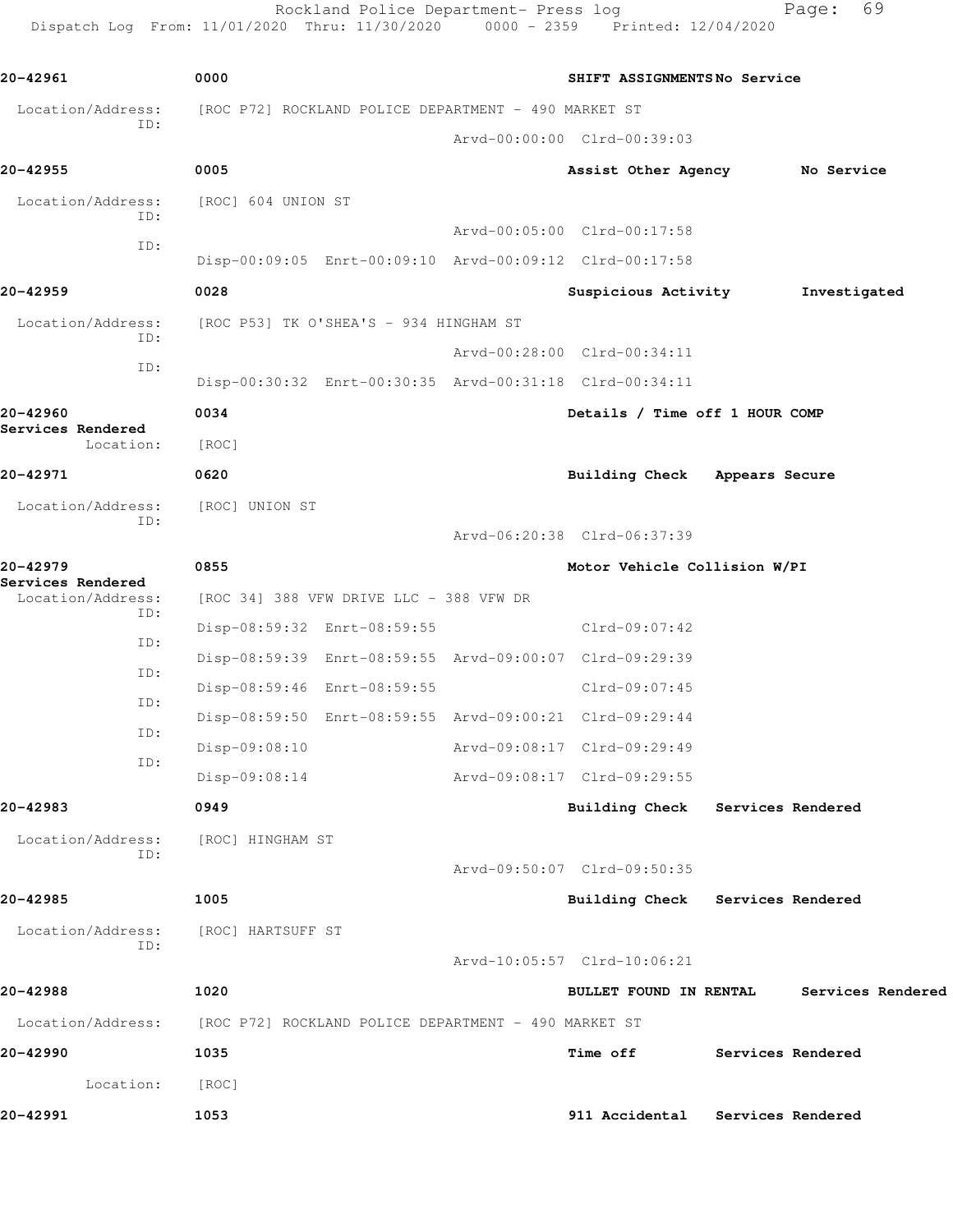Rockland Police Department- Press log Fage: 69 Dispatch Log From: 11/01/2020 Thru: 11/30/2020 0000 - 2359 Printed: 12/04/2020

**20-42961 0000 SHIFT ASSIGNMENTS No Service** Location/Address: [ROC P72] ROCKLAND POLICE DEPARTMENT - 490 MARKET ST ID: Arvd-00:00:00 Clrd-00:39:03 **20-42955 0005 Assist Other Agency No Service** Location/Address: [ROC] 604 UNION ST ID: Arvd-00:05:00 Clrd-00:17:58 ID: Disp-00:09:05 Enrt-00:09:10 Arvd-00:09:12 Clrd-00:17:58 **20-42959 0028 Suspicious Activity Investigated** Location/Address: [ROC P53] TK O'SHEA'S - 934 HINGHAM ST ID: Arvd-00:28:00 Clrd-00:34:11 ID: Disp-00:30:32 Enrt-00:30:35 Arvd-00:31:18 Clrd-00:34:11 **20-42960 0034 Details / Time off 1 HOUR COMP Services Rendered**  Location: [ROC] **20-42971 0620 Building Check Appears Secure** Location/Address: [ROC] UNION ST ID: Arvd-06:20:38 Clrd-06:37:39 **20-42979 0855 Motor Vehicle Collision W/PI Services Rendered**  Location/Address: [ROC 34] 388 VFW DRIVE LLC - 388 VFW DR ID: Disp-08:59:32 Enrt-08:59:55 Clrd-09:07:42 ID: Disp-08:59:39 Enrt-08:59:55 Arvd-09:00:07 Clrd-09:29:39 ID: Disp-08:59:46 Enrt-08:59:55 Clrd-09:07:45 ID: Disp-08:59:50 Enrt-08:59:55 Arvd-09:00:21 Clrd-09:29:44 ID: Disp-09:08:10 Arvd-09:08:17 Clrd-09:29:49 ID: Disp-09:08:14 Arvd-09:08:17 Clrd-09:29:55 **20-42983 0949 Building Check Services Rendered** Location/Address: [ROC] HINGHAM ST ID: Arvd-09:50:07 Clrd-09:50:35 **20-42985 1005 Building Check Services Rendered** Location/Address: [ROC] HARTSUFF ST ID: Arvd-10:05:57 Clrd-10:06:21 **20-42988 1020 BULLET FOUND IN RENTAL Services Rendered** Location/Address: [ROC P72] ROCKLAND POLICE DEPARTMENT - 490 MARKET ST **20-42990 1035 Time off Services Rendered** Location: [ROC] **20-42991 1053 911 Accidental Services Rendered**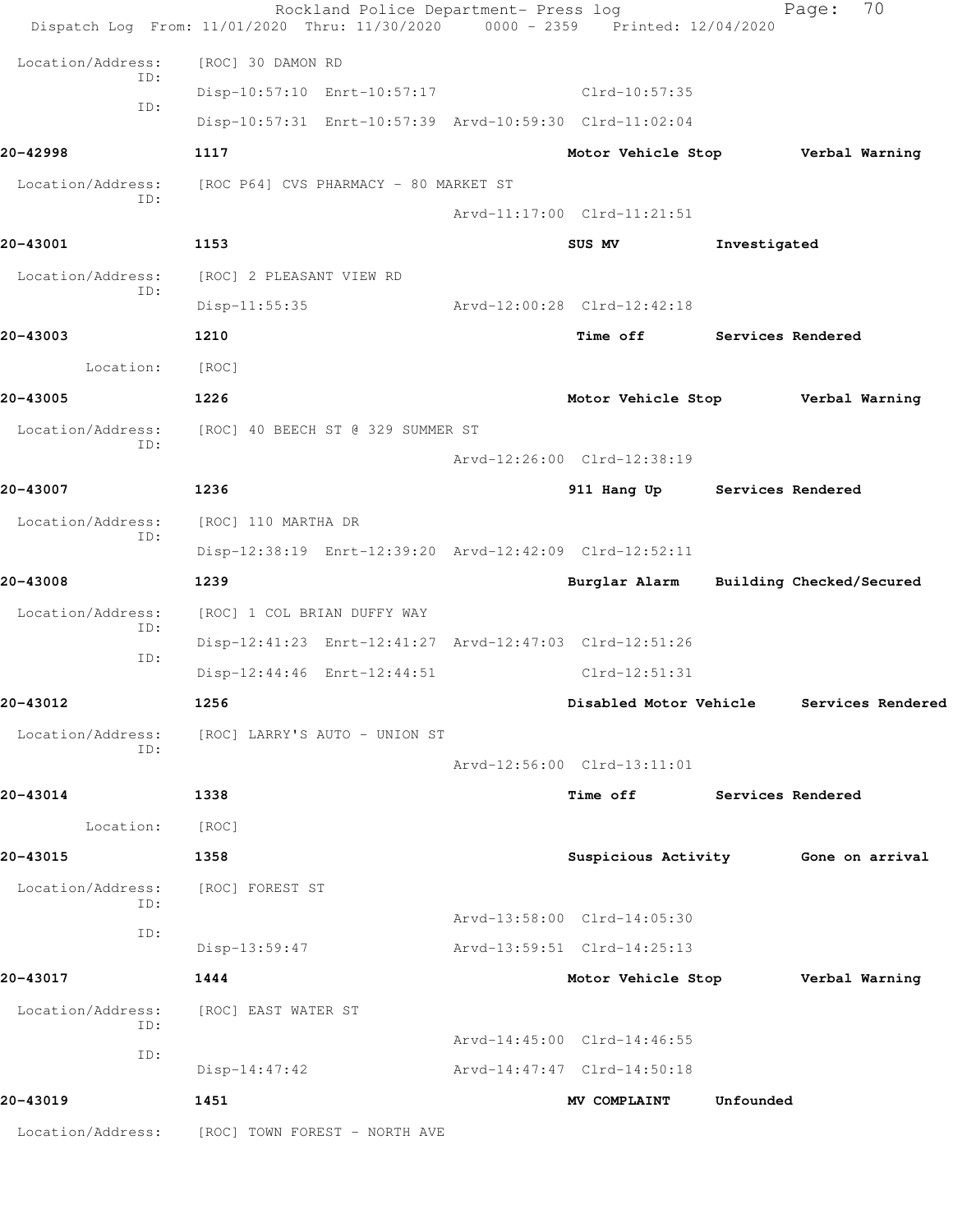|                          | Rockland Police Department- Press log<br>Dispatch Log From: 11/01/2020 Thru: 11/30/2020 0000 - 2359 Printed: 12/04/2020 |                                   |                          | 70<br>Page:                         |  |
|--------------------------|-------------------------------------------------------------------------------------------------------------------------|-----------------------------------|--------------------------|-------------------------------------|--|
| Location/Address:        | [ROC] 30 DAMON RD                                                                                                       |                                   |                          |                                     |  |
| ID:                      | Disp-10:57:10 Enrt-10:57:17                                                                                             | $Clrd-10:57:35$                   |                          |                                     |  |
| ID:                      | Disp-10:57:31 Enrt-10:57:39 Arvd-10:59:30 Clrd-11:02:04                                                                 |                                   |                          |                                     |  |
| 20-42998                 | 1117                                                                                                                    | Motor Vehicle Stop Verbal Warning |                          |                                     |  |
| Location/Address:<br>ID: | [ROC P64] CVS PHARMACY - 80 MARKET ST                                                                                   |                                   |                          |                                     |  |
|                          |                                                                                                                         | Arvd-11:17:00 Clrd-11:21:51       |                          |                                     |  |
| 20-43001                 | 1153                                                                                                                    | SUS MV                            | Investigated             |                                     |  |
| Location/Address:<br>ID: | [ROC] 2 PLEASANT VIEW RD                                                                                                |                                   |                          |                                     |  |
|                          | Disp-11:55:35                                                                                                           | Arvd-12:00:28 Clrd-12:42:18       |                          |                                     |  |
| 20-43003                 | 1210                                                                                                                    | Time off                          | <b>Services Rendered</b> |                                     |  |
| Location:                | [ROC]                                                                                                                   |                                   |                          |                                     |  |
| 20-43005                 | 1226                                                                                                                    | Motor Vehicle Stop                |                          | Verbal Warning                      |  |
| Location/Address:        | [ROC] 40 BEECH ST @ 329 SUMMER ST                                                                                       |                                   |                          |                                     |  |
| ID:                      |                                                                                                                         | Arvd-12:26:00 Clrd-12:38:19       |                          |                                     |  |
| 20-43007                 | 1236                                                                                                                    | 911 Hang Up Services Rendered     |                          |                                     |  |
| Location/Address:<br>ID: | [ROC] 110 MARTHA DR                                                                                                     |                                   |                          |                                     |  |
|                          | Disp-12:38:19 Enrt-12:39:20 Arvd-12:42:09 Clrd-12:52:11                                                                 |                                   |                          |                                     |  |
| 20-43008                 | 1239                                                                                                                    | Burglar Alarm                     |                          | Building Checked/Secured            |  |
| Location/Address:<br>ID: | [ROC] 1 COL BRIAN DUFFY WAY                                                                                             |                                   |                          |                                     |  |
| ID:                      | Disp-12:41:23 Enrt-12:41:27 Arvd-12:47:03 Clrd-12:51:26                                                                 |                                   |                          |                                     |  |
|                          | Disp-12:44:46 Enrt-12:44:51                                                                                             | $Clrd-12:51:31$                   |                          |                                     |  |
| 20-43012                 | 1256                                                                                                                    | Disabled Motor Vehicle            |                          | Services Rendered                   |  |
| Location/Address:<br>ID: | [ROC] LARRY'S AUTO - UNION ST                                                                                           |                                   |                          |                                     |  |
|                          |                                                                                                                         | Arvd-12:56:00 Clrd-13:11:01       |                          |                                     |  |
| 20-43014                 | 1338                                                                                                                    | <b>Time off</b>                   | <b>Services Rendered</b> |                                     |  |
| Location:                | [ROC]                                                                                                                   |                                   |                          |                                     |  |
| 20-43015                 | 1358                                                                                                                    |                                   |                          | Suspicious Activity Gone on arrival |  |
| Location/Address:<br>ID: | [ROC] FOREST ST                                                                                                         |                                   |                          |                                     |  |
| ID:                      |                                                                                                                         | Arvd-13:58:00 Clrd-14:05:30       |                          |                                     |  |
|                          | $Disp-13:59:47$                                                                                                         | Arvd-13:59:51 Clrd-14:25:13       |                          |                                     |  |
| 20-43017                 | 1444                                                                                                                    | Motor Vehicle Stop Verbal Warning |                          |                                     |  |
| Location/Address:<br>ID: | [ROC] EAST WATER ST                                                                                                     |                                   |                          |                                     |  |
| ID:                      |                                                                                                                         | Arvd-14:45:00 Clrd-14:46:55       |                          |                                     |  |
|                          | $Disp-14:47:42$                                                                                                         | Arvd-14:47:47 Clrd-14:50:18       |                          |                                     |  |
| 20-43019                 | 1451                                                                                                                    | MV COMPLAINT                      | Unfounded                |                                     |  |
|                          | Location/Address: [ROC] TOWN FOREST - NORTH AVE                                                                         |                                   |                          |                                     |  |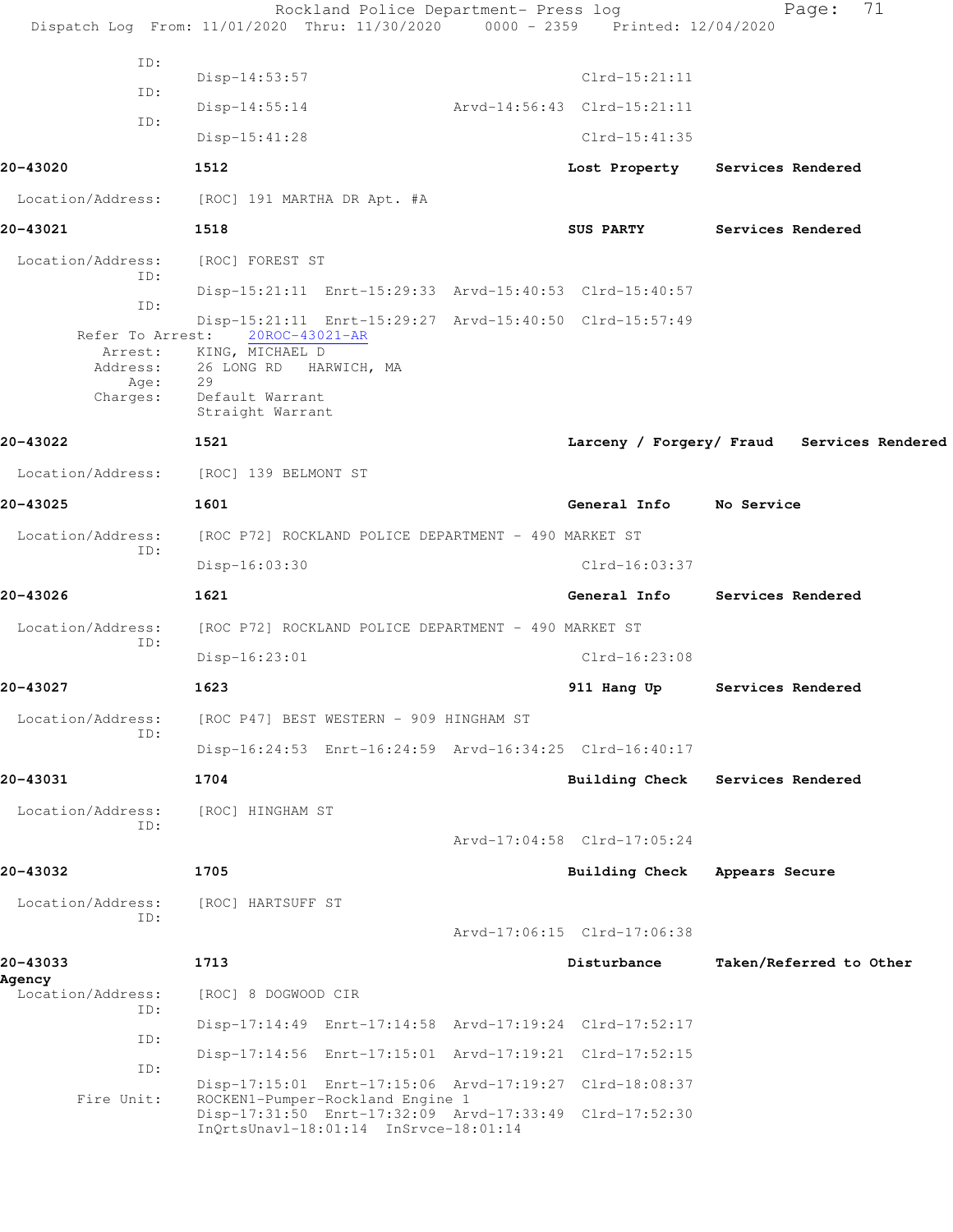|                             | Rockland Police Department- Press log<br>Dispatch Log From: 11/01/2020 Thru: 11/30/2020 0000 - 2359 Printed: 12/04/2020              |                             | 71<br>Page:                                |
|-----------------------------|--------------------------------------------------------------------------------------------------------------------------------------|-----------------------------|--------------------------------------------|
| ID:                         |                                                                                                                                      |                             |                                            |
| ID:                         | $Disp-14:53:57$                                                                                                                      | $Clrd-15:21:11$             |                                            |
| ID:                         | $Disp-14:55:14$                                                                                                                      | Arvd-14:56:43 Clrd-15:21:11 |                                            |
|                             | $Disp-15:41:28$                                                                                                                      | $Clrd-15:41:35$             |                                            |
| 20-43020                    | 1512                                                                                                                                 | Lost Property               | Services Rendered                          |
| Location/Address:           | [ROC] 191 MARTHA DR Apt. #A                                                                                                          |                             |                                            |
| 20-43021                    | 1518                                                                                                                                 | <b>SUS PARTY</b>            | Services Rendered                          |
| Location/Address:<br>ID:    | [ROC] FOREST ST                                                                                                                      |                             |                                            |
| ID:                         | Disp-15:21:11 Enrt-15:29:33 Arvd-15:40:53 Clrd-15:40:57                                                                              |                             |                                            |
| Refer To Arrest:            | Disp-15:21:11 Enrt-15:29:27 Arvd-15:40:50 Clrd-15:57:49<br>20ROC-43021-AR<br>Arrest: KING, MICHAEL D                                 |                             |                                            |
| Address:                    | 26 LONG RD<br>HARWICH, MA<br>29                                                                                                      |                             |                                            |
| Age:<br>Charges:            | Default Warrant<br>Straight Warrant                                                                                                  |                             |                                            |
| 20-43022                    | 1521                                                                                                                                 |                             | Larceny / Forgery/ Fraud Services Rendered |
| Location/Address:           | [ROC] 139 BELMONT ST                                                                                                                 |                             |                                            |
| 20-43025                    | 1601                                                                                                                                 | General Info No Service     |                                            |
| Location/Address:           | [ROC P72] ROCKLAND POLICE DEPARTMENT - 490 MARKET ST                                                                                 |                             |                                            |
| ID:                         | Disp-16:03:30                                                                                                                        | $Clrd-16:03:37$             |                                            |
| 20-43026                    | 1621                                                                                                                                 | General Info                | Services Rendered                          |
| Location/Address:<br>ID:    | [ROC P72] ROCKLAND POLICE DEPARTMENT - 490 MARKET ST                                                                                 |                             |                                            |
|                             | Disp-16:23:01                                                                                                                        | $Clrd-16:23:08$             |                                            |
| 20-43027                    | 1623                                                                                                                                 | 911 Hang Up                 | Services Rendered                          |
| Location/Address:           | [ROC P47] BEST WESTERN - 909 HINGHAM ST                                                                                              |                             |                                            |
| ID:                         | Disp-16:24:53 Enrt-16:24:59 Arvd-16:34:25 Clrd-16:40:17                                                                              |                             |                                            |
| 20-43031                    | 1704                                                                                                                                 | Building Check              | Services Rendered                          |
| Location/Address:<br>ID:    | [ROC] HINGHAM ST                                                                                                                     |                             |                                            |
|                             |                                                                                                                                      | Arvd-17:04:58 Clrd-17:05:24 |                                            |
| 20-43032                    | 1705                                                                                                                                 | Building Check              | Appears Secure                             |
| Location/Address:<br>ID:    | [ROC] HARTSUFF ST                                                                                                                    |                             |                                            |
|                             |                                                                                                                                      | Arvd-17:06:15 Clrd-17:06:38 |                                            |
| 20-43033                    | 1713                                                                                                                                 | Disturbance                 | Taken/Referred to Other                    |
| Agency<br>Location/Address: | [ROC] 8 DOGWOOD CIR                                                                                                                  |                             |                                            |
| ID:                         | Disp-17:14:49 Enrt-17:14:58 Arvd-17:19:24 Clrd-17:52:17                                                                              |                             |                                            |
| ID:                         | Disp-17:14:56 Enrt-17:15:01 Arvd-17:19:21 Clrd-17:52:15                                                                              |                             |                                            |
| ID:                         | Disp-17:15:01 Enrt-17:15:06 Arvd-17:19:27 Clrd-18:08:37                                                                              |                             |                                            |
| Fire Unit:                  | ROCKEN1-Pumper-Rockland Engine 1<br>Disp-17:31:50 Enrt-17:32:09 Arvd-17:33:49 Clrd-17:52:30<br>InQrtsUnavl-18:01:14 InSrvce-18:01:14 |                             |                                            |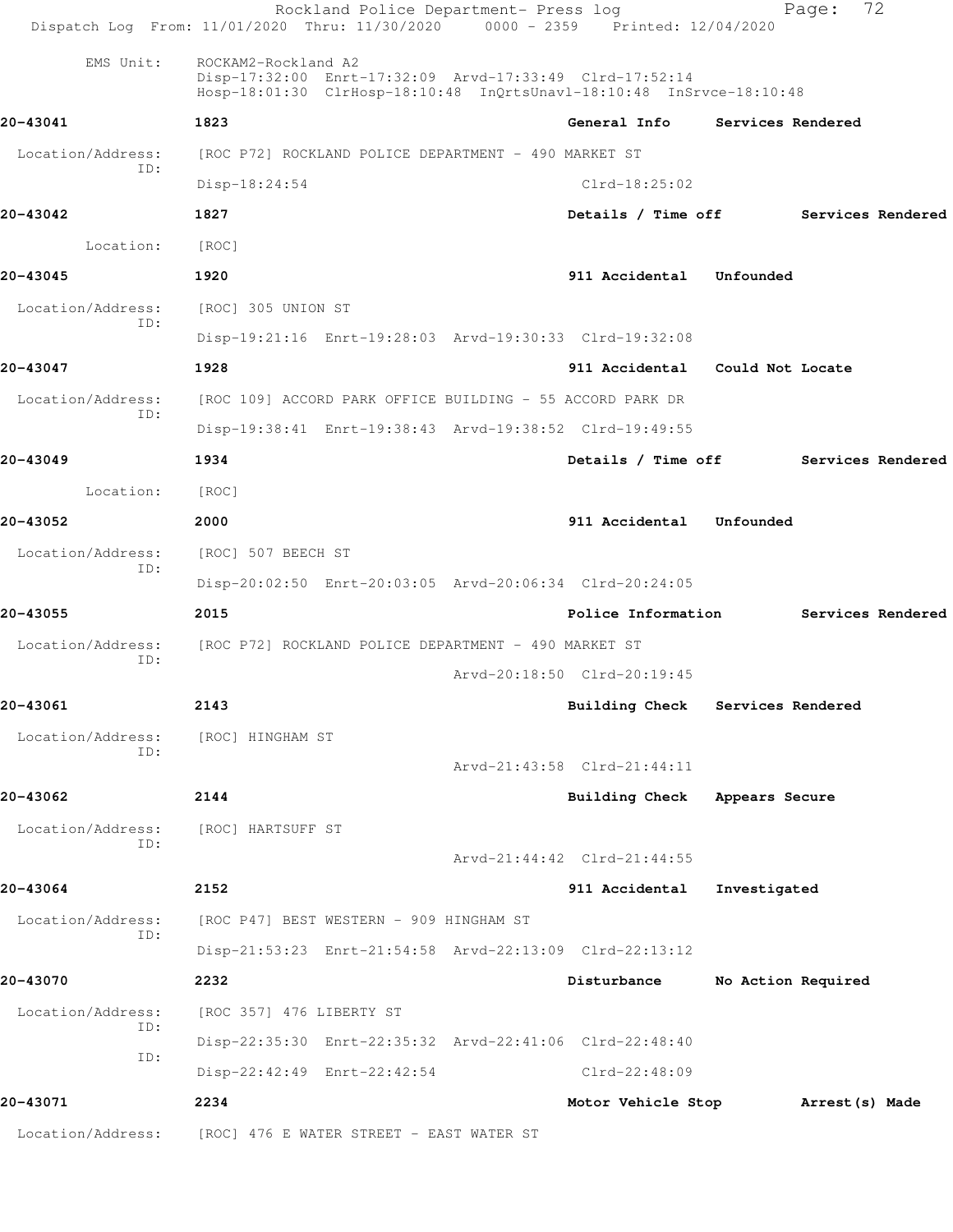|                          | Rockland Police Department- Press log<br>Dispatch Log From: 11/01/2020 Thru: 11/30/2020 0000 - 2359 Printed: 12/04/2020                                |                                      | Page:              | 72              |                   |
|--------------------------|--------------------------------------------------------------------------------------------------------------------------------------------------------|--------------------------------------|--------------------|-----------------|-------------------|
| EMS Unit:                | ROCKAM2-Rockland A2<br>Disp-17:32:00 Enrt-17:32:09 Arvd-17:33:49 Clrd-17:52:14<br>Hosp-18:01:30 ClrHosp-18:10:48 InQrtsUnavl-18:10:48 InSrvce-18:10:48 |                                      |                    |                 |                   |
| 20-43041                 | 1823                                                                                                                                                   | General Info                         | Services Rendered  |                 |                   |
| Location/Address:        | [ROC P72] ROCKLAND POLICE DEPARTMENT - 490 MARKET ST                                                                                                   |                                      |                    |                 |                   |
| ID:                      | Disp-18:24:54                                                                                                                                          | $Clrd-18:25:02$                      |                    |                 |                   |
| 20-43042                 | 1827                                                                                                                                                   | Details / Time off Services Rendered |                    |                 |                   |
| Location:                | [ROC]                                                                                                                                                  |                                      |                    |                 |                   |
| 20-43045                 | 1920                                                                                                                                                   | 911 Accidental Unfounded             |                    |                 |                   |
| Location/Address:        | [ROC] 305 UNION ST                                                                                                                                     |                                      |                    |                 |                   |
| ID:                      | Disp-19:21:16 Enrt-19:28:03 Arvd-19:30:33 Clrd-19:32:08                                                                                                |                                      |                    |                 |                   |
| 20-43047                 | 1928                                                                                                                                                   | 911 Accidental Could Not Locate      |                    |                 |                   |
| Location/Address:        | [ROC 109] ACCORD PARK OFFICE BUILDING - 55 ACCORD PARK DR                                                                                              |                                      |                    |                 |                   |
| ID:                      | Disp-19:38:41 Enrt-19:38:43 Arvd-19:38:52 Clrd-19:49:55                                                                                                |                                      |                    |                 |                   |
| 20-43049                 | 1934                                                                                                                                                   | Details / Time off                   |                    |                 | Services Rendered |
| Location:                | [ROC]                                                                                                                                                  |                                      |                    |                 |                   |
| 20-43052                 | 2000                                                                                                                                                   | 911 Accidental Unfounded             |                    |                 |                   |
| Location/Address:        | [ROC] 507 BEECH ST                                                                                                                                     |                                      |                    |                 |                   |
| ID:                      | Disp-20:02:50 Enrt-20:03:05 Arvd-20:06:34 Clrd-20:24:05                                                                                                |                                      |                    |                 |                   |
| 20-43055                 | 2015                                                                                                                                                   | Police Information                   |                    |                 | Services Rendered |
| Location/Address:        | [ROC P72] ROCKLAND POLICE DEPARTMENT - 490 MARKET ST                                                                                                   |                                      |                    |                 |                   |
| ID:                      |                                                                                                                                                        | Arvd-20:18:50 Clrd-20:19:45          |                    |                 |                   |
| 20-43061                 | 2143                                                                                                                                                   | Building Check Services Rendered     |                    |                 |                   |
| Location/Address:<br>ID: | [ROC] HINGHAM ST                                                                                                                                       |                                      |                    |                 |                   |
|                          |                                                                                                                                                        | Arvd-21:43:58 Clrd-21:44:11          |                    |                 |                   |
| 20-43062                 | 2144                                                                                                                                                   | Building Check Appears Secure        |                    |                 |                   |
| Location/Address:<br>ID: | [ROC] HARTSUFF ST                                                                                                                                      |                                      |                    |                 |                   |
|                          |                                                                                                                                                        | Arvd-21:44:42 Clrd-21:44:55          |                    |                 |                   |
| 20-43064                 | 2152                                                                                                                                                   | 911 Accidental                       | Investigated       |                 |                   |
| Location/Address:<br>ID: | [ROC P47] BEST WESTERN - 909 HINGHAM ST                                                                                                                |                                      |                    |                 |                   |
|                          | Disp-21:53:23 Enrt-21:54:58 Arvd-22:13:09 Clrd-22:13:12                                                                                                |                                      |                    |                 |                   |
| 20-43070                 | 2232                                                                                                                                                   | Disturbance                          | No Action Required |                 |                   |
| Location/Address:<br>ID: | [ROC 357] 476 LIBERTY ST                                                                                                                               |                                      |                    |                 |                   |
| ID:                      | Disp-22:35:30 Enrt-22:35:32 Arvd-22:41:06 Clrd-22:48:40                                                                                                |                                      |                    |                 |                   |
|                          | Disp-22:42:49 Enrt-22:42:54                                                                                                                            | Clrd-22:48:09                        |                    |                 |                   |
| 20-43071                 | 2234                                                                                                                                                   | Motor Vehicle Stop                   |                    | Arrest (s) Made |                   |
| Location/Address:        | [ROC] 476 E WATER STREET - EAST WATER ST                                                                                                               |                                      |                    |                 |                   |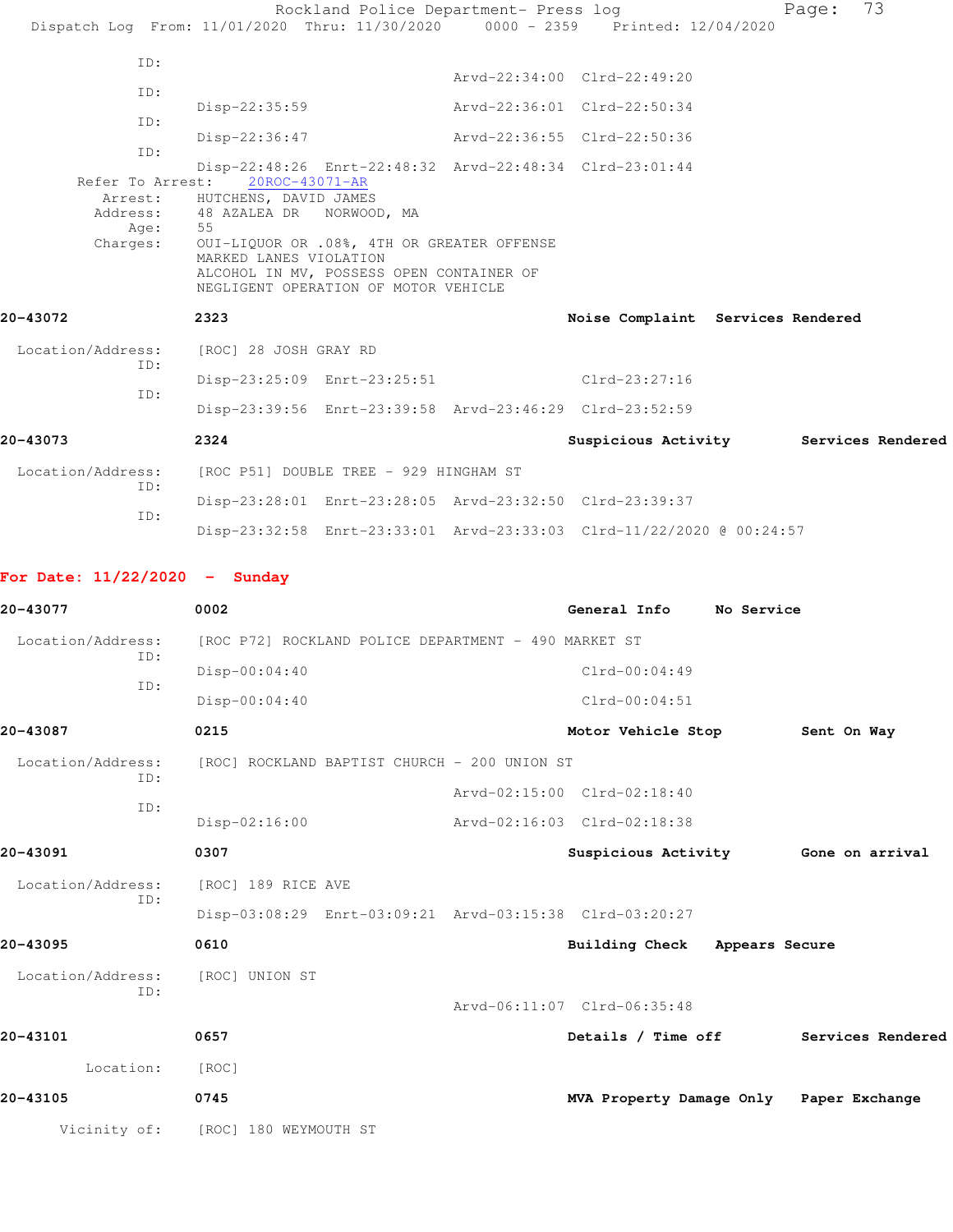|                          | Rockland Police Department- Press log<br>Dispatch Log From: 11/01/2020 Thru: 11/30/2020 0000 - 2359 Printed: 12/04/2020                                                                             |                                       | 73<br>Page: |
|--------------------------|-----------------------------------------------------------------------------------------------------------------------------------------------------------------------------------------------------|---------------------------------------|-------------|
| ID:                      |                                                                                                                                                                                                     | Arvd-22:34:00 Clrd-22:49:20           |             |
| ID:                      |                                                                                                                                                                                                     |                                       |             |
| ID:                      | $Disp-22:35:59$                                                                                                                                                                                     | Arvd-22:36:01 Clrd-22:50:34           |             |
|                          | Disp-22:36:47                                                                                                                                                                                       | Arvd-22:36:55 Clrd-22:50:36           |             |
| ID:<br>Refer To Arrest:  | Disp-22:48:26 Enrt-22:48:32 Arvd-22:48:34 Clrd-23:01:44<br>20ROC-43071-AR<br>Arrest: HUTCHENS, DAVID JAMES                                                                                          |                                       |             |
| Age:<br>Charges:         | Address: 48 AZALEA DR NORWOOD, MA<br>55<br>OUI-LIQUOR OR .08%, 4TH OR GREATER OFFENSE<br>MARKED LANES VIOLATION<br>ALCOHOL IN MV, POSSESS OPEN CONTAINER OF<br>NEGLIGENT OPERATION OF MOTOR VEHICLE |                                       |             |
| 20-43072                 | 2323                                                                                                                                                                                                | Noise Complaint Services Rendered     |             |
| Location/Address:        | [ROC] 28 JOSH GRAY RD                                                                                                                                                                               |                                       |             |
| ID:<br>ID:               | Disp-23:25:09 Enrt-23:25:51                                                                                                                                                                         | $C1rd-23:27:16$                       |             |
|                          | Disp-23:39:56 Enrt-23:39:58 Arvd-23:46:29 Clrd-23:52:59                                                                                                                                             |                                       |             |
| 20-43073                 | 2324                                                                                                                                                                                                | Suspicious Activity Services Rendered |             |
| Location/Address:<br>ID: | [ROC P51] DOUBLE TREE - 929 HINGHAM ST                                                                                                                                                              |                                       |             |
|                          | Disp-23:28:01 Enrt-23:28:05 Arvd-23:32:50 Clrd-23:39:37                                                                                                                                             |                                       |             |
| TD:                      | Disp-23:32:58 Enrt-23:33:01 Arvd-23:33:03 Clrd-11/22/2020 @ 00:24:57                                                                                                                                |                                       |             |

## **For Date: 11/22/2020 - Sunday**

| 20-43077          | 0002                                                    | General Info                            | No Service |                   |  |
|-------------------|---------------------------------------------------------|-----------------------------------------|------------|-------------------|--|
| Location/Address: | [ROC P72] ROCKLAND POLICE DEPARTMENT - 490 MARKET ST    |                                         |            |                   |  |
| ID:               | $Disp-00:04:40$                                         | $Clrd-00:04:49$                         |            |                   |  |
| TD:               | $Disp-00:04:40$                                         | $Clrd-00:04:51$                         |            |                   |  |
| 20-43087          | 0215                                                    | Motor Vehicle Stop                      |            | Sent On Way       |  |
| Location/Address: | [ROC] ROCKLAND BAPTIST CHURCH - 200 UNION ST            |                                         |            |                   |  |
| ID:               |                                                         | Arvd-02:15:00 Clrd-02:18:40             |            |                   |  |
| ID:               | $Disp-02:16:00$                                         | Arvd-02:16:03 Clrd-02:18:38             |            |                   |  |
| 20-43091          | 0307                                                    | Suspicious Activity 6one on arrival     |            |                   |  |
| Location/Address: | [ROC] 189 RICE AVE                                      |                                         |            |                   |  |
| ID:               | Disp-03:08:29 Enrt-03:09:21 Arvd-03:15:38 Clrd-03:20:27 |                                         |            |                   |  |
| 20-43095          | 0610                                                    | Building Check Appears Secure           |            |                   |  |
| Location/Address: | [ROC] UNION ST                                          |                                         |            |                   |  |
| TD:               |                                                         | Arvd-06:11:07 Clrd-06:35:48             |            |                   |  |
| 20-43101          | 0657                                                    | Details / Time off                      |            | Services Rendered |  |
| Location:         | [ROC]                                                   |                                         |            |                   |  |
| 20-43105          | 0745                                                    | MVA Property Damage Only Paper Exchange |            |                   |  |
| Vicinity of:      | [ROC] 180 WEYMOUTH ST                                   |                                         |            |                   |  |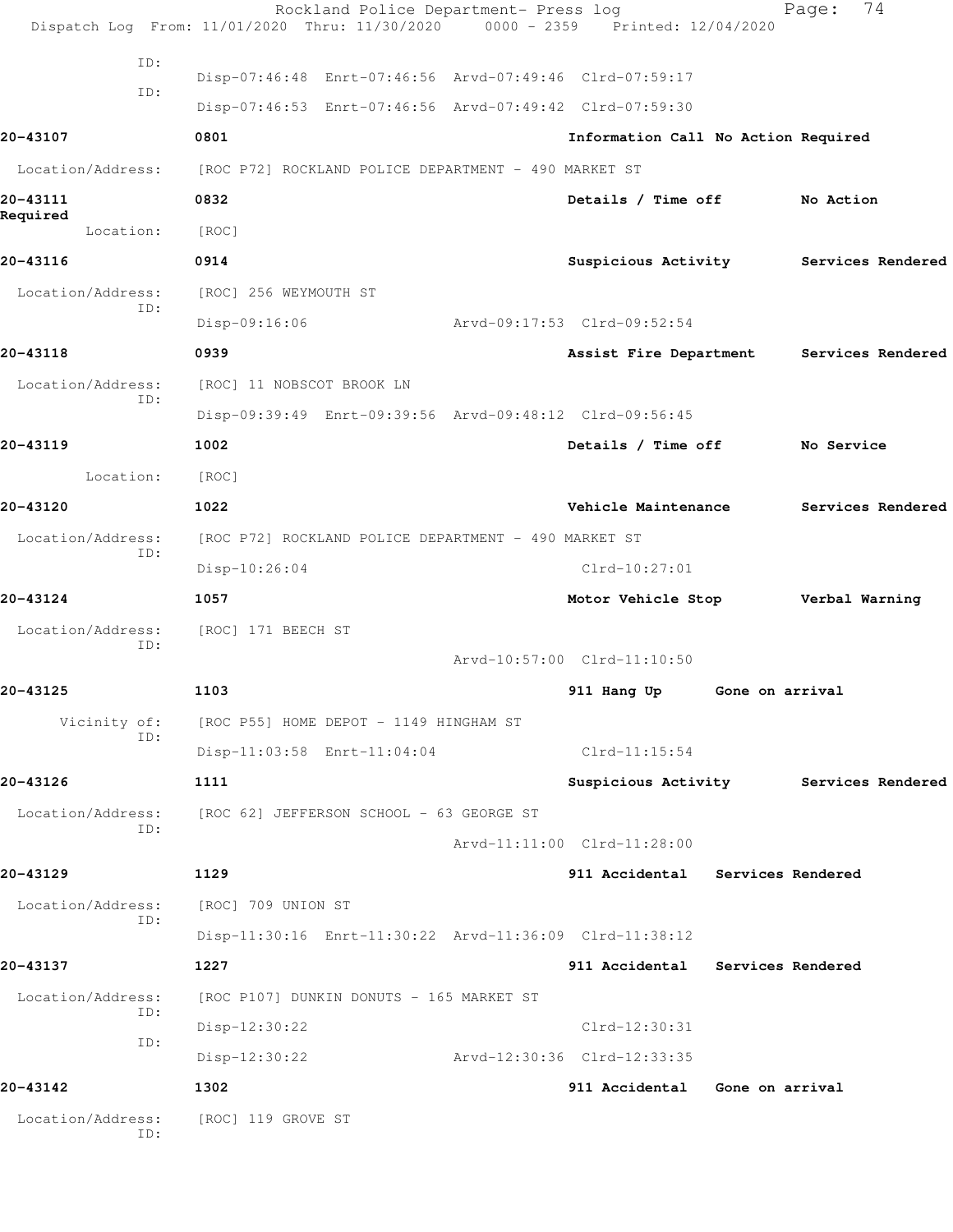|                          | Rockland Police Department- Press log<br>Dispatch Log From: 11/01/2020 Thru: 11/30/2020 0000 - 2359 Printed: 12/04/2020 |                                          |                   | 74<br>Page:       |  |
|--------------------------|-------------------------------------------------------------------------------------------------------------------------|------------------------------------------|-------------------|-------------------|--|
| ID:                      |                                                                                                                         |                                          |                   |                   |  |
| ID:                      | Disp-07:46:48 Enrt-07:46:56 Arvd-07:49:46 Clrd-07:59:17                                                                 |                                          |                   |                   |  |
|                          | Disp-07:46:53 Enrt-07:46:56 Arvd-07:49:42 Clrd-07:59:30                                                                 |                                          |                   |                   |  |
| 20-43107                 | 0801                                                                                                                    | Information Call No Action Required      |                   |                   |  |
|                          | Location/Address: [ROC P72] ROCKLAND POLICE DEPARTMENT - 490 MARKET ST                                                  |                                          |                   |                   |  |
| 20-43111<br>Required     | 0832                                                                                                                    | Details / Time off No Action             |                   |                   |  |
| Location:                | [ROC]                                                                                                                   |                                          |                   |                   |  |
| 20-43116                 | 0914                                                                                                                    | Suspicious Activity Services Rendered    |                   |                   |  |
| Location/Address:        | [ROC] 256 WEYMOUTH ST                                                                                                   |                                          |                   |                   |  |
| ID:                      | $Disp-09:16:06$                                                                                                         | Arvd-09:17:53 Clrd-09:52:54              |                   |                   |  |
| 20-43118                 | 0939                                                                                                                    | Assist Fire Department Services Rendered |                   |                   |  |
| Location/Address:        | [ROC] 11 NOBSCOT BROOK LN                                                                                               |                                          |                   |                   |  |
| ID:                      | Disp-09:39:49 Enrt-09:39:56 Arvd-09:48:12 Clrd-09:56:45                                                                 |                                          |                   |                   |  |
| 20-43119                 | 1002                                                                                                                    | Details / Time off                       |                   | No Service        |  |
| Location:                | [ROC]                                                                                                                   |                                          |                   |                   |  |
| 20-43120                 | 1022                                                                                                                    | Vehicle Maintenance                      |                   | Services Rendered |  |
| Location/Address:        | [ROC P72] ROCKLAND POLICE DEPARTMENT - 490 MARKET ST                                                                    |                                          |                   |                   |  |
| ID:                      | $Disp-10:26:04$                                                                                                         | $Clrd-10:27:01$                          |                   |                   |  |
| 20-43124                 | 1057                                                                                                                    | Motor Vehicle Stop Verbal Warning        |                   |                   |  |
| Location/Address:        | [ROC] 171 BEECH ST                                                                                                      |                                          |                   |                   |  |
| ID:                      |                                                                                                                         | Arvd-10:57:00 Clrd-11:10:50              |                   |                   |  |
| 20-43125                 | 1103                                                                                                                    | 911 Hang Up                              | Gone on arrival   |                   |  |
| Vicinity of:             | [ROC P55] HOME DEPOT - 1149 HINGHAM ST                                                                                  |                                          |                   |                   |  |
| ID:                      | Disp-11:03:58 Enrt-11:04:04                                                                                             | $Clrd-11:15:54$                          |                   |                   |  |
| 20-43126                 | 1111                                                                                                                    | Suspicious Activity Services Rendered    |                   |                   |  |
| Location/Address:        | [ROC 62] JEFFERSON SCHOOL - 63 GEORGE ST                                                                                |                                          |                   |                   |  |
| ID:                      |                                                                                                                         | Arvd-11:11:00 Clrd-11:28:00              |                   |                   |  |
| 20-43129                 | 1129                                                                                                                    | 911 Accidental Services Rendered         |                   |                   |  |
| Location/Address:        | [ROC] 709 UNION ST                                                                                                      |                                          |                   |                   |  |
| ID:                      | Disp-11:30:16 Enrt-11:30:22 Arvd-11:36:09 Clrd-11:38:12                                                                 |                                          |                   |                   |  |
| 20-43137                 | 1227                                                                                                                    | 911 Accidental                           | Services Rendered |                   |  |
| Location/Address:        | [ROC P107] DUNKIN DONUTS - 165 MARKET ST                                                                                |                                          |                   |                   |  |
| ID:                      | Disp-12:30:22                                                                                                           | Clrd-12:30:31                            |                   |                   |  |
| ID:                      | Disp-12:30:22                                                                                                           | Arvd-12:30:36 Clrd-12:33:35              |                   |                   |  |
| 20-43142                 | 1302                                                                                                                    | 911 Accidental                           | Gone on arrival   |                   |  |
| Location/Address:<br>ID: | [ROC] 119 GROVE ST                                                                                                      |                                          |                   |                   |  |
|                          |                                                                                                                         |                                          |                   |                   |  |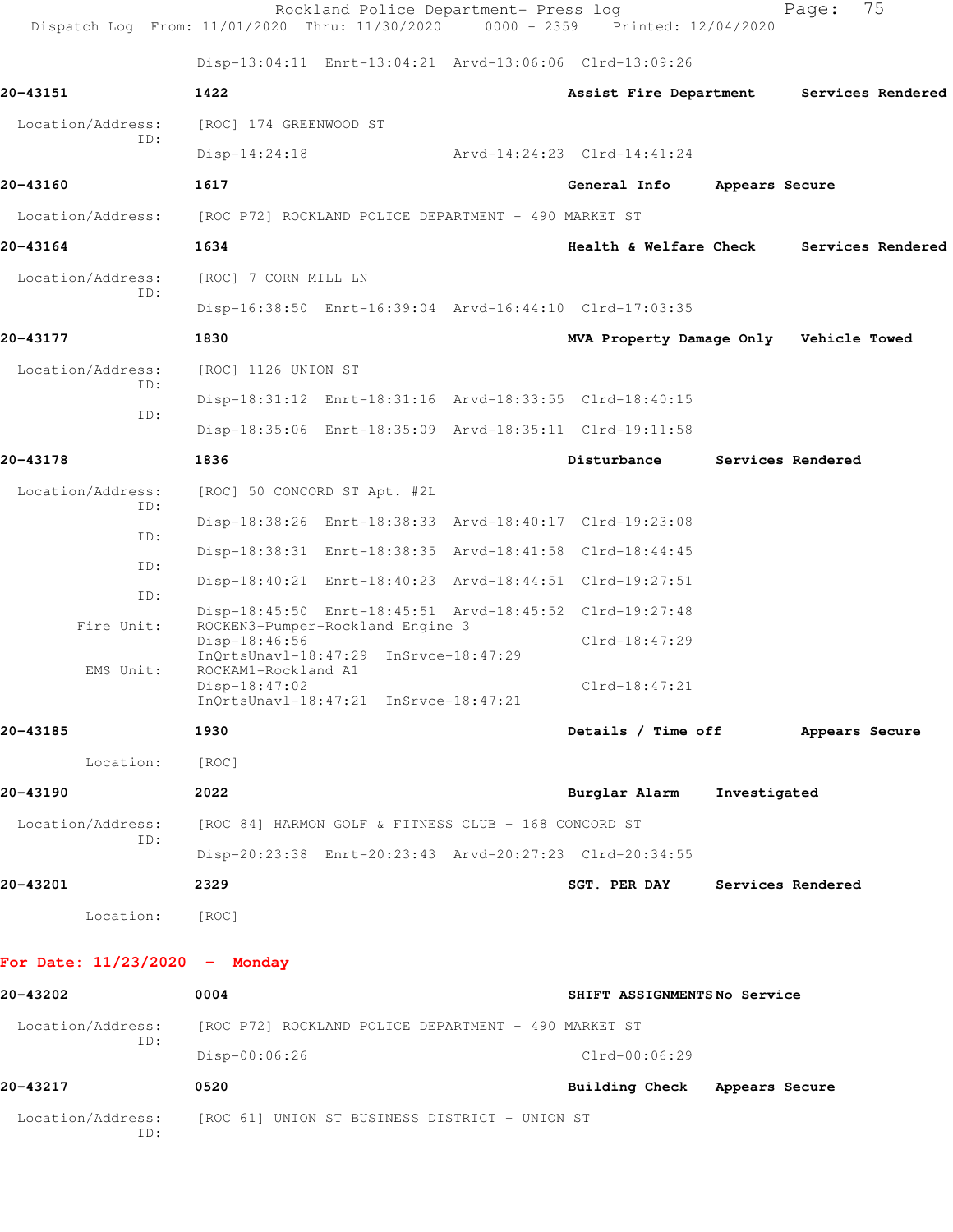| Dispatch Log From: 11/01/2020 Thru: 11/30/2020 0000 - 2359 Printed: 12/04/2020 |                                      | Rockland Police Department- Press log                |                                                         |                | 75<br>Page:       |  |
|--------------------------------------------------------------------------------|--------------------------------------|------------------------------------------------------|---------------------------------------------------------|----------------|-------------------|--|
|                                                                                |                                      |                                                      | Disp-13:04:11 Enrt-13:04:21 Arvd-13:06:06 Clrd-13:09:26 |                |                   |  |
| 20-43151                                                                       | 1422                                 |                                                      | Assist Fire Department                                  |                | Services Rendered |  |
| Location/Address:                                                              | [ROC] 174 GREENWOOD ST               |                                                      |                                                         |                |                   |  |
| ID:                                                                            | $Disp-14:24:18$                      |                                                      | Arvd-14:24:23 Clrd-14:41:24                             |                |                   |  |
| 20-43160                                                                       | 1617                                 |                                                      | General Info                                            | Appears Secure |                   |  |
| Location/Address:                                                              |                                      | [ROC P72] ROCKLAND POLICE DEPARTMENT - 490 MARKET ST |                                                         |                |                   |  |
| 20-43164                                                                       | 1634                                 |                                                      | <b>Health &amp; Welfare Check</b>                       |                | Services Rendered |  |
| Location/Address:<br>ID:                                                       | [ROC] 7 CORN MILL LN                 |                                                      |                                                         |                |                   |  |
|                                                                                |                                      |                                                      | Disp-16:38:50 Enrt-16:39:04 Arvd-16:44:10 Clrd-17:03:35 |                |                   |  |
| 20-43177                                                                       | 1830                                 |                                                      | MVA Property Damage Only Vehicle Towed                  |                |                   |  |
| Location/Address:                                                              | [ROC] 1126 UNION ST                  |                                                      |                                                         |                |                   |  |
| ID:<br>ID:                                                                     |                                      |                                                      | Disp-18:31:12 Enrt-18:31:16 Arvd-18:33:55 Clrd-18:40:15 |                |                   |  |
|                                                                                |                                      |                                                      | Disp-18:35:06 Enrt-18:35:09 Arvd-18:35:11 Clrd-19:11:58 |                |                   |  |
| 20-43178                                                                       | 1836                                 |                                                      | Disturbance                                             |                | Services Rendered |  |
| Location/Address:<br>ID:                                                       | [ROC] 50 CONCORD ST Apt. #2L         |                                                      |                                                         |                |                   |  |
| ID:                                                                            |                                      |                                                      | Disp-18:38:26 Enrt-18:38:33 Arvd-18:40:17 Clrd-19:23:08 |                |                   |  |
| ID:                                                                            |                                      |                                                      | Disp-18:38:31 Enrt-18:38:35 Arvd-18:41:58 Clrd-18:44:45 |                |                   |  |
| ID:                                                                            |                                      |                                                      | Disp-18:40:21 Enrt-18:40:23 Arvd-18:44:51 Clrd-19:27:51 |                |                   |  |
| Fire Unit:                                                                     |                                      | ROCKEN3-Pumper-Rockland Engine 3                     | Disp-18:45:50 Enrt-18:45:51 Arvd-18:45:52 Clrd-19:27:48 |                |                   |  |
|                                                                                | Disp-18:46:56                        | InQrtsUnavl-18:47:29 InSrvce-18:47:29                | $Clrd-18:47:29$                                         |                |                   |  |
| EMS Unit:                                                                      | ROCKAM1-Rockland A1<br>Disp-18:47:02 | InQrtsUnavl-18:47:21 InSrvce-18:47:21                | $Clrd-18:47:21$                                         |                |                   |  |
| 20-43185                                                                       | 1930                                 |                                                      | Details / Time off Appears Secure                       |                |                   |  |
| Location:                                                                      | [ROC]                                |                                                      |                                                         |                |                   |  |
| 20-43190                                                                       | 2022                                 |                                                      | Burglar Alarm Investigated                              |                |                   |  |
| Location/Address:                                                              |                                      | [ROC 84] HARMON GOLF & FITNESS CLUB - 168 CONCORD ST |                                                         |                |                   |  |
| ID:                                                                            |                                      |                                                      | Disp-20:23:38 Enrt-20:23:43 Arvd-20:27:23 Clrd-20:34:55 |                |                   |  |
| 20-43201                                                                       | 2329                                 |                                                      | <b>SGT. PER DAY</b>                                     |                | Services Rendered |  |
| Location:                                                                      | [ROC]                                |                                                      |                                                         |                |                   |  |
| For Date: $11/23/2020 -$ Monday                                                |                                      |                                                      |                                                         |                |                   |  |
| 20-43202                                                                       | 0004                                 |                                                      | SHIFT ASSIGNMENTSNo Service                             |                |                   |  |
| Location/Address:<br>ID:                                                       |                                      | [ROC P72] ROCKLAND POLICE DEPARTMENT - 490 MARKET ST |                                                         |                |                   |  |
|                                                                                | Disp-00:06:26                        |                                                      | $Clrd-00:06:29$                                         |                |                   |  |
| 20-43217                                                                       | 0520                                 |                                                      | Building Check Appears Secure                           |                |                   |  |
| Location/Address: [ROC 61] UNION ST BUSINESS DISTRICT - UNION ST<br>ID:        |                                      |                                                      |                                                         |                |                   |  |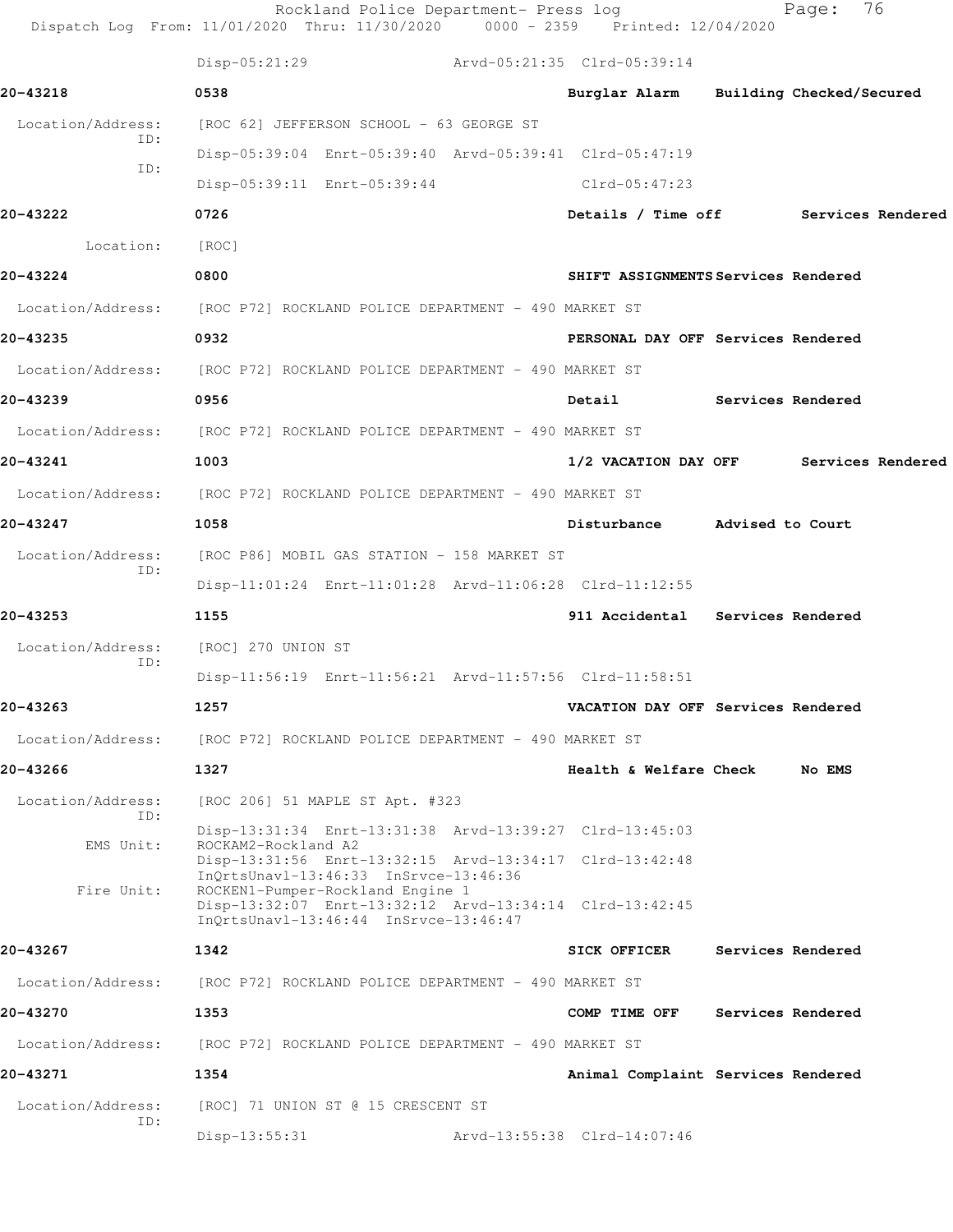|                   | Rockland Police Department- Press log<br>Dispatch Log From: 11/01/2020 Thru: 11/30/2020 0000 - 2359 Printed: 12/04/2020 |                             | 76<br>Page:                            |
|-------------------|-------------------------------------------------------------------------------------------------------------------------|-----------------------------|----------------------------------------|
|                   | $Disp-05:21:29$                                                                                                         | Arvd-05:21:35 Clrd-05:39:14 |                                        |
| 20-43218          | 0538                                                                                                                    |                             | Burglar Alarm Building Checked/Secured |
| Location/Address: | [ROC 62] JEFFERSON SCHOOL - 63 GEORGE ST                                                                                |                             |                                        |
| ID:<br>ID:        | Disp-05:39:04 Enrt-05:39:40 Arvd-05:39:41 Clrd-05:47:19                                                                 |                             |                                        |
|                   | Disp-05:39:11 Enrt-05:39:44                                                                                             | Clrd-05:47:23               |                                        |
| 20-43222          | 0726                                                                                                                    |                             | Details / Time off Services Rendered   |
| Location:         | [ROC]                                                                                                                   |                             |                                        |
| 20-43224          | 0800                                                                                                                    |                             | SHIFT ASSIGNMENTS Services Rendered    |
|                   | Location/Address: [ROC P72] ROCKLAND POLICE DEPARTMENT - 490 MARKET ST                                                  |                             |                                        |
| 20-43235          | 0932                                                                                                                    |                             | PERSONAL DAY OFF Services Rendered     |
|                   | Location/Address: [ROC P72] ROCKLAND POLICE DEPARTMENT - 490 MARKET ST                                                  |                             |                                        |
| 20-43239          | 0956                                                                                                                    | Detail                      | Services Rendered                      |
|                   | Location/Address: [ROC P72] ROCKLAND POLICE DEPARTMENT - 490 MARKET ST                                                  |                             |                                        |
| 20-43241          | 1003                                                                                                                    |                             | 1/2 VACATION DAY OFF Services Rendered |
|                   | Location/Address: [ROC P72] ROCKLAND POLICE DEPARTMENT - 490 MARKET ST                                                  |                             |                                        |
| 20-43247          | 1058                                                                                                                    | Disturbance                 | Advised to Court                       |
| Location/Address: | [ROC P86] MOBIL GAS STATION - 158 MARKET ST                                                                             |                             |                                        |
| ID:               | Disp-11:01:24 Enrt-11:01:28 Arvd-11:06:28 Clrd-11:12:55                                                                 |                             |                                        |
| 20-43253          | 1155                                                                                                                    |                             | 911 Accidental Services Rendered       |
| Location/Address: | [ROC] 270 UNION ST                                                                                                      |                             |                                        |
| ID:               | Disp-11:56:19 Enrt-11:56:21 Arvd-11:57:56 Clrd-11:58:51                                                                 |                             |                                        |
| 20-43263          | 1257                                                                                                                    |                             | VACATION DAY OFF Services Rendered     |
| Location/Address: | [ROC P72] ROCKLAND POLICE DEPARTMENT - 490 MARKET ST                                                                    |                             |                                        |
| 20-43266          | 1327                                                                                                                    | Health & Welfare Check      | No EMS                                 |
| Location/Address: | [ROC 206] 51 MAPLE ST Apt. #323                                                                                         |                             |                                        |
| ID:               | Disp-13:31:34 Enrt-13:31:38 Arvd-13:39:27 Clrd-13:45:03                                                                 |                             |                                        |
| EMS Unit:         | ROCKAM2-Rockland A2<br>Disp-13:31:56 Enrt-13:32:15 Arvd-13:34:17 Clrd-13:42:48                                          |                             |                                        |
| Fire Unit:        | InQrtsUnavl-13:46:33 InSrvce-13:46:36<br>ROCKEN1-Pumper-Rockland Engine 1                                               |                             |                                        |
|                   | Disp-13:32:07 Enrt-13:32:12 Arvd-13:34:14 Clrd-13:42:45<br>InQrtsUnavl-13:46:44 InSrvce-13:46:47                        |                             |                                        |
| 20-43267          | 1342                                                                                                                    | <b>SICK OFFICER</b>         | Services Rendered                      |
| Location/Address: | [ROC P72] ROCKLAND POLICE DEPARTMENT - 490 MARKET ST                                                                    |                             |                                        |
| 20-43270          | 1353                                                                                                                    | COMP TIME OFF               | Services Rendered                      |
| Location/Address: | [ROC P72] ROCKLAND POLICE DEPARTMENT - 490 MARKET ST                                                                    |                             |                                        |
| 20-43271          | 1354                                                                                                                    |                             | Animal Complaint Services Rendered     |
| Location/Address: | [ROC] 71 UNION ST @ 15 CRESCENT ST                                                                                      |                             |                                        |
| ID:               | Disp-13:55:31                                                                                                           | Arvd-13:55:38 Clrd-14:07:46 |                                        |
|                   |                                                                                                                         |                             |                                        |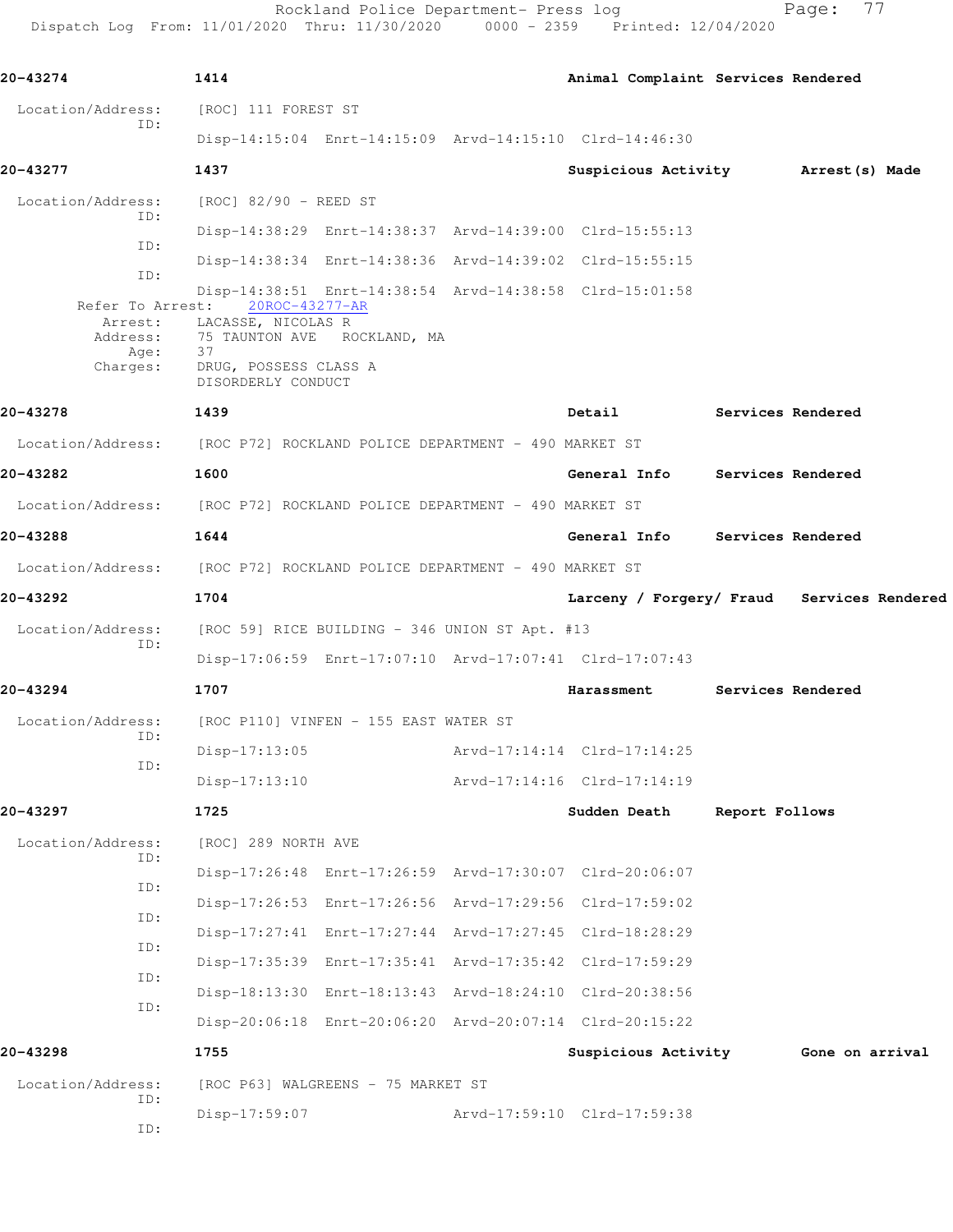Rockland Police Department- Press log entitled Page: 77 Dispatch Log From: 11/01/2020 Thru: 11/30/2020 0000 - 2359 Printed: 12/04/2020

| 20-43274                     | 1414                                                                                                                                                                                                         | Animal Complaint Services Rendered         |                |                   |  |
|------------------------------|--------------------------------------------------------------------------------------------------------------------------------------------------------------------------------------------------------------|--------------------------------------------|----------------|-------------------|--|
| Location/Address:<br>ID:     | [ROC] 111 FOREST ST                                                                                                                                                                                          |                                            |                |                   |  |
|                              | Disp-14:15:04 Enrt-14:15:09 Arvd-14:15:10 Clrd-14:46:30                                                                                                                                                      |                                            |                |                   |  |
| 20-43277                     | 1437                                                                                                                                                                                                         | Suspicious Activity Marrest (s) Made       |                |                   |  |
| Location/Address:<br>ID:     | [ROC] 82/90 - REED ST                                                                                                                                                                                        |                                            |                |                   |  |
| ID:                          | Disp-14:38:29 Enrt-14:38:37 Arvd-14:39:00 Clrd-15:55:13                                                                                                                                                      |                                            |                |                   |  |
| ID:                          | Disp-14:38:34 Enrt-14:38:36 Arvd-14:39:02 Clrd-15:55:15                                                                                                                                                      |                                            |                |                   |  |
| Address:<br>Age:<br>Charges: | Disp-14:38:51 Enrt-14:38:54 Arvd-14:38:58 Clrd-15:01:58<br>Refer To Arrest: 20ROC-43277-AR<br>Arrest: LACASSE, NICOLAS R<br>75 TAUNTON AVE ROCKLAND, MA<br>37<br>DRUG, POSSESS CLASS A<br>DISORDERLY CONDUCT |                                            |                |                   |  |
| 20-43278                     | 1439                                                                                                                                                                                                         | Detail                                     |                | Services Rendered |  |
|                              | Location/Address: [ROC P72] ROCKLAND POLICE DEPARTMENT - 490 MARKET ST                                                                                                                                       |                                            |                |                   |  |
| 20-43282                     | 1600                                                                                                                                                                                                         | General Info Services Rendered             |                |                   |  |
|                              | Location/Address: [ROC P72] ROCKLAND POLICE DEPARTMENT - 490 MARKET ST                                                                                                                                       |                                            |                |                   |  |
| 20-43288                     | 1644                                                                                                                                                                                                         | General Info Services Rendered             |                |                   |  |
|                              | Location/Address: [ROC P72] ROCKLAND POLICE DEPARTMENT - 490 MARKET ST                                                                                                                                       |                                            |                |                   |  |
| 20-43292                     | 1704                                                                                                                                                                                                         | Larceny / Forgery/ Fraud Services Rendered |                |                   |  |
| Location/Address:<br>ID:     | [ROC 59] RICE BUILDING - 346 UNION ST Apt. #13                                                                                                                                                               |                                            |                |                   |  |
|                              | Disp-17:06:59 Enrt-17:07:10 Arvd-17:07:41 Clrd-17:07:43                                                                                                                                                      |                                            |                |                   |  |
| 20-43294                     | 1707                                                                                                                                                                                                         | Harassment Services Rendered               |                |                   |  |
| Location/Address:<br>ID:     | [ROC P110] VINFEN - 155 EAST WATER ST                                                                                                                                                                        |                                            |                |                   |  |
| ID:                          | Disp-17:13:05                                                                                                                                                                                                | Arvd-17:14:14 Clrd-17:14:25                |                |                   |  |
|                              | $Disp-17:13:10$                                                                                                                                                                                              | Arvd-17:14:16 Clrd-17:14:19                |                |                   |  |
| 20-43297                     | 1725                                                                                                                                                                                                         | Sudden Death                               | Report Follows |                   |  |
| Location/Address:<br>ID:     | [ROC] 289 NORTH AVE                                                                                                                                                                                          |                                            |                |                   |  |
| ID:                          | Disp-17:26:48 Enrt-17:26:59 Arvd-17:30:07 Clrd-20:06:07                                                                                                                                                      |                                            |                |                   |  |
| ID:                          | Disp-17:26:53 Enrt-17:26:56 Arvd-17:29:56 Clrd-17:59:02                                                                                                                                                      |                                            |                |                   |  |
| ID:                          | Disp-17:27:41 Enrt-17:27:44 Arvd-17:27:45 Clrd-18:28:29                                                                                                                                                      |                                            |                |                   |  |
| ID:                          | Disp-17:35:39 Enrt-17:35:41 Arvd-17:35:42 Clrd-17:59:29                                                                                                                                                      |                                            |                |                   |  |
| ID:                          | Disp-18:13:30 Enrt-18:13:43 Arvd-18:24:10 Clrd-20:38:56                                                                                                                                                      |                                            |                |                   |  |
|                              | Disp-20:06:18 Enrt-20:06:20 Arvd-20:07:14 Clrd-20:15:22                                                                                                                                                      |                                            |                |                   |  |
| 20-43298                     | 1755                                                                                                                                                                                                         | Suspicious Activity Gone on arrival        |                |                   |  |
| Location/Address:<br>ID:     | [ROC P63] WALGREENS - 75 MARKET ST<br>Disp-17:59:07                                                                                                                                                          | Arvd-17:59:10 Clrd-17:59:38                |                |                   |  |
| ID:                          |                                                                                                                                                                                                              |                                            |                |                   |  |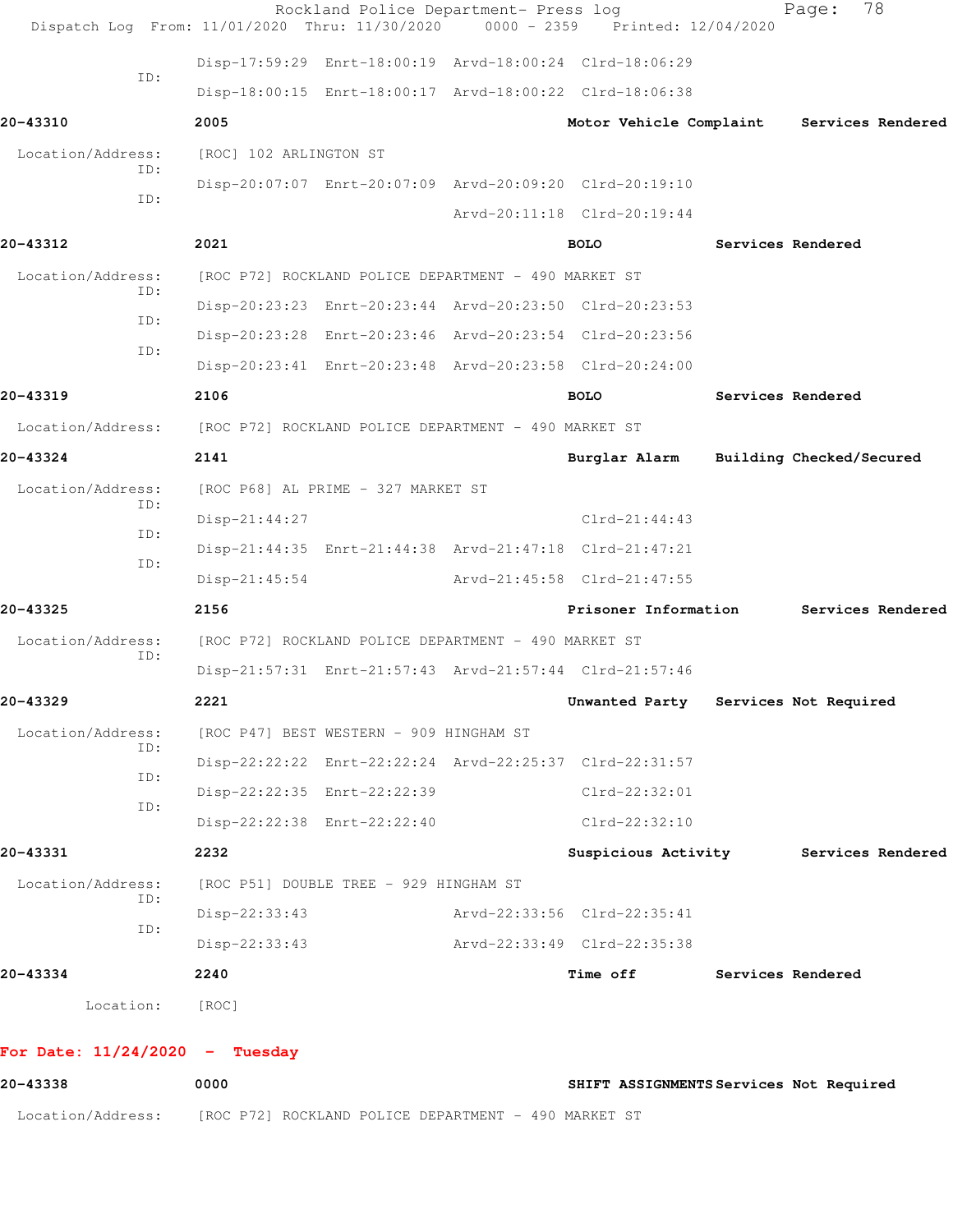| 0000                                                                                    | SHIFT ASSIGNMENTS Services Not Required |                          |
|-----------------------------------------------------------------------------------------|-----------------------------------------|--------------------------|
| For Date: $11/24/2020 -$ Tuesday                                                        |                                         |                          |
| [ROC]                                                                                   |                                         |                          |
| 2240                                                                                    | Time off                                | Services Rendered        |
| $Disp-22:33:43$                                                                         | Arvd-22:33:49 Clrd-22:35:38             |                          |
| $Disp-22:33:43$                                                                         | Arvd-22:33:56 Clrd-22:35:41             |                          |
| [ROC P51] DOUBLE TREE - 929 HINGHAM ST                                                  |                                         |                          |
| 2232                                                                                    | Suspicious Activity                     | Services Rendered        |
| Disp-22:22:38 Enrt-22:22:40                                                             | Clrd-22:32:10                           |                          |
| Disp-22:22:35 Enrt-22:22:39                                                             | $Clrd-22:32:01$                         |                          |
| Disp-22:22:22 Enrt-22:22:24 Arvd-22:25:37 Clrd-22:31:57                                 |                                         |                          |
| [ROC P47] BEST WESTERN - 909 HINGHAM ST                                                 |                                         |                          |
| 2221                                                                                    | Unwanted Party                          | Services Not Required    |
| Disp-21:57:31 Enrt-21:57:43 Arvd-21:57:44 Clrd-21:57:46                                 |                                         |                          |
| [ROC P72] ROCKLAND POLICE DEPARTMENT - 490 MARKET ST                                    |                                         |                          |
| 2156                                                                                    | Prisoner Information                    | Services Rendered        |
| $Disp-21:45:54$                                                                         | Arvd-21:45:58 Clrd-21:47:55             |                          |
| Disp-21:44:35 Enrt-21:44:38 Arvd-21:47:18 Clrd-21:47:21                                 |                                         |                          |
| [ROC P68] AL PRIME - 327 MARKET ST<br>Disp-21:44:27                                     | $Clrd-21:44:43$                         |                          |
|                                                                                         | Burglar Alarm                           | Building Checked/Secured |
| [ROC P72] ROCKLAND POLICE DEPARTMENT - 490 MARKET ST<br>2141                            |                                         |                          |
|                                                                                         |                                         |                          |
| Disp-20:23:41 Enrt-20:23:48 Arvd-20:23:58 Clrd-20:24:00<br>2106                         | <b>BOLO</b>                             | Services Rendered        |
| Disp-20:23:28 Enrt-20:23:46 Arvd-20:23:54 Clrd-20:23:56                                 |                                         |                          |
| Disp-20:23:23 Enrt-20:23:44 Arvd-20:23:50 Clrd-20:23:53                                 |                                         |                          |
| [ROC P72] ROCKLAND POLICE DEPARTMENT - 490 MARKET ST                                    |                                         |                          |
| 2021                                                                                    | <b>BOLO</b>                             | Services Rendered        |
|                                                                                         | Arvd-20:11:18 Clrd-20:19:44             |                          |
| Disp-20:07:07 Enrt-20:07:09 Arvd-20:09:20 Clrd-20:19:10                                 |                                         |                          |
| [ROC] 102 ARLINGTON ST                                                                  |                                         |                          |
| 2005                                                                                    | Motor Vehicle Complaint                 | Services Rendered        |
| Disp-18:00:15 Enrt-18:00:17 Arvd-18:00:22 Clrd-18:06:38                                 |                                         |                          |
| Disp-17:59:29 Enrt-18:00:19 Arvd-18:00:24 Clrd-18:06:29                                 |                                         |                          |
| Rockland Police Department- Press log<br>Dispatch Log From: 11/01/2020 Thru: 11/30/2020 | Printed: 12/04/2020                     | 78<br>Page:              |
|                                                                                         |                                         | $0000 - 2359$            |

Location/Address: [ROC P72] ROCKLAND POLICE DEPARTMENT - 490 MARKET ST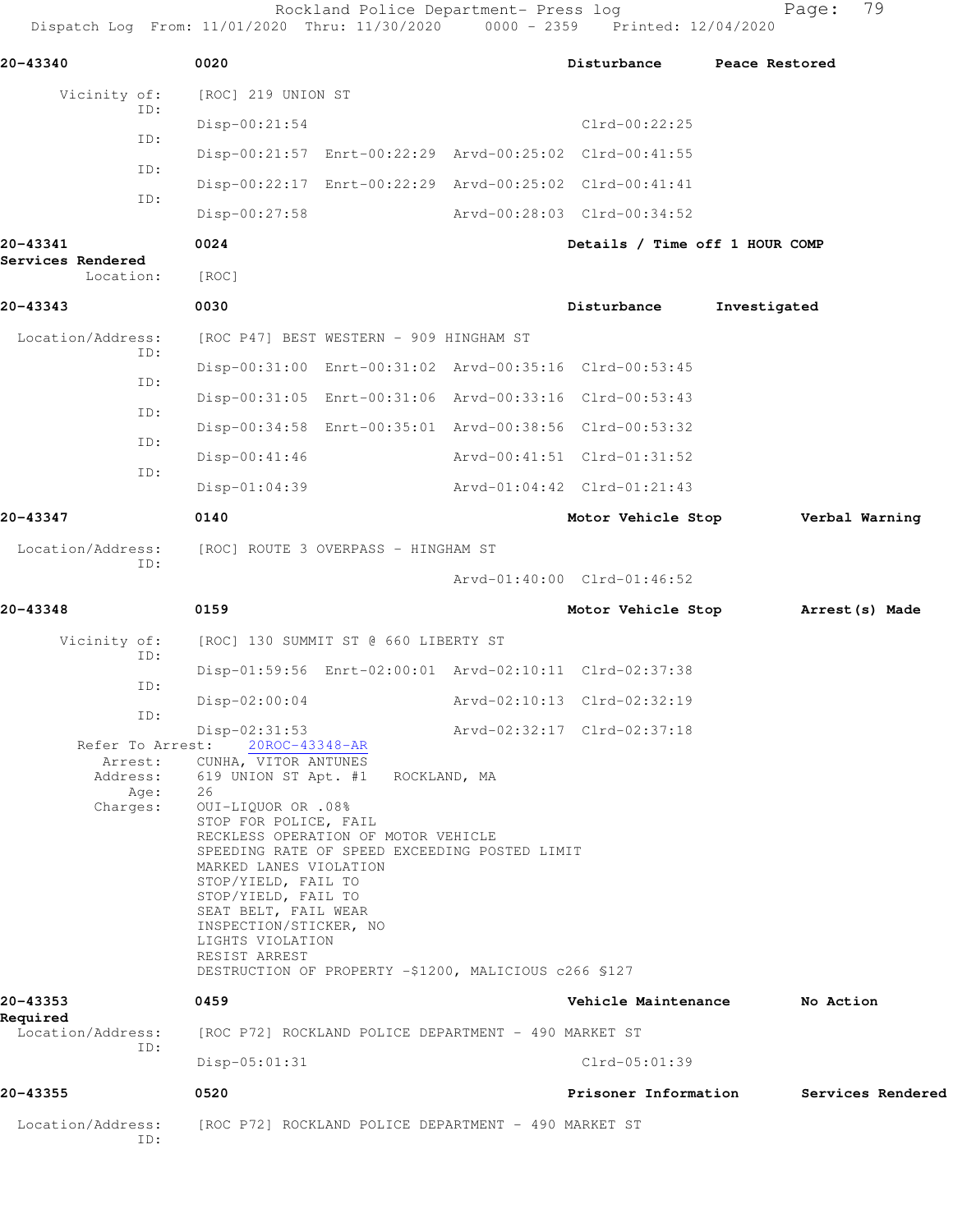Rockland Police Department- Press log entitled and Page: 79

Dispatch Log From: 11/01/2020 Thru: 11/30/2020 0000 - 2359 Printed: 12/04/2020

| 20-43340                       |      | 0020                                        |                                                       | Disturbance                                             | Peace Restored    |
|--------------------------------|------|---------------------------------------------|-------------------------------------------------------|---------------------------------------------------------|-------------------|
| Vicinity of:                   | ID:  | [ROC] 219 UNION ST                          |                                                       |                                                         |                   |
|                                | ID:  | $Disp-00:21:54$                             |                                                       | $Clrd-00:22:25$                                         |                   |
|                                | ID:  |                                             |                                                       | Disp-00:21:57 Enrt-00:22:29 Arvd-00:25:02 Clrd-00:41:55 |                   |
|                                |      |                                             |                                                       | Disp-00:22:17 Enrt-00:22:29 Arvd-00:25:02 Clrd-00:41:41 |                   |
|                                | ID:  | Disp-00:27:58                               |                                                       | Arvd-00:28:03 Clrd-00:34:52                             |                   |
| 20-43341                       |      | 0024                                        |                                                       | Details / Time off 1 HOUR COMP                          |                   |
| Services Rendered<br>Location: |      | [ROC]                                       |                                                       |                                                         |                   |
| 20-43343                       |      | 0030                                        |                                                       | Disturbance                                             | Investigated      |
| Location/Address:              |      |                                             | [ROC P47] BEST WESTERN - 909 HINGHAM ST               |                                                         |                   |
|                                | ID:  |                                             |                                                       | Disp-00:31:00 Enrt-00:31:02 Arvd-00:35:16 Clrd-00:53:45 |                   |
|                                | ID:  |                                             |                                                       | Disp-00:31:05 Enrt-00:31:06 Arvd-00:33:16 Clrd-00:53:43 |                   |
|                                | ID:  |                                             |                                                       | Disp-00:34:58 Enrt-00:35:01 Arvd-00:38:56 Clrd-00:53:32 |                   |
|                                | ID:  | $Disp-00:41:46$                             |                                                       | Arvd-00:41:51 Clrd-01:31:52                             |                   |
|                                | ID:  | $Disp-01:04:39$                             |                                                       | Arvd-01:04:42 Clrd-01:21:43                             |                   |
| 20-43347                       |      | 0140                                        |                                                       | Motor Vehicle Stop                                      | Verbal Warning    |
| Location/Address:              |      |                                             | [ROC] ROUTE 3 OVERPASS - HINGHAM ST                   |                                                         |                   |
|                                | ID:  |                                             |                                                       | Arvd-01:40:00 Clrd-01:46:52                             |                   |
| 20-43348                       |      | 0159                                        |                                                       | Motor Vehicle Stop                                      | Arrest (s) Made   |
| Vicinity of:                   |      |                                             | [ROC] 130 SUMMIT ST @ 660 LIBERTY ST                  |                                                         |                   |
|                                | ID:  |                                             |                                                       | Disp-01:59:56 Enrt-02:00:01 Arvd-02:10:11 Clrd-02:37:38 |                   |
|                                | ID:  | $Disp-02:00:04$                             |                                                       | Arvd-02:10:13 Clrd-02:32:19                             |                   |
|                                | ID:  | $Disp-02:31:53$                             |                                                       | Arvd-02:32:17 Clrd-02:37:18                             |                   |
| Refer To Arrest:<br>Arrest:    |      | 20ROC-43348-AR<br>CUNHA, VITOR ANTUNES      |                                                       |                                                         |                   |
| Address:                       | Age: | 619 UNION ST Apt. #1 ROCKLAND, MA<br>26     |                                                       |                                                         |                   |
| Charges:                       |      | 0UI-LIQUOR OR .08%<br>STOP FOR POLICE, FAIL |                                                       |                                                         |                   |
|                                |      |                                             | RECKLESS OPERATION OF MOTOR VEHICLE                   |                                                         |                   |
|                                |      | MARKED LANES VIOLATION                      | SPEEDING RATE OF SPEED EXCEEDING POSTED LIMIT         |                                                         |                   |
|                                |      | STOP/YIELD, FAIL TO<br>STOP/YIELD, FAIL TO  |                                                       |                                                         |                   |
|                                |      | SEAT BELT, FAIL WEAR                        |                                                       |                                                         |                   |
|                                |      | INSPECTION/STICKER, NO<br>LIGHTS VIOLATION  |                                                       |                                                         |                   |
|                                |      | RESIST ARREST                               | DESTRUCTION OF PROPERTY -\$1200, MALICIOUS c266 \$127 |                                                         |                   |
| 20-43353<br>Required           |      | 0459                                        |                                                       | Vehicle Maintenance                                     | No Action         |
| Location/Address:              | ID:  |                                             | [ROC P72] ROCKLAND POLICE DEPARTMENT - 490 MARKET ST  |                                                         |                   |
|                                |      | Disp-05:01:31                               |                                                       | Clrd-05:01:39                                           |                   |
| 20-43355                       |      | 0520                                        |                                                       | Prisoner Information                                    | Services Rendered |
| Location/Address:              | ID:  |                                             | [ROC P72] ROCKLAND POLICE DEPARTMENT - 490 MARKET ST  |                                                         |                   |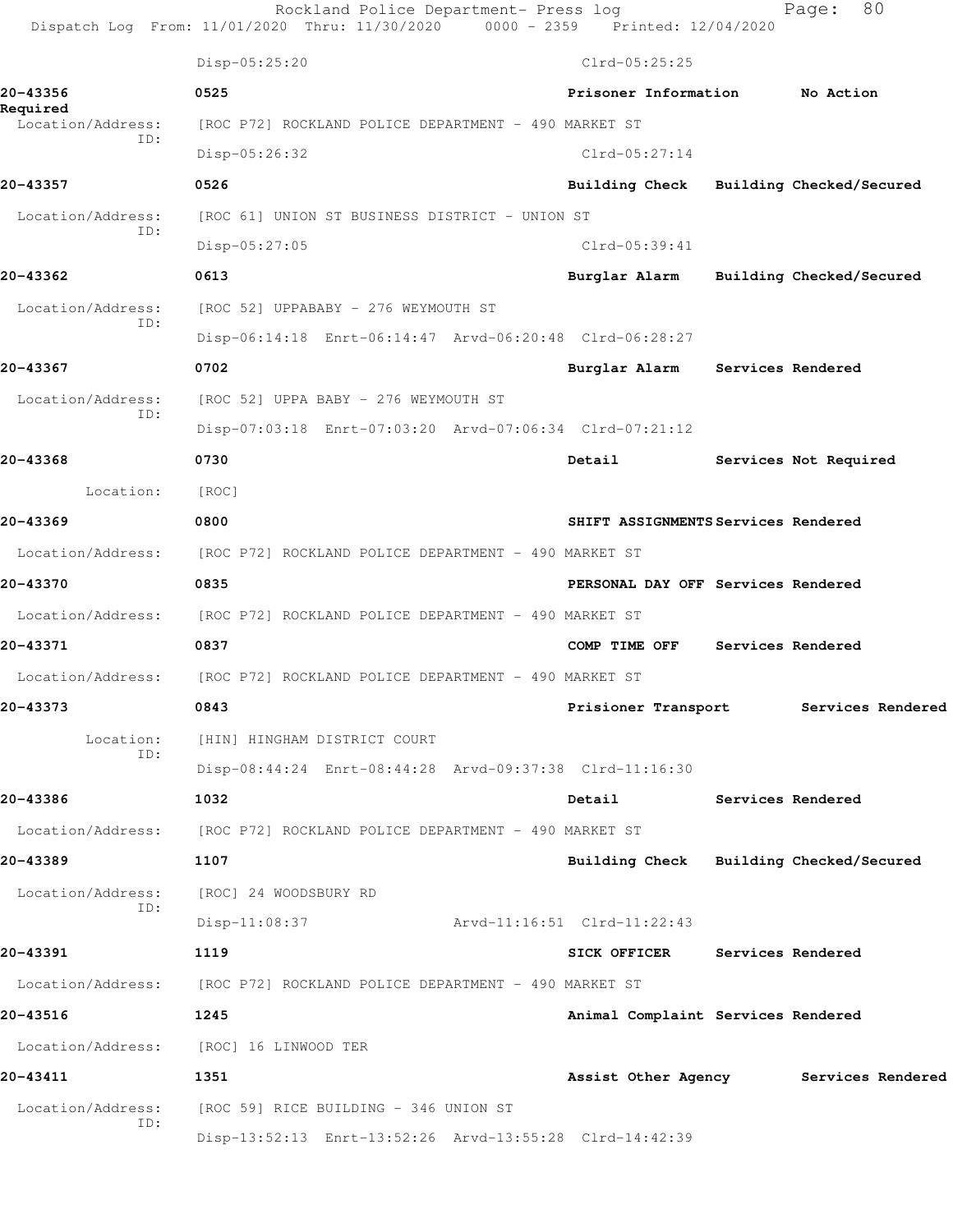|                               | Rockland Police Department- Press log<br>Dispatch Log From: 11/01/2020 Thru: 11/30/2020 | 0000 - 2359 Printed: 12/04/2020         | 80<br>Page:                           |
|-------------------------------|-----------------------------------------------------------------------------------------|-----------------------------------------|---------------------------------------|
|                               | Disp-05:25:20                                                                           | $Clrd-05:25:25$                         |                                       |
| 20-43356                      | 0525                                                                                    | Prisoner Information                    | No Action                             |
| Required<br>Location/Address: | [ROC P72] ROCKLAND POLICE DEPARTMENT - 490 MARKET ST                                    |                                         |                                       |
| TD:                           | Disp-05:26:32                                                                           | $Clrd-05:27:14$                         |                                       |
| 20-43357                      | 0526                                                                                    | Building Check Building Checked/Secured |                                       |
| Location/Address:             | [ROC 61] UNION ST BUSINESS DISTRICT - UNION ST                                          |                                         |                                       |
| ID:                           | $Disp-05:27:05$                                                                         | $Clrd-05:39:41$                         |                                       |
| 20-43362                      | 0613                                                                                    | Burglar Alarm                           | Building Checked/Secured              |
| Location/Address:             | [ROC 52] UPPABABY - 276 WEYMOUTH ST                                                     |                                         |                                       |
| ID:                           | Disp-06:14:18 Enrt-06:14:47 Arvd-06:20:48 Clrd-06:28:27                                 |                                         |                                       |
| 20-43367                      | 0702                                                                                    | Burglar Alarm                           | <b>Services Rendered</b>              |
| Location/Address:             | [ROC 52] UPPA BABY - 276 WEYMOUTH ST                                                    |                                         |                                       |
| ID:                           | Disp-07:03:18 Enrt-07:03:20 Arvd-07:06:34 Clrd-07:21:12                                 |                                         |                                       |
| 20-43368                      | 0730                                                                                    | Detail                                  | Services Not Required                 |
| Location:                     | [ROC]                                                                                   |                                         |                                       |
| 20-43369                      | 0800                                                                                    | SHIFT ASSIGNMENTS Services Rendered     |                                       |
| Location/Address:             | [ROC P72] ROCKLAND POLICE DEPARTMENT - 490 MARKET ST                                    |                                         |                                       |
| 20-43370                      | 0835                                                                                    | PERSONAL DAY OFF Services Rendered      |                                       |
|                               | Location/Address: [ROC P72] ROCKLAND POLICE DEPARTMENT - 490 MARKET ST                  |                                         |                                       |
| 20-43371                      | 0837                                                                                    | COMP TIME OFF                           | Services Rendered                     |
| Location/Address:             | [ROC P72] ROCKLAND POLICE DEPARTMENT - 490 MARKET ST                                    |                                         |                                       |
| 20-43373                      | 0843                                                                                    | Prisioner Transport                     | Services Rendered                     |
| Location:                     | [HIN] HINGHAM DISTRICT COURT                                                            |                                         |                                       |
| ID:                           | Disp-08:44:24 Enrt-08:44:28 Arvd-09:37:38 Clrd-11:16:30                                 |                                         |                                       |
| 20-43386                      | 1032                                                                                    | Detail                                  | Services Rendered                     |
|                               | Location/Address: [ROC P72] ROCKLAND POLICE DEPARTMENT - 490 MARKET ST                  |                                         |                                       |
| 20-43389                      | 1107                                                                                    | Building Check Building Checked/Secured |                                       |
| Location/Address:             | [ROC] 24 WOODSBURY RD                                                                   |                                         |                                       |
| ID:                           | $Disp-11:08:37$                                                                         | Arvd-11:16:51 Clrd-11:22:43             |                                       |
| 20-43391                      | 1119                                                                                    | <b>SICK OFFICER</b>                     | Services Rendered                     |
|                               | Location/Address: [ROC P72] ROCKLAND POLICE DEPARTMENT - 490 MARKET ST                  |                                         |                                       |
| 20-43516                      | 1245                                                                                    | Animal Complaint Services Rendered      |                                       |
| Location/Address:             | [ROC] 16 LINWOOD TER                                                                    |                                         |                                       |
| 20-43411                      | 1351                                                                                    |                                         | Assist Other Agency Services Rendered |
| Location/Address:             | [ROC 59] RICE BUILDING - 346 UNION ST                                                   |                                         |                                       |
| ID:                           | Disp-13:52:13 Enrt-13:52:26 Arvd-13:55:28 Clrd-14:42:39                                 |                                         |                                       |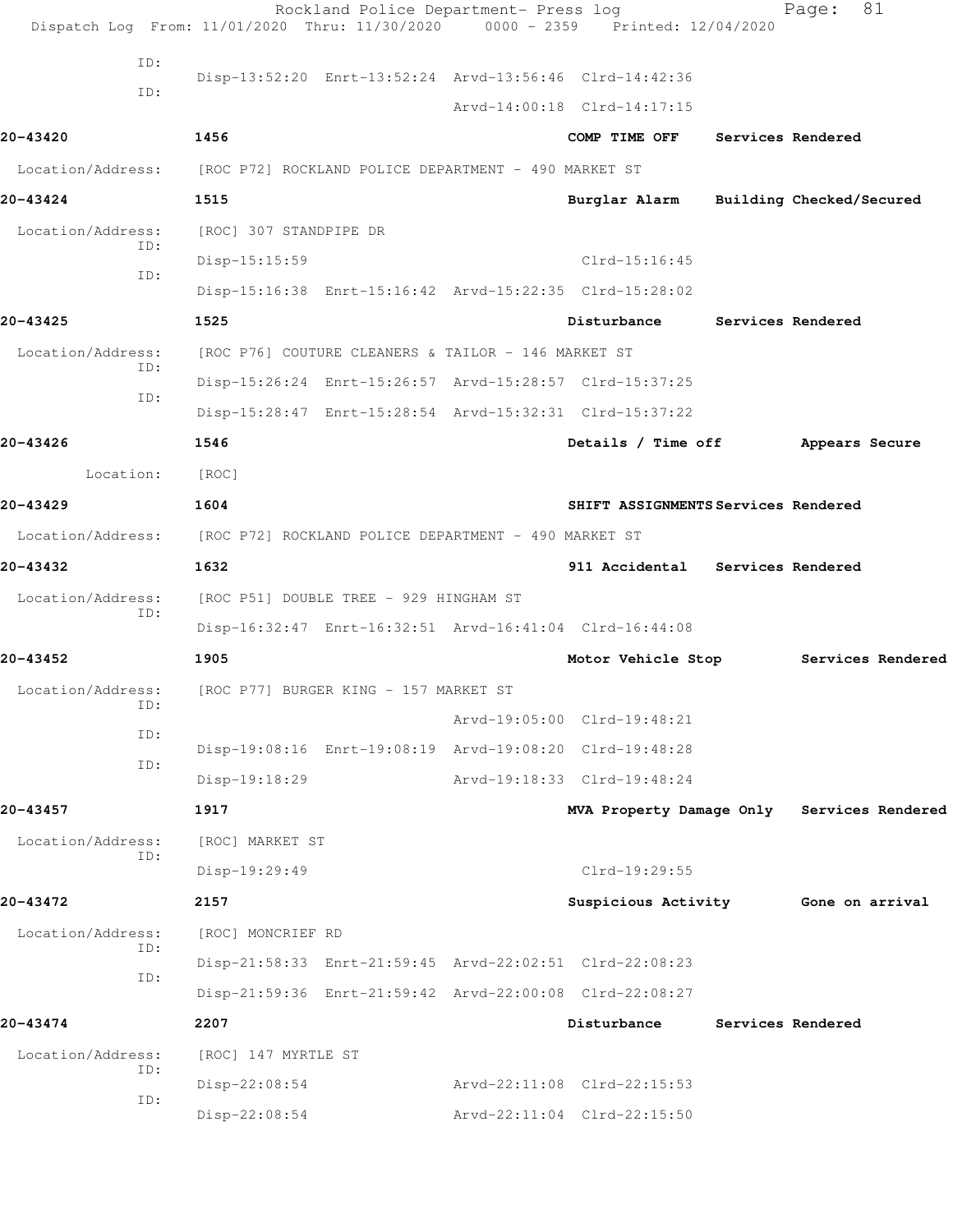|                          | Rockland Police Department- Press log<br>Dispatch Log From: 11/01/2020 Thru: 11/30/2020 0000 - 2359 Printed: 12/04/2020 |                                     |                   | 81<br>Page:                                |
|--------------------------|-------------------------------------------------------------------------------------------------------------------------|-------------------------------------|-------------------|--------------------------------------------|
| ID:                      |                                                                                                                         |                                     |                   |                                            |
| ID:                      | Disp-13:52:20 Enrt-13:52:24 Arvd-13:56:46 Clrd-14:42:36                                                                 |                                     |                   |                                            |
|                          |                                                                                                                         | Arvd-14:00:18 Clrd-14:17:15         |                   |                                            |
| 20-43420                 | 1456                                                                                                                    | COMP TIME OFF                       | Services Rendered |                                            |
|                          | Location/Address: [ROC P72] ROCKLAND POLICE DEPARTMENT - 490 MARKET ST                                                  |                                     |                   |                                            |
| 20-43424                 | 1515                                                                                                                    | Burglar Alarm                       |                   | Building Checked/Secured                   |
| Location/Address:<br>ID: | [ROC] 307 STANDPIPE DR                                                                                                  |                                     |                   |                                            |
| ID:                      | Disp-15:15:59                                                                                                           | $Clrd-15:16:45$                     |                   |                                            |
|                          | Disp-15:16:38 Enrt-15:16:42 Arvd-15:22:35 Clrd-15:28:02                                                                 |                                     |                   |                                            |
| 20-43425                 | 1525                                                                                                                    | Disturbance                         |                   | Services Rendered                          |
| Location/Address:<br>ID: | [ROC P76] COUTURE CLEANERS & TAILOR - 146 MARKET ST                                                                     |                                     |                   |                                            |
| ID:                      | Disp-15:26:24 Enrt-15:26:57 Arvd-15:28:57 Clrd-15:37:25                                                                 |                                     |                   |                                            |
|                          | Disp-15:28:47 Enrt-15:28:54 Arvd-15:32:31 Clrd-15:37:22                                                                 |                                     |                   |                                            |
| 20-43426                 | 1546                                                                                                                    | Details / Time off                  |                   | Appears Secure                             |
| Location:                | [ROC]                                                                                                                   |                                     |                   |                                            |
| 20-43429                 | 1604                                                                                                                    | SHIFT ASSIGNMENTS Services Rendered |                   |                                            |
| Location/Address:        | [ROC P72] ROCKLAND POLICE DEPARTMENT - 490 MARKET ST                                                                    |                                     |                   |                                            |
| 20-43432                 | 1632                                                                                                                    | 911 Accidental Services Rendered    |                   |                                            |
| Location/Address:<br>ID: | [ROC P51] DOUBLE TREE - 929 HINGHAM ST                                                                                  |                                     |                   |                                            |
|                          | Disp-16:32:47 Enrt-16:32:51 Arvd-16:41:04 Clrd-16:44:08                                                                 |                                     |                   |                                            |
| 20-43452                 | 1905                                                                                                                    | Motor Vehicle Stop                  |                   | Services Rendered                          |
| Location/Address:<br>ID: | [ROC P77] BURGER KING - 157 MARKET ST                                                                                   |                                     |                   |                                            |
| ID:                      |                                                                                                                         | Arvd-19:05:00 Clrd-19:48:21         |                   |                                            |
| ID:                      | Disp-19:08:16 Enrt-19:08:19 Arvd-19:08:20 Clrd-19:48:28                                                                 |                                     |                   |                                            |
|                          | Disp-19:18:29                                                                                                           | Arvd-19:18:33 Clrd-19:48:24         |                   |                                            |
| 20-43457                 | 1917                                                                                                                    |                                     |                   | MVA Property Damage Only Services Rendered |
| Location/Address:<br>ID: | [ROC] MARKET ST                                                                                                         |                                     |                   |                                            |
|                          | Disp-19:29:49                                                                                                           | Clrd-19:29:55                       |                   |                                            |
| 20-43472                 | 2157                                                                                                                    | Suspicious Activity                 |                   | Gone on arrival                            |
| Location/Address:<br>ID: | [ROC] MONCRIEF RD                                                                                                       |                                     |                   |                                            |
| ID:                      | Disp-21:58:33 Enrt-21:59:45 Arvd-22:02:51 Clrd-22:08:23                                                                 |                                     |                   |                                            |
|                          | Disp-21:59:36 Enrt-21:59:42 Arvd-22:00:08 Clrd-22:08:27                                                                 |                                     |                   |                                            |
| 20-43474                 | 2207                                                                                                                    | Disturbance                         |                   | Services Rendered                          |
| Location/Address:<br>ID: | [ROC] 147 MYRTLE ST                                                                                                     |                                     |                   |                                            |
| ID:                      | Disp-22:08:54                                                                                                           | Arvd-22:11:08 Clrd-22:15:53         |                   |                                            |
|                          | $Disp-22:08:54$                                                                                                         | Arvd-22:11:04 Clrd-22:15:50         |                   |                                            |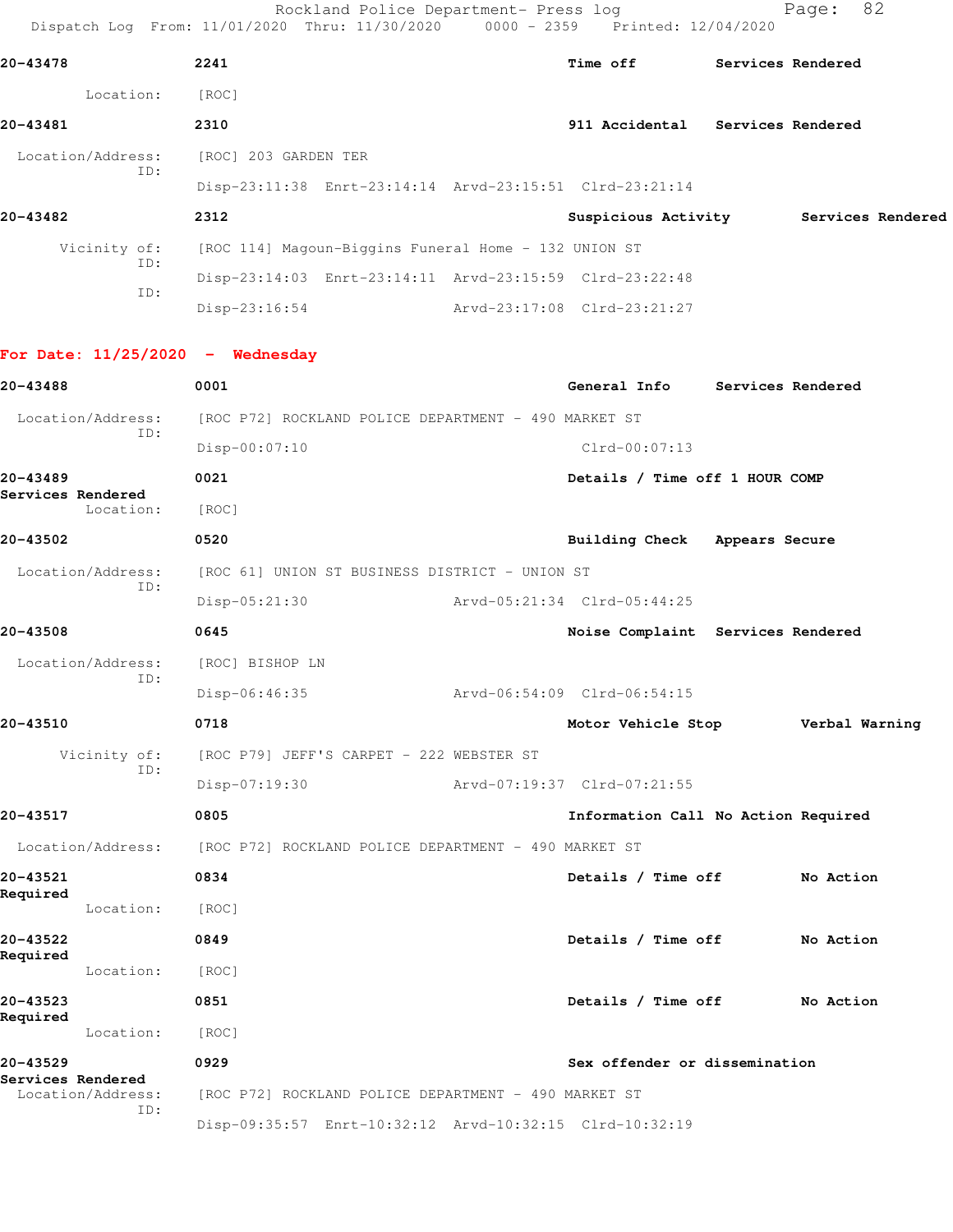Rockland Police Department- Press log entitled Page: 82 Dispatch Log From: 11/01/2020 Thru: 11/30/2020 0000 - 2359 Printed: 12/04/2020

Disp-23:16:54 Arvd-23:17:08 Clrd-23:21:27

| 20-43478          | 2241                                                    | Time off            | Services Rendered |
|-------------------|---------------------------------------------------------|---------------------|-------------------|
| Location:         | [ROC]                                                   |                     |                   |
| 20-43481          | 2310                                                    | 911 Accidental      | Services Rendered |
| Location/Address: | [ROC] 203 GARDEN TER                                    |                     |                   |
| ID:               | Disp-23:11:38 Enrt-23:14:14 Arvd-23:15:51 Clrd-23:21:14 |                     |                   |
| 20-43482          | 2312                                                    | Suspicious Activity | Services Rendered |
| Vicinity of:      | [ROC 114] Magoun-Biggins Funeral Home - 132 UNION ST    |                     |                   |
| ID:               | Disp-23:14:03 Enrt-23:14:11 Arvd-23:15:59 Clrd-23:22:48 |                     |                   |

**For Date: 11/25/2020 - Wednesday**

ID:

| 20-43488          |                   | 0001                                                    | General Info                   | Services Rendered                   |
|-------------------|-------------------|---------------------------------------------------------|--------------------------------|-------------------------------------|
|                   | Location/Address: | [ROC P72] ROCKLAND POLICE DEPARTMENT - 490 MARKET ST    |                                |                                     |
|                   | ID:               | $Disp-00:07:10$                                         | Clrd-00:07:13                  |                                     |
| 20-43489          |                   | 0021                                                    | Details / Time off 1 HOUR COMP |                                     |
| Services Rendered | Location:         | [ROC]                                                   |                                |                                     |
| 20-43502          |                   | 0520                                                    | Building Check Appears Secure  |                                     |
|                   | Location/Address: | [ROC 61] UNION ST BUSINESS DISTRICT - UNION ST          |                                |                                     |
|                   | ID:               | Disp-05:21:30                                           | Arvd-05:21:34 Clrd-05:44:25    |                                     |
| 20-43508          |                   | 0645                                                    |                                | Noise Complaint Services Rendered   |
|                   | Location/Address: | [ROC] BISHOP LN                                         |                                |                                     |
|                   | ID:               | Disp-06:46:35                                           | Arvd-06:54:09 Clrd-06:54:15    |                                     |
| 20-43510          |                   | 0718                                                    | Motor Vehicle Stop             | Verbal Warning                      |
|                   | Vicinity of:      | [ROC P79] JEFF'S CARPET - 222 WEBSTER ST                |                                |                                     |
|                   | ID:               | $Disp-07:19:30$                                         | Arvd-07:19:37 Clrd-07:21:55    |                                     |
| 20-43517          |                   | 0805                                                    |                                | Information Call No Action Required |
|                   | Location/Address: | [ROC P72] ROCKLAND POLICE DEPARTMENT - 490 MARKET ST    |                                |                                     |
| 20-43521          |                   | 0834                                                    | Details / Time off             | No Action                           |
| Required          | Location:         | [ROC]                                                   |                                |                                     |
| 20-43522          |                   | 0849                                                    | Details / Time off             | No Action                           |
| Required          | Location:         | [ROC]                                                   |                                |                                     |
| 20-43523          |                   | 0851                                                    | Details / Time off             | No Action                           |
| Required          | Location:         | [ROC]                                                   |                                |                                     |
| 20-43529          |                   | 0929                                                    | Sex offender or dissemination  |                                     |
| Services Rendered | Location/Address: | [ROC P72] ROCKLAND POLICE DEPARTMENT - 490 MARKET ST    |                                |                                     |
| ID:               |                   | Disp-09:35:57 Enrt-10:32:12 Arvd-10:32:15 Clrd-10:32:19 |                                |                                     |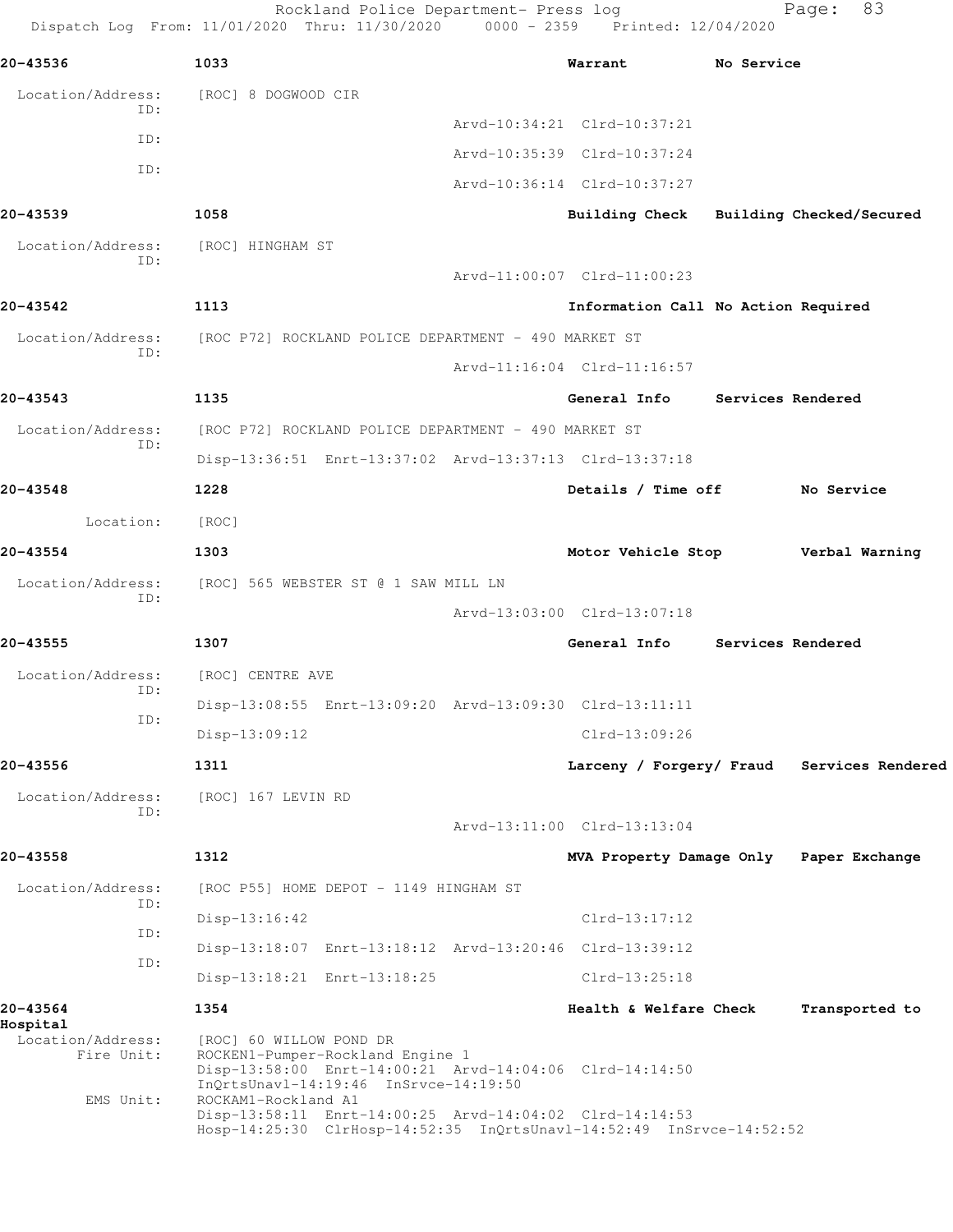Rockland Police Department- Press log Fage: 83 Dispatch Log From: 11/01/2020 Thru: 11/30/2020 0000 - 2359 Printed: 12/04/2020 **20-43536 1033 Warrant No Service** Location/Address: [ROC] 8 DOGWOOD CIR ID: Arvd-10:34:21 Clrd-10:37:21 ID: Arvd-10:35:39 Clrd-10:37:24 ID: Arvd-10:36:14 Clrd-10:37:27 **20-43539 1058 Building Check Building Checked/Secured** Location/Address: [ROC] HINGHAM ST ID: Arvd-11:00:07 Clrd-11:00:23 **20-43542 1113 Information Call No Action Required** Location/Address: [ROC P72] ROCKLAND POLICE DEPARTMENT - 490 MARKET ST ID: Arvd-11:16:04 Clrd-11:16:57 **20-43543 1135 General Info Services Rendered** Location/Address: [ROC P72] ROCKLAND POLICE DEPARTMENT - 490 MARKET ST ID: Disp-13:36:51 Enrt-13:37:02 Arvd-13:37:13 Clrd-13:37:18 **20-43548 1228 Details / Time off No Service** Location: [ROC] **20-43554 1303 Motor Vehicle Stop Verbal Warning** Location/Address: [ROC] 565 WEBSTER ST @ 1 SAW MILL LN ID: Arvd-13:03:00 Clrd-13:07:18 **20-43555 1307 General Info Services Rendered** Location/Address: [ROC] CENTRE AVE ID: Disp-13:08:55 Enrt-13:09:20 Arvd-13:09:30 Clrd-13:11:11 ID: Disp-13:09:12 Clrd-13:09:26 **20-43556 1311 Larceny / Forgery/ Fraud Services Rendered** Location/Address: [ROC] 167 LEVIN RD ID: Arvd-13:11:00 Clrd-13:13:04 **20-43558 1312 MVA Property Damage Only Paper Exchange** Location/Address: [ROC P55] HOME DEPOT - 1149 HINGHAM ST ID: Disp-13:16:42 Clrd-13:17:12 ID: Disp-13:18:07 Enrt-13:18:12 Arvd-13:20:46 Clrd-13:39:12 ID: Disp-13:18:21 Enrt-13:18:25 Clrd-13:25:18 **20-43564 1354 Health & Welfare Check Transported to Hospital**  Location/Address: [ROC] 60 WILLOW POND DR Fire Unit: ROCKEN1-Pumper-Rockland Engine 1 Disp-13:58:00 Enrt-14:00:21 Arvd-14:04:06 Clrd-14:14:50 InQrtsUnavl-14:19:46 InSrvce-14:19:50 EMS Unit: ROCKAM1-Rockland A1 Disp-13:58:11 Enrt-14:00:25 Arvd-14:04:02 Clrd-14:14:53 Hosp-14:25:30 ClrHosp-14:52:35 InQrtsUnavl-14:52:49 InSrvce-14:52:52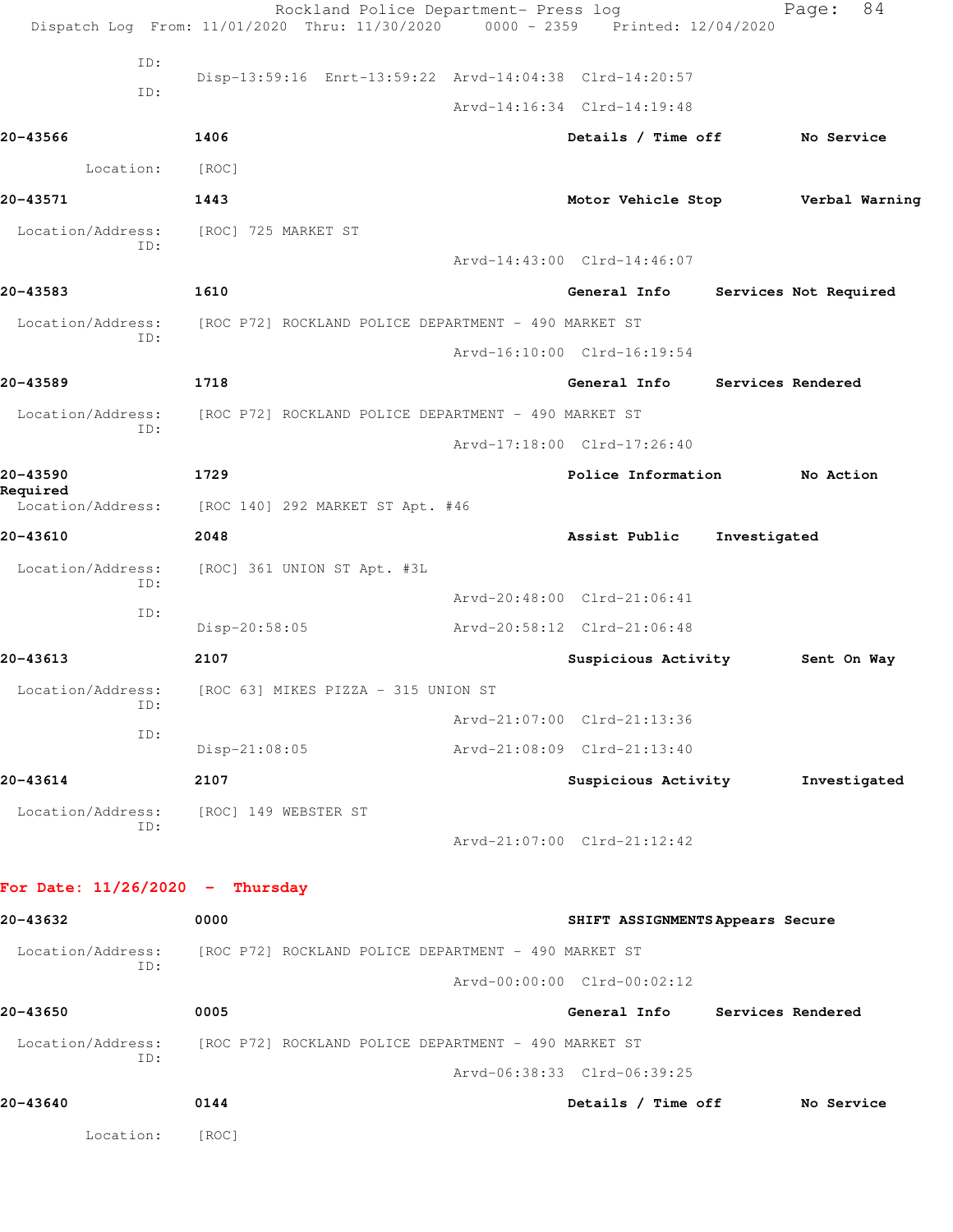|                                   | Rockland Police Department- Press log<br>Dispatch Log From: 11/01/2020 Thru: 11/30/2020 0000 - 2359 Printed: 12/04/2020 |                                  |              | 84<br>Page:           |
|-----------------------------------|-------------------------------------------------------------------------------------------------------------------------|----------------------------------|--------------|-----------------------|
| ID:                               |                                                                                                                         |                                  |              |                       |
| ID:                               | Disp-13:59:16 Enrt-13:59:22 Arvd-14:04:38 Clrd-14:20:57                                                                 |                                  |              |                       |
|                                   |                                                                                                                         | Arvd-14:16:34 Clrd-14:19:48      |              |                       |
| 20-43566                          | 1406                                                                                                                    | Details / Time off               |              | No Service            |
| Location:                         | [ROC]                                                                                                                   |                                  |              |                       |
| 20-43571                          | 1443                                                                                                                    | Motor Vehicle Stop               |              | Verbal Warning        |
| Location/Address:<br>ID:          | [ROC] 725 MARKET ST                                                                                                     |                                  |              |                       |
|                                   |                                                                                                                         | Arvd-14:43:00 Clrd-14:46:07      |              |                       |
| 20-43583                          | 1610                                                                                                                    | General Info                     |              | Services Not Required |
| Location/Address:<br>ID:          | [ROC P72] ROCKLAND POLICE DEPARTMENT - 490 MARKET ST                                                                    |                                  |              |                       |
|                                   |                                                                                                                         | Arvd-16:10:00 Clrd-16:19:54      |              |                       |
| 20-43589                          | 1718                                                                                                                    | General Info                     |              | Services Rendered     |
| Location/Address:<br>ID:          | [ROC P72] ROCKLAND POLICE DEPARTMENT - 490 MARKET ST                                                                    |                                  |              |                       |
|                                   |                                                                                                                         | Arvd-17:18:00 Clrd-17:26:40      |              |                       |
| 20-43590<br>Required              | 1729                                                                                                                    | Police Information               |              | No Action             |
| Location/Address:                 | [ROC 140] 292 MARKET ST Apt. #46                                                                                        |                                  |              |                       |
| 20-43610                          | 2048                                                                                                                    | Assist Public                    | Investigated |                       |
| Location/Address:<br>ID:          | [ROC] 361 UNION ST Apt. #3L                                                                                             |                                  |              |                       |
| ID:                               |                                                                                                                         | Arvd-20:48:00 Clrd-21:06:41      |              |                       |
|                                   | Disp-20:58:05                                                                                                           | Arvd-20:58:12 Clrd-21:06:48      |              |                       |
| 20-43613                          | 2107                                                                                                                    | Suspicious Activity              |              | Sent On Way           |
| Location/Address:<br>ID:          | [ROC 63] MIKES PIZZA - 315 UNION ST                                                                                     |                                  |              |                       |
| ID:                               |                                                                                                                         | Arvd-21:07:00 Clrd-21:13:36      |              |                       |
|                                   | $Disp-21:08:05$                                                                                                         | Arvd-21:08:09 Clrd-21:13:40      |              |                       |
| 20-43614                          | 2107                                                                                                                    | Suspicious Activity              |              | Investigated          |
| ID:                               | Location/Address: [ROC] 149 WEBSTER ST                                                                                  |                                  |              |                       |
|                                   |                                                                                                                         | Arvd-21:07:00 Clrd-21:12:42      |              |                       |
| For Date: $11/26/2020 -$ Thursday |                                                                                                                         |                                  |              |                       |
| 20-43632                          | 0000                                                                                                                    | SHIFT ASSIGNMENTS Appears Secure |              |                       |
|                                   | Location/Address: [ROC P72] ROCKLAND POLICE DEPARTMENT - 490 MARKET ST                                                  |                                  |              |                       |
| ID:                               |                                                                                                                         | Arvd-00:00:00 Clrd-00:02:12      |              |                       |
| 20-43650                          | 0005                                                                                                                    | General Info Services Rendered   |              |                       |
|                                   | Location/Address: [ROC P72] ROCKLAND POLICE DEPARTMENT - 490 MARKET ST                                                  |                                  |              |                       |
| ID:                               |                                                                                                                         | Arvd-06:38:33 Clrd-06:39:25      |              |                       |
| 20-43640                          | 0144                                                                                                                    | Details / Time off No Service    |              |                       |
| Location:                         |                                                                                                                         |                                  |              |                       |
|                                   | [ROC]                                                                                                                   |                                  |              |                       |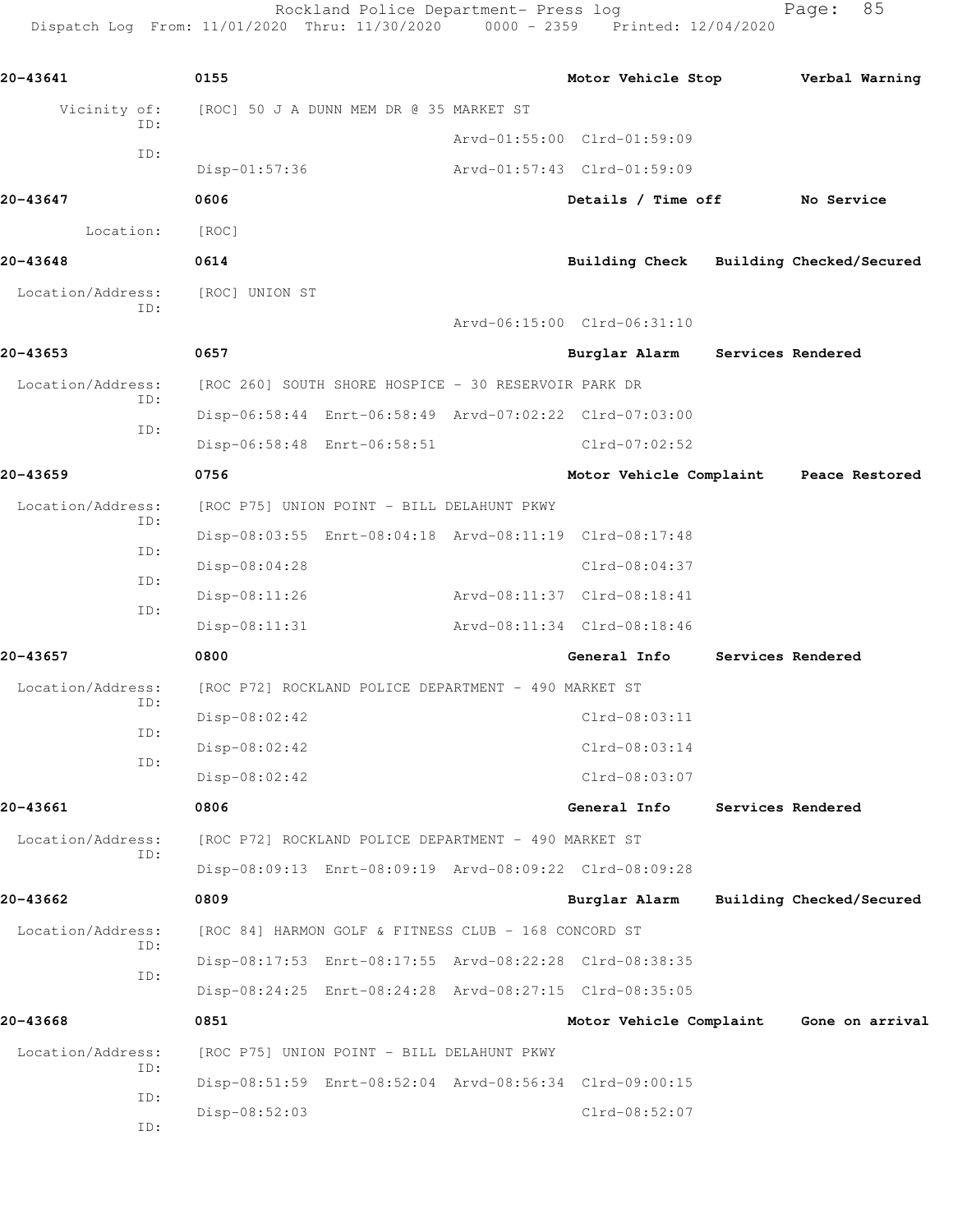Rockland Police Department- Press log Fage: 85 Dispatch Log From: 11/01/2020 Thru: 11/30/2020 0000 - 2359 Printed: 12/04/2020 **20-43641 0155 Motor Vehicle Stop Verbal Warning** Vicinity of: [ROC] 50 J A DUNN MEM DR @ 35 MARKET ST ID: Arvd-01:55:00 Clrd-01:59:09 ID: Disp-01:57:36 Arvd-01:57:43 Clrd-01:59:09 **20-43647 0606 Details / Time off No Service** Location: [ROC] **20-43648 0614 Building Check Building Checked/Secured** Location/Address: [ROC] UNION ST ID: Arvd-06:15:00 Clrd-06:31:10 **20-43653 0657 Burglar Alarm Services Rendered** Location/Address: [ROC 260] SOUTH SHORE HOSPICE - 30 RESERVOIR PARK DR ID: Disp-06:58:44 Enrt-06:58:49 Arvd-07:02:22 Clrd-07:03:00 ID: Disp-06:58:48 Enrt-06:58:51 Clrd-07:02:52 **20-43659 0756 Motor Vehicle Complaint Peace Restored** Location/Address: [ROC P75] UNION POINT - BILL DELAHUNT PKWY ID: Disp-08:03:55 Enrt-08:04:18 Arvd-08:11:19 Clrd-08:17:48 ID: Disp-08:04:28 Clrd-08:04:37 ID: Disp-08:11:26 Arvd-08:11:37 Clrd-08:18:41 ID: Disp-08:11:31 Arvd-08:11:34 Clrd-08:18:46

**20-43657 0800 General Info Services Rendered** Location/Address: [ROC P72] ROCKLAND POLICE DEPARTMENT - 490 MARKET ST ID: Disp-08:02:42 Clrd-08:03:11 ID: Disp-08:02:42 Clrd-08:03:14 ID: Disp-08:02:42 Clrd-08:03:07

**20-43661 0806 General Info Services Rendered** Location/Address: [ROC P72] ROCKLAND POLICE DEPARTMENT - 490 MARKET ST ID: Disp-08:09:13 Enrt-08:09:19 Arvd-08:09:22 Clrd-08:09:28 **20-43662 0809 Burglar Alarm Building Checked/Secured** Location/Address: [ROC 84] HARMON GOLF & FITNESS CLUB - 168 CONCORD ST ID: Disp-08:17:53 Enrt-08:17:55 Arvd-08:22:28 Clrd-08:38:35 ID: Disp-08:24:25 Enrt-08:24:28 Arvd-08:27:15 Clrd-08:35:05

**20-43668 0851 Motor Vehicle Complaint Gone on arrival** Location/Address: [ROC P75] UNION POINT - BILL DELAHUNT PKWY ID: Disp-08:51:59 Enrt-08:52:04 Arvd-08:56:34 Clrd-09:00:15 ID: Disp-08:52:03 Clrd-08:52:07 ID: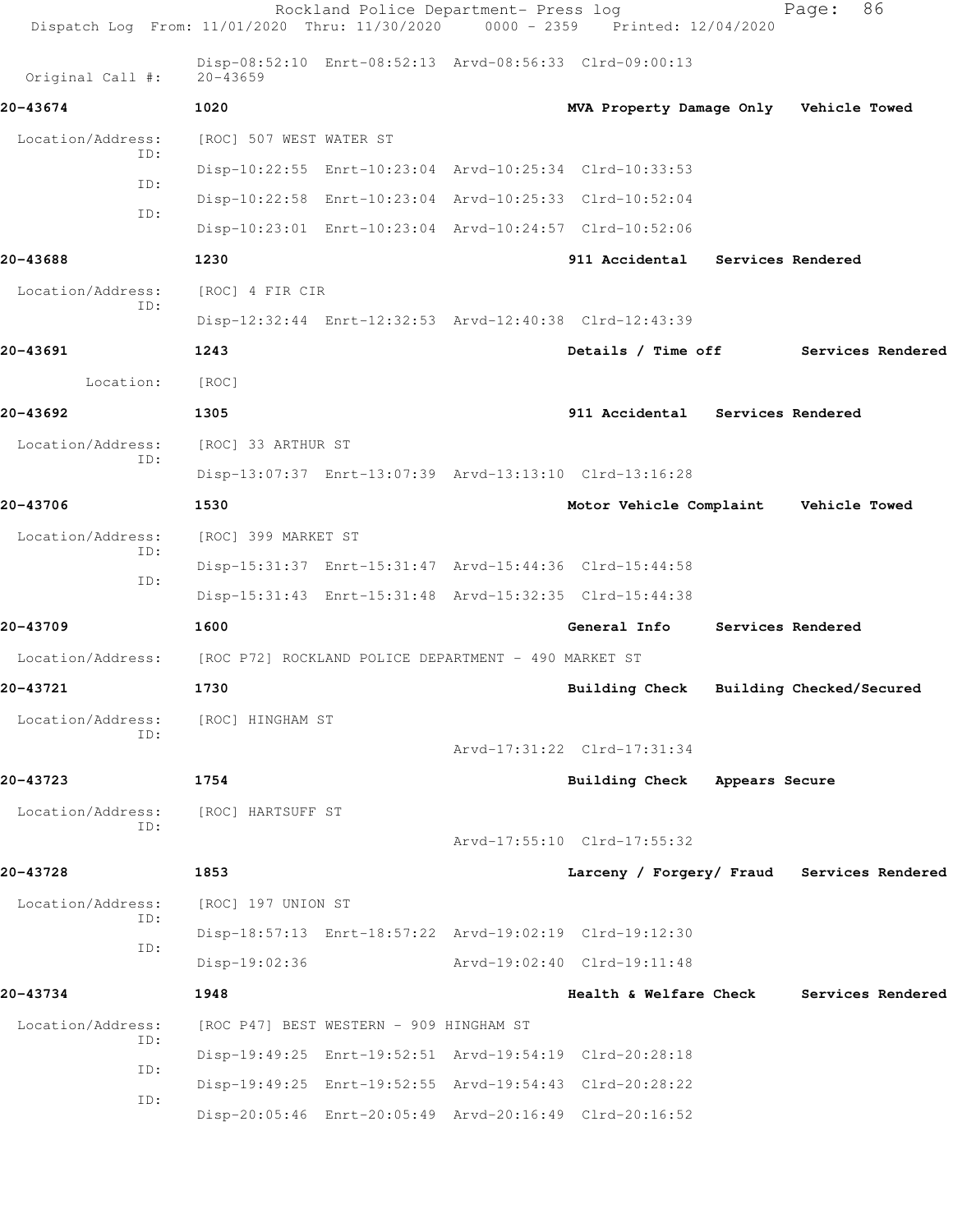| Dispatch Log From: 11/01/2020 Thru: 11/30/2020 0000 - 2359 Printed: 12/04/2020 |                                                      | Rockland Police Department- Press log |                                                         | 86<br>Page:       |  |
|--------------------------------------------------------------------------------|------------------------------------------------------|---------------------------------------|---------------------------------------------------------|-------------------|--|
| Original Call #:                                                               | $20 - 43659$                                         |                                       | Disp-08:52:10 Enrt-08:52:13 Arvd-08:56:33 Clrd-09:00:13 |                   |  |
| 20-43674                                                                       | 1020                                                 |                                       | MVA Property Damage Only Vehicle Towed                  |                   |  |
| Location/Address:                                                              | [ROC] 507 WEST WATER ST                              |                                       |                                                         |                   |  |
| ID:                                                                            |                                                      |                                       | Disp-10:22:55 Enrt-10:23:04 Arvd-10:25:34 Clrd-10:33:53 |                   |  |
| ID:                                                                            |                                                      |                                       | Disp-10:22:58 Enrt-10:23:04 Arvd-10:25:33 Clrd-10:52:04 |                   |  |
| ID:                                                                            |                                                      |                                       | Disp-10:23:01 Enrt-10:23:04 Arvd-10:24:57 Clrd-10:52:06 |                   |  |
| 20-43688                                                                       | 1230                                                 |                                       | 911 Accidental Services Rendered                        |                   |  |
| Location/Address:                                                              | [ROC] 4 FIR CIR                                      |                                       |                                                         |                   |  |
| ID:                                                                            |                                                      |                                       | Disp-12:32:44 Enrt-12:32:53 Arvd-12:40:38 Clrd-12:43:39 |                   |  |
| 20-43691                                                                       | 1243                                                 |                                       | Details / Time off                                      | Services Rendered |  |
| Location:                                                                      | [ROC]                                                |                                       |                                                         |                   |  |
| 20-43692                                                                       | 1305                                                 |                                       | 911 Accidental Services Rendered                        |                   |  |
| Location/Address:                                                              | [ROC] 33 ARTHUR ST                                   |                                       |                                                         |                   |  |
| ID:                                                                            |                                                      |                                       | Disp-13:07:37 Enrt-13:07:39 Arvd-13:13:10 Clrd-13:16:28 |                   |  |
| 20-43706                                                                       | 1530                                                 |                                       | Motor Vehicle Complaint Vehicle Towed                   |                   |  |
| Location/Address:                                                              | [ROC] 399 MARKET ST                                  |                                       |                                                         |                   |  |
| ID:                                                                            |                                                      |                                       | Disp-15:31:37 Enrt-15:31:47 Arvd-15:44:36 Clrd-15:44:58 |                   |  |
| ID:                                                                            |                                                      |                                       | Disp-15:31:43 Enrt-15:31:48 Arvd-15:32:35 Clrd-15:44:38 |                   |  |
| 20-43709                                                                       | 1600                                                 |                                       | General Info Services Rendered                          |                   |  |
| Location/Address:                                                              | [ROC P72] ROCKLAND POLICE DEPARTMENT - 490 MARKET ST |                                       |                                                         |                   |  |
| 20-43721                                                                       | 1730                                                 |                                       | Building Check Building Checked/Secured                 |                   |  |
| Location/Address:                                                              | [ROC] HINGHAM ST                                     |                                       |                                                         |                   |  |
| ID:                                                                            |                                                      |                                       | Arvd-17:31:22 Clrd-17:31:34                             |                   |  |
| 20-43723                                                                       | 1754                                                 |                                       | Building Check Appears Secure                           |                   |  |
| Location/Address:                                                              | [ROC] HARTSUFF ST                                    |                                       |                                                         |                   |  |
| ID:                                                                            |                                                      |                                       | Arvd-17:55:10 Clrd-17:55:32                             |                   |  |
| 20-43728                                                                       | 1853                                                 |                                       | Larceny / Forgery/ Fraud Services Rendered              |                   |  |
| Location/Address:                                                              | [ROC] 197 UNION ST                                   |                                       |                                                         |                   |  |
| ID:                                                                            |                                                      |                                       | Disp-18:57:13 Enrt-18:57:22 Arvd-19:02:19 Clrd-19:12:30 |                   |  |
| ID:                                                                            | $Disp-19:02:36$                                      |                                       | Arvd-19:02:40 Clrd-19:11:48                             |                   |  |
| 20-43734                                                                       | 1948                                                 |                                       | Health & Welfare Check                                  | Services Rendered |  |
| Location/Address:                                                              | [ROC P47] BEST WESTERN - 909 HINGHAM ST              |                                       |                                                         |                   |  |
| ID:                                                                            |                                                      |                                       | Disp-19:49:25 Enrt-19:52:51 Arvd-19:54:19 Clrd-20:28:18 |                   |  |
| ID:                                                                            |                                                      |                                       | Disp-19:49:25 Enrt-19:52:55 Arvd-19:54:43 Clrd-20:28:22 |                   |  |
| ID:                                                                            |                                                      |                                       | Disp-20:05:46 Enrt-20:05:49 Arvd-20:16:49 Clrd-20:16:52 |                   |  |
|                                                                                |                                                      |                                       |                                                         |                   |  |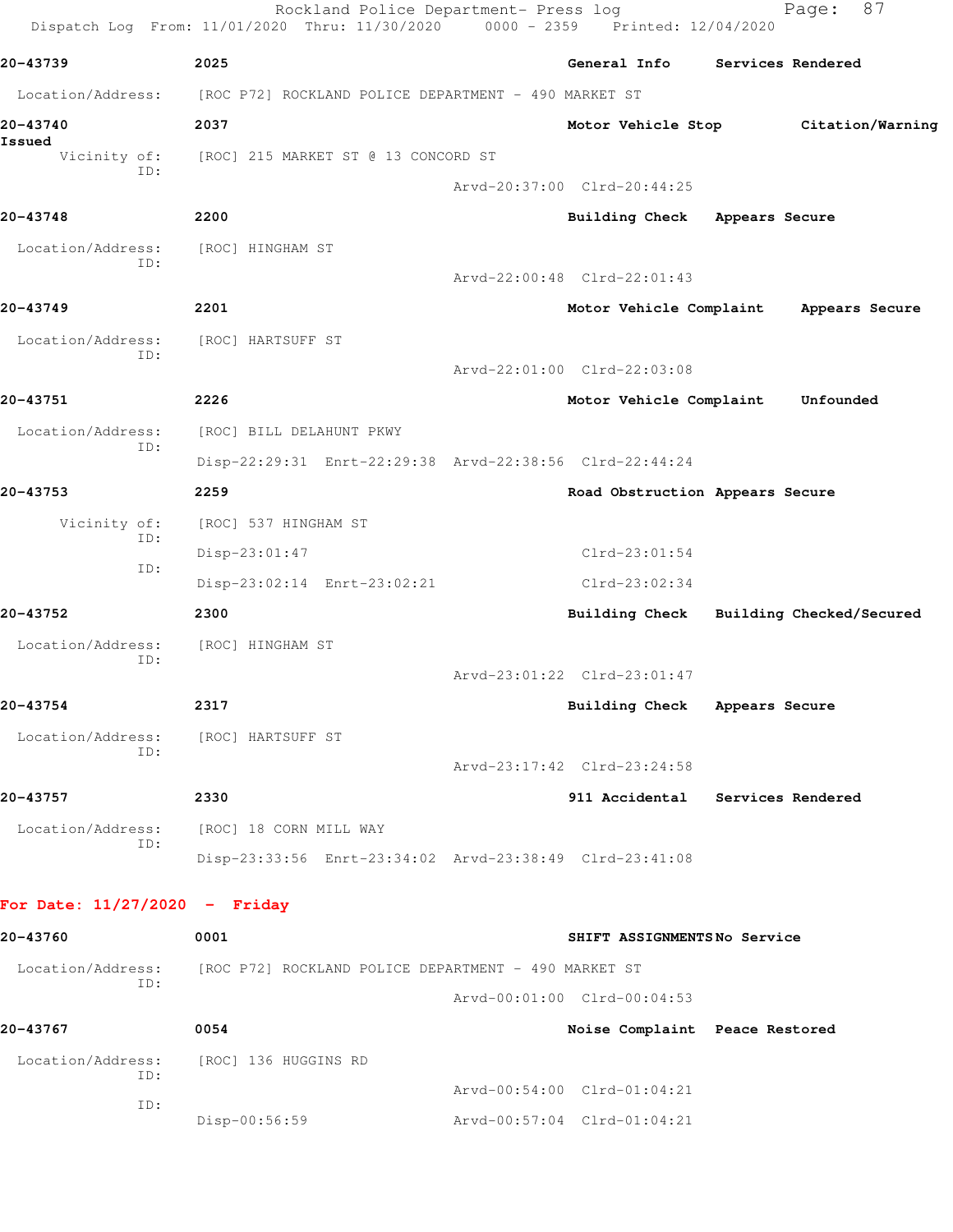|                                 | Rockland Police Department- Press log<br>Dispatch Log From: 11/01/2020 Thru: 11/30/2020 0000 - 2359 Printed: 12/04/2020 |                                 | 87<br>Page:                             |  |
|---------------------------------|-------------------------------------------------------------------------------------------------------------------------|---------------------------------|-----------------------------------------|--|
| 20-43739                        | 2025                                                                                                                    | General Info                    | Services Rendered                       |  |
| Location/Address:               | [ROC P72] ROCKLAND POLICE DEPARTMENT - 490 MARKET ST                                                                    |                                 |                                         |  |
| 20-43740<br>Issued              | 2037                                                                                                                    | Motor Vehicle Stop              | Citation/Warning                        |  |
| Vicinity of:<br>ID:             | [ROC] 215 MARKET ST @ 13 CONCORD ST                                                                                     |                                 |                                         |  |
|                                 |                                                                                                                         | Arvd-20:37:00 Clrd-20:44:25     |                                         |  |
| 20-43748                        | 2200                                                                                                                    | Building Check Appears Secure   |                                         |  |
| Location/Address:<br>ID:        | [ROC] HINGHAM ST                                                                                                        |                                 |                                         |  |
|                                 |                                                                                                                         | Arvd-22:00:48 Clrd-22:01:43     |                                         |  |
| 20-43749                        | 2201                                                                                                                    | Motor Vehicle Complaint         | Appears Secure                          |  |
| Location/Address:<br>ID:        | [ROC] HARTSUFF ST                                                                                                       |                                 |                                         |  |
|                                 |                                                                                                                         | Arvd-22:01:00 Clrd-22:03:08     |                                         |  |
| 20-43751                        | 2226                                                                                                                    | Motor Vehicle Complaint         | Unfounded                               |  |
| Location/Address:<br>ID:        | [ROC] BILL DELAHUNT PKWY                                                                                                |                                 |                                         |  |
|                                 | Disp-22:29:31 Enrt-22:29:38 Arvd-22:38:56 Clrd-22:44:24                                                                 |                                 |                                         |  |
| 20-43753                        | 2259                                                                                                                    | Road Obstruction Appears Secure |                                         |  |
| Vicinity of:<br>ID:             | [ROC] 537 HINGHAM ST                                                                                                    |                                 |                                         |  |
| ID:                             | Disp-23:01:47                                                                                                           | $Clrd-23:01:54$                 |                                         |  |
|                                 | Disp-23:02:14 Enrt-23:02:21                                                                                             | $Clrd-23:02:34$                 |                                         |  |
| 20-43752                        | 2300                                                                                                                    |                                 | Building Check Building Checked/Secured |  |
| Location/Address:<br>ID:        | [ROC] HINGHAM ST                                                                                                        |                                 |                                         |  |
|                                 |                                                                                                                         | Arvd-23:01:22 Clrd-23:01:47     |                                         |  |
| 20-43754                        | 2317                                                                                                                    | Building Check Appears Secure   |                                         |  |
| Location/Address:<br>ID:        | [ROC] HARTSUFF ST                                                                                                       |                                 |                                         |  |
|                                 |                                                                                                                         | Arvd-23:17:42 Clrd-23:24:58     |                                         |  |
| 20-43757                        | 2330                                                                                                                    |                                 | 911 Accidental Services Rendered        |  |
| Location/Address:<br>ID:        | [ROC] 18 CORN MILL WAY                                                                                                  |                                 |                                         |  |
|                                 | Disp-23:33:56 Enrt-23:34:02 Arvd-23:38:49 Clrd-23:41:08                                                                 |                                 |                                         |  |
| For Date: $11/27/2020 -$ Friday |                                                                                                                         |                                 |                                         |  |
| 20-43760                        | 0001                                                                                                                    | SHIFT ASSIGNMENTSNo Service     |                                         |  |
| Location/Address:<br>ID:        | [ROC P72] ROCKLAND POLICE DEPARTMENT - 490 MARKET ST                                                                    |                                 |                                         |  |
|                                 |                                                                                                                         | Arvd-00:01:00 Clrd-00:04:53     |                                         |  |
| 20-43767                        | 0054                                                                                                                    | Noise Complaint Peace Restored  |                                         |  |
| Location/Address:               | [ROC] 136 HUGGINS RD                                                                                                    |                                 |                                         |  |
| ID:                             |                                                                                                                         | Arvd-00:54:00 Clrd-01:04:21     |                                         |  |
| ID:                             | Disp-00:56:59                                                                                                           | Arvd-00:57:04 Clrd-01:04:21     |                                         |  |
|                                 |                                                                                                                         |                                 |                                         |  |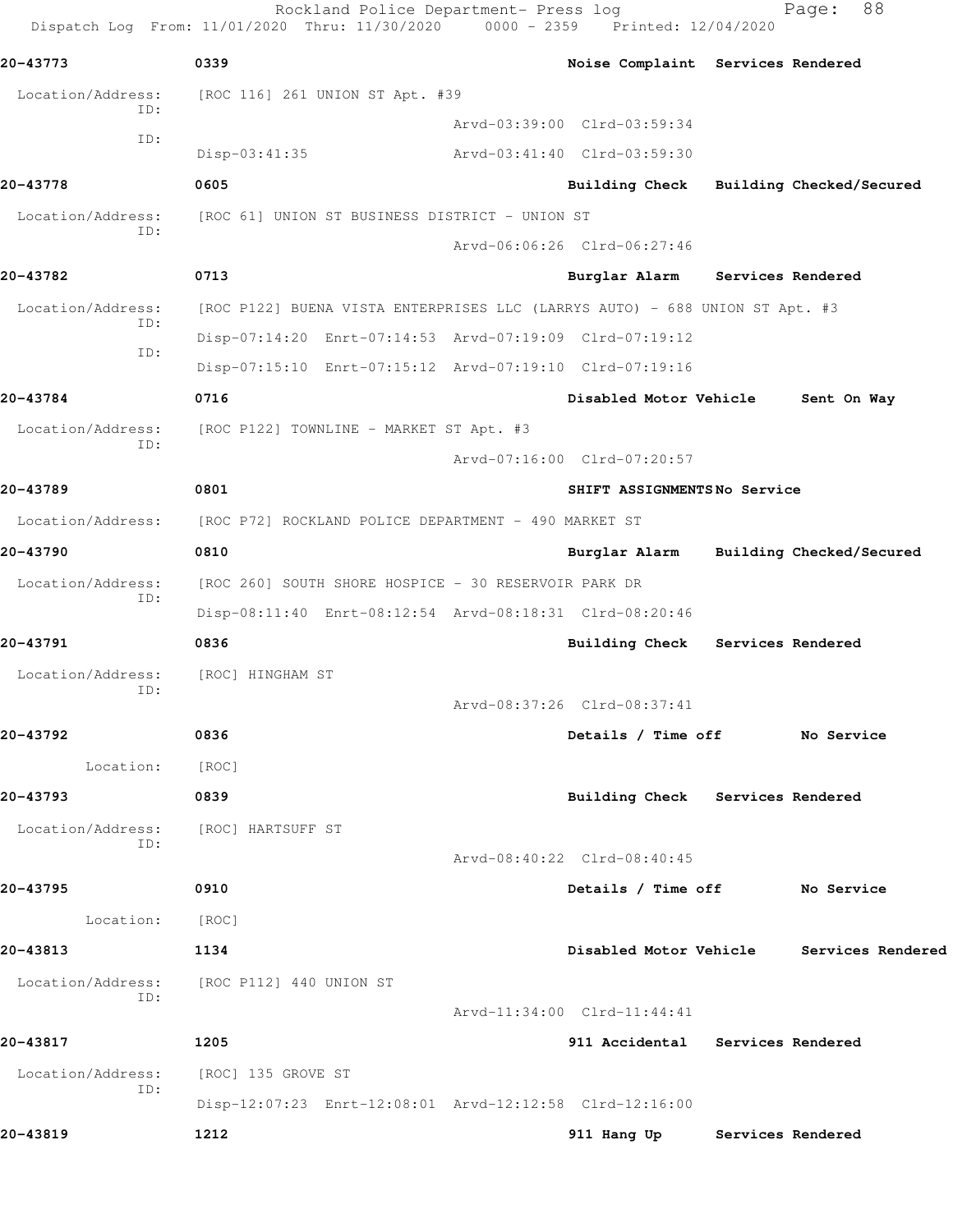Rockland Police Department- Press log Fage: 88 Dispatch Log From: 11/01/2020 Thru: 11/30/2020 0000 - 2359 Printed: 12/04/2020 **20-43773 0339 Noise Complaint Services Rendered** Location/Address: [ROC 116] 261 UNION ST Apt. #39 ID: Arvd-03:39:00 Clrd-03:59:34 ID: Disp-03:41:35 Arvd-03:41:40 Clrd-03:59:30 **20-43778 0605 Building Check Building Checked/Secured** Location/Address: [ROC 61] UNION ST BUSINESS DISTRICT - UNION ST ID: Arvd-06:06:26 Clrd-06:27:46 **20-43782 0713 Burglar Alarm Services Rendered** Location/Address: [ROC P122] BUENA VISTA ENTERPRISES LLC (LARRYS AUTO) - 688 UNION ST Apt. #3 ID: Disp-07:14:20 Enrt-07:14:53 Arvd-07:19:09 Clrd-07:19:12 ID: Disp-07:15:10 Enrt-07:15:12 Arvd-07:19:10 Clrd-07:19:16 **20-43784 0716 Disabled Motor Vehicle Sent On Way** Location/Address: [ROC P122] TOWNLINE - MARKET ST Apt. #3 ID: Arvd-07:16:00 Clrd-07:20:57 **20-43789 0801 SHIFT ASSIGNMENTS No Service** Location/Address: [ROC P72] ROCKLAND POLICE DEPARTMENT - 490 MARKET ST **20-43790 0810 Burglar Alarm Building Checked/Secured** Location/Address: [ROC 260] SOUTH SHORE HOSPICE - 30 RESERVOIR PARK DR ID: Disp-08:11:40 Enrt-08:12:54 Arvd-08:18:31 Clrd-08:20:46 **20-43791 0836 Building Check Services Rendered** Location/Address: [ROC] HINGHAM ST ID: Arvd-08:37:26 Clrd-08:37:41 **20-43792 0836 Details / Time off No Service** Location: [ROC] **20-43793 0839 Building Check Services Rendered** Location/Address: [ROC] HARTSUFF ST ID: Arvd-08:40:22 Clrd-08:40:45 **20-43795 0910 Details / Time off No Service** Location: [ROC] **20-43813 1134 Disabled Motor Vehicle Services Rendered** Location/Address: [ROC P112] 440 UNION ST ID: Arvd-11:34:00 Clrd-11:44:41 **20-43817 1205 911 Accidental Services Rendered** Location/Address: [ROC] 135 GROVE ST ID: Disp-12:07:23 Enrt-12:08:01 Arvd-12:12:58 Clrd-12:16:00 **20-43819 1212 911 Hang Up Services Rendered**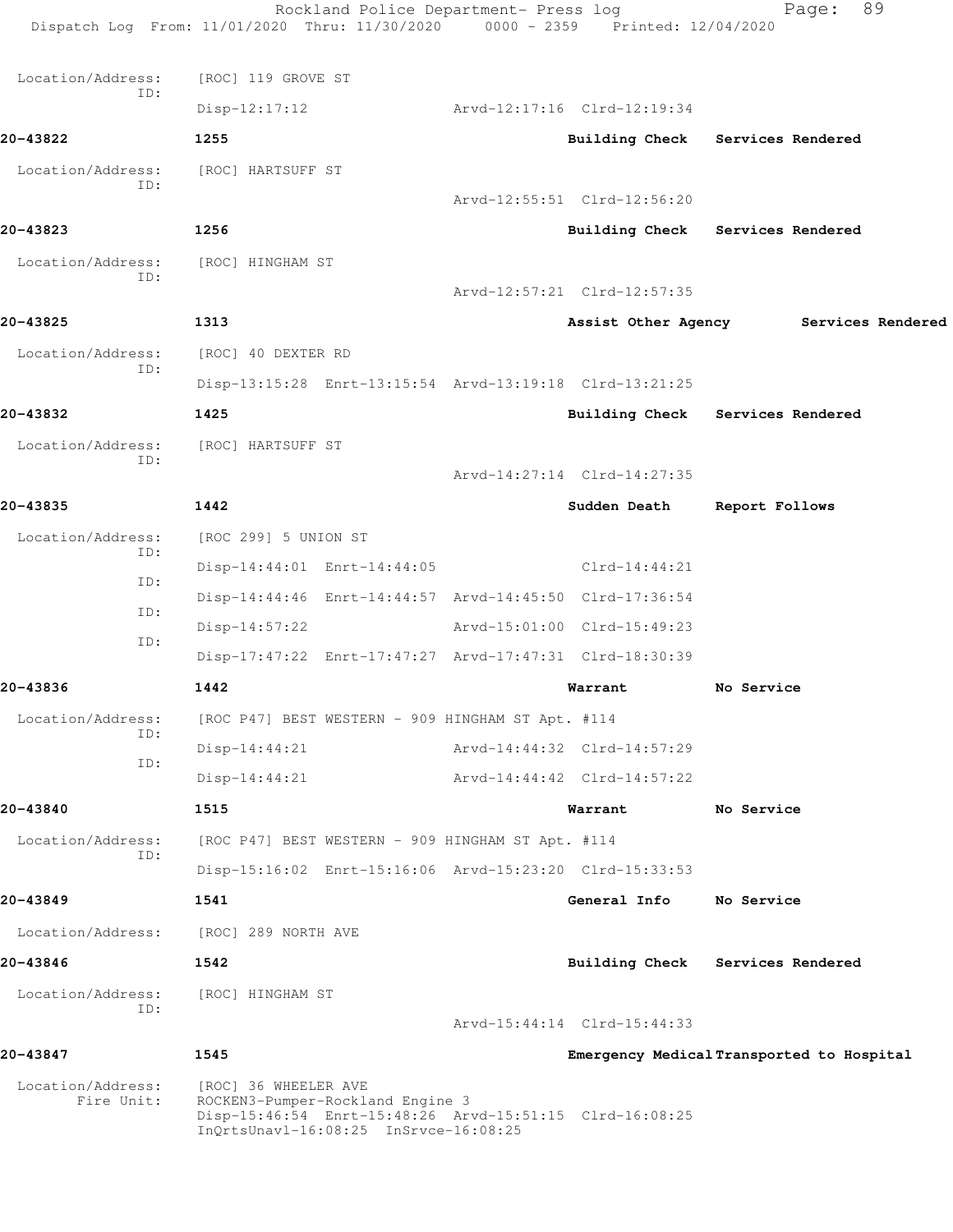|                                 | Rockland Police Department- Press log<br>Dispatch Log From: 11/01/2020 Thru: 11/30/2020 0000 - 2359 Printed: 12/04/2020                                      |                             | 89<br>Page:                               |
|---------------------------------|--------------------------------------------------------------------------------------------------------------------------------------------------------------|-----------------------------|-------------------------------------------|
| Location/Address:               | [ROC] 119 GROVE ST                                                                                                                                           |                             |                                           |
| ID:                             | $Disp-12:17:12$                                                                                                                                              | Arvd-12:17:16 Clrd-12:19:34 |                                           |
| 20-43822                        | 1255                                                                                                                                                         |                             | Building Check Services Rendered          |
| Location/Address:               | [ROC] HARTSUFF ST                                                                                                                                            |                             |                                           |
| ID:                             |                                                                                                                                                              | Arvd-12:55:51 Clrd-12:56:20 |                                           |
| 20-43823                        | 1256                                                                                                                                                         |                             | Building Check Services Rendered          |
| Location/Address:               | [ROC] HINGHAM ST                                                                                                                                             |                             |                                           |
| ID:                             |                                                                                                                                                              | Arvd-12:57:21 Clrd-12:57:35 |                                           |
| 20-43825                        | 1313                                                                                                                                                         |                             | Assist Other Agency Services Rendered     |
| Location/Address:               | [ROC] 40 DEXTER RD                                                                                                                                           |                             |                                           |
| ID:                             | Disp-13:15:28 Enrt-13:15:54 Arvd-13:19:18 Clrd-13:21:25                                                                                                      |                             |                                           |
| 20-43832                        | 1425                                                                                                                                                         |                             | Building Check Services Rendered          |
| Location/Address:               | [ROC] HARTSUFF ST                                                                                                                                            |                             |                                           |
| ID:                             |                                                                                                                                                              | Arvd-14:27:14 Clrd-14:27:35 |                                           |
| 20-43835                        | 1442                                                                                                                                                         | Sudden Death                | Report Follows                            |
| Location/Address:               | [ROC 299] 5 UNION ST                                                                                                                                         |                             |                                           |
| ID:<br>ID:                      | Disp-14:44:01 Enrt-14:44:05                                                                                                                                  | $Clrd-14:44:21$             |                                           |
| ID:                             | Disp-14:44:46 Enrt-14:44:57 Arvd-14:45:50 Clrd-17:36:54                                                                                                      |                             |                                           |
| ID:                             | $Disp-14:57:22$                                                                                                                                              | Arvd-15:01:00 Clrd-15:49:23 |                                           |
|                                 | Disp-17:47:22 Enrt-17:47:27 Arvd-17:47:31 Clrd-18:30:39                                                                                                      |                             |                                           |
| 20-43836                        | 1442                                                                                                                                                         | Warrant                     | No Service                                |
| Location/Address:<br>ID:        | [ROC P47] BEST WESTERN - 909 HINGHAM ST Apt. #114                                                                                                            |                             |                                           |
| ID:                             | $Disp-14:44:21$                                                                                                                                              | Arvd-14:44:32 Clrd-14:57:29 |                                           |
|                                 | $Disp-14:44:21$                                                                                                                                              | Arvd-14:44:42 Clrd-14:57:22 |                                           |
| 20-43840                        | 1515                                                                                                                                                         | Warrant                     | No Service                                |
| Location/Address:<br>ID:        | [ROC P47] BEST WESTERN - 909 HINGHAM ST Apt. #114                                                                                                            |                             |                                           |
|                                 | Disp-15:16:02 Enrt-15:16:06 Arvd-15:23:20 Clrd-15:33:53                                                                                                      |                             |                                           |
| 20-43849                        | 1541                                                                                                                                                         | General Info                | No Service                                |
| Location/Address:               | [ROC] 289 NORTH AVE                                                                                                                                          |                             |                                           |
| 20-43846                        | 1542                                                                                                                                                         |                             | Building Check Services Rendered          |
| Location/Address:<br>ID:        | [ROC] HINGHAM ST                                                                                                                                             |                             |                                           |
|                                 |                                                                                                                                                              | Arvd-15:44:14 Clrd-15:44:33 |                                           |
| 20-43847                        | 1545                                                                                                                                                         |                             | Emergency Medical Transported to Hospital |
| Location/Address:<br>Fire Unit: | [ROC] 36 WHEELER AVE<br>ROCKEN3-Pumper-Rockland Engine 3<br>Disp-15:46:54 Enrt-15:48:26 Arvd-15:51:15 Clrd-16:08:25<br>InQrtsUnavl-16:08:25 InSrvce-16:08:25 |                             |                                           |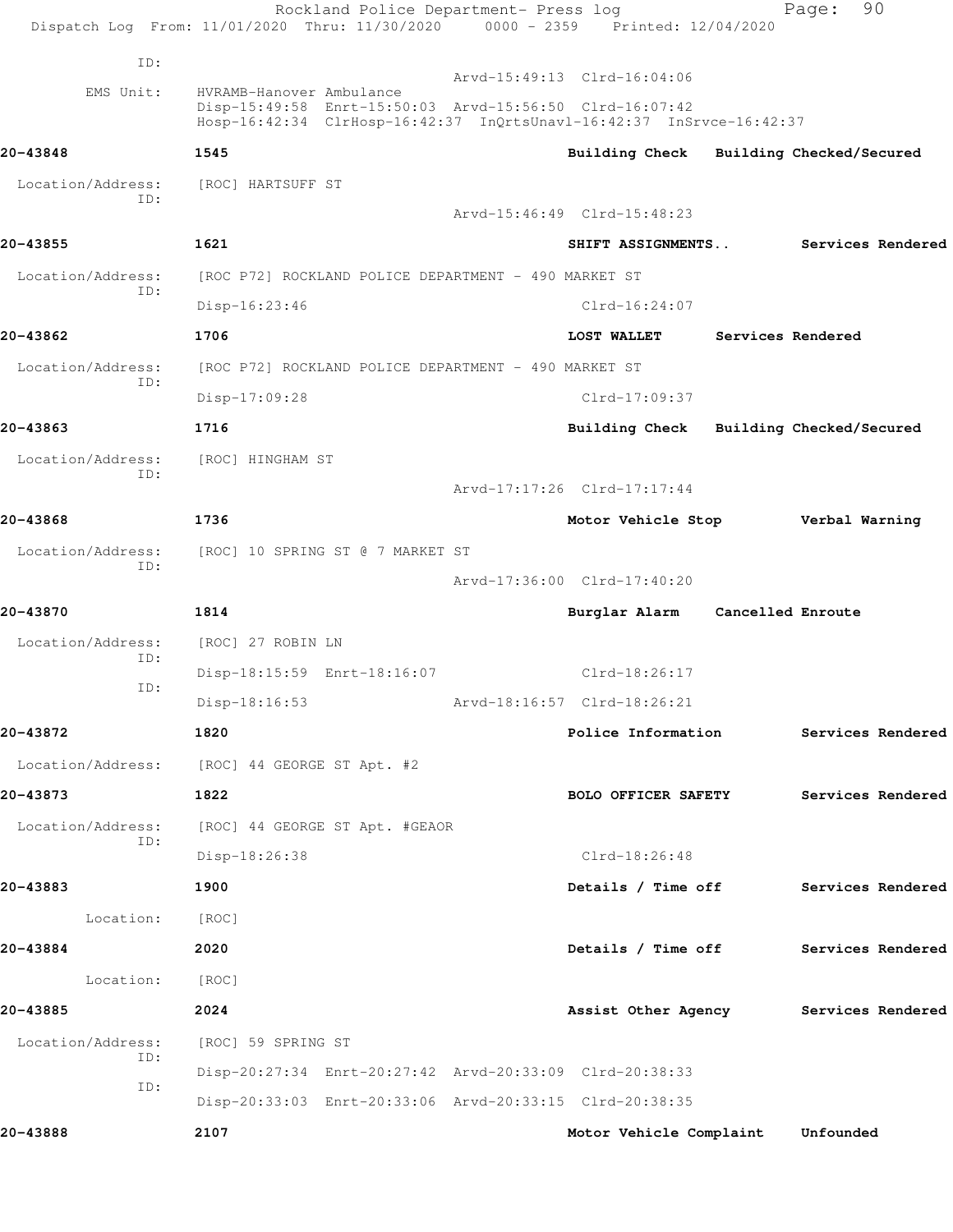|                          | Rockland Police Department- Press log<br>Dispatch Log From: 11/01/2020 Thru: 11/30/2020 0000 - 2359 Printed: 12/04/2020         |                                         |                          | 90<br>Page:              |  |
|--------------------------|---------------------------------------------------------------------------------------------------------------------------------|-----------------------------------------|--------------------------|--------------------------|--|
| ID:                      |                                                                                                                                 |                                         |                          |                          |  |
| EMS Unit:                | HVRAMB-Hanover Ambulance                                                                                                        | Arvd-15:49:13 Clrd-16:04:06             |                          |                          |  |
|                          | Disp-15:49:58 Enrt-15:50:03 Arvd-15:56:50 Clrd-16:07:42<br>Hosp-16:42:34 ClrHosp-16:42:37 InQrtsUnavl-16:42:37 InSrvce-16:42:37 |                                         |                          |                          |  |
| 20-43848                 | 1545                                                                                                                            | Building Check                          |                          | Building Checked/Secured |  |
| Location/Address:<br>ID: | [ROC] HARTSUFF ST                                                                                                               |                                         |                          |                          |  |
|                          |                                                                                                                                 | Arvd-15:46:49 Clrd-15:48:23             |                          |                          |  |
| 20-43855                 | 1621                                                                                                                            | SHIFT ASSIGNMENTS                       |                          | Services Rendered        |  |
| Location/Address:        | [ROC P72] ROCKLAND POLICE DEPARTMENT - 490 MARKET ST                                                                            |                                         |                          |                          |  |
| ID:                      | $Disp-16:23:46$                                                                                                                 | $Clrd-16:24:07$                         |                          |                          |  |
| 20-43862                 | 1706                                                                                                                            | <b>LOST WALLET</b>                      |                          | Services Rendered        |  |
| Location/Address:        | [ROC P72] ROCKLAND POLICE DEPARTMENT - 490 MARKET ST                                                                            |                                         |                          |                          |  |
| ID:                      | Disp-17:09:28                                                                                                                   | $Clrd-17:09:37$                         |                          |                          |  |
| 20-43863                 | 1716                                                                                                                            | Building Check Building Checked/Secured |                          |                          |  |
| Location/Address:        | [ROC] HINGHAM ST                                                                                                                |                                         |                          |                          |  |
| ID:                      |                                                                                                                                 | Arvd-17:17:26 Clrd-17:17:44             |                          |                          |  |
| 20-43868                 | 1736                                                                                                                            | Motor Vehicle Stop                      |                          | Verbal Warning           |  |
| Location/Address:        | [ROC] 10 SPRING ST @ 7 MARKET ST                                                                                                |                                         |                          |                          |  |
| TD:                      |                                                                                                                                 | Arvd-17:36:00 Clrd-17:40:20             |                          |                          |  |
| 20-43870                 | 1814                                                                                                                            | Burglar Alarm                           | <b>Cancelled Enroute</b> |                          |  |
| Location/Address:        | [ROC] 27 ROBIN LN                                                                                                               |                                         |                          |                          |  |
| ID:                      | Disp-18:15:59 Enrt-18:16:07                                                                                                     | $Clrd-18:26:17$                         |                          |                          |  |
| ID:                      | $Disp-18:16:53$                                                                                                                 | Arvd-18:16:57 Clrd-18:26:21             |                          |                          |  |
| 20-43872                 | 1820                                                                                                                            | Police Information                      |                          | Services Rendered        |  |
|                          | Location/Address: [ROC] 44 GEORGE ST Apt. #2                                                                                    |                                         |                          |                          |  |
| 20-43873                 | 1822                                                                                                                            | <b>BOLO OFFICER SAFETY</b>              |                          | Services Rendered        |  |
| Location/Address:        | [ROC] 44 GEORGE ST Apt. #GEAOR                                                                                                  |                                         |                          |                          |  |
| ID:                      | Disp-18:26:38                                                                                                                   | $Clrd-18:26:48$                         |                          |                          |  |
| 20-43883                 | 1900                                                                                                                            | Details / Time off                      |                          | Services Rendered        |  |
| Location:                | [ROC]                                                                                                                           |                                         |                          |                          |  |
| 20-43884                 | 2020                                                                                                                            | Details / Time off Services Rendered    |                          |                          |  |
| Location:                | [ROC]                                                                                                                           |                                         |                          |                          |  |
| 20-43885                 | 2024                                                                                                                            | Assist Other Agency Services Rendered   |                          |                          |  |
| Location/Address:        | [ROC] 59 SPRING ST                                                                                                              |                                         |                          |                          |  |
| ID:                      | Disp-20:27:34 Enrt-20:27:42 Arvd-20:33:09 Clrd-20:38:33                                                                         |                                         |                          |                          |  |
| ID:                      | Disp-20:33:03 Enrt-20:33:06 Arvd-20:33:15 Clrd-20:38:35                                                                         |                                         |                          |                          |  |
| 20-43888                 | 2107                                                                                                                            | Motor Vehicle Complaint                 |                          | Unfounded                |  |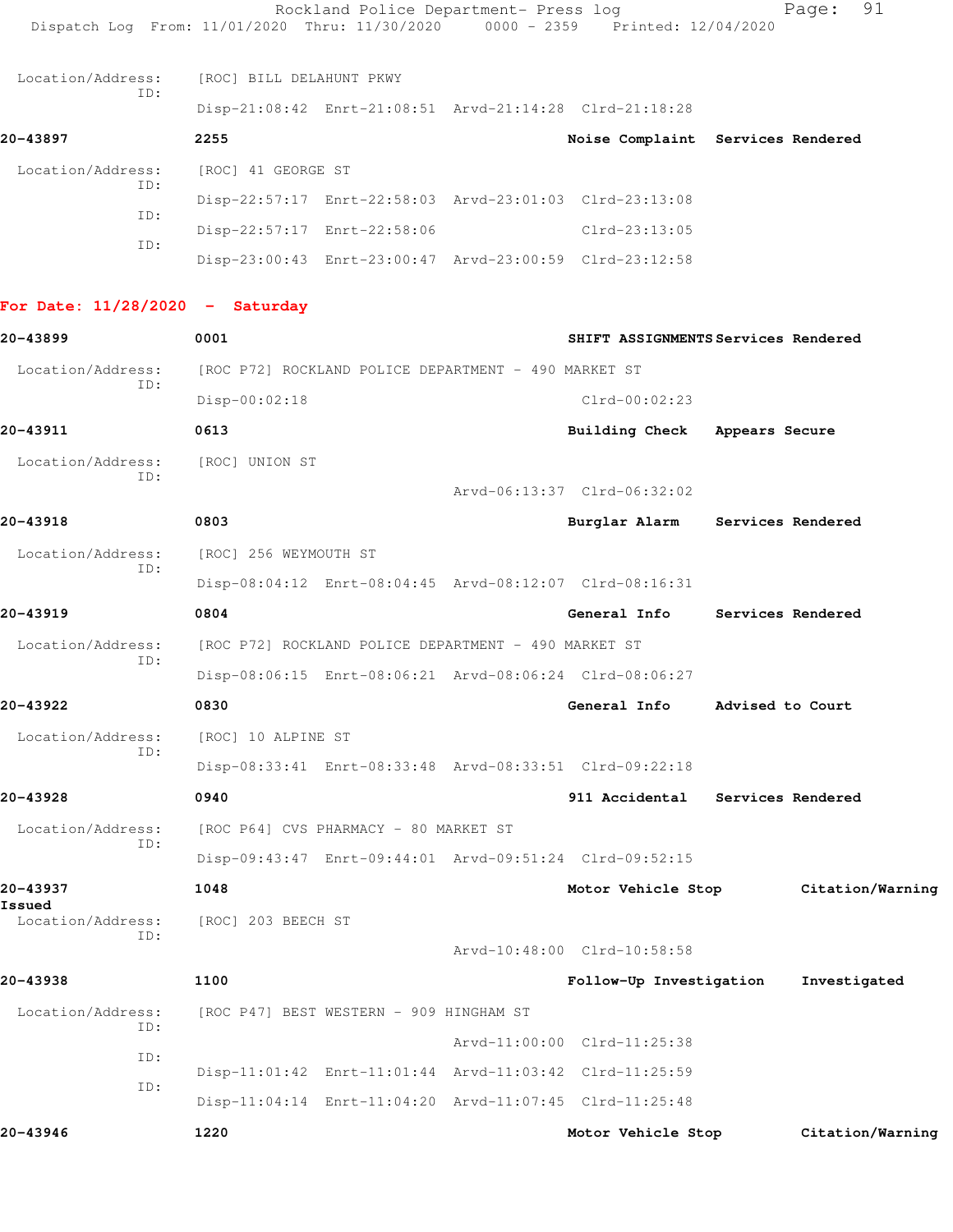| Dispatch Log From: 11/01/2020 Thru: 11/30/2020 0000 - 2359 Printed: 12/04/2020 |                          | Rockland Police Department- Press log                |                                                         |                   | Page: 91                            |
|--------------------------------------------------------------------------------|--------------------------|------------------------------------------------------|---------------------------------------------------------|-------------------|-------------------------------------|
| Location/Address:                                                              | [ROC] BILL DELAHUNT PKWY |                                                      |                                                         |                   |                                     |
| ID:                                                                            |                          |                                                      | Disp-21:08:42 Enrt-21:08:51 Arvd-21:14:28 Clrd-21:18:28 |                   |                                     |
| 20-43897                                                                       | 2255                     |                                                      | Noise Complaint Services Rendered                       |                   |                                     |
| Location/Address:                                                              | [ROC] 41 GEORGE ST       |                                                      |                                                         |                   |                                     |
| ID:                                                                            |                          |                                                      | Disp-22:57:17 Enrt-22:58:03 Arvd-23:01:03 Clrd-23:13:08 |                   |                                     |
| ID:                                                                            |                          | Disp-22:57:17 Enrt-22:58:06                          | Clrd-23:13:05                                           |                   |                                     |
| ID:                                                                            |                          |                                                      | Disp-23:00:43 Enrt-23:00:47 Arvd-23:00:59 Clrd-23:12:58 |                   |                                     |
| For Date: $11/28/2020 -$ Saturday                                              |                          |                                                      |                                                         |                   |                                     |
| 20-43899                                                                       | 0001                     |                                                      | SHIFT ASSIGNMENTS Services Rendered                     |                   |                                     |
| Location/Address:                                                              |                          | [ROC P72] ROCKLAND POLICE DEPARTMENT - 490 MARKET ST |                                                         |                   |                                     |
| ID:                                                                            | Disp-00:02:18            |                                                      | $Clrd-00:02:23$                                         |                   |                                     |
| 20-43911                                                                       | 0613                     |                                                      | Building Check Appears Secure                           |                   |                                     |
| Location/Address:                                                              | [ROC] UNION ST           |                                                      |                                                         |                   |                                     |
| TD:                                                                            |                          |                                                      | Arvd-06:13:37 Clrd-06:32:02                             |                   |                                     |
| 20-43918                                                                       | 0803                     |                                                      | Burglar Alarm Services Rendered                         |                   |                                     |
| Location/Address:                                                              | [ROC] 256 WEYMOUTH ST    |                                                      |                                                         |                   |                                     |
| ID:                                                                            |                          |                                                      | Disp-08:04:12 Enrt-08:04:45 Arvd-08:12:07 Clrd-08:16:31 |                   |                                     |
| 20-43919                                                                       | 0804                     |                                                      | General Info                                            | Services Rendered |                                     |
| Location/Address:                                                              |                          | [ROC P72] ROCKLAND POLICE DEPARTMENT - 490 MARKET ST |                                                         |                   |                                     |
| ID:                                                                            |                          |                                                      | Disp-08:06:15 Enrt-08:06:21 Arvd-08:06:24 Clrd-08:06:27 |                   |                                     |
| 20-43922                                                                       | 0830                     |                                                      | General Info                                            | Advised to Court  |                                     |
| Location/Address:                                                              | [ROC] 10 ALPINE ST       |                                                      |                                                         |                   |                                     |
| ID:                                                                            |                          |                                                      | Disp-08:33:41 Enrt-08:33:48 Arvd-08:33:51 Clrd-09:22:18 |                   |                                     |
| 20-43928                                                                       | 0940                     |                                                      | 911 Accidental Services Rendered                        |                   |                                     |
| Location/Address:                                                              |                          | [ROC P64] CVS PHARMACY - 80 MARKET ST                |                                                         |                   |                                     |
| ID:                                                                            |                          |                                                      | Disp-09:43:47 Enrt-09:44:01 Arvd-09:51:24 Clrd-09:52:15 |                   |                                     |
| 20-43937                                                                       | 1048                     |                                                      |                                                         |                   | Motor Vehicle Stop Citation/Warning |
| Issued<br>Location/Address:                                                    | [ROC] 203 BEECH ST       |                                                      |                                                         |                   |                                     |
| ID:                                                                            |                          |                                                      | Arvd-10:48:00 Clrd-10:58:58                             |                   |                                     |
| 20-43938                                                                       | 1100                     |                                                      | Follow-Up Investigation                                 |                   | Investigated                        |
| Location/Address:                                                              |                          | [ROC P47] BEST WESTERN - 909 HINGHAM ST              |                                                         |                   |                                     |
| ID:                                                                            |                          |                                                      | Arvd-11:00:00 Clrd-11:25:38                             |                   |                                     |
| ID:                                                                            |                          |                                                      | Disp-11:01:42 Enrt-11:01:44 Arvd-11:03:42 Clrd-11:25:59 |                   |                                     |
| ID:                                                                            |                          |                                                      | Disp-11:04:14 Enrt-11:04:20 Arvd-11:07:45 Clrd-11:25:48 |                   |                                     |
| 20-43946                                                                       | 1220                     |                                                      | Motor Vehicle Stop                                      |                   | Citation/Warning                    |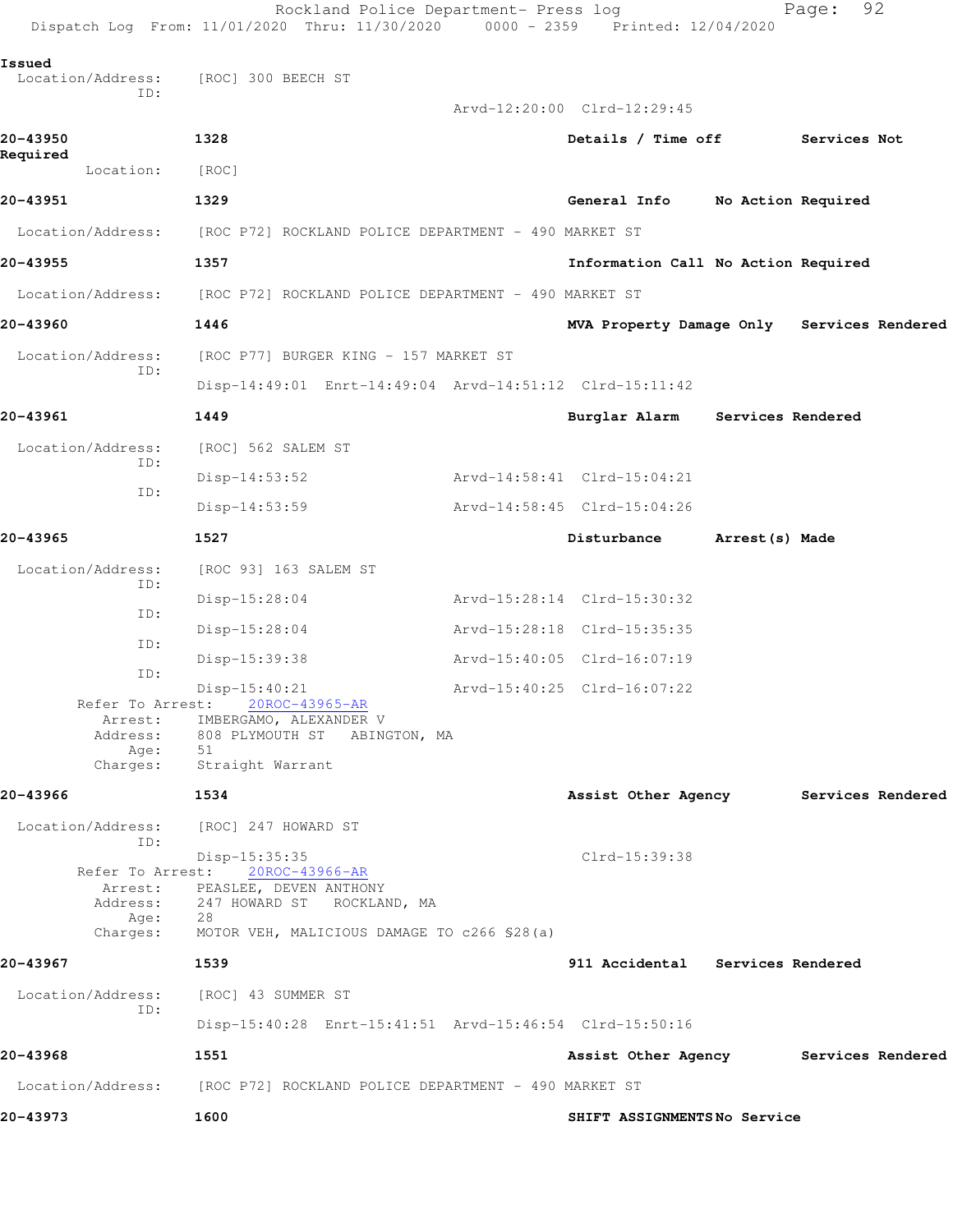|                             | Rockland Police Department- Press log<br>Dispatch Log From: 11/01/2020 Thru: 11/30/2020                                                                                           | $0000 - 2359$ | Printed: 12/04/2020                        |                    | Page:        | 92 |
|-----------------------------|-----------------------------------------------------------------------------------------------------------------------------------------------------------------------------------|---------------|--------------------------------------------|--------------------|--------------|----|
| Issued<br>Location/Address: | [ROC] 300 BEECH ST                                                                                                                                                                |               |                                            |                    |              |    |
| ID:                         |                                                                                                                                                                                   |               | Arvd-12:20:00 Clrd-12:29:45                |                    |              |    |
| 20-43950<br>Required        | 1328                                                                                                                                                                              |               | Details / Time off                         |                    | Services Not |    |
| Location:                   | [ROC]                                                                                                                                                                             |               |                                            |                    |              |    |
| 20-43951                    | 1329                                                                                                                                                                              |               | General Info                               | No Action Required |              |    |
| Location/Address:           | [ROC P72] ROCKLAND POLICE DEPARTMENT - 490 MARKET ST                                                                                                                              |               |                                            |                    |              |    |
| 20-43955                    | 1357                                                                                                                                                                              |               | Information Call No Action Required        |                    |              |    |
| Location/Address:           | [ROC P72] ROCKLAND POLICE DEPARTMENT - 490 MARKET ST                                                                                                                              |               |                                            |                    |              |    |
| 20-43960                    | 1446                                                                                                                                                                              |               | MVA Property Damage Only Services Rendered |                    |              |    |
| Location/Address:           | [ROC P77] BURGER KING - 157 MARKET ST                                                                                                                                             |               |                                            |                    |              |    |
| ID:                         | Disp-14:49:01 Enrt-14:49:04 Arvd-14:51:12 Clrd-15:11:42                                                                                                                           |               |                                            |                    |              |    |
| 20-43961                    | 1449                                                                                                                                                                              |               | Burglar Alarm                              | Services Rendered  |              |    |
| Location/Address:           | [ROC] 562 SALEM ST                                                                                                                                                                |               |                                            |                    |              |    |
| ID:                         | $Disp-14:53:52$                                                                                                                                                                   |               | Arvd-14:58:41 Clrd-15:04:21                |                    |              |    |
| ID:                         | $Disp-14:53:59$                                                                                                                                                                   |               | Arvd-14:58:45 Clrd-15:04:26                |                    |              |    |
| 20-43965                    | 1527                                                                                                                                                                              |               | Disturbance                                | Arrest (s) Made    |              |    |
| Location/Address:           | [ROC 93] 163 SALEM ST                                                                                                                                                             |               |                                            |                    |              |    |
| ID:                         | $Disp-15:28:04$                                                                                                                                                                   |               | Arvd-15:28:14 Clrd-15:30:32                |                    |              |    |
| ID:                         | $Disp-15:28:04$                                                                                                                                                                   |               | Arvd-15:28:18 Clrd-15:35:35                |                    |              |    |
| ID:                         | Disp-15:39:38                                                                                                                                                                     |               | Arvd-15:40:05 Clrd-16:07:19                |                    |              |    |
| ID:                         | Disp-15:40:21<br>Refer To Arrest: 20ROC-43965-AR                                                                                                                                  |               | Arvd-15:40:25 Clrd-16:07:22                |                    |              |    |
|                             | Arrest: IMBERGAMO, ALEXANDER V<br>Address: 808 PLYMOUTH ST ABINGTON, MA<br>Age: 51<br>Charges: Straight Warrant                                                                   |               |                                            |                    |              |    |
| 20-43966                    | 1534                                                                                                                                                                              |               | Assist Other Agency Services Rendered      |                    |              |    |
| ID:                         | Location/Address: [ROC] 247 HOWARD ST                                                                                                                                             |               |                                            |                    |              |    |
| Age: 28                     | Disp-15:35:35<br>Refer To Arrest: 20ROC-43966-AR<br>Arrest: PEASLEE, DEVEN ANTHONY<br>Address: 247 HOWARD ST ROCKLAND, MA<br>Charges: MOTOR VEH, MALICIOUS DAMAGE TO c266 \$28(a) |               | Clrd-15:39:38                              |                    |              |    |
| 20-43967                    | 1539                                                                                                                                                                              |               | 911 Accidental Services Rendered           |                    |              |    |
| Location/Address:<br>ID:    | [ROC] 43 SUMMER ST                                                                                                                                                                |               |                                            |                    |              |    |
|                             | Disp-15:40:28 Enrt-15:41:51 Arvd-15:46:54 Clrd-15:50:16                                                                                                                           |               |                                            |                    |              |    |
| 20-43968                    | 1551                                                                                                                                                                              |               | Assist Other Agency Services Rendered      |                    |              |    |
|                             | Location/Address: [ROC P72] ROCKLAND POLICE DEPARTMENT - 490 MARKET ST                                                                                                            |               |                                            |                    |              |    |
| 20-43973                    | 1600                                                                                                                                                                              |               | SHIFT ASSIGNMENTSNo Service                |                    |              |    |
|                             |                                                                                                                                                                                   |               |                                            |                    |              |    |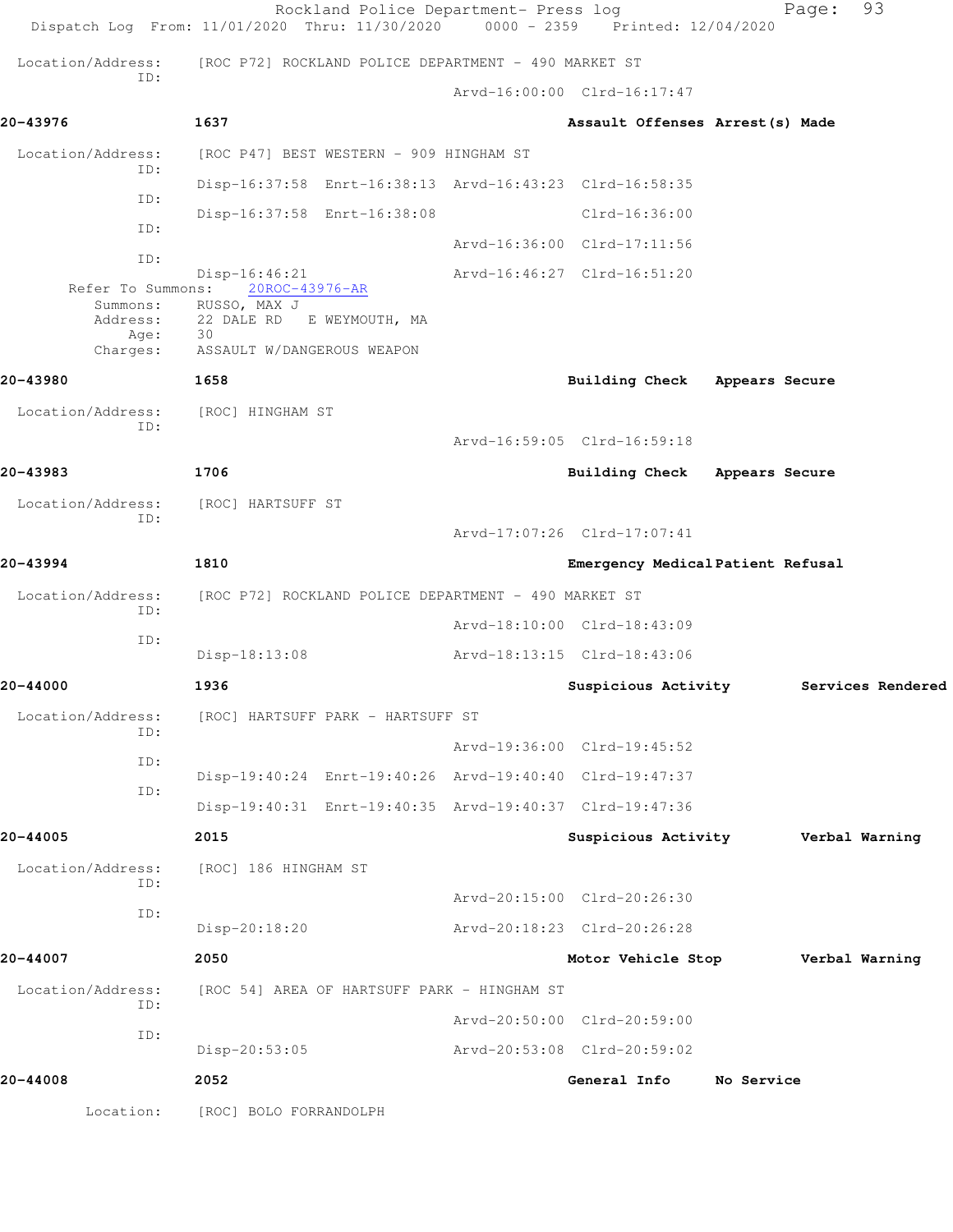|                                          | Rockland Police Department- Press log<br>Dispatch Log From: 11/01/2020 Thru: 11/30/2020 0000 - 2359 Printed: 12/04/2020 |                                   |                | 93<br>Page:       |
|------------------------------------------|-------------------------------------------------------------------------------------------------------------------------|-----------------------------------|----------------|-------------------|
| Location/Address:                        | [ROC P72] ROCKLAND POLICE DEPARTMENT - 490 MARKET ST                                                                    |                                   |                |                   |
| ID:                                      |                                                                                                                         | Arvd-16:00:00 Clrd-16:17:47       |                |                   |
| 20-43976                                 | 1637                                                                                                                    | Assault Offenses Arrest (s) Made  |                |                   |
| Location/Address:<br>ID:                 | [ROC P47] BEST WESTERN - 909 HINGHAM ST                                                                                 |                                   |                |                   |
| ID:                                      | Disp-16:37:58 Enrt-16:38:13 Arvd-16:43:23 Clrd-16:58:35                                                                 |                                   |                |                   |
| ID:                                      | Disp-16:37:58 Enrt-16:38:08                                                                                             | $Clrd-16:36:00$                   |                |                   |
| ID:                                      |                                                                                                                         | Arvd-16:36:00 Clrd-17:11:56       |                |                   |
|                                          | $Disp-16:46:21$<br>Refer To Summons: 20ROC-43976-AR                                                                     | Arvd-16:46:27 Clrd-16:51:20       |                |                   |
| Summons:<br>Address:<br>Age:<br>Charges: | RUSSO, MAX J<br>22 DALE RD E WEYMOUTH, MA<br>30<br>ASSAULT W/DANGEROUS WEAPON                                           |                                   |                |                   |
| 20-43980                                 | 1658                                                                                                                    | Building Check Appears Secure     |                |                   |
| Location/Address:                        | [ROC] HINGHAM ST                                                                                                        |                                   |                |                   |
| ID:                                      |                                                                                                                         | Arvd-16:59:05 Clrd-16:59:18       |                |                   |
| 20-43983                                 | 1706                                                                                                                    | Building Check                    | Appears Secure |                   |
| Location/Address:                        | [ROC] HARTSUFF ST                                                                                                       |                                   |                |                   |
| ID:                                      |                                                                                                                         | Arvd-17:07:26 Clrd-17:07:41       |                |                   |
| 20-43994                                 | 1810                                                                                                                    | Emergency Medical Patient Refusal |                |                   |
| Location/Address:                        | [ROC P72] ROCKLAND POLICE DEPARTMENT - 490 MARKET ST                                                                    |                                   |                |                   |
| ID:                                      |                                                                                                                         | Arvd-18:10:00 Clrd-18:43:09       |                |                   |
| ID:                                      | Disp-18:13:08                                                                                                           | Arvd-18:13:15 Clrd-18:43:06       |                |                   |
| 20-44000                                 | 1936                                                                                                                    | Suspicious Activity               |                | Services Rendered |
| Location/Address:                        | [ROC] HARTSUFF PARK - HARTSUFF ST                                                                                       |                                   |                |                   |
| ID:                                      |                                                                                                                         | Arvd-19:36:00 Clrd-19:45:52       |                |                   |
| ID:<br>ID:                               | Disp-19:40:24 Enrt-19:40:26 Arvd-19:40:40 Clrd-19:47:37                                                                 |                                   |                |                   |
|                                          | Disp-19:40:31 Enrt-19:40:35 Arvd-19:40:37 Clrd-19:47:36                                                                 |                                   |                |                   |
| 20-44005                                 | 2015                                                                                                                    | Suspicious Activity               |                | Verbal Warning    |
| Location/Address:<br>ID:                 | [ROC] 186 HINGHAM ST                                                                                                    |                                   |                |                   |
| ID:                                      |                                                                                                                         | Arvd-20:15:00 Clrd-20:26:30       |                |                   |
|                                          | Disp-20:18:20                                                                                                           | Arvd-20:18:23 Clrd-20:26:28       |                |                   |
| 20-44007                                 | 2050                                                                                                                    | Motor Vehicle Stop                |                | Verbal Warning    |
| Location/Address:<br>ID:                 | [ROC 54] AREA OF HARTSUFF PARK - HINGHAM ST                                                                             |                                   |                |                   |
| ID:                                      |                                                                                                                         | Arvd-20:50:00 Clrd-20:59:00       |                |                   |
|                                          | Disp-20:53:05                                                                                                           | Arvd-20:53:08 Clrd-20:59:02       |                |                   |
| 20-44008                                 | 2052                                                                                                                    | General Info                      | No Service     |                   |
| Location:                                | [ROC] BOLO FORRANDOLPH                                                                                                  |                                   |                |                   |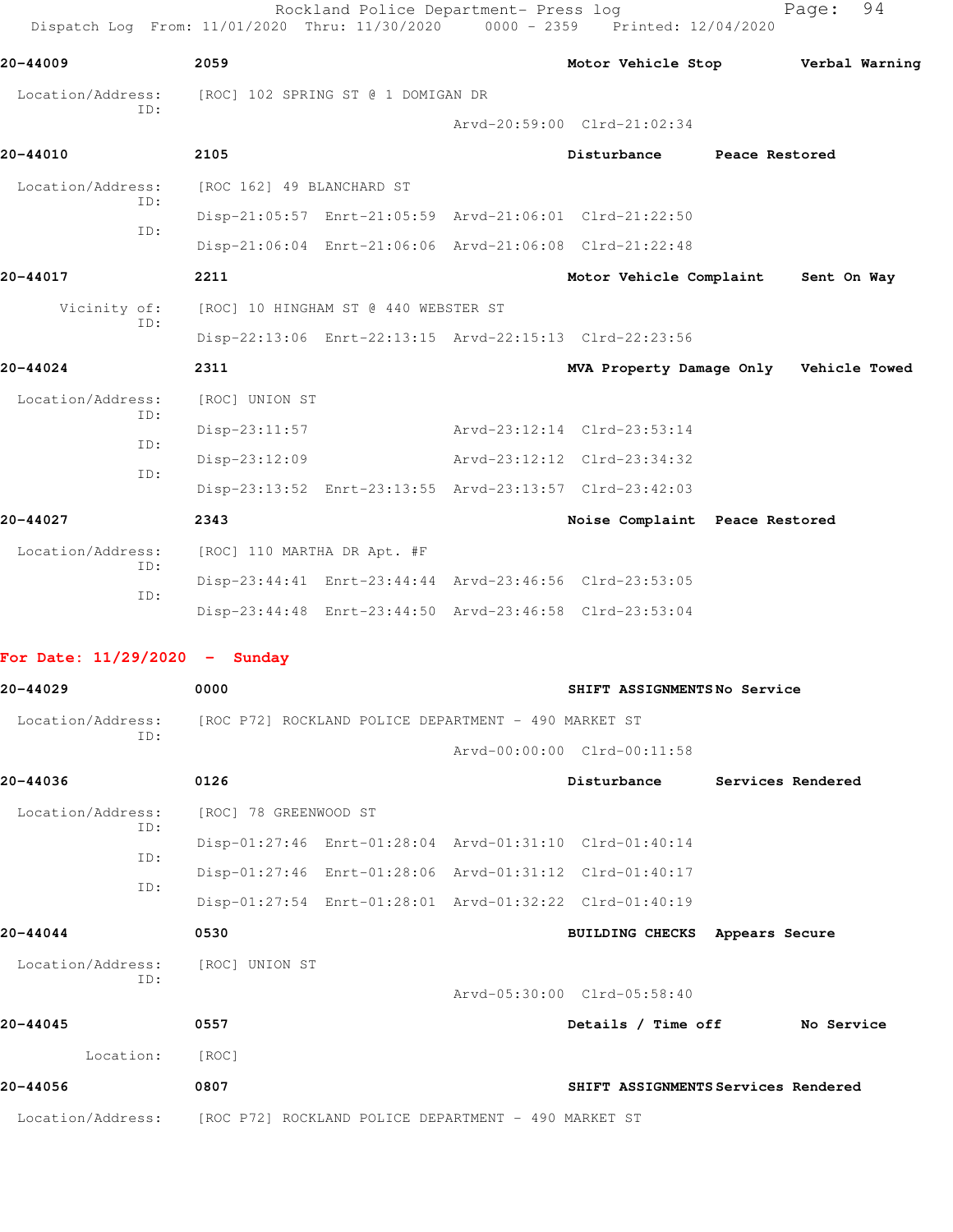| Dispatch Log From: 11/01/2020 Thru: 11/30/2020                         |                             | Rockland Police Department- Press log                | 0000 - 2359 Printed: 12/04/2020                         |                   | Page:          | 94 |
|------------------------------------------------------------------------|-----------------------------|------------------------------------------------------|---------------------------------------------------------|-------------------|----------------|----|
| 20-44009                                                               | 2059                        |                                                      | Motor Vehicle Stop                                      |                   | Verbal Warning |    |
| Location/Address:                                                      |                             | [ROC] 102 SPRING ST @ 1 DOMIGAN DR                   |                                                         |                   |                |    |
| ID:                                                                    |                             |                                                      | Arvd-20:59:00 Clrd-21:02:34                             |                   |                |    |
| 20-44010                                                               | 2105                        |                                                      | Disturbance                                             | Peace Restored    |                |    |
| Location/Address:                                                      | [ROC 162] 49 BLANCHARD ST   |                                                      |                                                         |                   |                |    |
| ID:                                                                    |                             |                                                      | Disp-21:05:57 Enrt-21:05:59 Arvd-21:06:01 Clrd-21:22:50 |                   |                |    |
| ID:                                                                    |                             |                                                      | Disp-21:06:04 Enrt-21:06:06 Arvd-21:06:08 Clrd-21:22:48 |                   |                |    |
| 20-44017                                                               | 2211                        |                                                      | Motor Vehicle Complaint                                 |                   | Sent On Way    |    |
| Vicinity of:                                                           |                             | [ROC] 10 HINGHAM ST @ 440 WEBSTER ST                 |                                                         |                   |                |    |
| ID:                                                                    |                             |                                                      | Disp-22:13:06 Enrt-22:13:15 Arvd-22:15:13 Clrd-22:23:56 |                   |                |    |
| 20-44024                                                               | 2311                        |                                                      | MVA Property Damage Only Vehicle Towed                  |                   |                |    |
| Location/Address:                                                      | [ROC] UNION ST              |                                                      |                                                         |                   |                |    |
| ID:                                                                    | $Disp-23:11:57$             |                                                      | Arvd-23:12:14 Clrd-23:53:14                             |                   |                |    |
| ID:                                                                    | $Disp-23:12:09$             |                                                      | Arvd-23:12:12 Clrd-23:34:32                             |                   |                |    |
| ID:                                                                    |                             |                                                      | Disp-23:13:52 Enrt-23:13:55 Arvd-23:13:57 Clrd-23:42:03 |                   |                |    |
| 20-44027                                                               | 2343                        |                                                      | Noise Complaint Peace Restored                          |                   |                |    |
| Location/Address:                                                      | [ROC] 110 MARTHA DR Apt. #F |                                                      |                                                         |                   |                |    |
| ID:                                                                    |                             |                                                      | Disp-23:44:41 Enrt-23:44:44 Arvd-23:46:56 Clrd-23:53:05 |                   |                |    |
| ID:                                                                    |                             |                                                      | Disp-23:44:48 Enrt-23:44:50 Arvd-23:46:58 Clrd-23:53:04 |                   |                |    |
| For Date: $11/29/2020 -$ Sunday                                        |                             |                                                      |                                                         |                   |                |    |
| 20-44029                                                               | 0000                        |                                                      | SHIFT ASSIGNMENTSNo Service                             |                   |                |    |
| Location/Address:                                                      |                             | [ROC P72] ROCKLAND POLICE DEPARTMENT - 490 MARKET ST |                                                         |                   |                |    |
| ID:                                                                    |                             |                                                      | Arvd-00:00:00 Clrd-00:11:58                             |                   |                |    |
| 20-44036                                                               | 0126                        |                                                      | Disturbance                                             | Services Rendered |                |    |
| Location/Address:                                                      | [ROC] 78 GREENWOOD ST       |                                                      |                                                         |                   |                |    |
| ID:                                                                    |                             |                                                      | Disp-01:27:46 Enrt-01:28:04 Arvd-01:31:10 Clrd-01:40:14 |                   |                |    |
| ID:                                                                    |                             |                                                      | Disp-01:27:46 Enrt-01:28:06 Arvd-01:31:12 Clrd-01:40:17 |                   |                |    |
| ID:                                                                    |                             |                                                      | Disp-01:27:54 Enrt-01:28:01 Arvd-01:32:22 Clrd-01:40:19 |                   |                |    |
| 20-44044                                                               | 0530                        |                                                      | BUILDING CHECKS Appears Secure                          |                   |                |    |
| Location/Address:<br>ID:                                               | [ROC] UNION ST              |                                                      |                                                         |                   |                |    |
|                                                                        |                             |                                                      | Arvd-05:30:00 Clrd-05:58:40                             |                   |                |    |
| 20-44045                                                               | 0557                        |                                                      | Details / Time off                                      |                   | No Service     |    |
| Location:                                                              | [ROC]                       |                                                      |                                                         |                   |                |    |
| 20-44056                                                               | 0807                        |                                                      | SHIFT ASSIGNMENTS Services Rendered                     |                   |                |    |
| Location/Address: [ROC P72] ROCKLAND POLICE DEPARTMENT - 490 MARKET ST |                             |                                                      |                                                         |                   |                |    |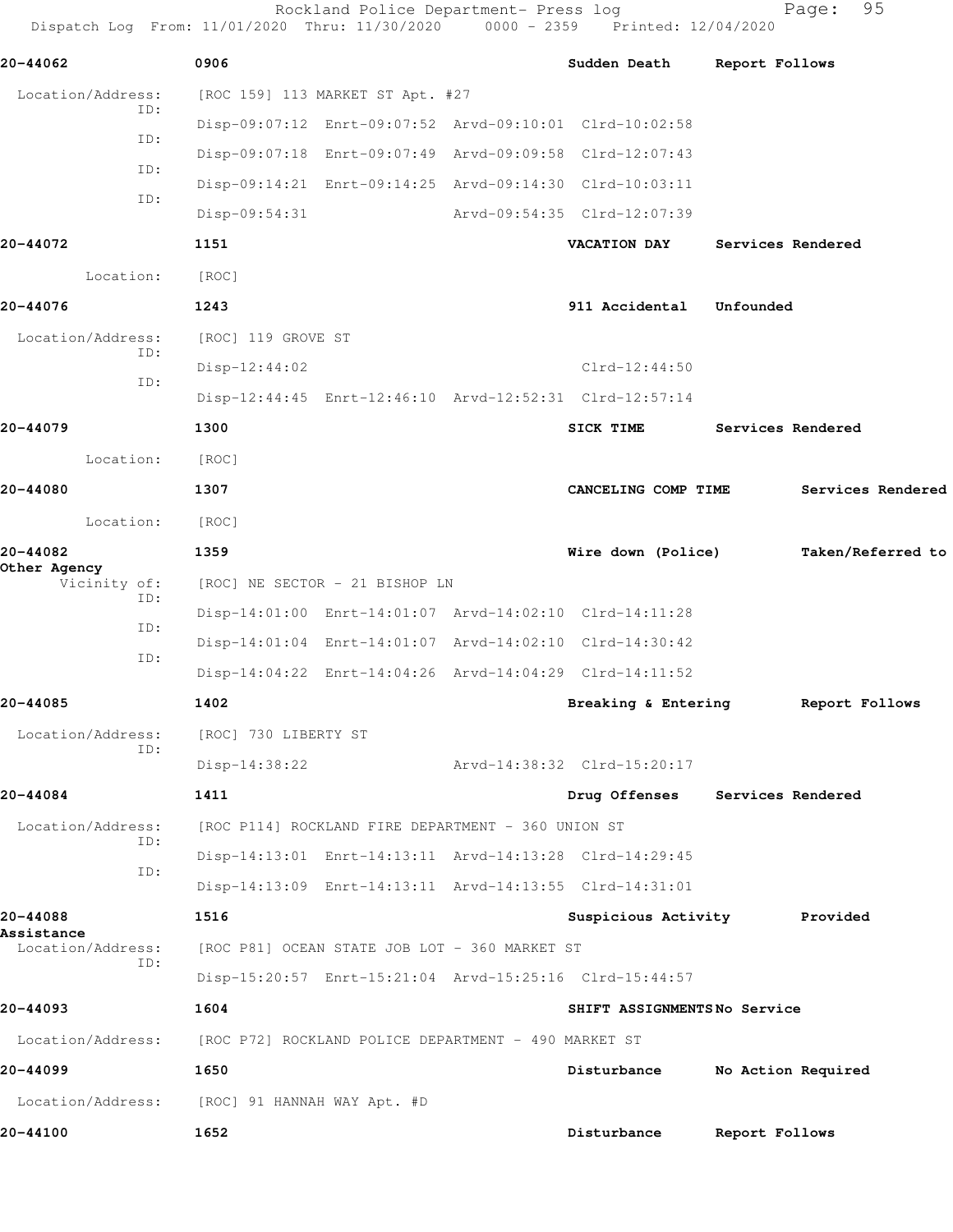Dispatch Log From: 11/01/2020 Thru: 11/30/2020 0000 - 2359 Printed: 12/04/2020 **20-44062 0906 Sudden Death Report Follows** Location/Address: [ROC 159] 113 MARKET ST Apt. #27 ID: Disp-09:07:12 Enrt-09:07:52 Arvd-09:10:01 Clrd-10:02:58 ID: Disp-09:07:18 Enrt-09:07:49 Arvd-09:09:58 Clrd-12:07:43 ID: Disp-09:14:21 Enrt-09:14:25 Arvd-09:14:30 Clrd-10:03:11 ID: Disp-09:54:31 Arvd-09:54:35 Clrd-12:07:39 **20-44072 1151 VACATION DAY Services Rendered** Location: [ROC] **20-44076 1243 911 Accidental Unfounded**  Location/Address: [ROC] 119 GROVE ST ID: Disp-12:44:02 Clrd-12:44:50 ID: Disp-12:44:45 Enrt-12:46:10 Arvd-12:52:31 Clrd-12:57:14 **20-44079 1300 SICK TIME Services Rendered** Location: [ROC] **20-44080 1307 CANCELING COMP TIME Services Rendered** Location: [ROC] **20-44082 1359 Wire down (Police) Taken/Referred to Other Agency**  Vicinity of: [ROC] NE SECTOR - 21 BISHOP LN ID: Disp-14:01:00 Enrt-14:01:07 Arvd-14:02:10 Clrd-14:11:28 ID: Disp-14:01:04 Enrt-14:01:07 Arvd-14:02:10 Clrd-14:30:42 ID: Disp-14:04:22 Enrt-14:04:26 Arvd-14:04:29 Clrd-14:11:52 **20-44085 1402 Breaking & Entering Report Follows** Location/Address: [ROC] 730 LIBERTY ST ID: Disp-14:38:22 Arvd-14:38:32 Clrd-15:20:17 **20-44084 1411 Drug Offenses Services Rendered** Location/Address: [ROC P114] ROCKLAND FIRE DEPARTMENT - 360 UNION ST ID: Disp-14:13:01 Enrt-14:13:11 Arvd-14:13:28 Clrd-14:29:45 ID: Disp-14:13:09 Enrt-14:13:11 Arvd-14:13:55 Clrd-14:31:01 **20-44088 1516 Suspicious Activity Provided Assistance**  [ROC P81] OCEAN STATE JOB LOT - 360 MARKET ST ID: Disp-15:20:57 Enrt-15:21:04 Arvd-15:25:16 Clrd-15:44:57 **20-44093 1604 SHIFT ASSIGNMENTS No Service** Location/Address: [ROC P72] ROCKLAND POLICE DEPARTMENT - 490 MARKET ST **20-44099 1650 Disturbance No Action Required** Location/Address: [ROC] 91 HANNAH WAY Apt. #D **20-44100 1652 Disturbance Report Follows**

Rockland Police Department- Press log Fage: 95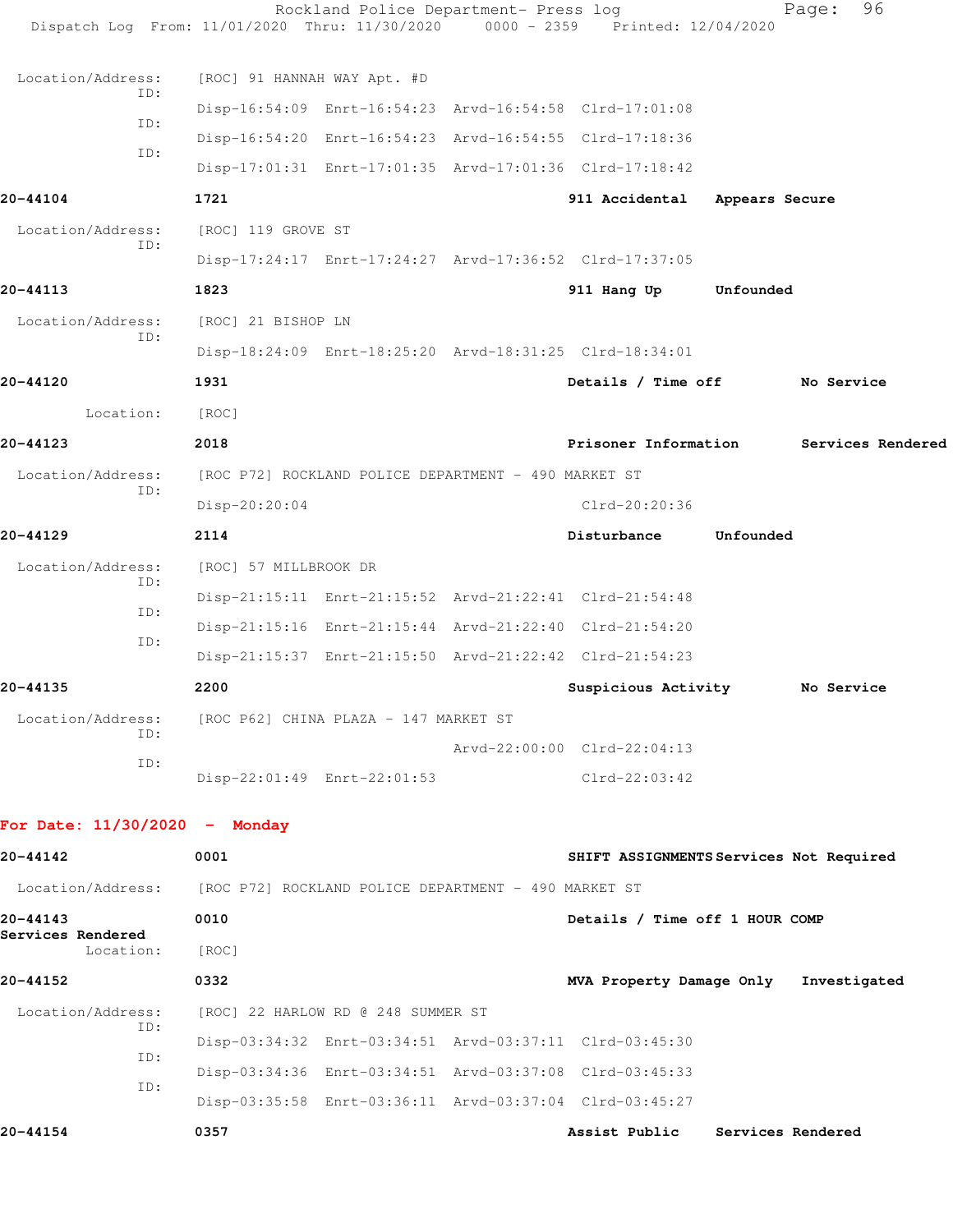| Dispatch Log From: 11/01/2020 Thru: 11/30/2020                         |                                       | Rockland Police Department- Press log                | $0000 - 2359$ | Printed: 12/04/2020                                     |                | 96<br>Page:       |
|------------------------------------------------------------------------|---------------------------------------|------------------------------------------------------|---------------|---------------------------------------------------------|----------------|-------------------|
| Location/Address:                                                      | [ROC] 91 HANNAH WAY Apt. #D           |                                                      |               |                                                         |                |                   |
| ID:                                                                    |                                       |                                                      |               | Disp-16:54:09 Enrt-16:54:23 Arvd-16:54:58 Clrd-17:01:08 |                |                   |
| ID:                                                                    |                                       |                                                      |               | Disp-16:54:20 Enrt-16:54:23 Arvd-16:54:55 Clrd-17:18:36 |                |                   |
| ID:                                                                    |                                       |                                                      |               | Disp-17:01:31 Enrt-17:01:35 Arvd-17:01:36 Clrd-17:18:42 |                |                   |
| 20-44104                                                               | 1721                                  |                                                      |               | 911 Accidental                                          | Appears Secure |                   |
| Location/Address:                                                      | [ROC] 119 GROVE ST                    |                                                      |               |                                                         |                |                   |
| ID:                                                                    |                                       |                                                      |               | Disp-17:24:17 Enrt-17:24:27 Arvd-17:36:52 Clrd-17:37:05 |                |                   |
| 20-44113                                                               | 1823                                  |                                                      |               | 911 Hang Up                                             | Unfounded      |                   |
| Location/Address:                                                      | [ROC] 21 BISHOP LN                    |                                                      |               |                                                         |                |                   |
| ID:                                                                    |                                       |                                                      |               | Disp-18:24:09 Enrt-18:25:20 Arvd-18:31:25 Clrd-18:34:01 |                |                   |
| 20-44120                                                               | 1931                                  |                                                      |               | Details / Time off No Service                           |                |                   |
| Location:                                                              | [ROC]                                 |                                                      |               |                                                         |                |                   |
| 20-44123                                                               | 2018                                  |                                                      |               | Prisoner Information                                    |                | Services Rendered |
| Location/Address:                                                      |                                       | [ROC P72] ROCKLAND POLICE DEPARTMENT - 490 MARKET ST |               |                                                         |                |                   |
| ID:                                                                    | Disp-20:20:04                         |                                                      |               | Clrd-20:20:36                                           |                |                   |
| 20-44129                                                               | 2114                                  |                                                      |               | Disturbance                                             | Unfounded      |                   |
| Location/Address:                                                      | [ROC] 57 MILLBROOK DR                 |                                                      |               |                                                         |                |                   |
| ID:                                                                    |                                       |                                                      |               | Disp-21:15:11 Enrt-21:15:52 Arvd-21:22:41 Clrd-21:54:48 |                |                   |
| ID:                                                                    |                                       |                                                      |               | Disp-21:15:16 Enrt-21:15:44 Arvd-21:22:40 Clrd-21:54:20 |                |                   |
| ID:                                                                    |                                       |                                                      |               | Disp-21:15:37 Enrt-21:15:50 Arvd-21:22:42 Clrd-21:54:23 |                |                   |
| 20-44135                                                               | 2200                                  |                                                      |               | Suspicious Activity                                     |                | No Service        |
| Location/Address:                                                      | [ROC P62] CHINA PLAZA - 147 MARKET ST |                                                      |               |                                                         |                |                   |
| ID:                                                                    |                                       |                                                      |               | Arvd-22:00:00 Clrd-22:04:13                             |                |                   |
| ID:                                                                    |                                       | Disp-22:01:49 Enrt-22:01:53                          |               | $Clrd-22:03:42$                                         |                |                   |
|                                                                        |                                       |                                                      |               |                                                         |                |                   |
| For Date: $11/30/2020 -$ Monday                                        |                                       |                                                      |               |                                                         |                |                   |
| 20-44142                                                               | 0001                                  |                                                      |               | SHIFT ASSIGNMENTS Services Not Required                 |                |                   |
| Location/Address: [ROC P72] ROCKLAND POLICE DEPARTMENT - 490 MARKET ST |                                       |                                                      |               |                                                         |                |                   |
| 20-44143<br>Services Rendered                                          | 0010                                  |                                                      |               | Details / Time off 1 HOUR COMP                          |                |                   |
| Location:                                                              | [ROC]                                 |                                                      |               |                                                         |                |                   |
| 20-44152                                                               | 0332                                  |                                                      |               | MVA Property Damage Only Investigated                   |                |                   |
| Location/Address:<br>ID:                                               |                                       | [ROC] 22 HARLOW RD @ 248 SUMMER ST                   |               |                                                         |                |                   |
| ID:                                                                    |                                       |                                                      |               | Disp-03:34:32 Enrt-03:34:51 Arvd-03:37:11 Clrd-03:45:30 |                |                   |
|                                                                        |                                       |                                                      |               | Disp-03:34:36 Enrt-03:34:51 Arvd-03:37:08 Clrd-03:45:33 |                |                   |

 ID: Disp-03:35:58 Enrt-03:36:11 Arvd-03:37:04 Clrd-03:45:27

**20-44154 0357 Assist Public Services Rendered**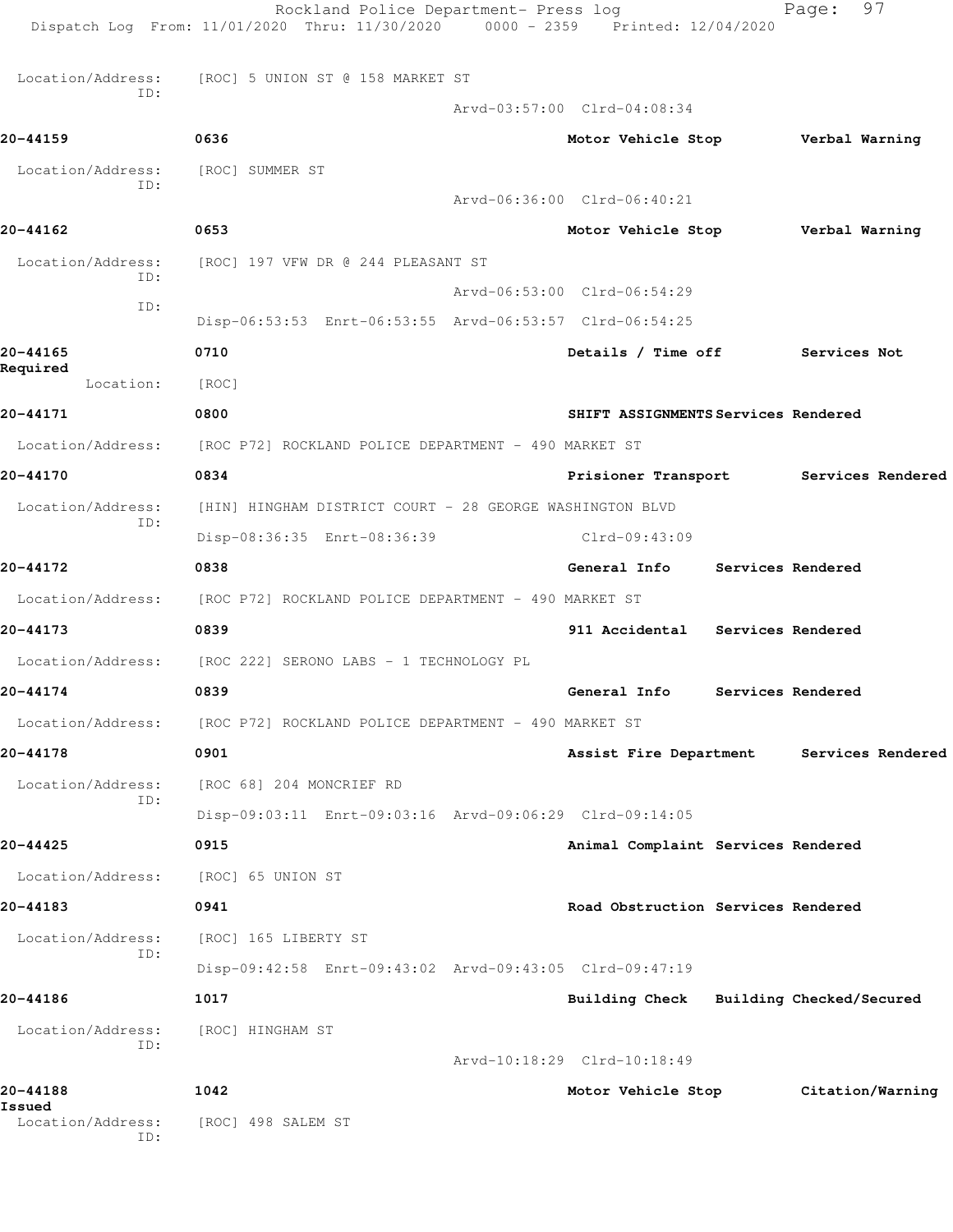|                          | Rockland Police Department- Press log<br>Dispatch Log From: 11/01/2020 Thru: 11/30/2020 0000 - 2359 Printed: 12/04/2020 |                                          | Page:             | 97                |  |
|--------------------------|-------------------------------------------------------------------------------------------------------------------------|------------------------------------------|-------------------|-------------------|--|
| Location/Address:        | [ROC] 5 UNION ST @ 158 MARKET ST                                                                                        |                                          |                   |                   |  |
| ID:                      |                                                                                                                         | Arvd-03:57:00 Clrd-04:08:34              |                   |                   |  |
| 20-44159                 | 0636                                                                                                                    | Motor Vehicle Stop <b>Werbal Warning</b> |                   |                   |  |
| Location/Address:        | [ROC] SUMMER ST                                                                                                         |                                          |                   |                   |  |
| ID:                      |                                                                                                                         | Arvd-06:36:00 Clrd-06:40:21              |                   |                   |  |
| 20-44162                 | 0653                                                                                                                    | Motor Vehicle Stop                       | Verbal Warning    |                   |  |
| Location/Address:        | [ROC] 197 VFW DR @ 244 PLEASANT ST                                                                                      |                                          |                   |                   |  |
| ID:                      |                                                                                                                         | Arvd-06:53:00 Clrd-06:54:29              |                   |                   |  |
| ID:                      | Disp-06:53:53 Enrt-06:53:55 Arvd-06:53:57 Clrd-06:54:25                                                                 |                                          |                   |                   |  |
| 20-44165<br>Required     | 0710                                                                                                                    | Details / Time off                       | Services Not      |                   |  |
| Location:                | [ROC]                                                                                                                   |                                          |                   |                   |  |
| 20-44171                 | 0800                                                                                                                    | SHIFT ASSIGNMENTS Services Rendered      |                   |                   |  |
|                          | Location/Address: [ROC P72] ROCKLAND POLICE DEPARTMENT - 490 MARKET ST                                                  |                                          |                   |                   |  |
| 20-44170                 | 0834                                                                                                                    | Prisioner Transport Services Rendered    |                   |                   |  |
| Location/Address:        | [HIN] HINGHAM DISTRICT COURT - 28 GEORGE WASHINGTON BLVD                                                                |                                          |                   |                   |  |
| ID:                      | Disp-08:36:35 Enrt-08:36:39                                                                                             | Clrd-09:43:09                            |                   |                   |  |
| 20-44172                 | 0838                                                                                                                    | General Info Services Rendered           |                   |                   |  |
|                          | Location/Address: [ROC P72] ROCKLAND POLICE DEPARTMENT - 490 MARKET ST                                                  |                                          |                   |                   |  |
| 20-44173                 | 0839                                                                                                                    | 911 Accidental Services Rendered         |                   |                   |  |
|                          | Location/Address: [ROC 222] SERONO LABS - 1 TECHNOLOGY PL                                                               |                                          |                   |                   |  |
| 20-44174                 | 0839                                                                                                                    | General Info                             | Services Rendered |                   |  |
|                          | Location/Address: [ROC P72] ROCKLAND POLICE DEPARTMENT - 490 MARKET ST                                                  |                                          |                   |                   |  |
| 20-44178                 | 0901                                                                                                                    | Assist Fire Department                   |                   | Services Rendered |  |
| Location/Address:        | [ROC 68] 204 MONCRIEF RD                                                                                                |                                          |                   |                   |  |
| ID:                      | Disp-09:03:11 Enrt-09:03:16 Arvd-09:06:29 Clrd-09:14:05                                                                 |                                          |                   |                   |  |
| 20-44425                 | 0915                                                                                                                    | Animal Complaint Services Rendered       |                   |                   |  |
| Location/Address:        | [ROC] 65 UNION ST                                                                                                       |                                          |                   |                   |  |
| 20-44183                 | 0941                                                                                                                    | Road Obstruction Services Rendered       |                   |                   |  |
| Location/Address:<br>ID: | [ROC] 165 LIBERTY ST                                                                                                    |                                          |                   |                   |  |
|                          | Disp-09:42:58 Enrt-09:43:02 Arvd-09:43:05 Clrd-09:47:19                                                                 |                                          |                   |                   |  |
| 20-44186                 | 1017                                                                                                                    | Building Check Building Checked/Secured  |                   |                   |  |
| Location/Address:<br>ID: | [ROC] HINGHAM ST                                                                                                        |                                          |                   |                   |  |
|                          |                                                                                                                         | Arvd-10:18:29 Clrd-10:18:49              |                   |                   |  |
| 20-44188<br>Issued       | 1042                                                                                                                    | Motor Vehicle Stop                       |                   | Citation/Warning  |  |
| Location/Address:<br>ID: | [ROC] 498 SALEM ST                                                                                                      |                                          |                   |                   |  |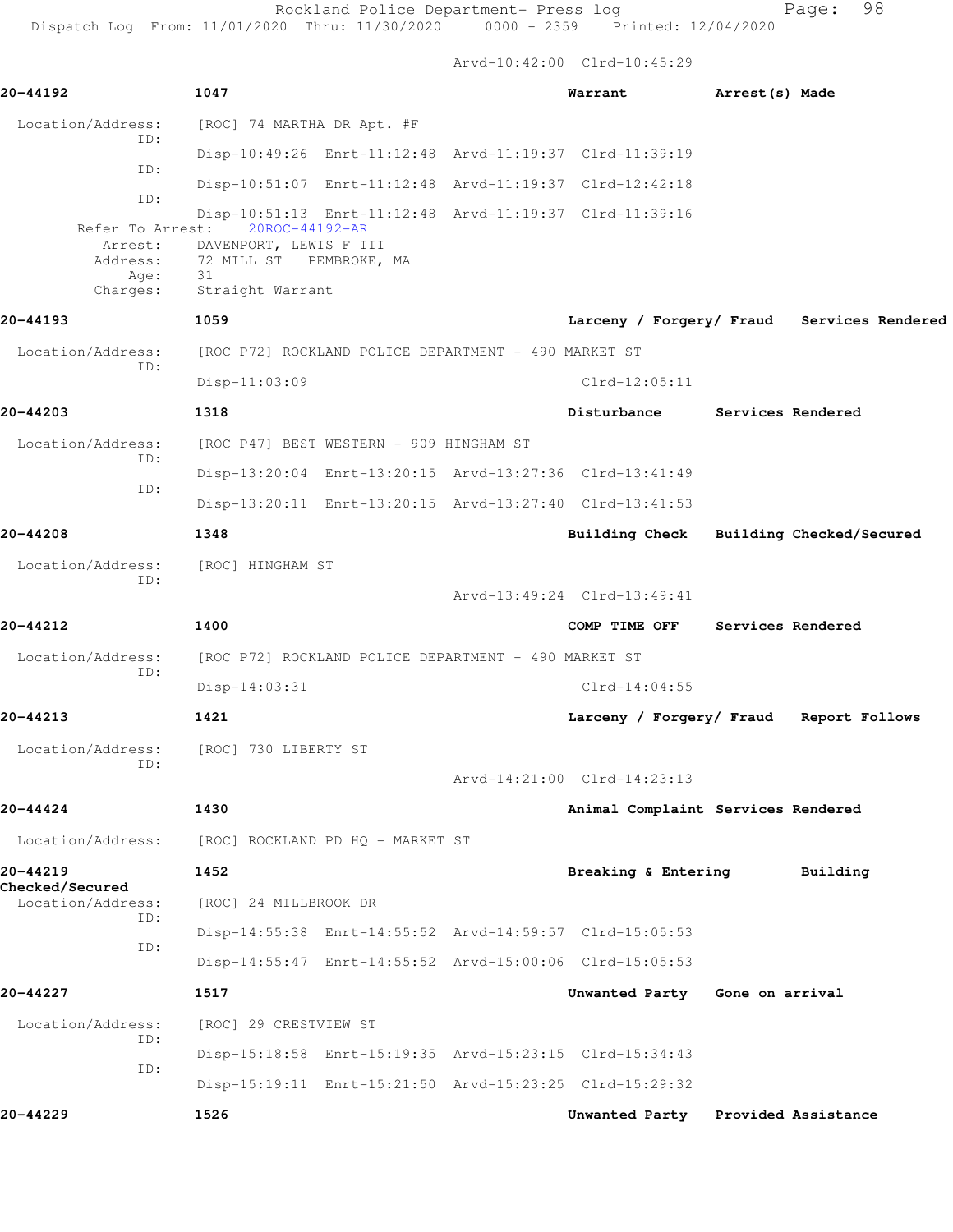Rockland Police Department- Press log entitled Page: 98

Dispatch Log From: 11/01/2020 Thru: 11/30/2020 0000 - 2359 Printed: 12/04/2020

Arvd-10:42:00 Clrd-10:45:29

| 20-44192                           | 1047                                                 |                                                      | Warrant                                                 | Arrest(s) Made |                                            |  |
|------------------------------------|------------------------------------------------------|------------------------------------------------------|---------------------------------------------------------|----------------|--------------------------------------------|--|
| Location/Address:                  | [ROC] 74 MARTHA DR Apt. #F                           |                                                      |                                                         |                |                                            |  |
| ID:                                |                                                      |                                                      | Disp-10:49:26 Enrt-11:12:48 Arvd-11:19:37 Clrd-11:39:19 |                |                                            |  |
| ID:                                |                                                      |                                                      | Disp-10:51:07 Enrt-11:12:48 Arvd-11:19:37 Clrd-12:42:18 |                |                                            |  |
| ID:<br>Refer To Arrest:<br>Arrest: | 20ROC-44192-AR<br>DAVENPORT, LEWIS F III             |                                                      | Disp-10:51:13 Enrt-11:12:48 Arvd-11:19:37 Clrd-11:39:16 |                |                                            |  |
| Address:<br>Age:<br>Charges:       | 72 MILL ST PEMBROKE, MA<br>31<br>Straight Warrant    |                                                      |                                                         |                |                                            |  |
| 20-44193                           | 1059                                                 |                                                      |                                                         |                | Larceny / Forgery/ Fraud Services Rendered |  |
| Location/Address:                  | [ROC P72] ROCKLAND POLICE DEPARTMENT - 490 MARKET ST |                                                      |                                                         |                |                                            |  |
| ID:                                | Disp-11:03:09                                        |                                                      | $Clrd-12:05:11$                                         |                |                                            |  |
| 20-44203                           | 1318                                                 |                                                      | Disturbance                                             |                | Services Rendered                          |  |
| Location/Address:                  | [ROC P47] BEST WESTERN - 909 HINGHAM ST              |                                                      |                                                         |                |                                            |  |
| ID:                                |                                                      |                                                      | Disp-13:20:04 Enrt-13:20:15 Arvd-13:27:36 Clrd-13:41:49 |                |                                            |  |
| ID:                                |                                                      |                                                      | Disp-13:20:11 Enrt-13:20:15 Arvd-13:27:40 Clrd-13:41:53 |                |                                            |  |
| 20-44208                           | 1348                                                 |                                                      | Building Check Building Checked/Secured                 |                |                                            |  |
| Location/Address:                  | [ROC] HINGHAM ST                                     |                                                      |                                                         |                |                                            |  |
| ID:                                |                                                      |                                                      | Arvd-13:49:24 Clrd-13:49:41                             |                |                                            |  |
| 20-44212                           | 1400                                                 |                                                      | COMP TIME OFF                                           |                | Services Rendered                          |  |
| Location/Address:                  |                                                      | [ROC P72] ROCKLAND POLICE DEPARTMENT - 490 MARKET ST |                                                         |                |                                            |  |
| ID:                                | Disp-14:03:31                                        |                                                      | $Clrd-14:04:55$                                         |                |                                            |  |
| 20-44213                           | 1421                                                 |                                                      | Larceny / Forgery/ Fraud Report Follows                 |                |                                            |  |
| Location/Address:                  | [ROC] 730 LIBERTY ST                                 |                                                      |                                                         |                |                                            |  |
| ID:                                |                                                      |                                                      | Arvd-14:21:00 Clrd-14:23:13                             |                |                                            |  |
| 20-44424                           | 1430                                                 |                                                      | Animal Complaint Services Rendered                      |                |                                            |  |
| Location/Address:                  | [ROC] ROCKLAND PD HQ - MARKET ST                     |                                                      |                                                         |                |                                            |  |
| 20-44219                           | 1452                                                 |                                                      | Breaking & Entering                                     |                | Building                                   |  |
| Checked/Secured                    |                                                      |                                                      |                                                         |                |                                            |  |
| Location/Address:<br>ID:           | [ROC] 24 MILLBROOK DR                                |                                                      |                                                         |                |                                            |  |
| ID:                                |                                                      |                                                      | Disp-14:55:38 Enrt-14:55:52 Arvd-14:59:57 Clrd-15:05:53 |                |                                            |  |
|                                    |                                                      |                                                      | Disp-14:55:47 Enrt-14:55:52 Arvd-15:00:06 Clrd-15:05:53 |                |                                            |  |
| 20-44227                           | 1517                                                 |                                                      | Unwanted Party Gone on arrival                          |                |                                            |  |
| Location/Address:<br>ID:           | [ROC] 29 CRESTVIEW ST                                |                                                      |                                                         |                |                                            |  |
| ID:                                |                                                      |                                                      | Disp-15:18:58 Enrt-15:19:35 Arvd-15:23:15 Clrd-15:34:43 |                |                                            |  |
|                                    |                                                      |                                                      | Disp-15:19:11 Enrt-15:21:50 Arvd-15:23:25 Clrd-15:29:32 |                |                                            |  |
| 20-44229                           | 1526                                                 |                                                      | Unwanted Party Provided Assistance                      |                |                                            |  |
|                                    |                                                      |                                                      |                                                         |                |                                            |  |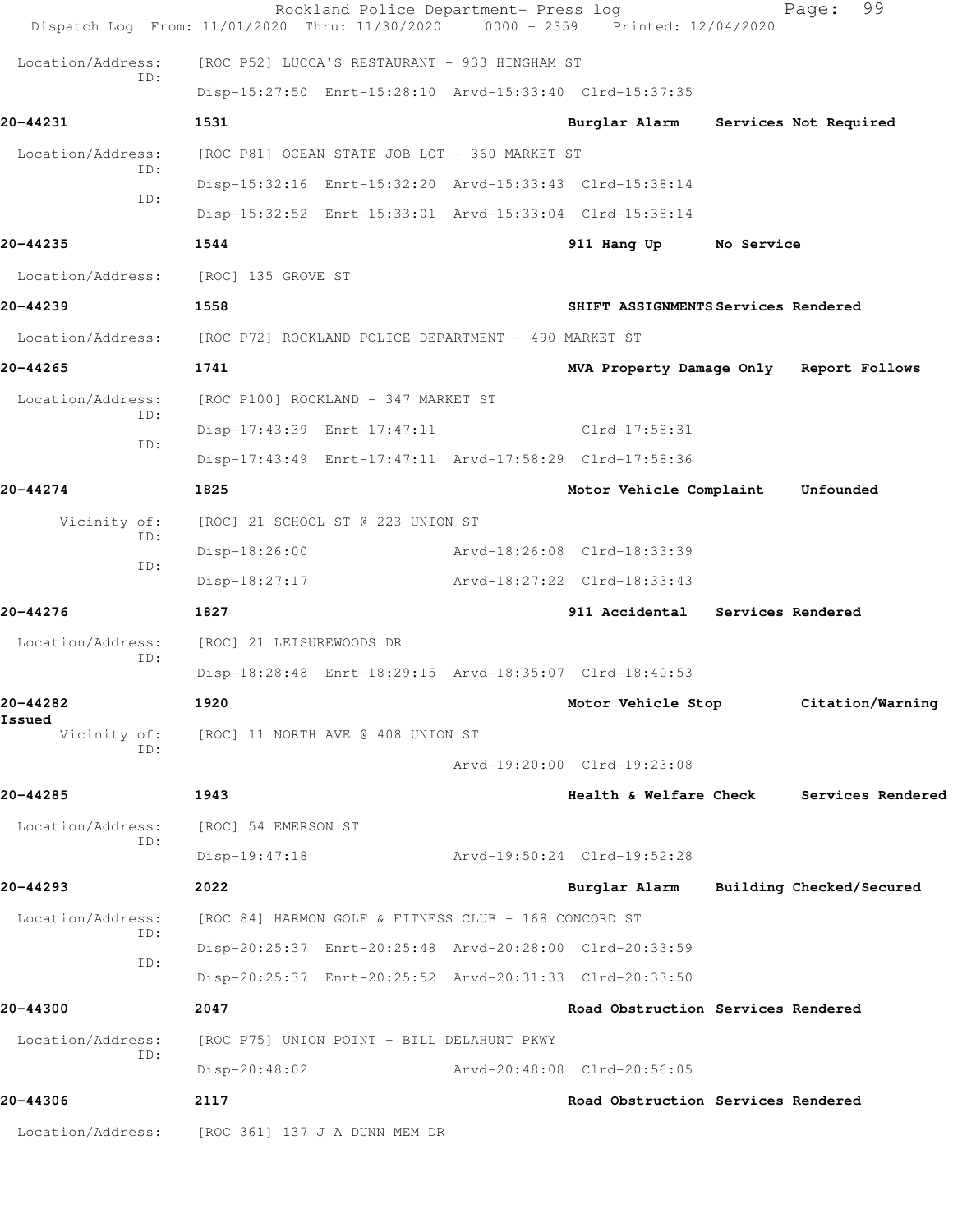|                                 | Rockland Police Department- Press log<br>Dispatch Log From: 11/01/2020 Thru: 11/30/2020 | $0000 - 2359$ | Printed: 12/04/2020                     |  | 99<br>Page:              |  |
|---------------------------------|-----------------------------------------------------------------------------------------|---------------|-----------------------------------------|--|--------------------------|--|
| Location/Address:<br>TD:        | [ROC P52] LUCCA'S RESTAURANT - 933 HINGHAM ST                                           |               |                                         |  |                          |  |
|                                 | Disp-15:27:50 Enrt-15:28:10 Arvd-15:33:40 Clrd-15:37:35                                 |               |                                         |  |                          |  |
| 20-44231                        | 1531                                                                                    |               | Burglar Alarm                           |  | Services Not Required    |  |
| Location/Address:<br>TD:<br>ID: | [ROC P81] OCEAN STATE JOB LOT - 360 MARKET ST                                           |               |                                         |  |                          |  |
|                                 | Disp-15:32:16 Enrt-15:32:20 Arvd-15:33:43 Clrd-15:38:14                                 |               |                                         |  |                          |  |
|                                 | Disp-15:32:52 Enrt-15:33:01 Arvd-15:33:04 Clrd-15:38:14                                 |               |                                         |  |                          |  |
| 20-44235                        | 1544                                                                                    |               | 911 Hang Up No Service                  |  |                          |  |
| Location/Address:               | [ROC] 135 GROVE ST                                                                      |               |                                         |  |                          |  |
| 20-44239                        | 1558<br>SHIFT ASSIGNMENTS Services Rendered                                             |               |                                         |  |                          |  |
|                                 | Location/Address: [ROC P72] ROCKLAND POLICE DEPARTMENT - 490 MARKET ST                  |               |                                         |  |                          |  |
| 20-44265                        | 1741                                                                                    |               | MVA Property Damage Only Report Follows |  |                          |  |
| Location/Address:<br>ID:<br>ID: | [ROC P100] ROCKLAND - 347 MARKET ST                                                     |               |                                         |  |                          |  |
|                                 | Disp-17:43:39 Enrt-17:47:11                                                             |               | $Clrd-17:58:31$                         |  |                          |  |
|                                 | Disp-17:43:49 Enrt-17:47:11 Arvd-17:58:29 Clrd-17:58:36                                 |               |                                         |  |                          |  |
| 20-44274                        | 1825                                                                                    |               | Motor Vehicle Complaint                 |  | Unfounded                |  |
| Vicinity of:<br>ID:<br>ID:      | [ROC] 21 SCHOOL ST @ 223 UNION ST                                                       |               |                                         |  |                          |  |
|                                 | $Disp-18:26:00$                                                                         |               | Arvd-18:26:08 Clrd-18:33:39             |  |                          |  |
|                                 | Disp-18:27:17                                                                           |               | Arvd-18:27:22 Clrd-18:33:43             |  |                          |  |
| 20-44276                        | 1827                                                                                    |               | 911 Accidental Services Rendered        |  |                          |  |
| Location/Address:<br>ID:        | [ROC] 21 LEISUREWOODS DR                                                                |               |                                         |  |                          |  |
|                                 | Disp-18:28:48 Enrt-18:29:15 Arvd-18:35:07 Clrd-18:40:53                                 |               |                                         |  |                          |  |
| 20-44282                        | 1920                                                                                    |               | Motor Vehicle Stop                      |  | Citation/Warning         |  |
| Issued<br>Vicinity of:<br>ID:   | [ROC] 11 NORTH AVE @ 408 UNION ST                                                       |               |                                         |  |                          |  |
|                                 |                                                                                         |               | Arvd-19:20:00 Clrd-19:23:08             |  |                          |  |
| 20-44285                        | 1943                                                                                    |               | Health & Welfare Check                  |  | Services Rendered        |  |
| Location/Address:<br>ID:        | [ROC] 54 EMERSON ST                                                                     |               |                                         |  |                          |  |
|                                 | Disp-19:47:18                                                                           |               | Arvd-19:50:24 Clrd-19:52:28             |  |                          |  |
| 20-44293                        | 2022                                                                                    |               | Burglar Alarm                           |  | Building Checked/Secured |  |
| Location/Address:               | [ROC 84] HARMON GOLF & FITNESS CLUB - 168 CONCORD ST                                    |               |                                         |  |                          |  |
| ID:<br>ID:                      | Disp-20:25:37 Enrt-20:25:48 Arvd-20:28:00 Clrd-20:33:59                                 |               |                                         |  |                          |  |
|                                 | Disp-20:25:37 Enrt-20:25:52 Arvd-20:31:33 Clrd-20:33:50                                 |               |                                         |  |                          |  |
| 20-44300                        | 2047                                                                                    |               | Road Obstruction Services Rendered      |  |                          |  |
| Location/Address:<br>ID:        | [ROC P75] UNION POINT - BILL DELAHUNT PKWY                                              |               |                                         |  |                          |  |
|                                 | $Disp-20:48:02$                                                                         |               | Arvd-20:48:08 Clrd-20:56:05             |  |                          |  |
| 20-44306                        | 2117                                                                                    |               | Road Obstruction Services Rendered      |  |                          |  |
| Location/Address:               | [ROC 361] 137 J A DUNN MEM DR                                                           |               |                                         |  |                          |  |
|                                 |                                                                                         |               |                                         |  |                          |  |